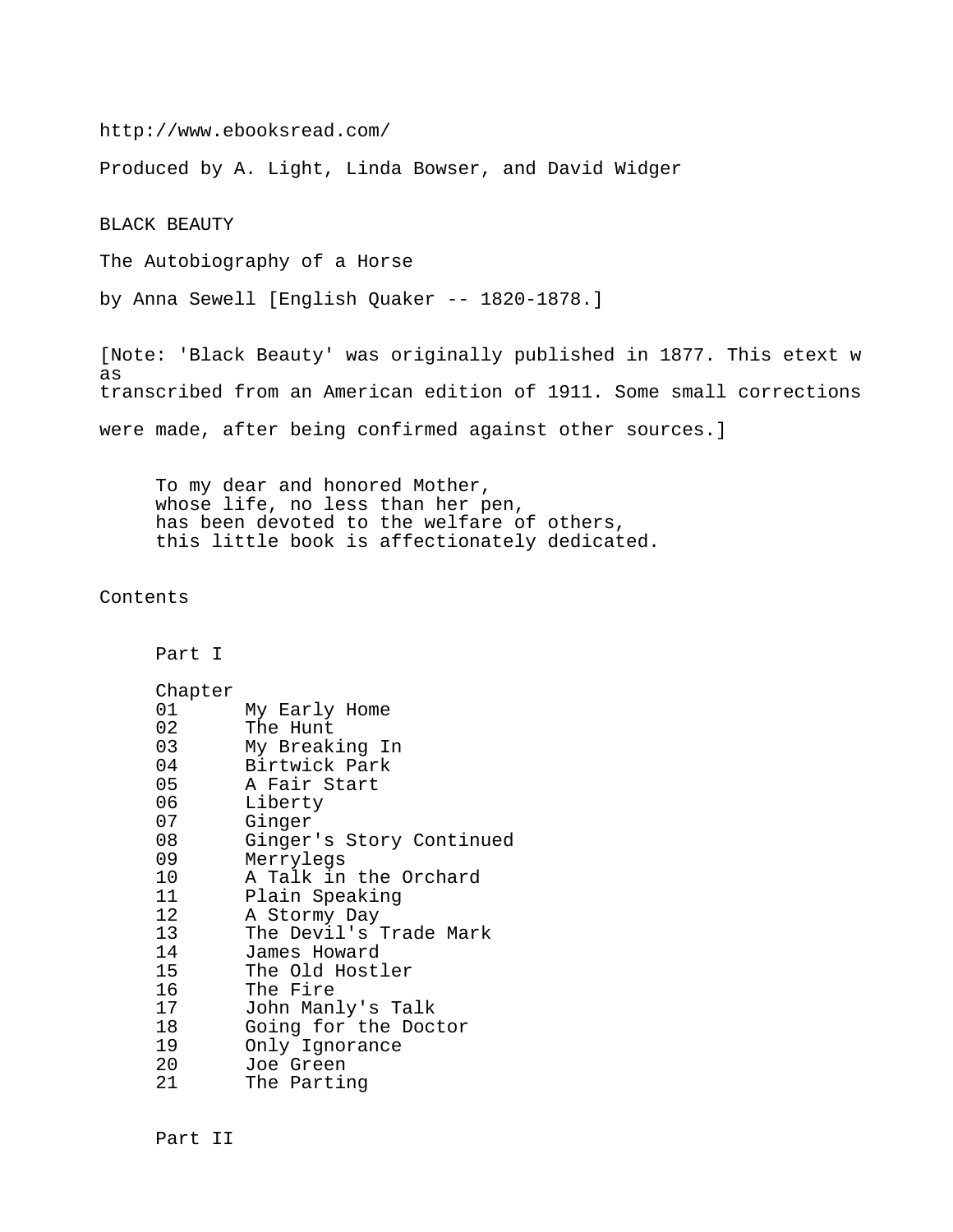http://www.ebooksread.com/

Produced by A. Light, Linda Bowser, and David Widger

BLACK BEAUTY

The Autobiography of a Horse

by Anna Sewell [English Quaker -- 1820-1878.]

[Note: 'Black Beauty' was originally published in 1877. This etext w as transcribed from an American edition of 1911. Some small corrections were made, after being confirmed against other sources.]

 To my dear and honored Mother, whose life, no less than her pen, has been devoted to the welfare of others, this little book is affectionately dedicated.

Contents

Part I

| Chapter         |                          |
|-----------------|--------------------------|
| 01              | My Early Home            |
| 02              | The Hunt                 |
| 03              | My Breaking In           |
| 04              | Birtwick Park            |
| 05              | A Fair Start             |
| 06              | Liberty                  |
| 07              | Ginger                   |
| 08              | Ginger's Story Continued |
| 09              | Merrylegs                |
| 10              | A Talk in the Orchard    |
| 11              | Plain Speaking           |
| 12 <sub>2</sub> | A Stormy Day             |
| 13 <sup>7</sup> | The Devil's Trade Mark   |
| 14              | James Howard             |
| 15              | The Old Hostler          |
| 16              | The Fire                 |
| 17              | John Manly's Talk        |
| 18              | Going for the Doctor     |
| 19              | Only Ignorance           |
| 20              | Joe Green                |
| 21              | The Parting              |

Part II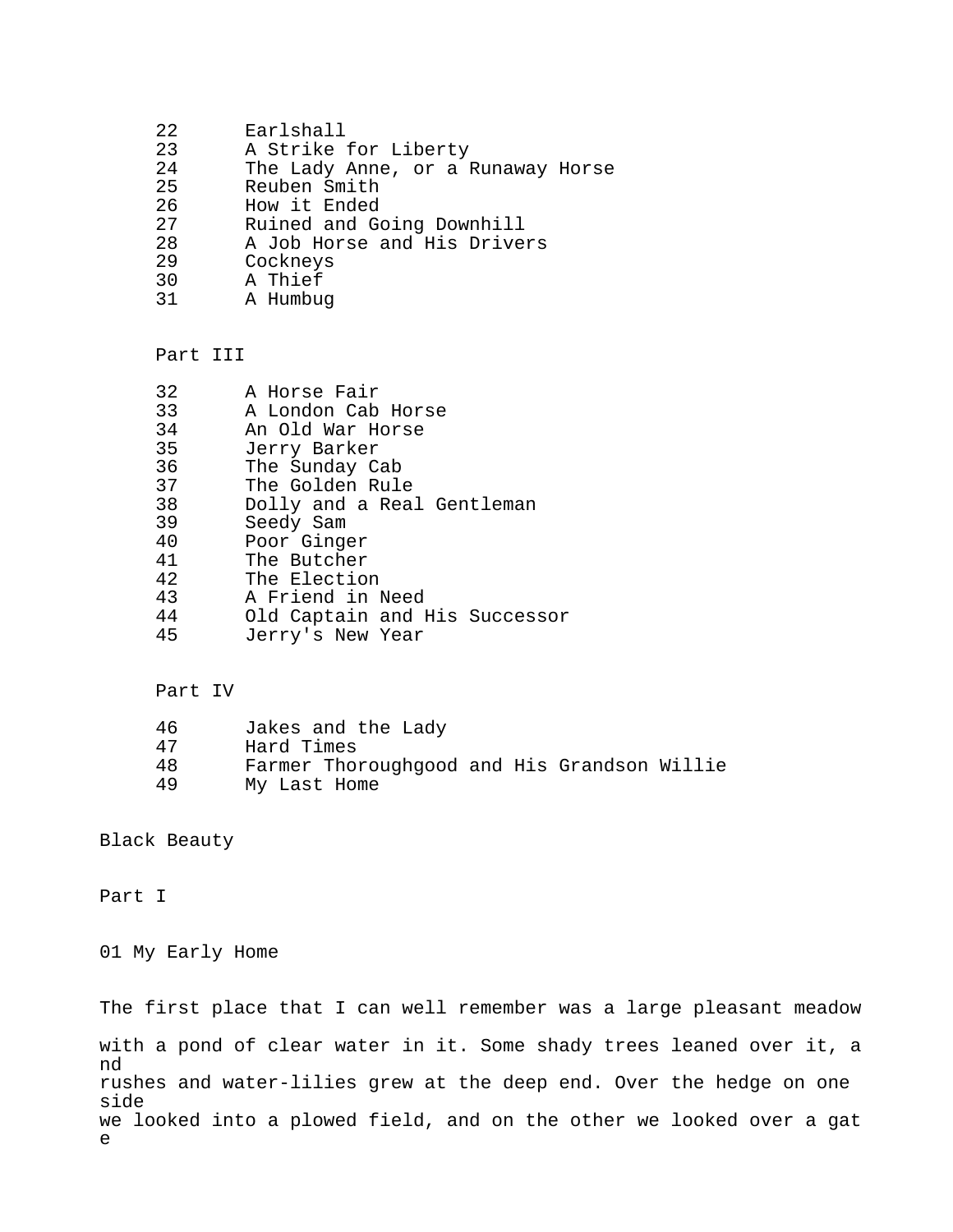- 22 Earlshall<br>23 A Strike:
- 23 A Strike for Liberty<br>24 The Lady Anne, or a l
- 24 The Lady Anne, or a Runaway Horse<br>25 Reuben Smith
- 25 Reuben Smith<br>26 How it Ended
- 26 How it Ended<br>27 Ruined and Go
- 27 Ruined and Going Downhill<br>28 A Job Horse and His Drive
- 28 A Job Horse and His Drivers<br>29 Cockneys
- 29 Cockneys<br>30 A Thief
- 30 A Thief<br>31 A Humbu
- A Humbug

## Part III

| 32 | A Horse Fair                  |
|----|-------------------------------|
| 33 | A London Cab Horse            |
| 34 | An Old War Horse              |
| 35 | Jerry Barker                  |
| 36 | The Sunday Cab                |
| 37 | The Golden Rule               |
| 38 | Dolly and a Real Gentleman    |
| 39 | Seedy Sam                     |
| 40 | Poor Ginger                   |
| 41 | The Butcher                   |
| 42 | The Election                  |
| 43 | A Friend in Need              |
| 44 | Old Captain and His Successor |
| 45 | Jerry's New Year              |

## Part IV

| 46  | Jakes and the Lady                          |
|-----|---------------------------------------------|
| 47  | Hard Times                                  |
| 48. | Farmer Thoroughgood and His Grandson Willie |

49 My Last Home

Black Beauty

Part I

01 My Early Home

The first place that I can well remember was a large pleasant meadow with a pond of clear water in it. Some shady trees leaned over it, a nd rushes and water-lilies grew at the deep end. Over the hedge on one side we looked into a plowed field, and on the other we looked over a gat e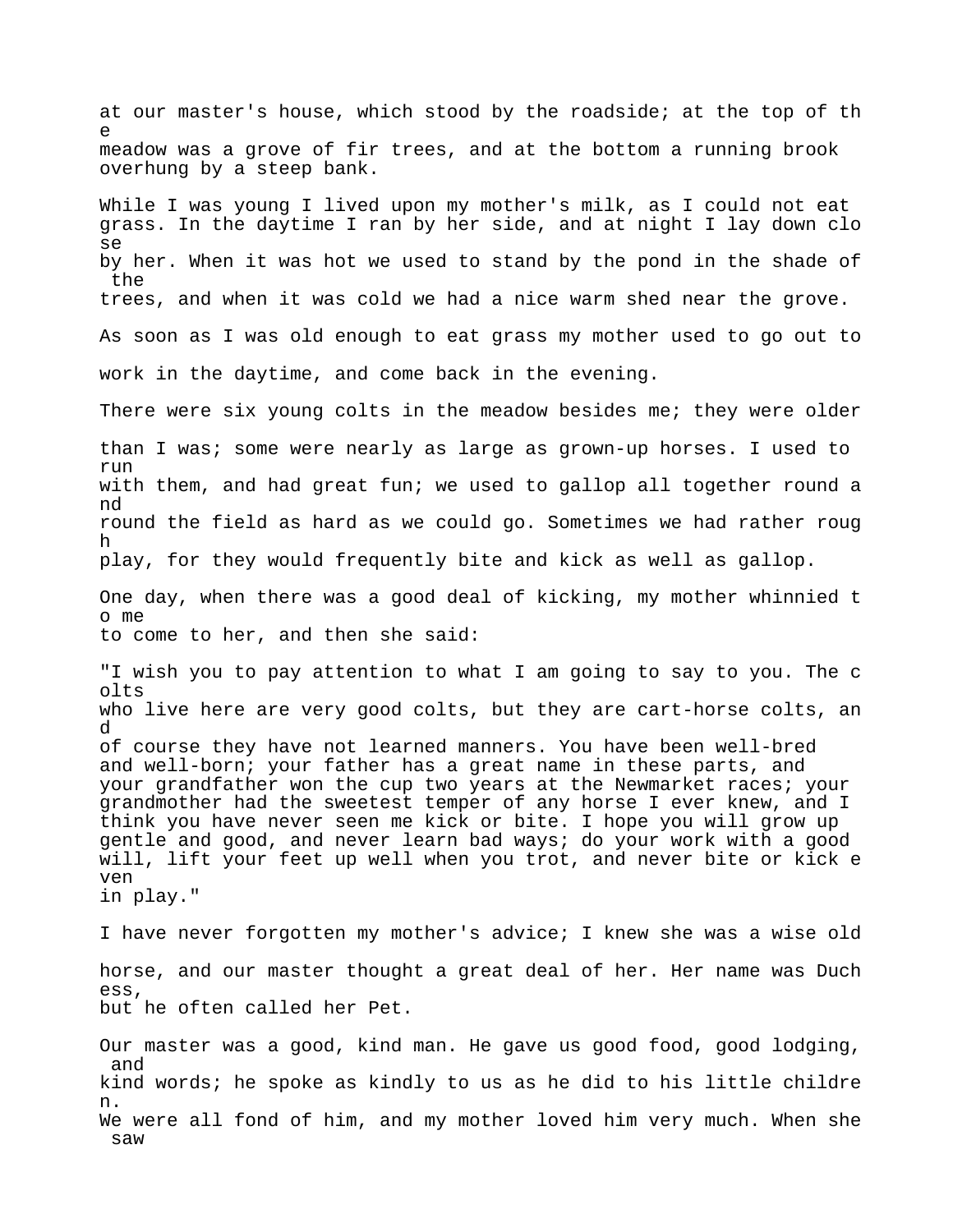at our master's house, which stood by the roadside; at the top of th e meadow was a grove of fir trees, and at the bottom a running brook overhung by a steep bank. While I was young I lived upon my mother's milk, as I could not eat grass. In the daytime I ran by her side, and at night I lay down clo se by her. When it was hot we used to stand by the pond in the shade of the trees, and when it was cold we had a nice warm shed near the grove. As soon as I was old enough to eat grass my mother used to go out to work in the daytime, and come back in the evening. There were six young colts in the meadow besides me; they were older than I was; some were nearly as large as grown-up horses. I used to run with them, and had great fun; we used to gallop all together round a nd round the field as hard as we could go. Sometimes we had rather roug h play, for they would frequently bite and kick as well as gallop. One day, when there was a good deal of kicking, my mother whinnied t o me to come to her, and then she said: "I wish you to pay attention to what I am going to say to you. The c olts who live here are very good colts, but they are cart-horse colts, an d of course they have not learned manners. You have been well-bred and well-born; your father has a great name in these parts, and your grandfather won the cup two years at the Newmarket races; your grandmother had the sweetest temper of any horse I ever knew, and I think you have never seen me kick or bite. I hope you will grow up gentle and good, and never learn bad ways; do your work with a good will, lift your feet up well when you trot, and never bite or kick e ven in play." I have never forgotten my mother's advice; I knew she was a wise old horse, and our master thought a great deal of her. Her name was Duch ess, but he often called her Pet. Our master was a good, kind man. He gave us good food, good lodging, and kind words; he spoke as kindly to us as he did to his little childre n. We were all fond of him, and my mother loved him very much. When she saw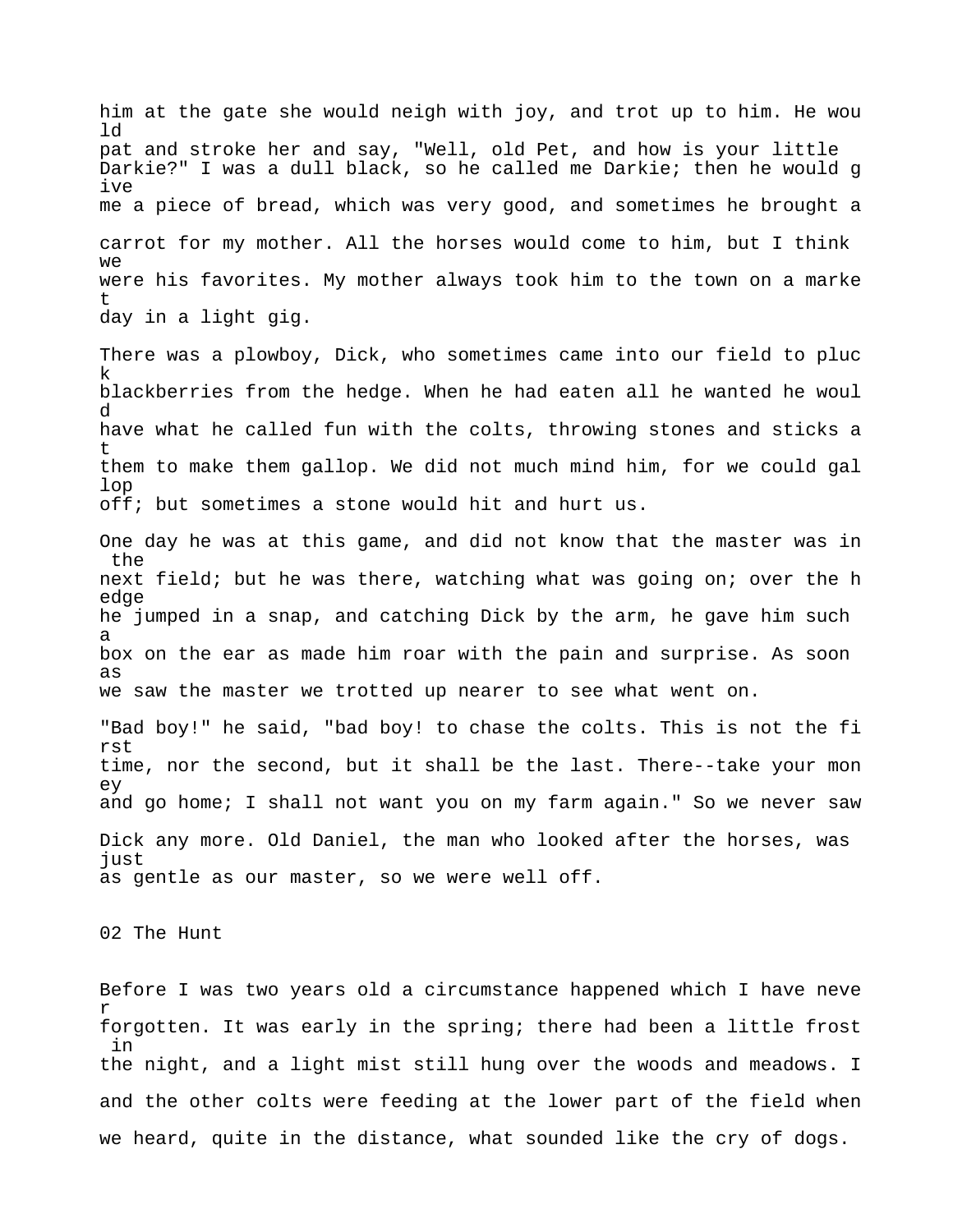him at the gate she would neigh with joy, and trot up to him. He wou ld pat and stroke her and say, "Well, old Pet, and how is your little Darkie?" I was a dull black, so he called me Darkie; then he would g ive me a piece of bread, which was very good, and sometimes he brought a carrot for my mother. All the horses would come to him, but I think we were his favorites. My mother always took him to the town on a marke t day in a light gig.

There was a plowboy, Dick, who sometimes came into our field to pluc k blackberries from the hedge. When he had eaten all he wanted he woul d have what he called fun with the colts, throwing stones and sticks a t them to make them gallop. We did not much mind him, for we could gal lop off; but sometimes a stone would hit and hurt us.

One day he was at this game, and did not know that the master was in the next field; but he was there, watching what was going on; over the h edge he jumped in a snap, and catching Dick by the arm, he gave him such a box on the ear as made him roar with the pain and surprise. As soon as we saw the master we trotted up nearer to see what went on.

"Bad boy!" he said, "bad boy! to chase the colts. This is not the fi rst time, nor the second, but it shall be the last. There--take your mon ey and go home; I shall not want you on my farm again." So we never saw Dick any more. Old Daniel, the man who looked after the horses, was just as gentle as our master, so we were well off.

02 The Hunt

Before I was two years old a circumstance happened which I have neve r forgotten. It was early in the spring; there had been a little frost in the night, and a light mist still hung over the woods and meadows. I and the other colts were feeding at the lower part of the field when we heard, quite in the distance, what sounded like the cry of dogs.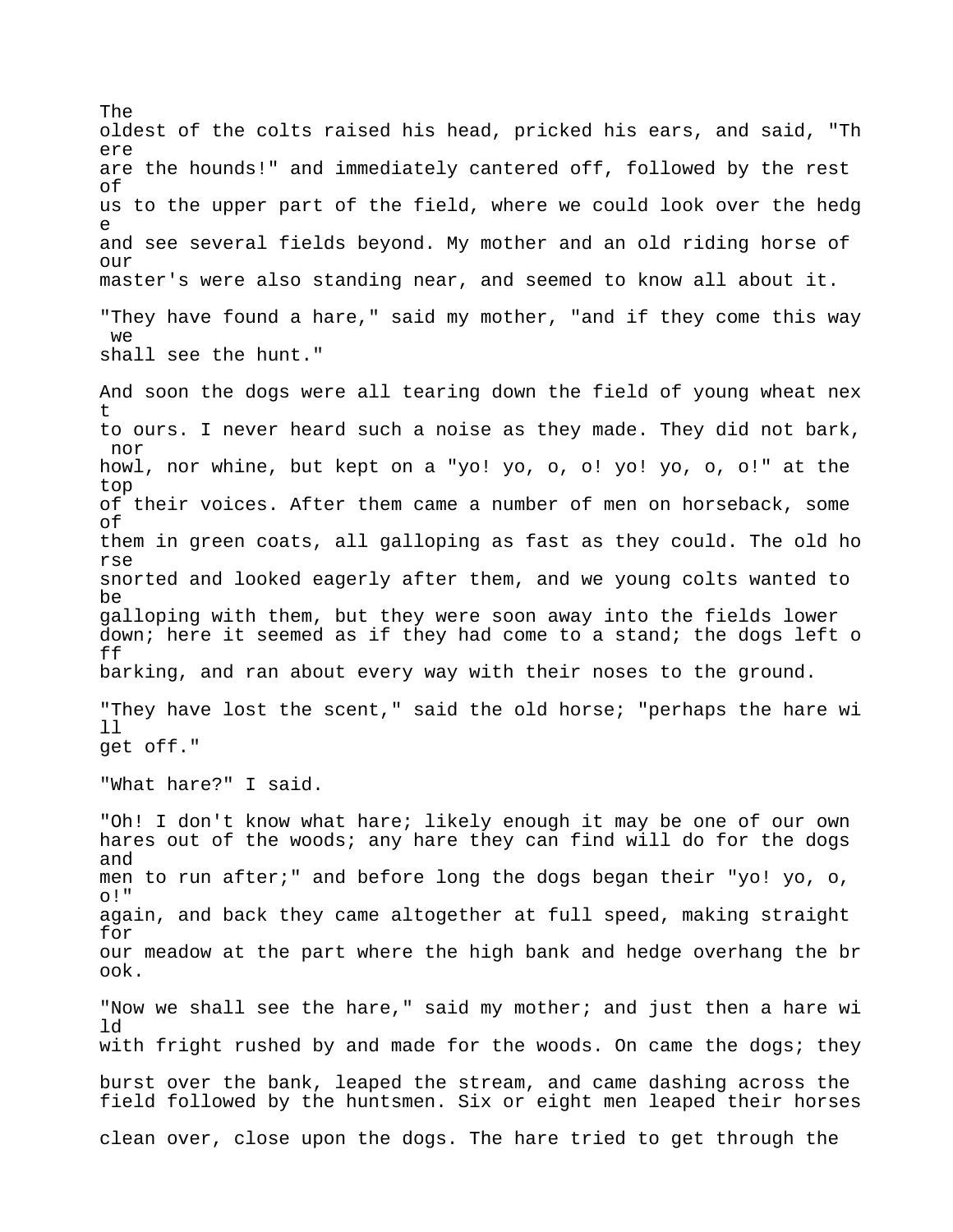oldest of the colts raised his head, pricked his ears, and said, "Th ere are the hounds!" and immediately cantered off, followed by the rest of us to the upper part of the field, where we could look over the hedg e and see several fields beyond. My mother and an old riding horse of  $OIII$ master's were also standing near, and seemed to know all about it. "They have found a hare," said my mother, "and if they come this way we shall see the hunt." And soon the dogs were all tearing down the field of young wheat nex t to ours. I never heard such a noise as they made. They did not bark, nor howl, nor whine, but kept on a "yo! yo, o, o! yo! yo, o, o!" at the top of their voices. After them came a number of men on horseback, some of them in green coats, all galloping as fast as they could. The old ho rse snorted and looked eagerly after them, and we young colts wanted to be galloping with them, but they were soon away into the fields lower down; here it seemed as if they had come to a stand; the dogs left o ff barking, and ran about every way with their noses to the ground. "They have lost the scent," said the old horse; "perhaps the hare wi ll get off." "What hare?" I said. "Oh! I don't know what hare; likely enough it may be one of our own hares out of the woods; any hare they can find will do for the dogs and men to run after;" and before long the dogs began their "yo! yo, o, o!" again, and back they came altogether at full speed, making straight for our meadow at the part where the high bank and hedge overhang the br ook. "Now we shall see the hare," said my mother; and just then a hare wi ld with fright rushed by and made for the woods. On came the dogs; they burst over the bank, leaped the stream, and came dashing across the field followed by the huntsmen. Six or eight men leaped their horses clean over, close upon the dogs. The hare tried to get through the

The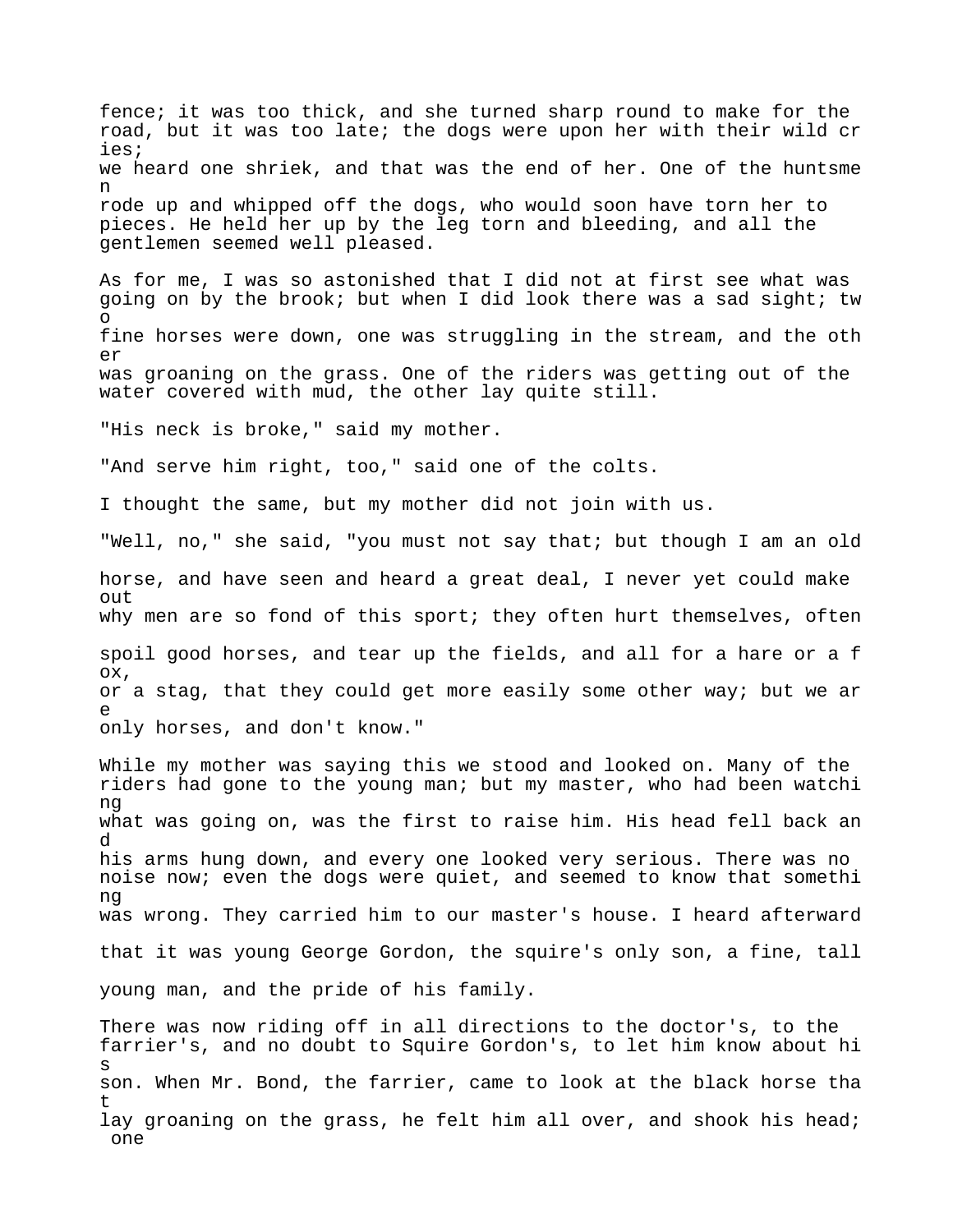fence; it was too thick, and she turned sharp round to make for the road, but it was too late; the dogs were upon her with their wild cr ies; we heard one shriek, and that was the end of her. One of the huntsme n rode up and whipped off the dogs, who would soon have torn her to pieces. He held her up by the leg torn and bleeding, and all the gentlemen seemed well pleased. As for me, I was so astonished that I did not at first see what was going on by the brook; but when I did look there was a sad sight; tw o fine horses were down, one was struggling in the stream, and the oth er was groaning on the grass. One of the riders was getting out of the water covered with mud, the other lay quite still. "His neck is broke," said my mother. "And serve him right, too," said one of the colts. I thought the same, but my mother did not join with us. "Well, no," she said, "you must not say that; but though I am an old horse, and have seen and heard a great deal, I never yet could make out why men are so fond of this sport; they often hurt themselves, often spoil good horses, and tear up the fields, and all for a hare or a f ox, or a stag, that they could get more easily some other way; but we ar e only horses, and don't know." While my mother was saying this we stood and looked on. Many of the riders had gone to the young man; but my master, who had been watchi ng what was going on, was the first to raise him. His head fell back an d his arms hung down, and every one looked very serious. There was no noise now; even the dogs were quiet, and seemed to know that somethi ng was wrong. They carried him to our master's house. I heard afterward that it was young George Gordon, the squire's only son, a fine, tall young man, and the pride of his family. There was now riding off in all directions to the doctor's, to the farrier's, and no doubt to Squire Gordon's, to let him know about hi s son. When Mr. Bond, the farrier, came to look at the black horse tha t lay groaning on the grass, he felt him all over, and shook his head; one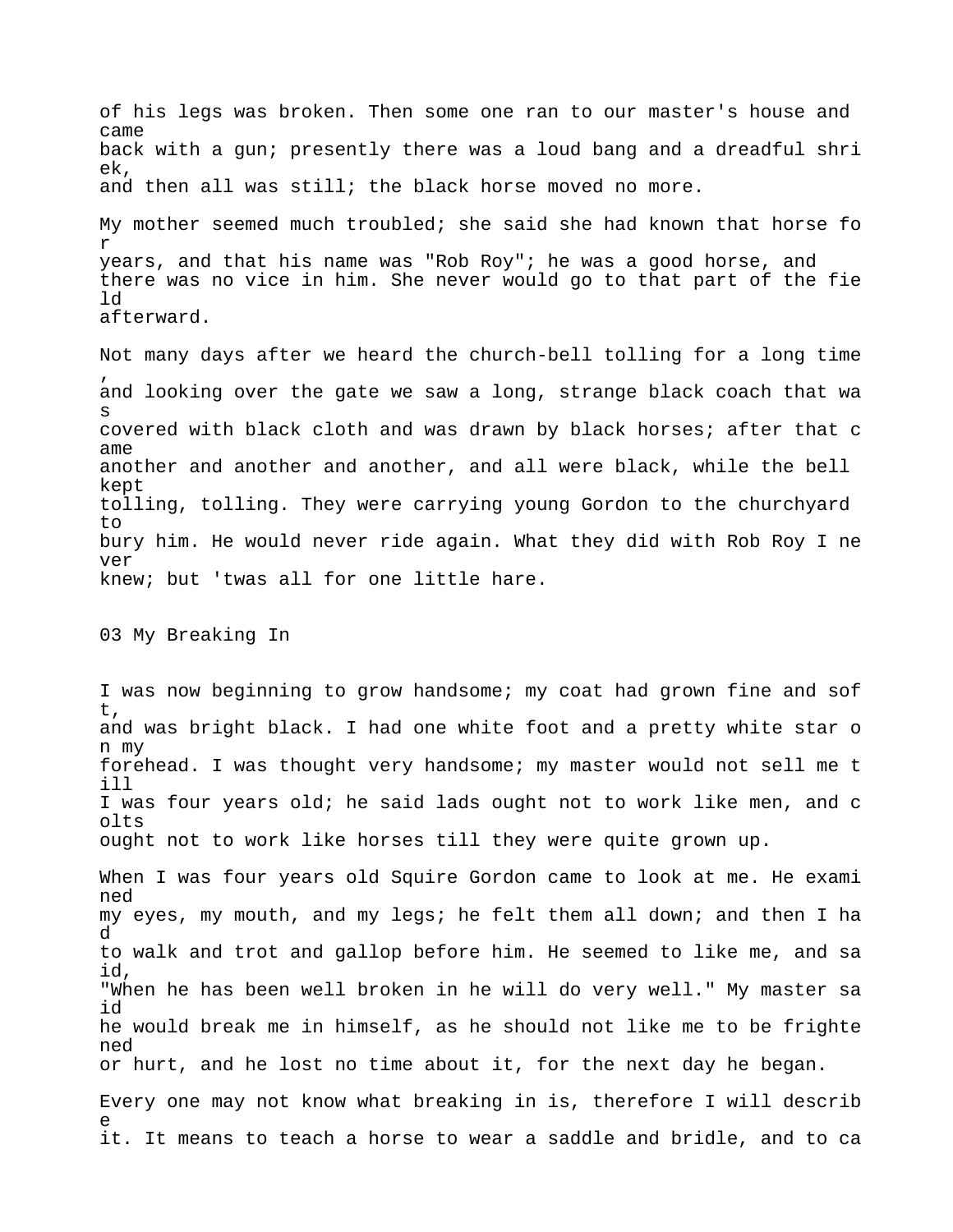of his legs was broken. Then some one ran to our master's house and came back with a gun; presently there was a loud bang and a dreadful shri ek, and then all was still; the black horse moved no more. My mother seemed much troubled; she said she had known that horse fo r years, and that his name was "Rob Roy"; he was a good horse, and there was no vice in him. She never would go to that part of the fie ld afterward.

Not many days after we heard the church-bell tolling for a long time , and looking over the gate we saw a long, strange black coach that wa s covered with black cloth and was drawn by black horses; after that c ame another and another and another, and all were black, while the bell kept tolling, tolling. They were carrying young Gordon to the churchyard to bury him. He would never ride again. What they did with Rob Roy I ne ver knew; but 'twas all for one little hare.

03 My Breaking In

I was now beginning to grow handsome; my coat had grown fine and sof t, and was bright black. I had one white foot and a pretty white star o n my forehead. I was thought very handsome; my master would not sell me t ill I was four years old; he said lads ought not to work like men, and c olts ought not to work like horses till they were quite grown up.

When I was four years old Squire Gordon came to look at me. He exami ned my eyes, my mouth, and my legs; he felt them all down; and then I ha d to walk and trot and gallop before him. He seemed to like me, and sa id, "When he has been well broken in he will do very well." My master sa id he would break me in himself, as he should not like me to be frighte ned or hurt, and he lost no time about it, for the next day he began.

Every one may not know what breaking in is, therefore I will describ e it. It means to teach a horse to wear a saddle and bridle, and to ca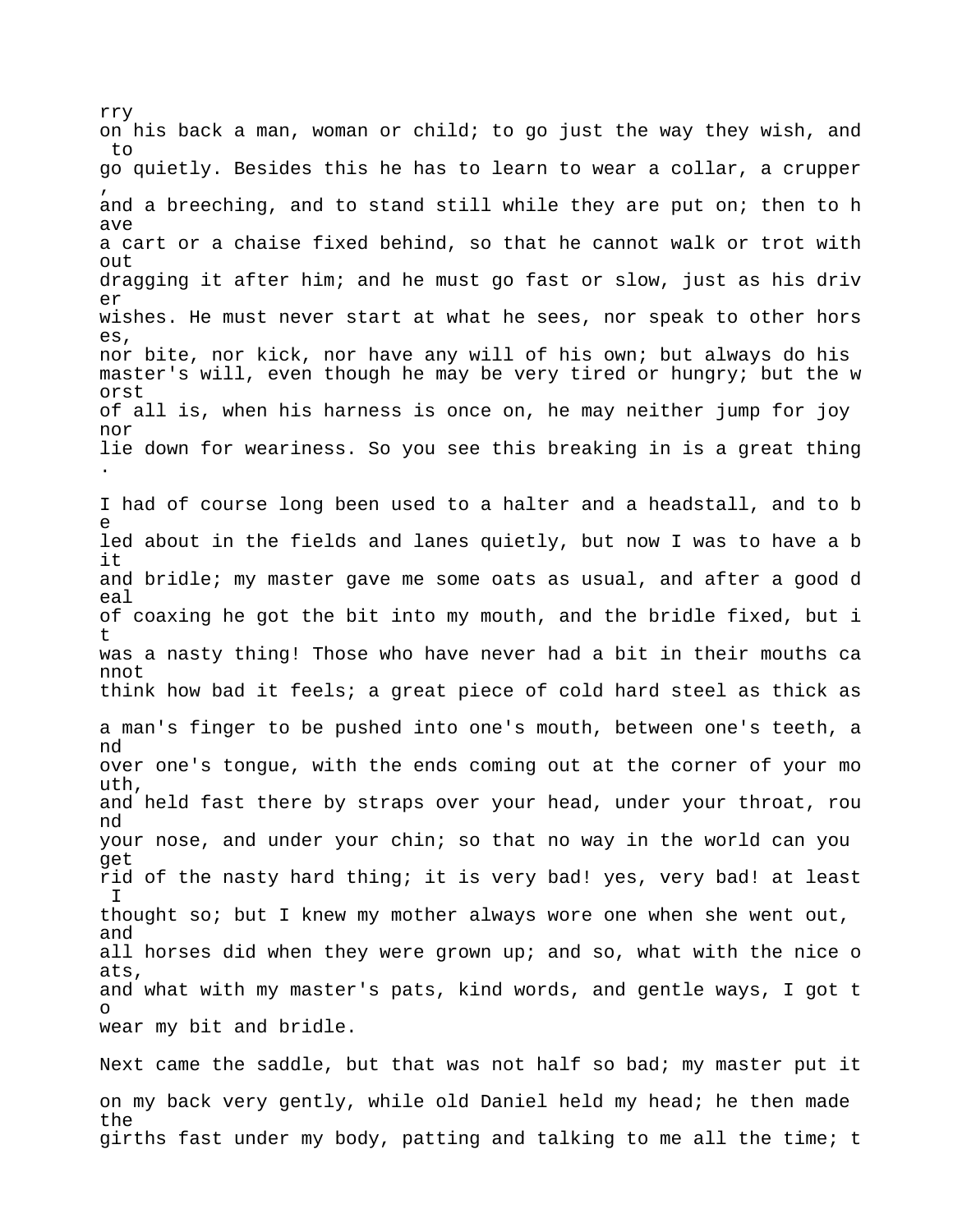rry on his back a man, woman or child; to go just the way they wish, and to go quietly. Besides this he has to learn to wear a collar, a crupper , and a breeching, and to stand still while they are put on; then to h ave a cart or a chaise fixed behind, so that he cannot walk or trot with  $O<sub>11</sub>$ dragging it after him; and he must go fast or slow, just as his driv er wishes. He must never start at what he sees, nor speak to other hors es, nor bite, nor kick, nor have any will of his own; but always do his master's will, even though he may be very tired or hungry; but the w orst of all is, when his harness is once on, he may neither jump for joy nor lie down for weariness. So you see this breaking in is a great thing . I had of course long been used to a halter and a headstall, and to b e led about in the fields and lanes quietly, but now I was to have a b it and bridle; my master gave me some oats as usual, and after a good d eal of coaxing he got the bit into my mouth, and the bridle fixed, but i t was a nasty thing! Those who have never had a bit in their mouths ca nnot think how bad it feels; a great piece of cold hard steel as thick as a man's finger to be pushed into one's mouth, between one's teeth, a nd over one's tongue, with the ends coming out at the corner of your mo uth, and held fast there by straps over your head, under your throat, rou nd your nose, and under your chin; so that no way in the world can you get rid of the nasty hard thing; it is very bad! yes, very bad! at least  $\top$ thought so; but I knew my mother always wore one when she went out, and all horses did when they were grown up; and so, what with the nice o ats, and what with my master's pats, kind words, and gentle ways, I got t o wear my bit and bridle.

Next came the saddle, but that was not half so bad; my master put it on my back very gently, while old Daniel held my head; he then made the girths fast under my body, patting and talking to me all the time; t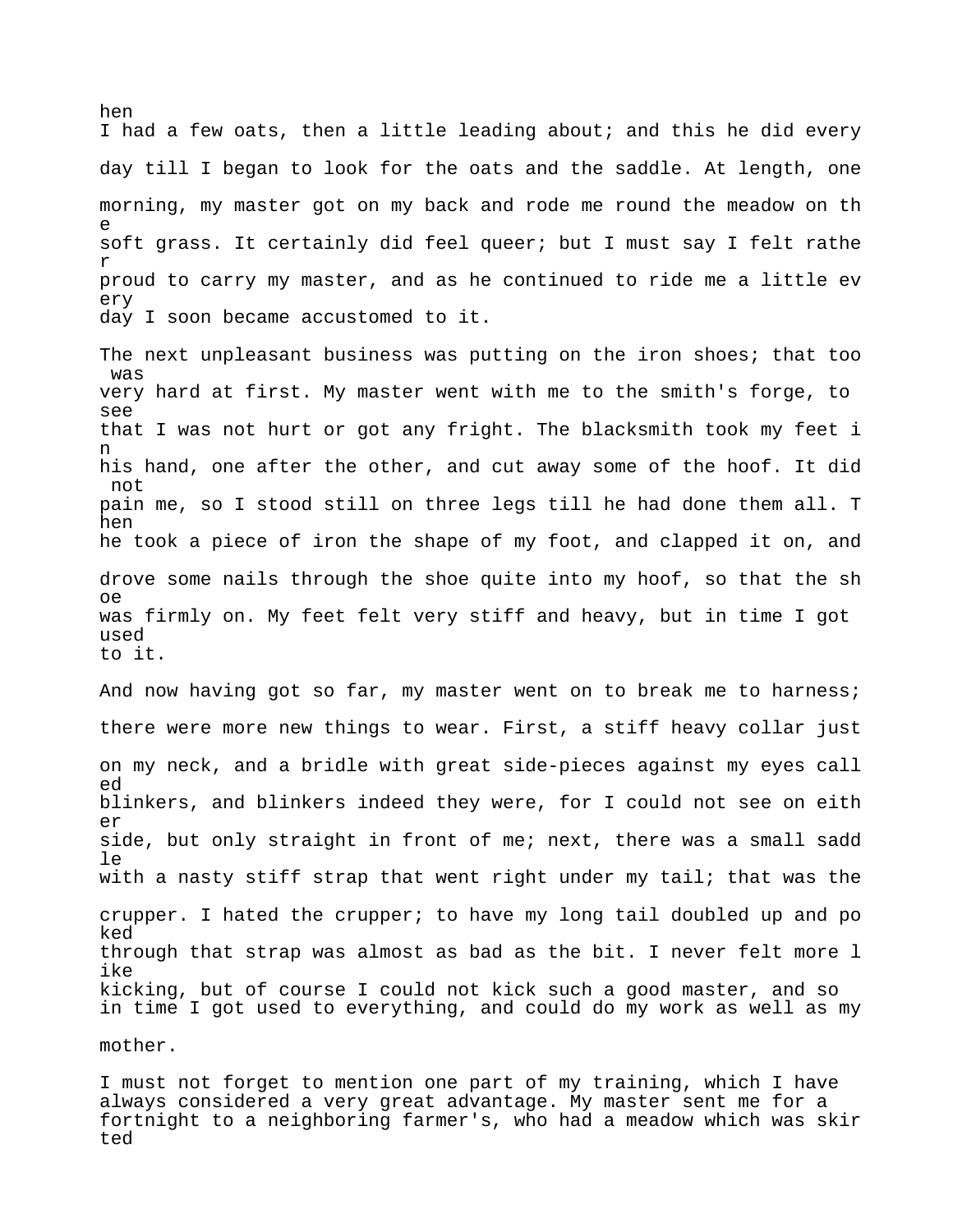hen I had a few oats, then a little leading about; and this he did every day till I began to look for the oats and the saddle. At length, one morning, my master got on my back and rode me round the meadow on th e soft grass. It certainly did feel queer; but I must say I felt rathe r proud to carry my master, and as he continued to ride me a little ev ery day I soon became accustomed to it. The next unpleasant business was putting on the iron shoes; that too was very hard at first. My master went with me to the smith's forge, to see that I was not hurt or got any fright. The blacksmith took my feet i n his hand, one after the other, and cut away some of the hoof. It did not pain me, so I stood still on three legs till he had done them all. T hen he took a piece of iron the shape of my foot, and clapped it on, and drove some nails through the shoe quite into my hoof, so that the sh oe was firmly on. My feet felt very stiff and heavy, but in time I got used to it. And now having got so far, my master went on to break me to harness; there were more new things to wear. First, a stiff heavy collar just on my neck, and a bridle with great side-pieces against my eyes call ed blinkers, and blinkers indeed they were, for I could not see on eith er side, but only straight in front of me; next, there was a small sadd  $\overline{e}$ with a nasty stiff strap that went right under my tail; that was the crupper. I hated the crupper; to have my long tail doubled up and po ked through that strap was almost as bad as the bit. I never felt more l ike kicking, but of course I could not kick such a good master, and so in time I got used to everything, and could do my work as well as my mother.

I must not forget to mention one part of my training, which I have always considered a very great advantage. My master sent me for a fortnight to a neighboring farmer's, who had a meadow which was skir ted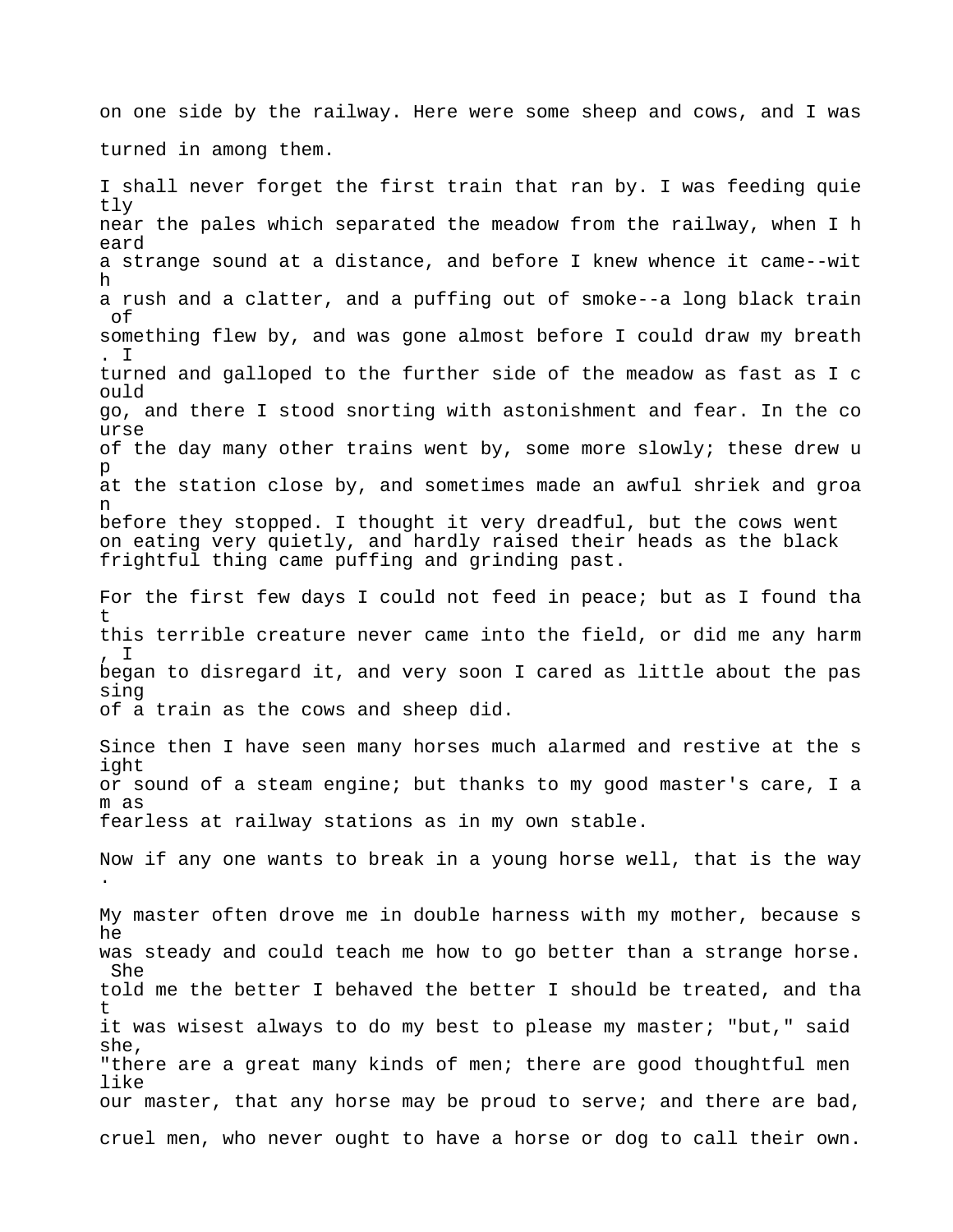on one side by the railway. Here were some sheep and cows, and I was turned in among them.

I shall never forget the first train that ran by. I was feeding quie tly near the pales which separated the meadow from the railway, when I h eard a strange sound at a distance, and before I knew whence it came--wit h a rush and a clatter, and a puffing out of smoke--a long black train of something flew by, and was gone almost before I could draw my breath . I turned and galloped to the further side of the meadow as fast as I c ould go, and there I stood snorting with astonishment and fear. In the co urse of the day many other trains went by, some more slowly; these drew u p at the station close by, and sometimes made an awful shriek and groa n before they stopped. I thought it very dreadful, but the cows went on eating very quietly, and hardly raised their heads as the black frightful thing came puffing and grinding past. For the first few days I could not feed in peace; but as I found tha t this terrible creature never came into the field, or did me any harm , I began to disregard it, and very soon I cared as little about the pas sing of a train as the cows and sheep did. Since then I have seen many horses much alarmed and restive at the s ight or sound of a steam engine; but thanks to my good master's care, I a m as fearless at railway stations as in my own stable. Now if any one wants to break in a young horse well, that is the way . My master often drove me in double harness with my mother, because s he was steady and could teach me how to go better than a strange horse.

told me the better I behaved the better I should be treated, and tha t it was wisest always to do my best to please my master; "but," said she, "there are a great many kinds of men; there are good thoughtful men like our master, that any horse may be proud to serve; and there are bad, cruel men, who never ought to have a horse or dog to call their own.

She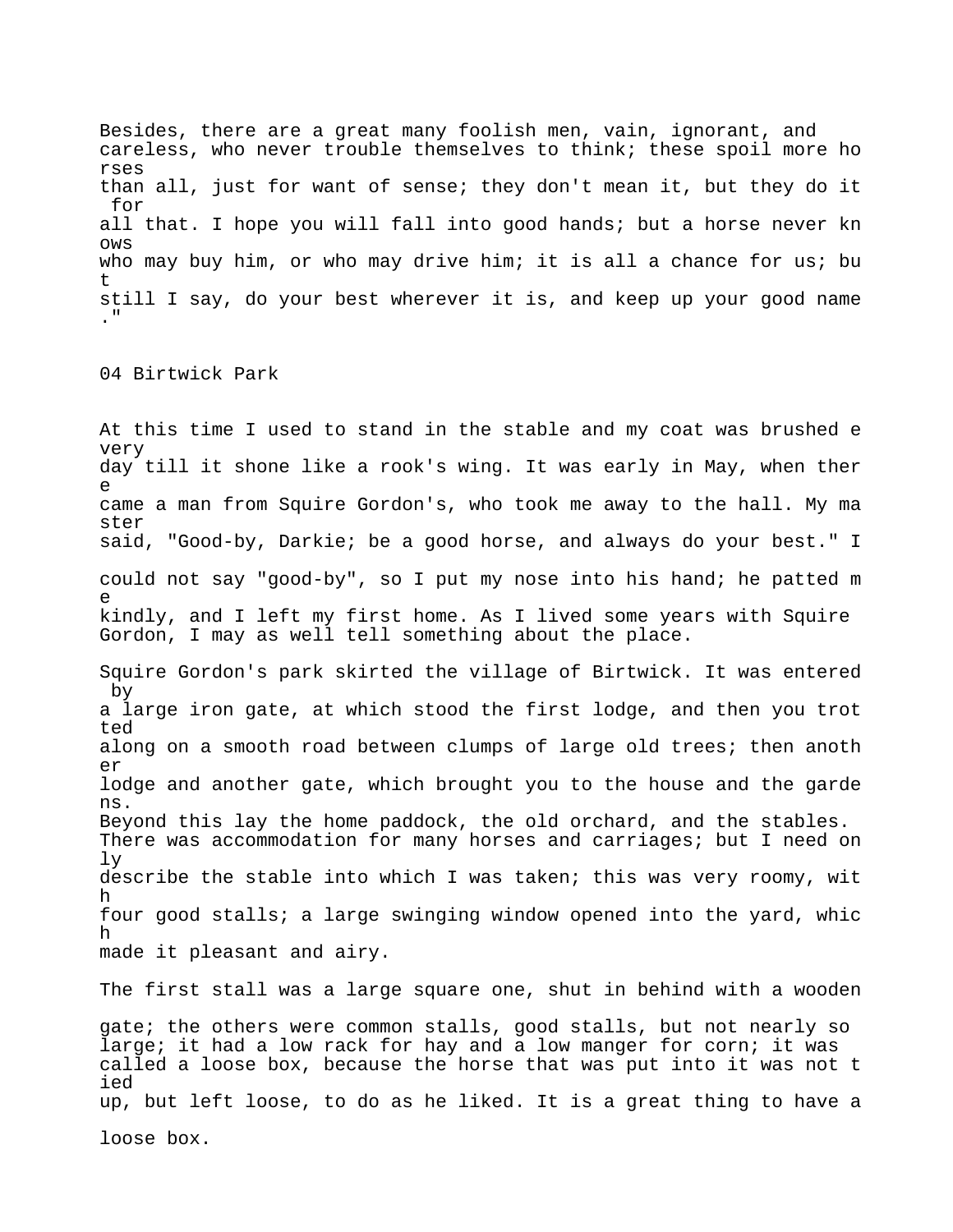Besides, there are a great many foolish men, vain, ignorant, and careless, who never trouble themselves to think; these spoil more ho rses than all, just for want of sense; they don't mean it, but they do it for all that. I hope you will fall into good hands; but a horse never kn ows who may buy him, or who may drive him; it is all a chance for us; bu t still I say, do your best wherever it is, and keep up your good name  $\mathbf{r}$ 

04 Birtwick Park

At this time I used to stand in the stable and my coat was brushed e very day till it shone like a rook's wing. It was early in May, when ther e came a man from Squire Gordon's, who took me away to the hall. My ma ster said, "Good-by, Darkie; be a good horse, and always do your best." I could not say "good-by", so I put my nose into his hand; he patted m e kindly, and I left my first home. As I lived some years with Squire Gordon, I may as well tell something about the place. Squire Gordon's park skirted the village of Birtwick. It was entered by a large iron gate, at which stood the first lodge, and then you trot ted along on a smooth road between clumps of large old trees; then anoth er lodge and another gate, which brought you to the house and the garde ns. Beyond this lay the home paddock, the old orchard, and the stables. There was accommodation for many horses and carriages; but I need on ly describe the stable into which I was taken; this was very roomy, wit h four good stalls; a large swinging window opened into the yard, whic h made it pleasant and airy. The first stall was a large square one, shut in behind with a wooden gate; the others were common stalls, good stalls, but not nearly so large; it had a low rack for hay and a low manger for corn; it was called a loose box, because the horse that was put into it was not t ied

up, but left loose, to do as he liked. It is a great thing to have a

loose box.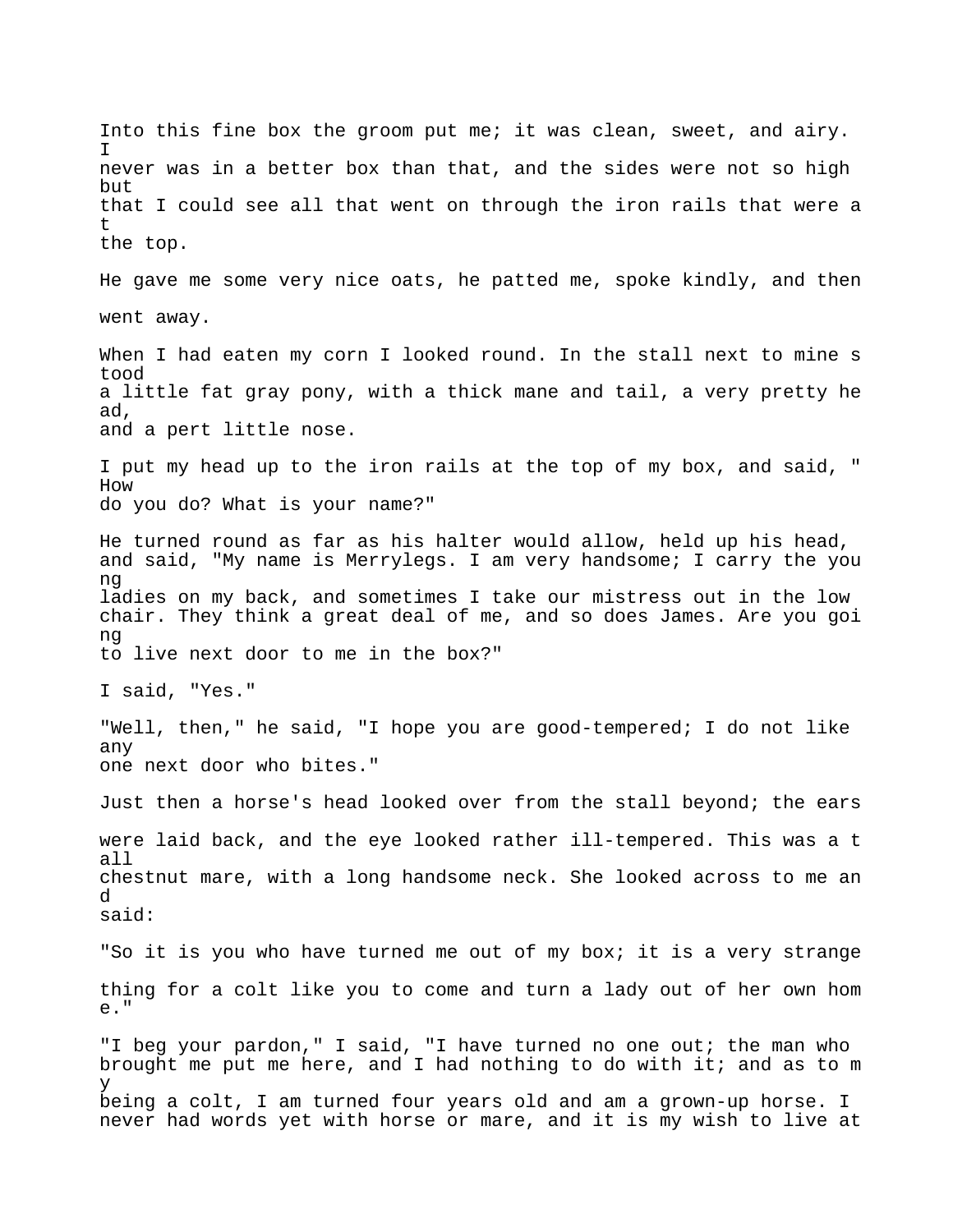Into this fine box the groom put me; it was clean, sweet, and airy. I never was in a better box than that, and the sides were not so high but that I could see all that went on through the iron rails that were a t the top. He gave me some very nice oats, he patted me, spoke kindly, and then went away. When I had eaten my corn I looked round. In the stall next to mine s tood a little fat gray pony, with a thick mane and tail, a very pretty he ad, and a pert little nose. I put my head up to the iron rails at the top of my box, and said, " How do you do? What is your name?" He turned round as far as his halter would allow, held up his head, and said, "My name is Merrylegs. I am very handsome; I carry the you ng ladies on my back, and sometimes I take our mistress out in the low chair. They think a great deal of me, and so does James. Are you goi ng to live next door to me in the box?" I said, "Yes." "Well, then," he said, "I hope you are good-tempered; I do not like any one next door who bites." Just then a horse's head looked over from the stall beyond; the ears were laid back, and the eye looked rather ill-tempered. This was a t all chestnut mare, with a long handsome neck. She looked across to me an d said: "So it is you who have turned me out of my box; it is a very strange thing for a colt like you to come and turn a lady out of her own hom e." "I beg your pardon," I said, "I have turned no one out; the man who brought me put me here, and I had nothing to do with it; and as to m y being a colt, I am turned four years old and am a grown-up horse. I never had words yet with horse or mare, and it is my wish to live at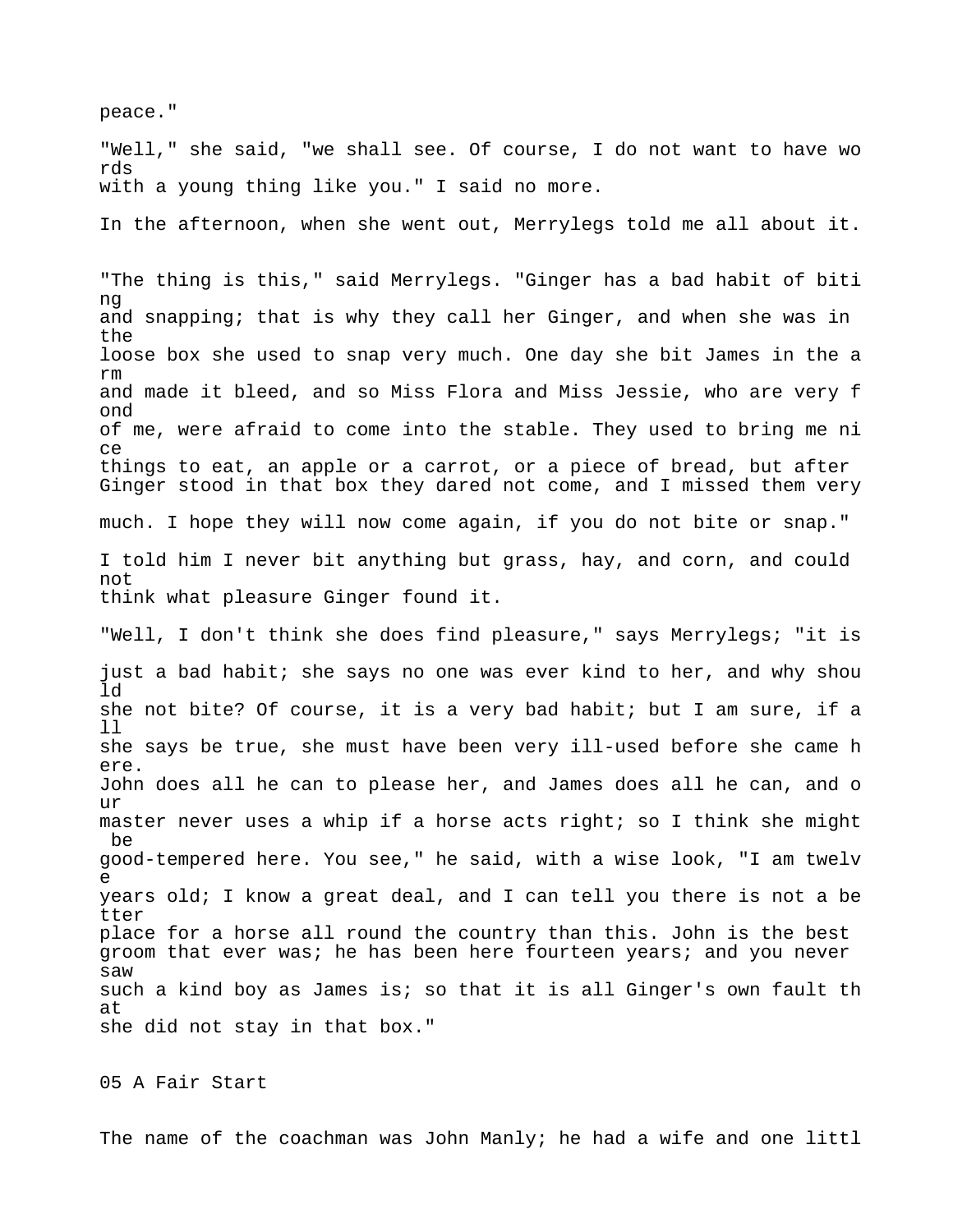peace." "Well," she said, "we shall see. Of course, I do not want to have wo rds with a young thing like you." I said no more. In the afternoon, when she went out, Merrylegs told me all about it. "The thing is this," said Merrylegs. "Ginger has a bad habit of biti ng and snapping; that is why they call her Ginger, and when she was in the loose box she used to snap very much. One day she bit James in the a rm and made it bleed, and so Miss Flora and Miss Jessie, who are very f ond of me, were afraid to come into the stable. They used to bring me ni ce things to eat, an apple or a carrot, or a piece of bread, but after Ginger stood in that box they dared not come, and I missed them very much. I hope they will now come again, if you do not bite or snap." I told him I never bit anything but grass, hay, and corn, and could not think what pleasure Ginger found it. "Well, I don't think she does find pleasure," says Merrylegs; "it is just a bad habit; she says no one was ever kind to her, and why shou ld she not bite? Of course, it is a very bad habit; but I am sure, if a ll she says be true, she must have been very ill-used before she came h ere. John does all he can to please her, and James does all he can, and o ur master never uses a whip if a horse acts right; so I think she might be good-tempered here. You see," he said, with a wise look, "I am twelv e years old; I know a great deal, and I can tell you there is not a be tter place for a horse all round the country than this. John is the best groom that ever was; he has been here fourteen years; and you never saw such a kind boy as James is; so that it is all Ginger's own fault th at she did not stay in that box."

05 A Fair Start

The name of the coachman was John Manly; he had a wife and one littl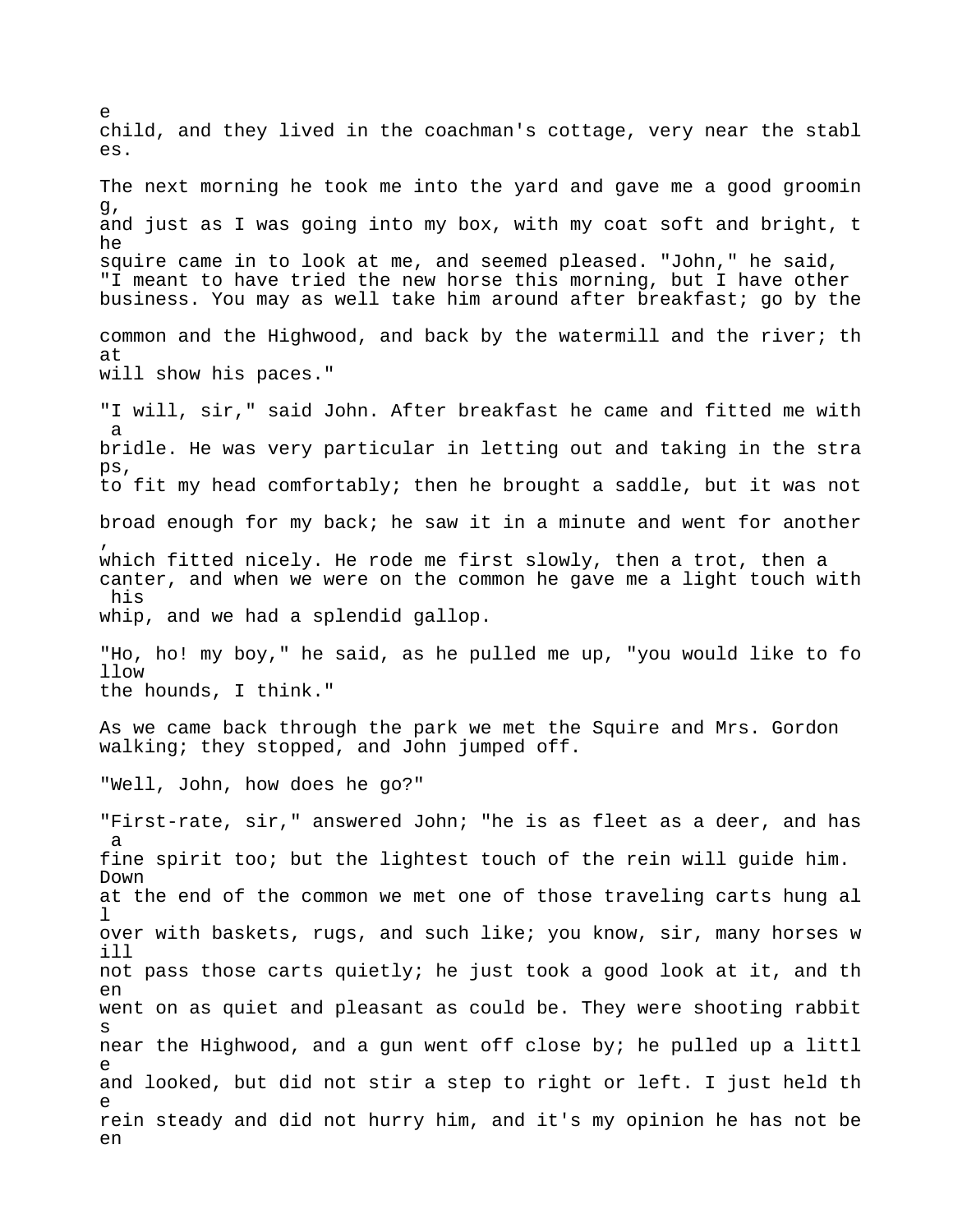child, and they lived in the coachman's cottage, very near the stabl es. The next morning he took me into the yard and gave me a good groomin g, and just as I was going into my box, with my coat soft and bright, t he squire came in to look at me, and seemed pleased. "John," he said, "I meant to have tried the new horse this morning, but I have other business. You may as well take him around after breakfast; go by the common and the Highwood, and back by the watermill and the river; th at will show his paces." "I will, sir," said John. After breakfast he came and fitted me with a bridle. He was very particular in letting out and taking in the stra ps, to fit my head comfortably; then he brought a saddle, but it was not broad enough for my back; he saw it in a minute and went for another , which fitted nicely. He rode me first slowly, then a trot, then a canter, and when we were on the common he gave me a light touch with his whip, and we had a splendid gallop. "Ho, ho! my boy," he said, as he pulled me up, "you would like to fo llow the hounds, I think." As we came back through the park we met the Squire and Mrs. Gordon walking; they stopped, and John jumped off. "Well, John, how does he go?" "First-rate, sir," answered John; "he is as fleet as a deer, and has a fine spirit too; but the lightest touch of the rein will guide him. Down at the end of the common we met one of those traveling carts hung al l over with baskets, rugs, and such like; you know, sir, many horses w ill not pass those carts quietly; he just took a good look at it, and th en went on as quiet and pleasant as could be. They were shooting rabbit s near the Highwood, and a gun went off close by; he pulled up a littl e and looked, but did not stir a step to right or left. I just held th e rein steady and did not hurry him, and it's my opinion he has not be en

e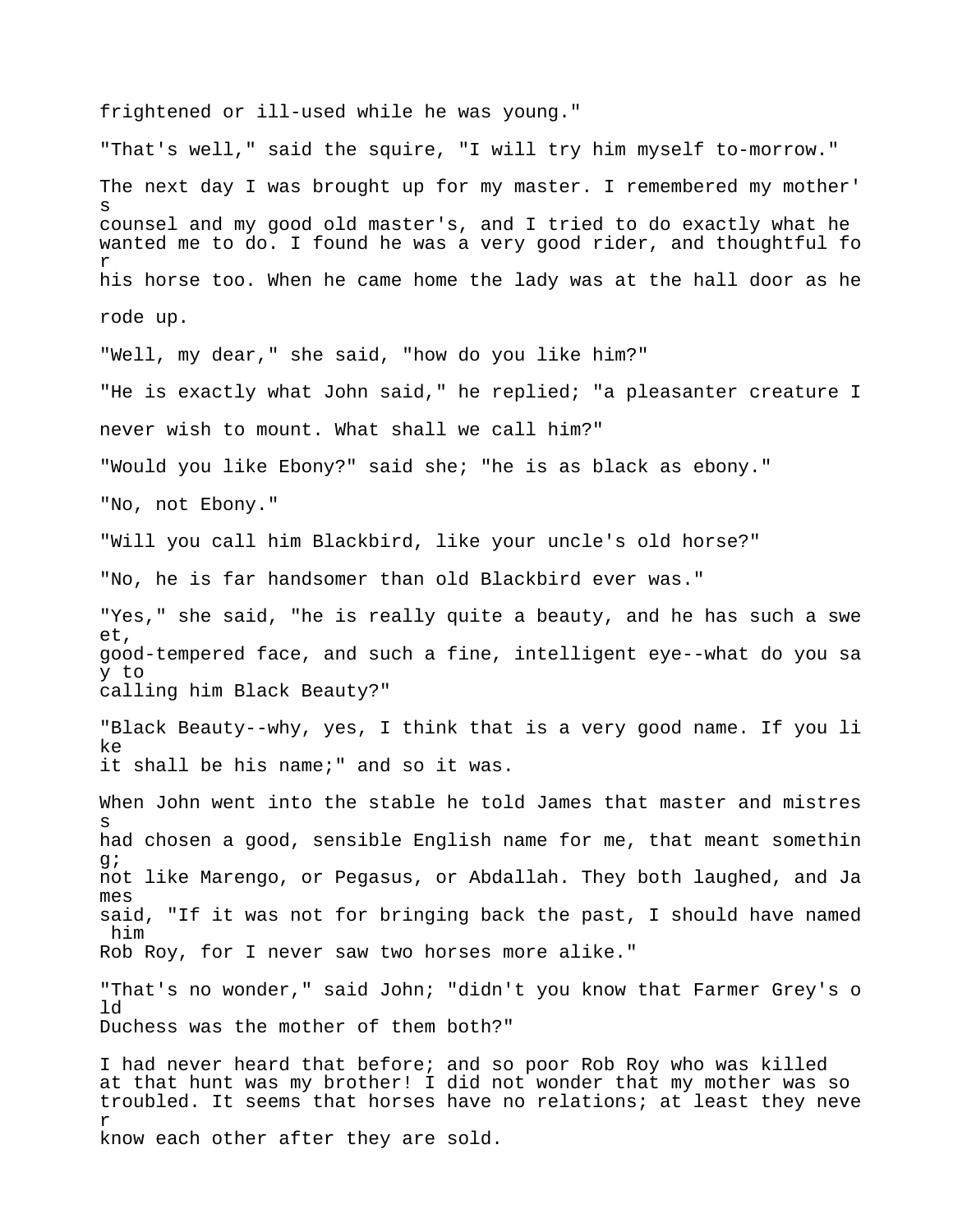frightened or ill-used while he was young." "That's well," said the squire, "I will try him myself to-morrow." The next day I was brought up for my master. I remembered my mother' s counsel and my good old master's, and I tried to do exactly what he wanted me to do. I found he was a very good rider, and thoughtful fo r his horse too. When he came home the lady was at the hall door as he rode up. "Well, my dear," she said, "how do you like him?" "He is exactly what John said," he replied; "a pleasanter creature I never wish to mount. What shall we call him?" "Would you like Ebony?" said she; "he is as black as ebony." "No, not Ebony." "Will you call him Blackbird, like your uncle's old horse?" "No, he is far handsomer than old Blackbird ever was." "Yes," she said, "he is really quite a beauty, and he has such a swe et, good-tempered face, and such a fine, intelligent eye--what do you sa y to calling him Black Beauty?" "Black Beauty--why, yes, I think that is a very good name. If you li ke it shall be his name;" and so it was. When John went into the stable he told James that master and mistres s had chosen a good, sensible English name for me, that meant somethin g; not like Marengo, or Pegasus, or Abdallah. They both laughed, and Ja mes said, "If it was not for bringing back the past, I should have named him Rob Roy, for I never saw two horses more alike." "That's no wonder," said John; "didn't you know that Farmer Grey's o ld Duchess was the mother of them both?" I had never heard that before; and so poor Rob Roy who was killed at that hunt was my brother! I did not wonder that my mother was so troubled. It seems that horses have no relations; at least they neve r know each other after they are sold.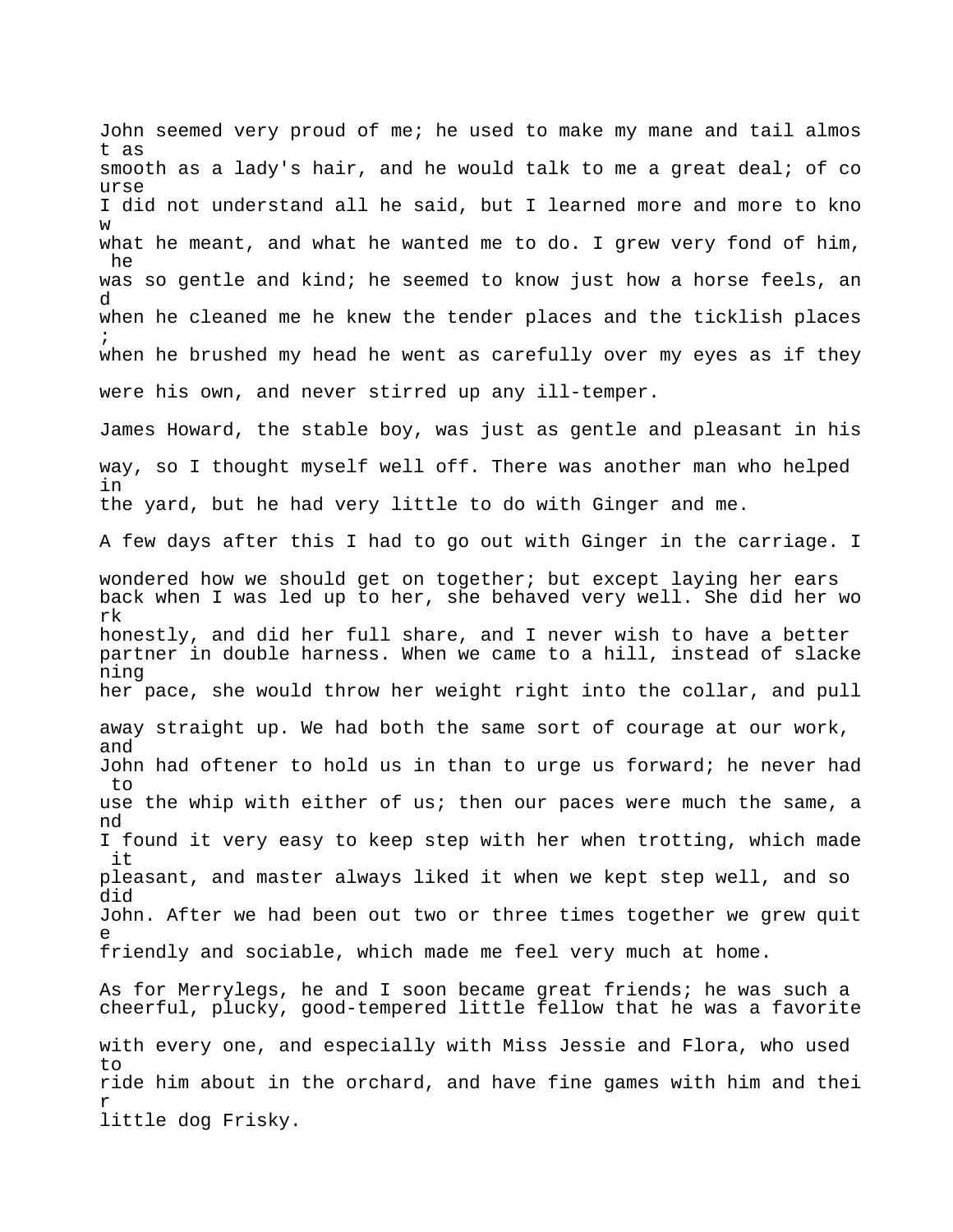John seemed very proud of me; he used to make my mane and tail almos t as smooth as a lady's hair, and he would talk to me a great deal; of co urse I did not understand all he said, but I learned more and more to kno w what he meant, and what he wanted me to do. I grew very fond of him, he was so gentle and kind; he seemed to know just how a horse feels, an d when he cleaned me he knew the tender places and the ticklish places ; when he brushed my head he went as carefully over my eyes as if they were his own, and never stirred up any ill-temper. James Howard, the stable boy, was just as gentle and pleasant in his way, so I thought myself well off. There was another man who helped in the yard, but he had very little to do with Ginger and me. A few days after this I had to go out with Ginger in the carriage. I wondered how we should get on together; but except laying her ears back when I was led up to her, she behaved very well. She did her wo rk honestly, and did her full share, and I never wish to have a better partner in double harness. When we came to a hill, instead of slacke ning her pace, she would throw her weight right into the collar, and pull away straight up. We had both the same sort of courage at our work, and John had oftener to hold us in than to urge us forward; he never had to use the whip with either of us; then our paces were much the same, a nd I found it very easy to keep step with her when trotting, which made it pleasant, and master always liked it when we kept step well, and so did John. After we had been out two or three times together we grew quit e friendly and sociable, which made me feel very much at home. As for Merrylegs, he and I soon became great friends; he was such a cheerful, plucky, good-tempered little fellow that he was a favorite with every one, and especially with Miss Jessie and Flora, who used to ride him about in the orchard, and have fine games with him and thei r little dog Frisky.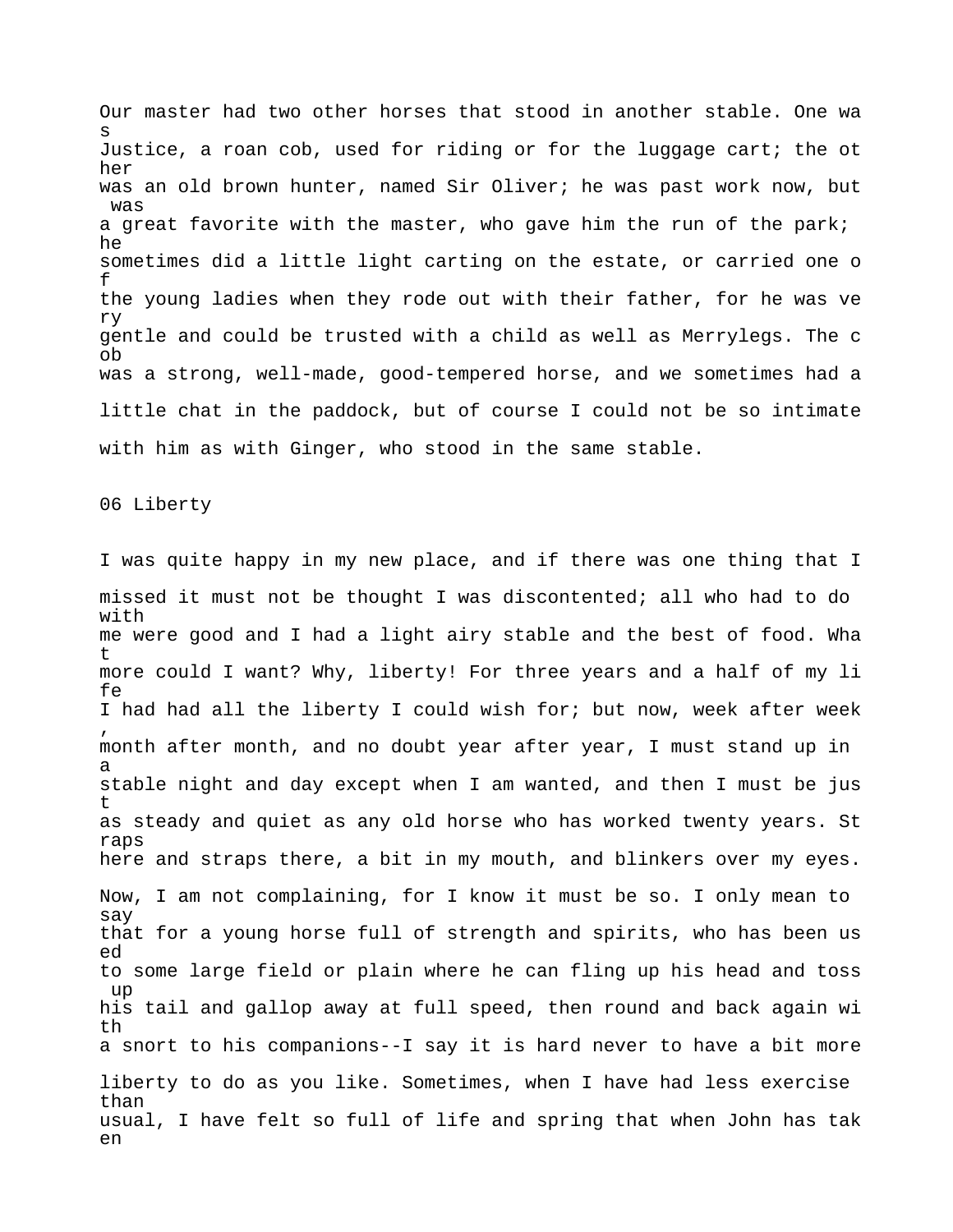Our master had two other horses that stood in another stable. One wa s Justice, a roan cob, used for riding or for the luggage cart; the ot her was an old brown hunter, named Sir Oliver; he was past work now, but was a great favorite with the master, who gave him the run of the park; he sometimes did a little light carting on the estate, or carried one o f the young ladies when they rode out with their father, for he was ve ry gentle and could be trusted with a child as well as Merrylegs. The c ob was a strong, well-made, good-tempered horse, and we sometimes had a little chat in the paddock, but of course I could not be so intimate with him as with Ginger, who stood in the same stable.

06 Liberty

I was quite happy in my new place, and if there was one thing that I missed it must not be thought I was discontented; all who had to do with me were good and I had a light airy stable and the best of food. Wha t more could I want? Why, liberty! For three years and a half of my li fe I had had all the liberty I could wish for; but now, week after week , month after month, and no doubt year after year, I must stand up in a stable night and day except when I am wanted, and then I must be jus t as steady and quiet as any old horse who has worked twenty years. St raps here and straps there, a bit in my mouth, and blinkers over my eyes. Now, I am not complaining, for I know it must be so. I only mean to say that for a young horse full of strength and spirits, who has been us ed to some large field or plain where he can fling up his head and toss up his tail and gallop away at full speed, then round and back again wi th a snort to his companions--I say it is hard never to have a bit more liberty to do as you like. Sometimes, when I have had less exercise than usual, I have felt so full of life and spring that when John has tak en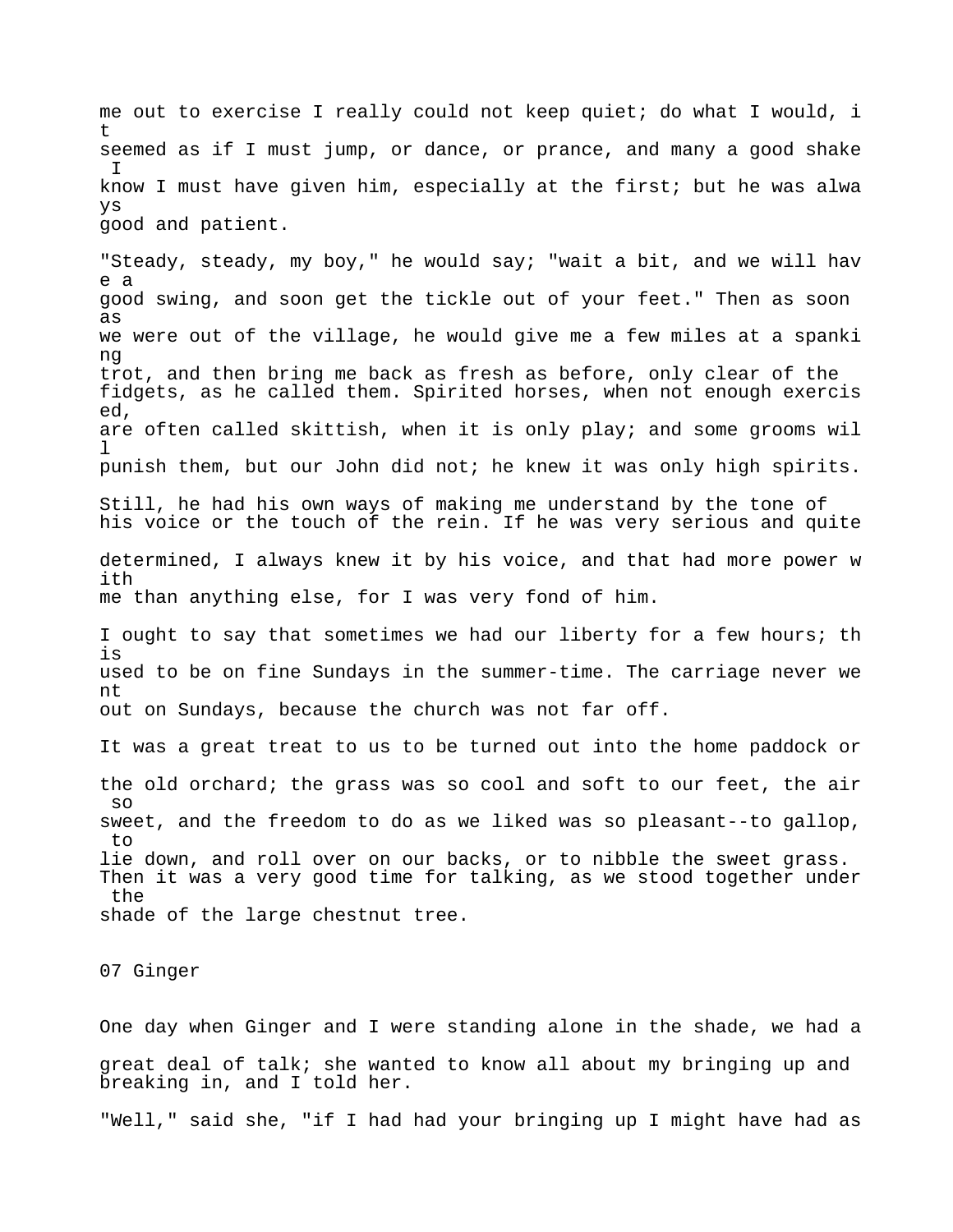me out to exercise I really could not keep quiet; do what I would, i t seemed as if I must jump, or dance, or prance, and many a good shake I know I must have given him, especially at the first; but he was alwa ys good and patient.

"Steady, steady, my boy," he would say; "wait a bit, and we will hav e a good swing, and soon get the tickle out of your feet." Then as soon as we were out of the village, he would give me a few miles at a spanki ng trot, and then bring me back as fresh as before, only clear of the fidgets, as he called them. Spirited horses, when not enough exercis ed, are often called skittish, when it is only play; and some grooms wil  $\mathbb{1}$ punish them, but our John did not; he knew it was only high spirits. Still, he had his own ways of making me understand by the tone of his voice or the touch of the rein. If he was very serious and quite determined, I always knew it by his voice, and that had more power w ith me than anything else, for I was very fond of him. I ought to say that sometimes we had our liberty for a few hours; th is used to be on fine Sundays in the summer-time. The carriage never we nt out on Sundays, because the church was not far off. It was a great treat to us to be turned out into the home paddock or the old orchard; the grass was so cool and soft to our feet, the air so sweet, and the freedom to do as we liked was so pleasant--to gallop, to lie down, and roll over on our backs, or to nibble the sweet grass. Then it was a very good time for talking, as we stood together under the shade of the large chestnut tree.

07 Ginger

One day when Ginger and I were standing alone in the shade, we had a great deal of talk; she wanted to know all about my bringing up and breaking in, and I told her. "Well," said she, "if I had had your bringing up I might have had as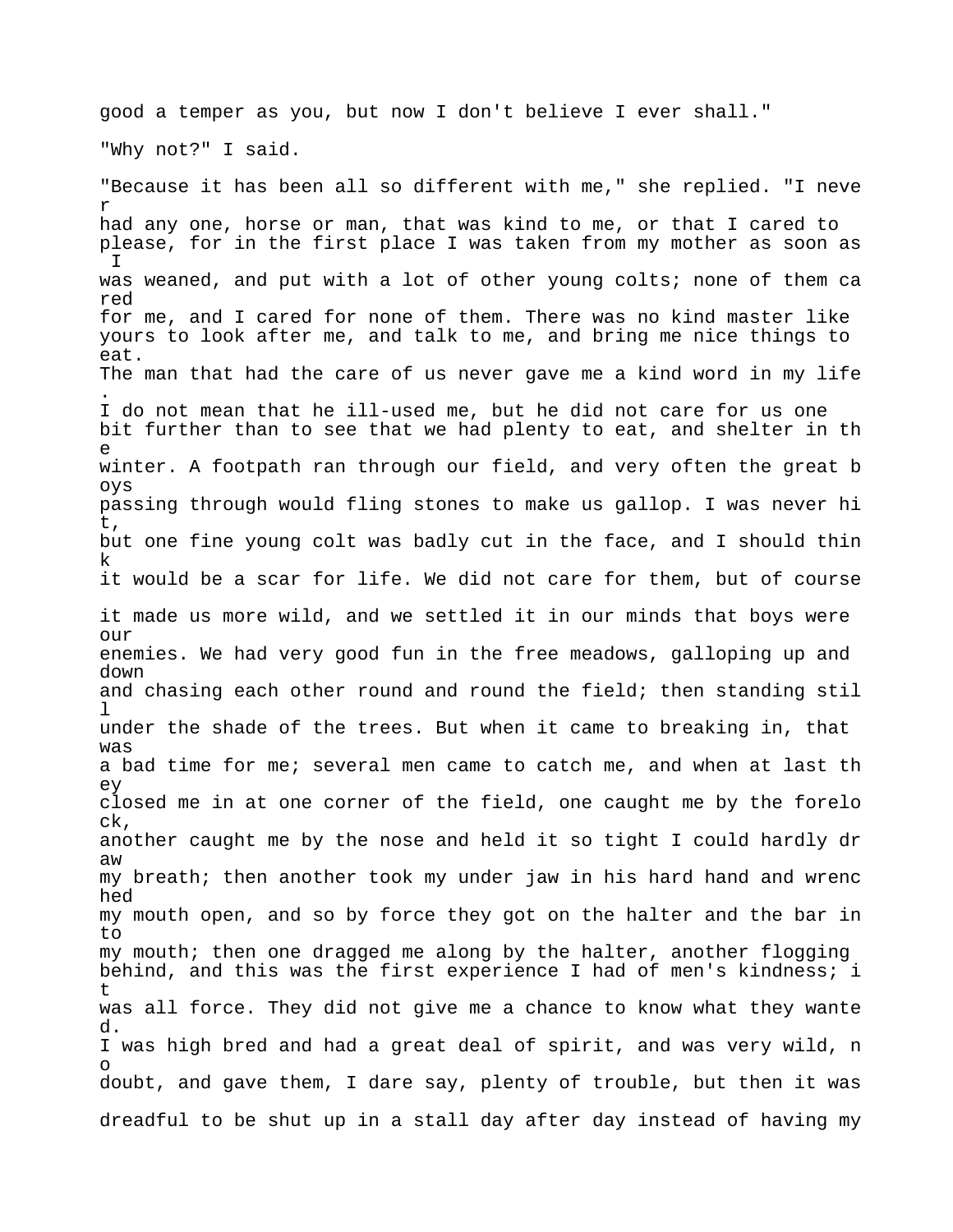good a temper as you, but now I don't believe I ever shall." "Why not?" I said. "Because it has been all so different with me," she replied. "I neve r had any one, horse or man, that was kind to me, or that I cared to please, for in the first place I was taken from my mother as soon as I was weaned, and put with a lot of other young colts; none of them ca red for me, and I cared for none of them. There was no kind master like yours to look after me, and talk to me, and bring me nice things to eat. The man that had the care of us never gave me a kind word in my life . I do not mean that he ill-used me, but he did not care for us one bit further than to see that we had plenty to eat, and shelter in th e winter. A footpath ran through our field, and very often the great b oys passing through would fling stones to make us gallop. I was never hi t, but one fine young colt was badly cut in the face, and I should thin k it would be a scar for life. We did not care for them, but of course it made us more wild, and we settled it in our minds that boys were our enemies. We had very good fun in the free meadows, galloping up and down and chasing each other round and round the field; then standing stil  $\mathbf{1}$ under the shade of the trees. But when it came to breaking in, that was a bad time for me; several men came to catch me, and when at last th ey closed me in at one corner of the field, one caught me by the forelo ck, another caught me by the nose and held it so tight I could hardly dr aw my breath; then another took my under jaw in his hard hand and wrenc hed my mouth open, and so by force they got on the halter and the bar in to my mouth; then one dragged me along by the halter, another flogging behind, and this was the first experience I had of men's kindness; i t was all force. They did not give me a chance to know what they wante d. I was high bred and had a great deal of spirit, and was very wild, n o doubt, and gave them, I dare say, plenty of trouble, but then it was dreadful to be shut up in a stall day after day instead of having my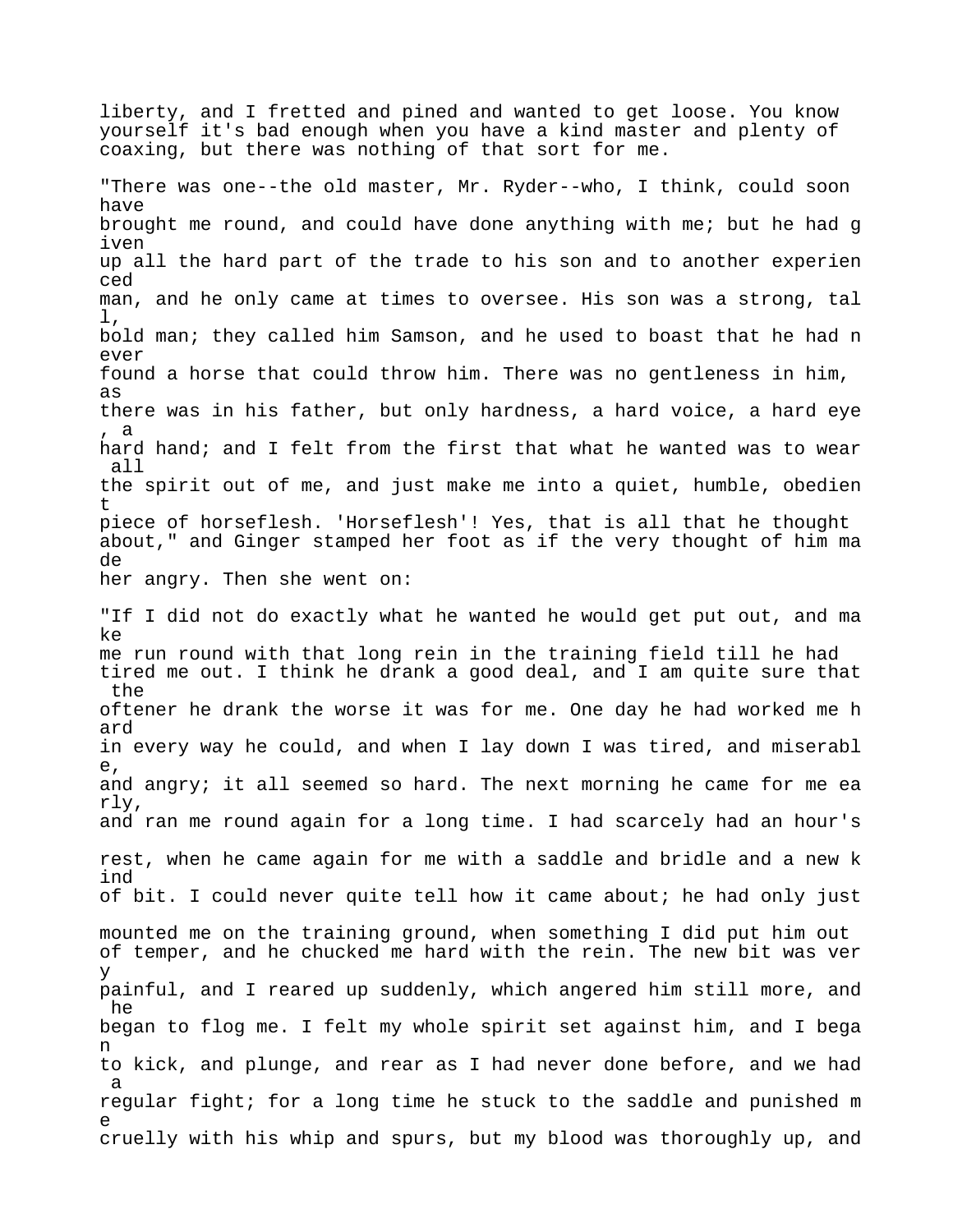liberty, and I fretted and pined and wanted to get loose. You know yourself it's bad enough when you have a kind master and plenty of coaxing, but there was nothing of that sort for me. "There was one--the old master, Mr. Ryder--who, I think, could soon have brought me round, and could have done anything with me; but he had g iven up all the hard part of the trade to his son and to another experien ced man, and he only came at times to oversee. His son was a strong, tal l, bold man; they called him Samson, and he used to boast that he had n ever found a horse that could throw him. There was no gentleness in him, as there was in his father, but only hardness, a hard voice, a hard eye , a hard hand; and I felt from the first that what he wanted was to wear all the spirit out of me, and just make me into a quiet, humble, obedien t piece of horseflesh. 'Horseflesh'! Yes, that is all that he thought about," and Ginger stamped her foot as if the very thought of him ma de her angry. Then she went on: "If I did not do exactly what he wanted he would get put out, and ma ke me run round with that long rein in the training field till he had tired me out. I think he drank a good deal, and I am quite sure that the oftener he drank the worse it was for me. One day he had worked me h ard in every way he could, and when I lay down I was tired, and miserabl e, and angry; it all seemed so hard. The next morning he came for me ea rly, and ran me round again for a long time. I had scarcely had an hour's rest, when he came again for me with a saddle and bridle and a new k ind of bit. I could never quite tell how it came about; he had only just mounted me on the training ground, when something I did put him out of temper, and he chucked me hard with the rein. The new bit was ver y painful, and I reared up suddenly, which angered him still more, and he began to flog me. I felt my whole spirit set against him, and I bega n to kick, and plunge, and rear as I had never done before, and we had a regular fight; for a long time he stuck to the saddle and punished m e cruelly with his whip and spurs, but my blood was thoroughly up, and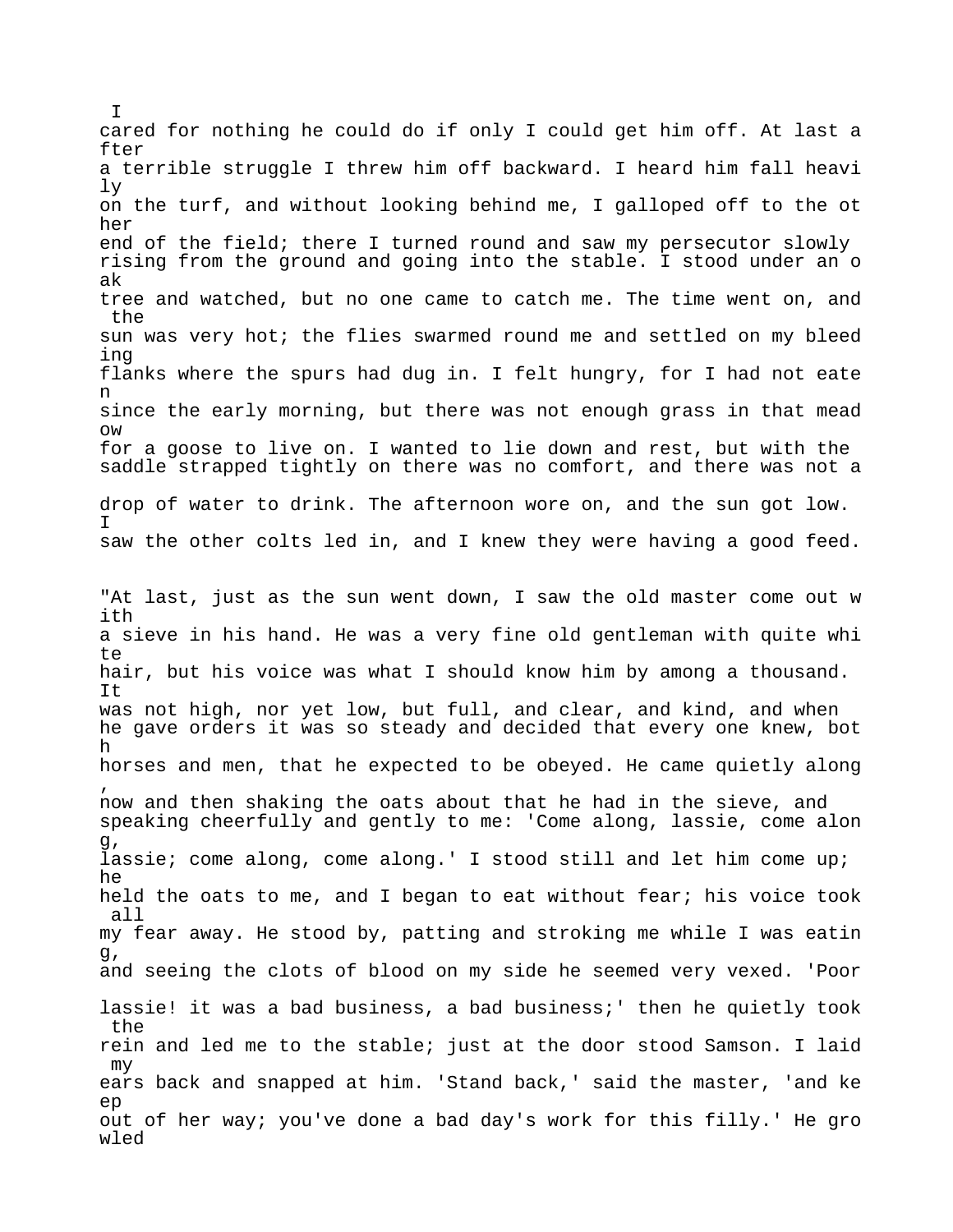cared for nothing he could do if only I could get him off. At last a fter a terrible struggle I threw him off backward. I heard him fall heavi ly on the turf, and without looking behind me, I galloped off to the ot her end of the field; there I turned round and saw my persecutor slowly rising from the ground and going into the stable. I stood under an o ak tree and watched, but no one came to catch me. The time went on, and the sun was very hot; the flies swarmed round me and settled on my bleed ing flanks where the spurs had dug in. I felt hungry, for I had not eate n since the early morning, but there was not enough grass in that mead ow for a goose to live on. I wanted to lie down and rest, but with the saddle strapped tightly on there was no comfort, and there was not a drop of water to drink. The afternoon wore on, and the sun got low. I saw the other colts led in, and I knew they were having a good feed. "At last, just as the sun went down, I saw the old master come out w ith a sieve in his hand. He was a very fine old gentleman with quite whi  $t \in$ hair, but his voice was what I should know him by among a thousand. It was not high, nor yet low, but full, and clear, and kind, and when he gave orders it was so steady and decided that every one knew, bot h horses and men, that he expected to be obeyed. He came quietly along , now and then shaking the oats about that he had in the sieve, and speaking cheerfully and gently to me: 'Come along, lassie, come alon g, lassie; come along, come along.' I stood still and let him come up; he held the oats to me, and I began to eat without fear; his voice took all my fear away. He stood by, patting and stroking me while I was eatin g, and seeing the clots of blood on my side he seemed very vexed. 'Poor lassie! it was a bad business, a bad business;' then he quietly took the rein and led me to the stable; just at the door stood Samson. I laid my ears back and snapped at him. 'Stand back,' said the master, 'and ke ep out of her way; you've done a bad day's work for this filly.' He gro wled

I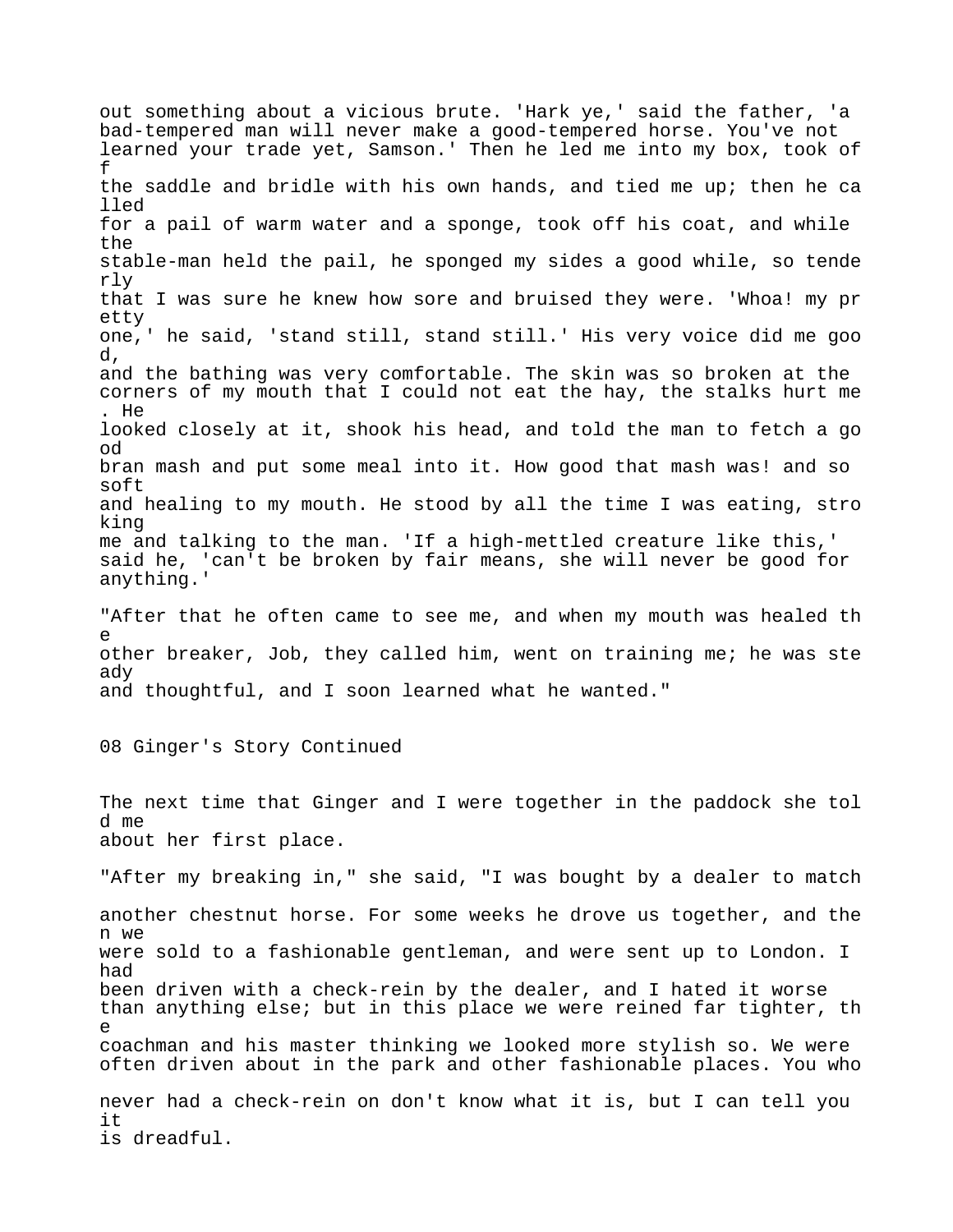out something about a vicious brute. 'Hark ye,' said the father, 'a bad-tempered man will never make a good-tempered horse. You've not learned your trade yet, Samson.' Then he led me into my box, took of f the saddle and bridle with his own hands, and tied me up; then he ca lled for a pail of warm water and a sponge, took off his coat, and while the stable-man held the pail, he sponged my sides a good while, so tende rly that I was sure he knew how sore and bruised they were. 'Whoa! my pr etty one,' he said, 'stand still, stand still.' His very voice did me goo d, and the bathing was very comfortable. The skin was so broken at the corners of my mouth that I could not eat the hay, the stalks hurt me . He looked closely at it, shook his head, and told the man to fetch a go od bran mash and put some meal into it. How good that mash was! and so soft and healing to my mouth. He stood by all the time I was eating, stro king me and talking to the man. 'If a high-mettled creature like this,' said he, 'can't be broken by fair means, she will never be good for anything.' "After that he often came to see me, and when my mouth was healed th e other breaker, Job, they called him, went on training me; he was ste ady and thoughtful, and I soon learned what he wanted." 08 Ginger's Story Continued The next time that Ginger and I were together in the paddock she tol d me about her first place. "After my breaking in," she said, "I was bought by a dealer to match another chestnut horse. For some weeks he drove us together, and the n we were sold to a fashionable gentleman, and were sent up to London. I had been driven with a check-rein by the dealer, and I hated it worse than anything else; but in this place we were reined far tighter, th e coachman and his master thinking we looked more stylish so. We were often driven about in the park and other fashionable places. You who never had a check-rein on don't know what it is, but I can tell you it is dreadful.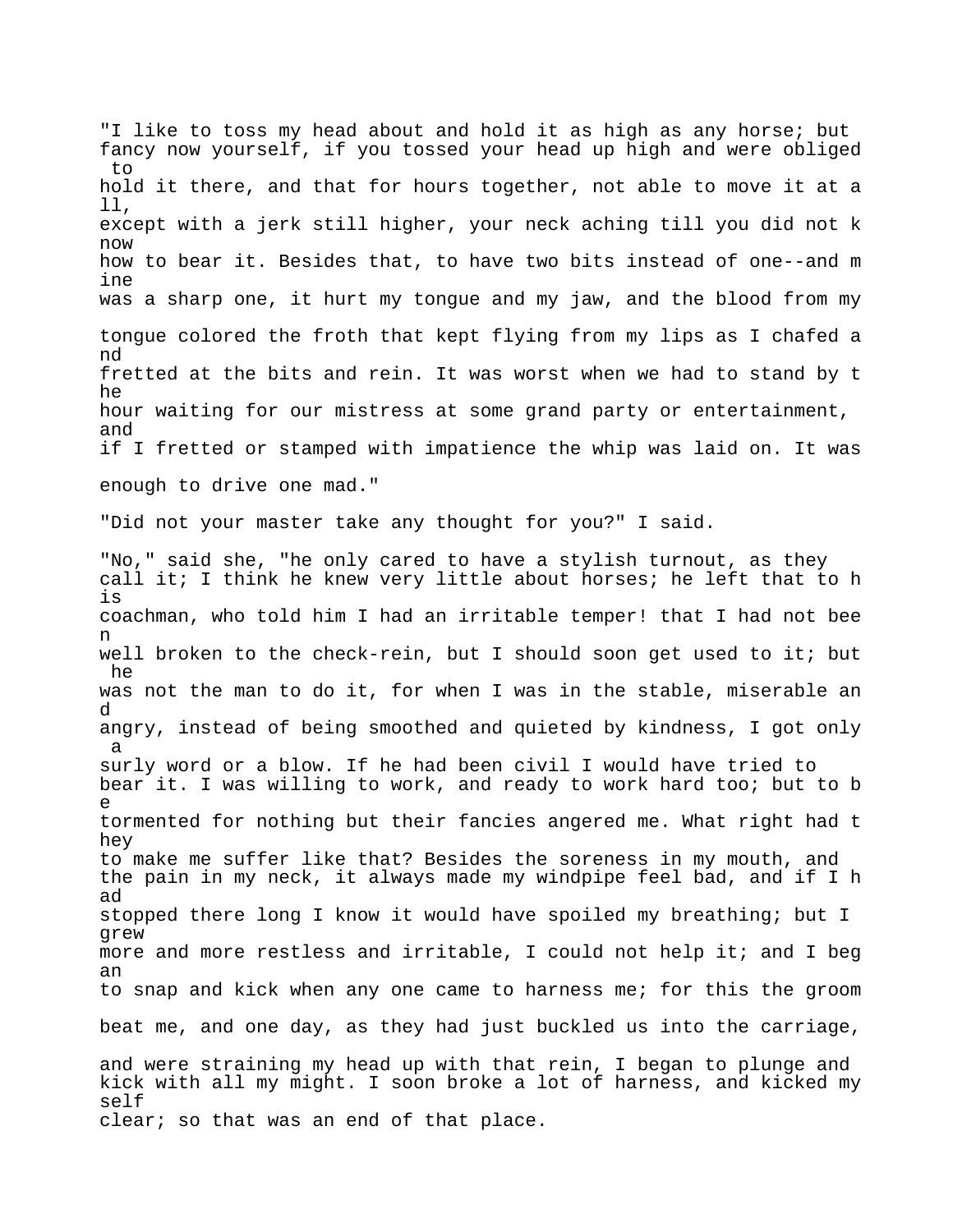"I like to toss my head about and hold it as high as any horse; but fancy now yourself, if you tossed your head up high and were obliged to hold it there, and that for hours together, not able to move it at a ll, except with a jerk still higher, your neck aching till you did not k now how to bear it. Besides that, to have two bits instead of one--and m ine was a sharp one, it hurt my tongue and my jaw, and the blood from my tongue colored the froth that kept flying from my lips as I chafed a nd fretted at the bits and rein. It was worst when we had to stand by t he hour waiting for our mistress at some grand party or entertainment, and if I fretted or stamped with impatience the whip was laid on. It was enough to drive one mad." "Did not your master take any thought for you?" I said. "No," said she, "he only cared to have a stylish turnout, as they call it; I think he knew very little about horses; he left that to h is coachman, who told him I had an irritable temper! that I had not bee n well broken to the check-rein, but I should soon get used to it; but he was not the man to do it, for when I was in the stable, miserable an d angry, instead of being smoothed and quieted by kindness, I got only a surly word or a blow. If he had been civil I would have tried to bear it. I was willing to work, and ready to work hard too; but to b e tormented for nothing but their fancies angered me. What right had t hey to make me suffer like that? Besides the soreness in my mouth, and the pain in my neck, it always made my windpipe feel bad, and if I h ad stopped there long I know it would have spoiled my breathing; but I grew more and more restless and irritable, I could not help it; and I beg an to snap and kick when any one came to harness me; for this the groom beat me, and one day, as they had just buckled us into the carriage, and were straining my head up with that rein, I began to plunge and kick with all my might. I soon broke a lot of harness, and kicked my self clear; so that was an end of that place.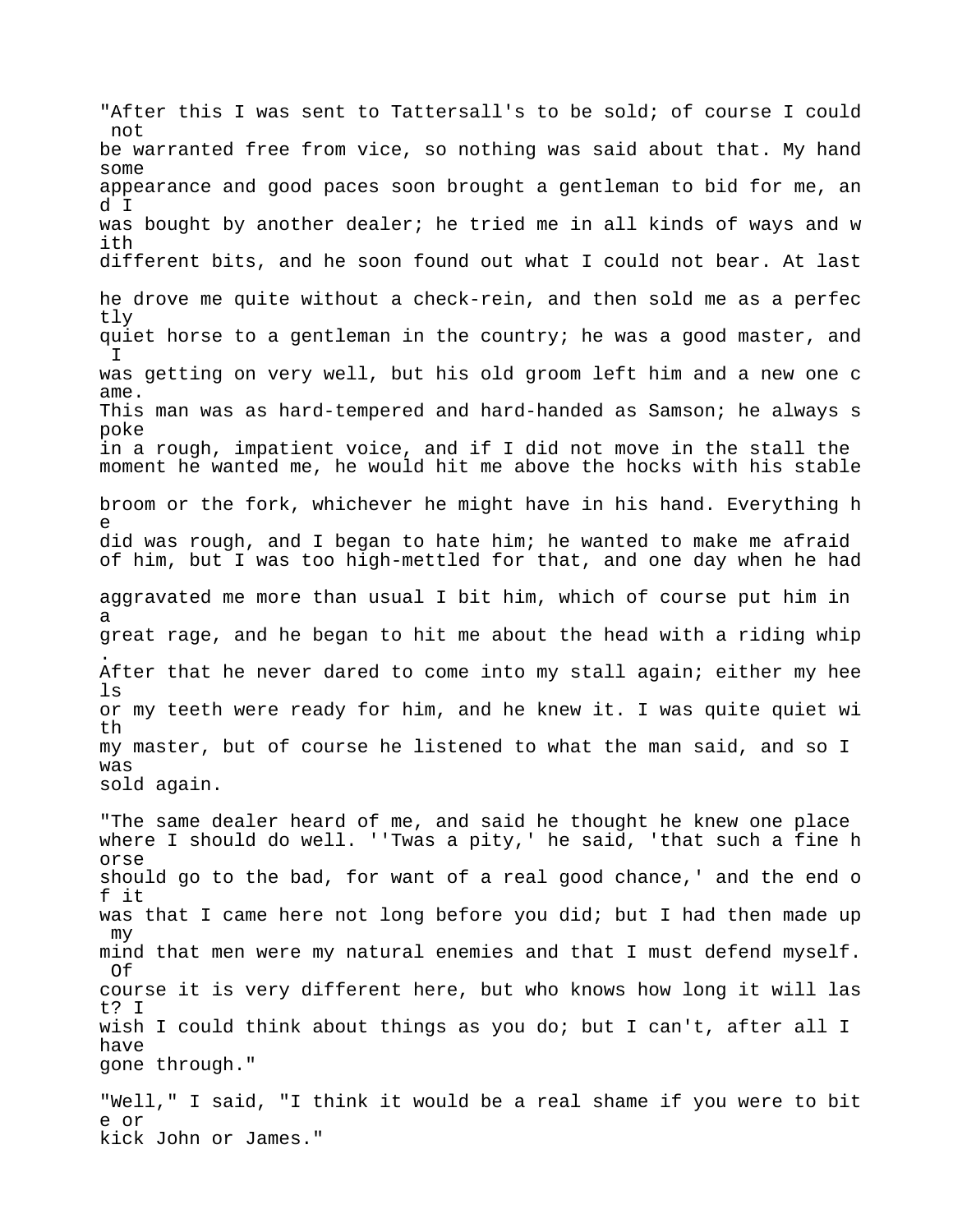"After this I was sent to Tattersall's to be sold; of course I could not be warranted free from vice, so nothing was said about that. My hand some appearance and good paces soon brought a gentleman to bid for me, an d I was bought by another dealer; he tried me in all kinds of ways and w ith different bits, and he soon found out what I could not bear. At last he drove me quite without a check-rein, and then sold me as a perfec tly quiet horse to a gentleman in the country; he was a good master, and I was getting on very well, but his old groom left him and a new one c ame. This man was as hard-tempered and hard-handed as Samson; he always s poke in a rough, impatient voice, and if I did not move in the stall the moment he wanted me, he would hit me above the hocks with his stable broom or the fork, whichever he might have in his hand. Everything h e did was rough, and I began to hate him; he wanted to make me afraid of him, but I was too high-mettled for that, and one day when he had aggravated me more than usual I bit him, which of course put him in a great rage, and he began to hit me about the head with a riding whip . After that he never dared to come into my stall again; either my hee ls or my teeth were ready for him, and he knew it. I was quite quiet wi th my master, but of course he listened to what the man said, and so I was sold again. "The same dealer heard of me, and said he thought he knew one place where I should do well. ''Twas a pity,' he said, 'that such a fine h orse should go to the bad, for want of a real good chance,' and the end o f it was that I came here not long before you did; but I had then made up my mind that men were my natural enemies and that I must defend myself. Of course it is very different here, but who knows how long it will las t? I wish I could think about things as you do; but I can't, after all I have gone through." "Well," I said, "I think it would be a real shame if you were to bit e or kick John or James."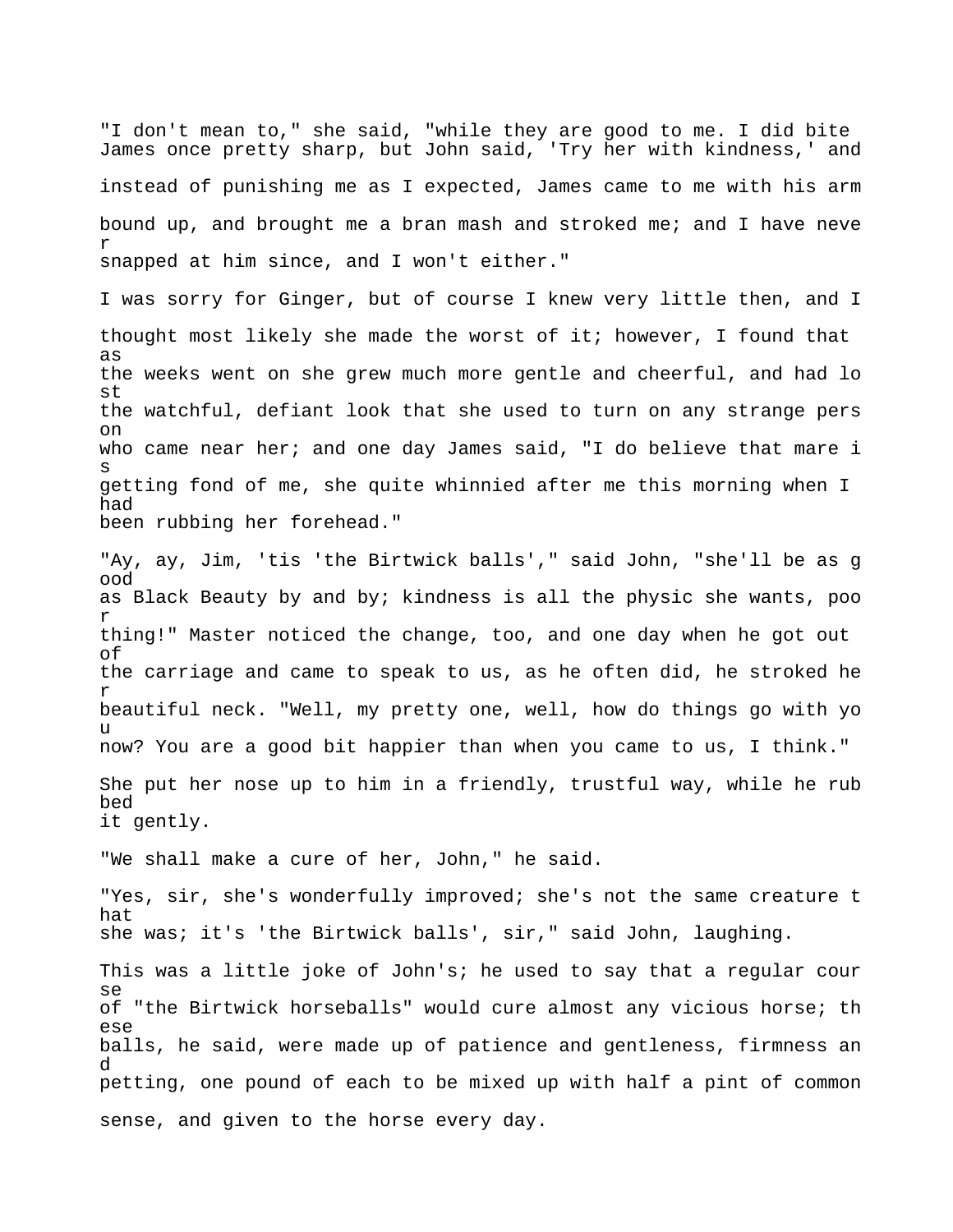"I don't mean to," she said, "while they are good to me. I did bite James once pretty sharp, but John said, 'Try her with kindness,' and instead of punishing me as I expected, James came to me with his arm bound up, and brought me a bran mash and stroked me; and I have neve r snapped at him since, and I won't either."

I was sorry for Ginger, but of course I knew very little then, and I thought most likely she made the worst of it; however, I found that as the weeks went on she grew much more gentle and cheerful, and had lo st the watchful, defiant look that she used to turn on any strange pers on who came near her; and one day James said, "I do believe that mare i s getting fond of me, she quite whinnied after me this morning when I had been rubbing her forehead."

"Ay, ay, Jim, 'tis 'the Birtwick balls'," said John, "she'll be as g ood as Black Beauty by and by; kindness is all the physic she wants, poo r thing!" Master noticed the change, too, and one day when he got out of the carriage and came to speak to us, as he often did, he stroked he r beautiful neck. "Well, my pretty one, well, how do things go with yo u now? You are a good bit happier than when you came to us, I think." She put her nose up to him in a friendly, trustful way, while he rub bed it gently.

"We shall make a cure of her, John," he said.

"Yes, sir, she's wonderfully improved; she's not the same creature t hat she was; it's 'the Birtwick balls', sir," said John, laughing.

This was a little joke of John's; he used to say that a regular cour se of "the Birtwick horseballs" would cure almost any vicious horse; th ese balls, he said, were made up of patience and gentleness, firmness an d petting, one pound of each to be mixed up with half a pint of common sense, and given to the horse every day.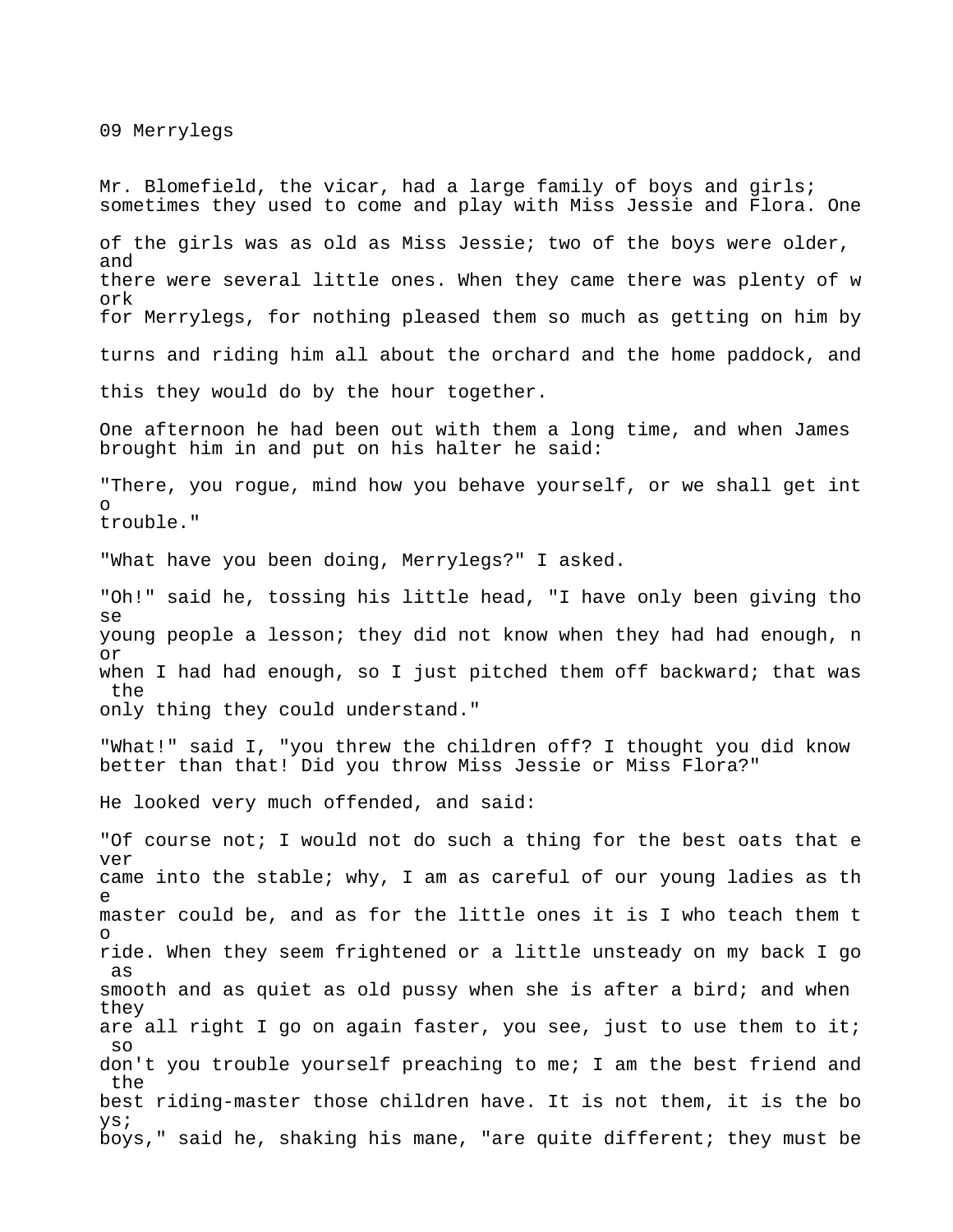09 Merrylegs

Mr. Blomefield, the vicar, had a large family of boys and girls; sometimes they used to come and play with Miss Jessie and Flora. One of the girls was as old as Miss Jessie; two of the boys were older, and there were several little ones. When they came there was plenty of w ork for Merrylegs, for nothing pleased them so much as getting on him by turns and riding him all about the orchard and the home paddock, and this they would do by the hour together. One afternoon he had been out with them a long time, and when James brought him in and put on his halter he said: "There, you rogue, mind how you behave yourself, or we shall get int o trouble." "What have you been doing, Merrylegs?" I asked. "Oh!" said he, tossing his little head, "I have only been giving tho se young people a lesson; they did not know when they had had enough, n or when I had had enough, so I just pitched them off backward; that was the only thing they could understand." "What!" said I, "you threw the children off? I thought you did know better than that! Did you throw Miss Jessie or Miss Flora?" He looked very much offended, and said: "Of course not; I would not do such a thing for the best oats that e ver came into the stable; why, I am as careful of our young ladies as th e master could be, and as for the little ones it is I who teach them t o ride. When they seem frightened or a little unsteady on my back I go as smooth and as quiet as old pussy when she is after a bird; and when they are all right I go on again faster, you see, just to use them to it; so don't you trouble yourself preaching to me; I am the best friend and the best riding-master those children have. It is not them, it is the bo ys; boys," said he, shaking his mane, "are quite different; they must be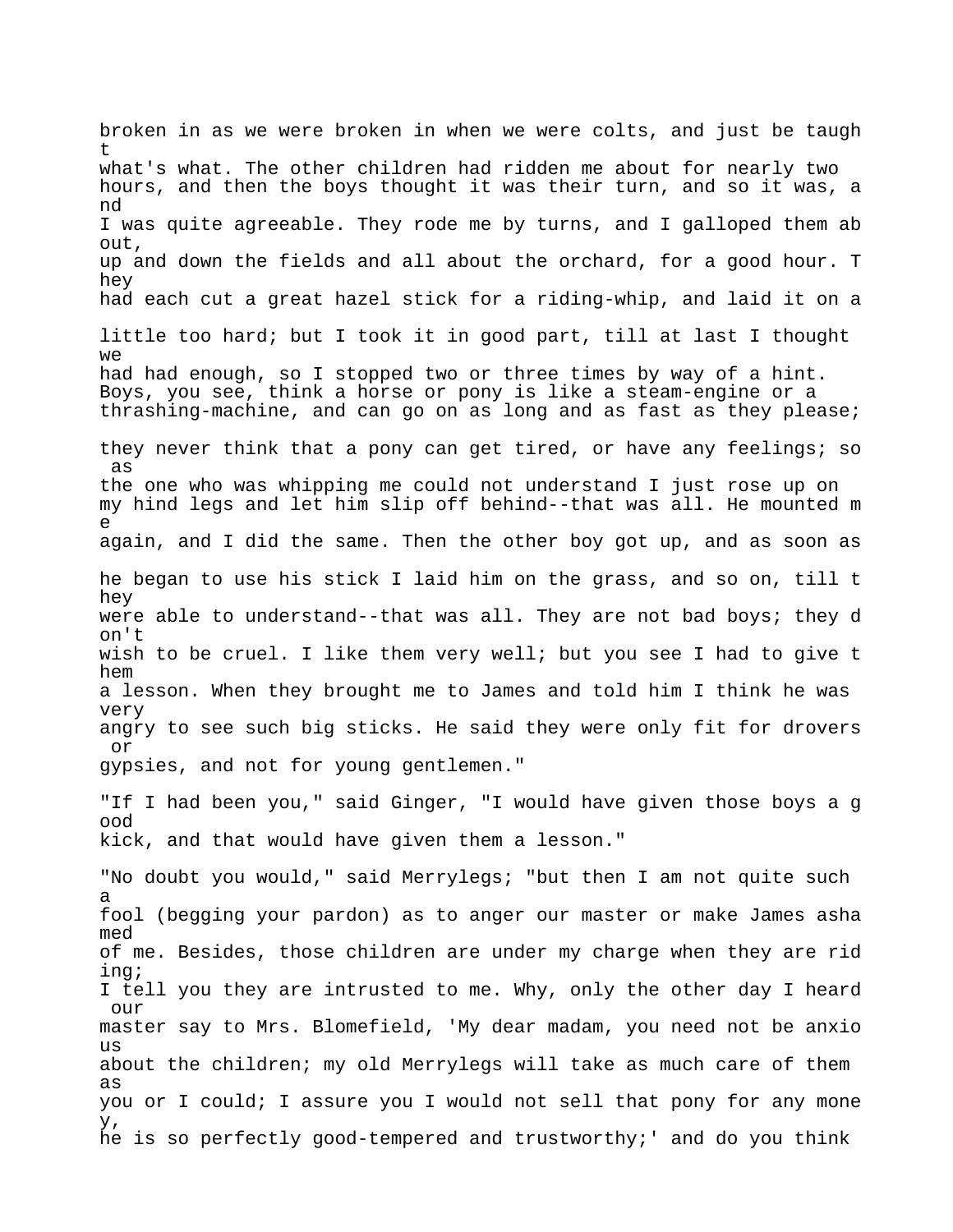broken in as we were broken in when we were colts, and just be taugh t what's what. The other children had ridden me about for nearly two hours, and then the boys thought it was their turn, and so it was, a nd I was quite agreeable. They rode me by turns, and I galloped them ab out, up and down the fields and all about the orchard, for a good hour. T hey had each cut a great hazel stick for a riding-whip, and laid it on a little too hard; but I took it in good part, till at last I thought  $W \ominus$ had had enough, so I stopped two or three times by way of a hint. Boys, you see, think a horse or pony is like a steam-engine or a thrashing-machine, and can go on as long and as fast as they please; they never think that a pony can get tired, or have any feelings; so as the one who was whipping me could not understand I just rose up on my hind legs and let him slip off behind--that was all. He mounted m e again, and I did the same. Then the other boy got up, and as soon as he began to use his stick I laid him on the grass, and so on, till t hey were able to understand--that was all. They are not bad boys; they d on't wish to be cruel. I like them very well; but you see I had to give t hem a lesson. When they brought me to James and told him I think he was very angry to see such big sticks. He said they were only fit for drovers or gypsies, and not for young gentlemen." "If I had been you," said Ginger, "I would have given those boys a g ood kick, and that would have given them a lesson." "No doubt you would," said Merrylegs; "but then I am not quite such a fool (begging your pardon) as to anger our master or make James asha med of me. Besides, those children are under my charge when they are rid ing; I tell you they are intrusted to me. Why, only the other day I heard our master say to Mrs. Blomefield, 'My dear madam, you need not be anxio us about the children; my old Merrylegs will take as much care of them as you or I could; I assure you I would not sell that pony for any mone y, he is so perfectly good-tempered and trustworthy;' and do you think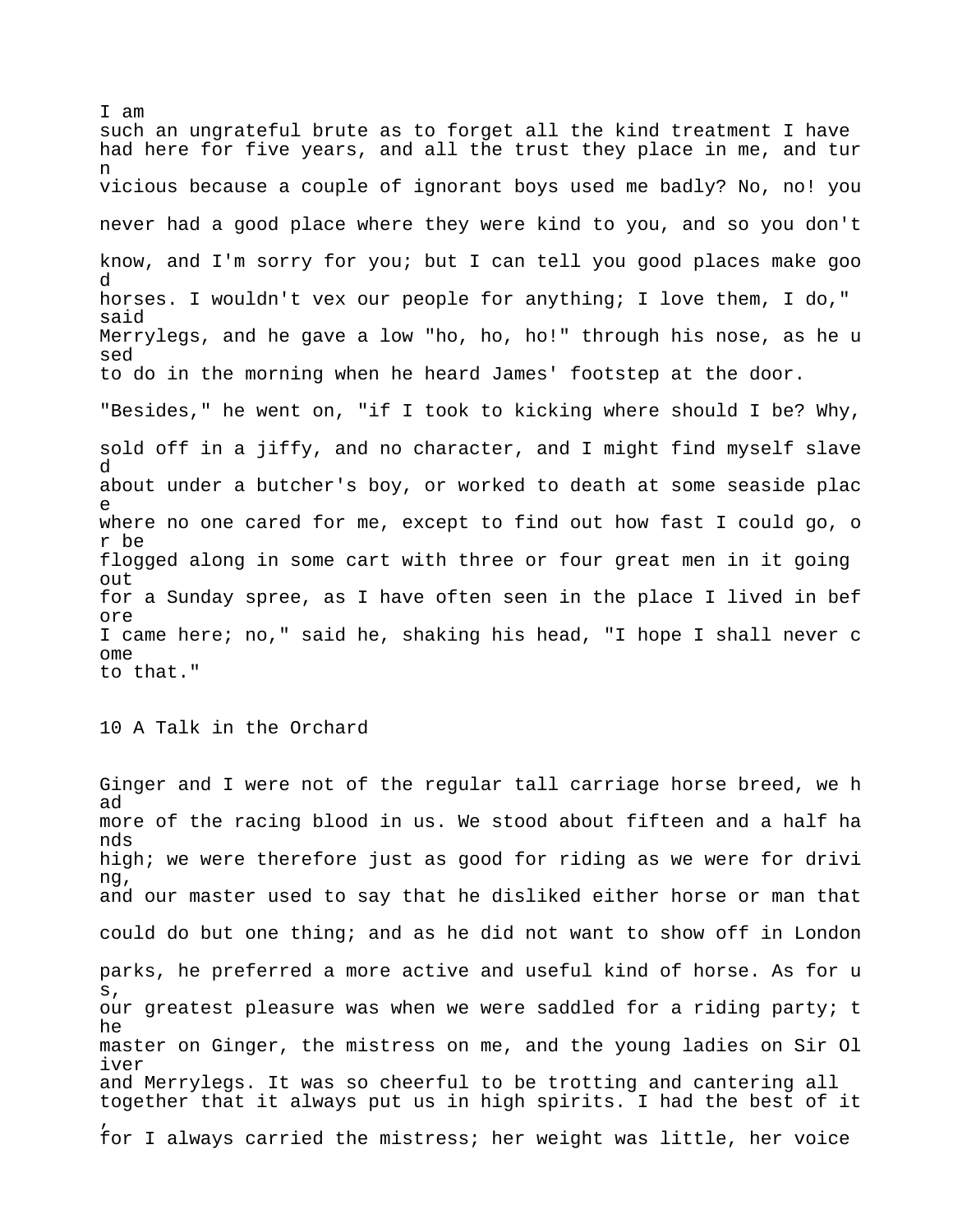I am such an ungrateful brute as to forget all the kind treatment I have had here for five years, and all the trust they place in me, and tur n vicious because a couple of ignorant boys used me badly? No, no! you never had a good place where they were kind to you, and so you don't know, and I'm sorry for you; but I can tell you good places make goo d horses. I wouldn't vex our people for anything; I love them, I do," said Merrylegs, and he gave a low "ho, ho, ho!" through his nose, as he u sed to do in the morning when he heard James' footstep at the door. "Besides," he went on, "if I took to kicking where should I be? Why, sold off in a jiffy, and no character, and I might find myself slave d about under a butcher's boy, or worked to death at some seaside plac e where no one cared for me, except to find out how fast I could go, o r be flogged along in some cart with three or four great men in it going out for a Sunday spree, as I have often seen in the place I lived in bef ore I came here; no," said he, shaking his head, "I hope I shall never c ome to that."

10 A Talk in the Orchard

Ginger and I were not of the regular tall carriage horse breed, we h ad more of the racing blood in us. We stood about fifteen and a half ha nds high; we were therefore just as good for riding as we were for drivi ng, and our master used to say that he disliked either horse or man that could do but one thing; and as he did not want to show off in London parks, he preferred a more active and useful kind of horse. As for u s, our greatest pleasure was when we were saddled for a riding party; t he master on Ginger, the mistress on me, and the young ladies on Sir Ol iver and Merrylegs. It was so cheerful to be trotting and cantering all together that it always put us in high spirits. I had the best of it , for I always carried the mistress; her weight was little, her voice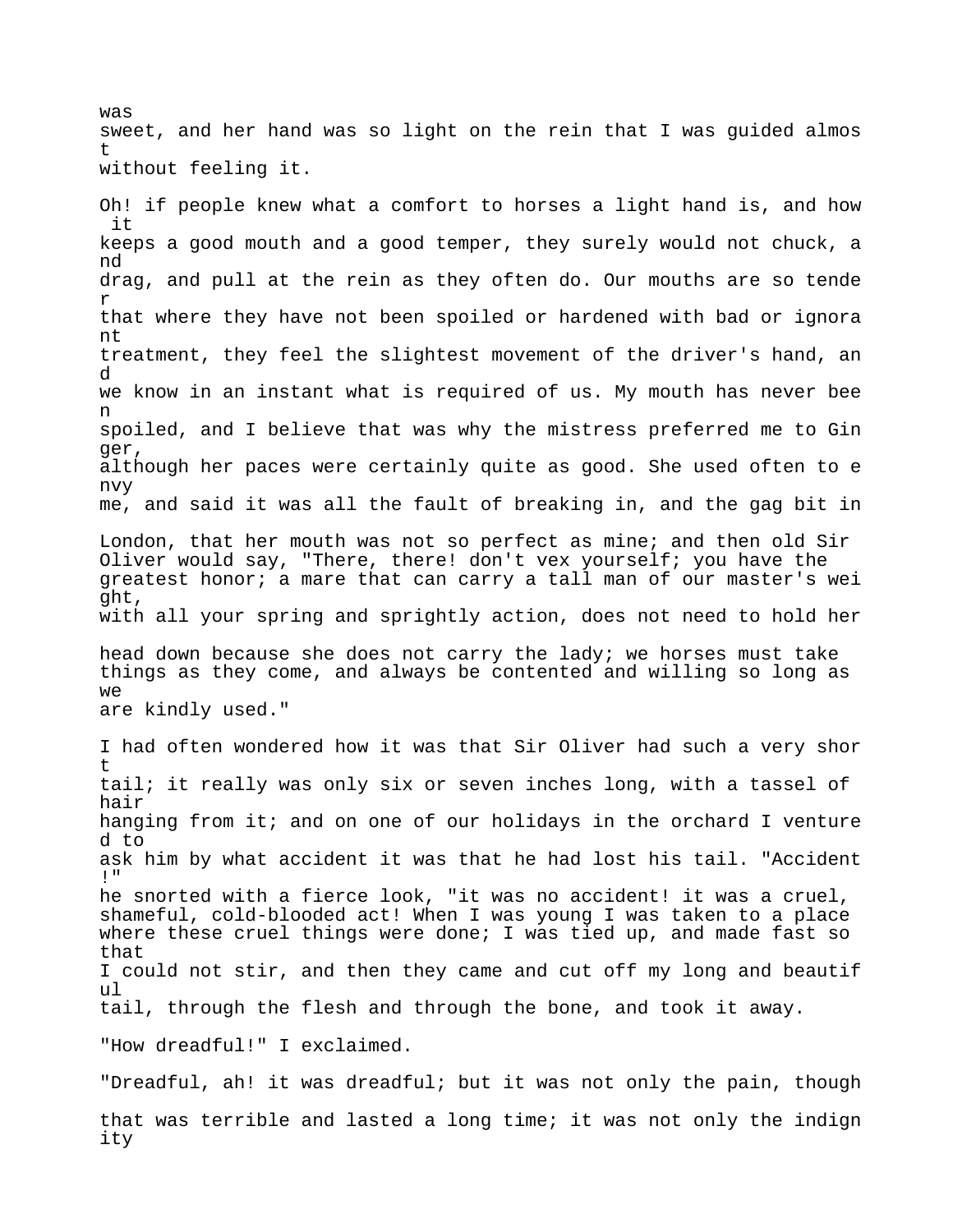was sweet, and her hand was so light on the rein that I was guided almos t without feeling it.

Oh! if people knew what a comfort to horses a light hand is, and how it keeps a good mouth and a good temper, they surely would not chuck, a nd drag, and pull at the rein as they often do. Our mouths are so tende r that where they have not been spoiled or hardened with bad or ignora nt treatment, they feel the slightest movement of the driver's hand, an d we know in an instant what is required of us. My mouth has never bee n spoiled, and I believe that was why the mistress preferred me to Gin ger, although her paces were certainly quite as good. She used often to e nvy me, and said it was all the fault of breaking in, and the gag bit in London, that her mouth was not so perfect as mine; and then old Sir Oliver would say, "There, there! don't vex yourself; you have the greatest honor; a mare that can carry a tall man of our master's wei ght, with all your spring and sprightly action, does not need to hold her head down because she does not carry the lady; we horses must take things as they come, and always be contented and willing so long as we are kindly used." I had often wondered how it was that Sir Oliver had such a very shor t tail; it really was only six or seven inches long, with a tassel of hair hanging from it; and on one of our holidays in the orchard I venture d to ask him by what accident it was that he had lost his tail. "Accident !" he snorted with a fierce look, "it was no accident! it was a cruel, shameful, cold-blooded act! When I was young I was taken to a place where these cruel things were done; I was tied up, and made fast so that I could not stir, and then they came and cut off my long and beautif ul tail, through the flesh and through the bone, and took it away. "How dreadful!" I exclaimed. "Dreadful, ah! it was dreadful; but it was not only the pain, though that was terrible and lasted a long time; it was not only the indign ity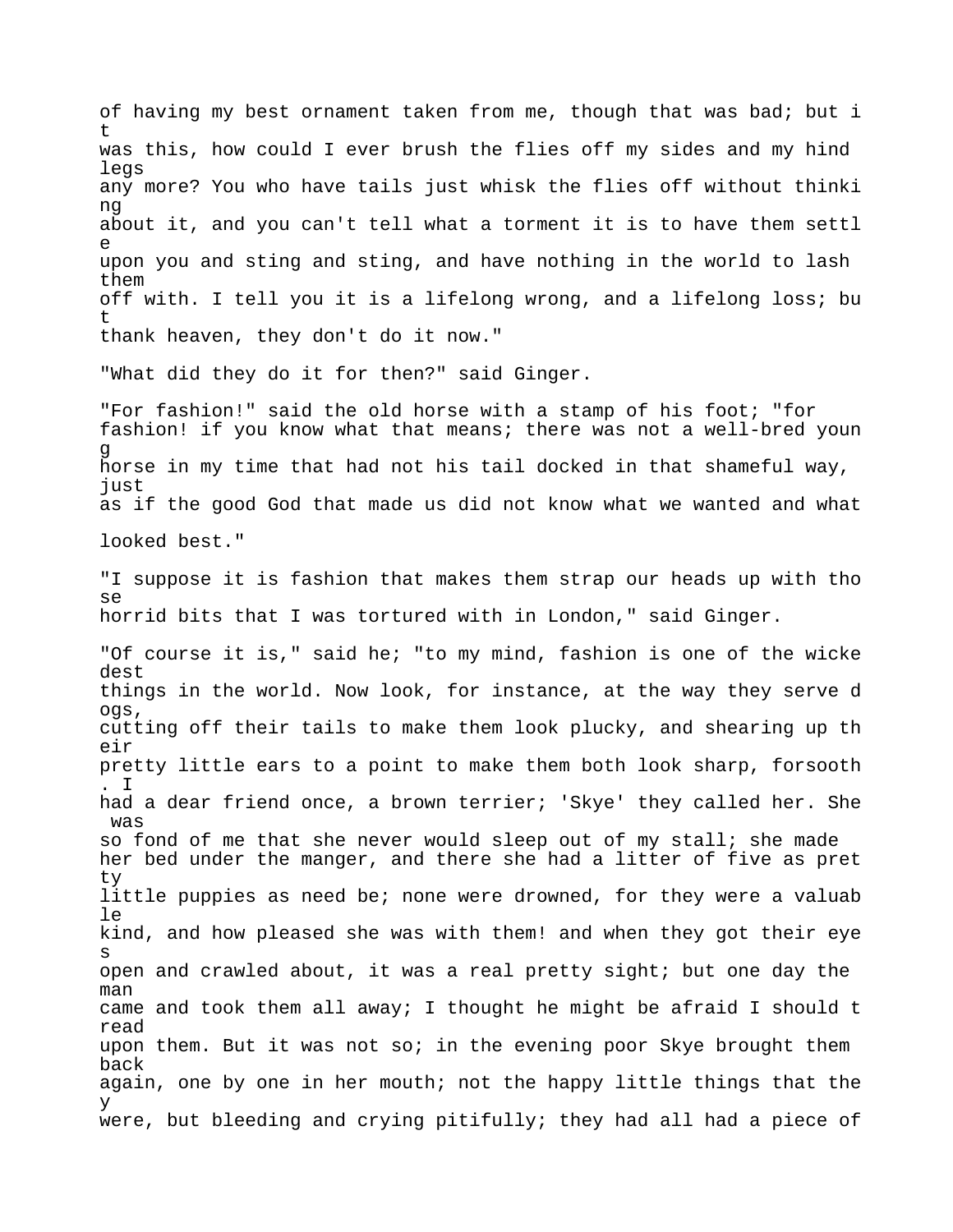of having my best ornament taken from me, though that was bad; but i t was this, how could I ever brush the flies off my sides and my hind legs any more? You who have tails just whisk the flies off without thinki ng about it, and you can't tell what a torment it is to have them settl e upon you and sting and sting, and have nothing in the world to lash them off with. I tell you it is a lifelong wrong, and a lifelong loss; bu t thank heaven, they don't do it now." "What did they do it for then?" said Ginger. "For fashion!" said the old horse with a stamp of his foot; "for fashion! if you know what that means; there was not a well-bred youn g horse in my time that had not his tail docked in that shameful way, just as if the good God that made us did not know what we wanted and what looked best." "I suppose it is fashion that makes them strap our heads up with tho se horrid bits that I was tortured with in London," said Ginger. "Of course it is," said he; "to my mind, fashion is one of the wicke dest things in the world. Now look, for instance, at the way they serve d ogs, cutting off their tails to make them look plucky, and shearing up th eir pretty little ears to a point to make them both look sharp, forsooth . I had a dear friend once, a brown terrier; 'Skye' they called her. She was so fond of me that she never would sleep out of my stall; she made her bed under the manger, and there she had a litter of five as pret ty little puppies as need be; none were drowned, for they were a valuab le kind, and how pleased she was with them! and when they got their eye s open and crawled about, it was a real pretty sight; but one day the man came and took them all away; I thought he might be afraid I should t read upon them. But it was not so; in the evening poor Skye brought them back again, one by one in her mouth; not the happy little things that the y were, but bleeding and crying pitifully; they had all had a piece of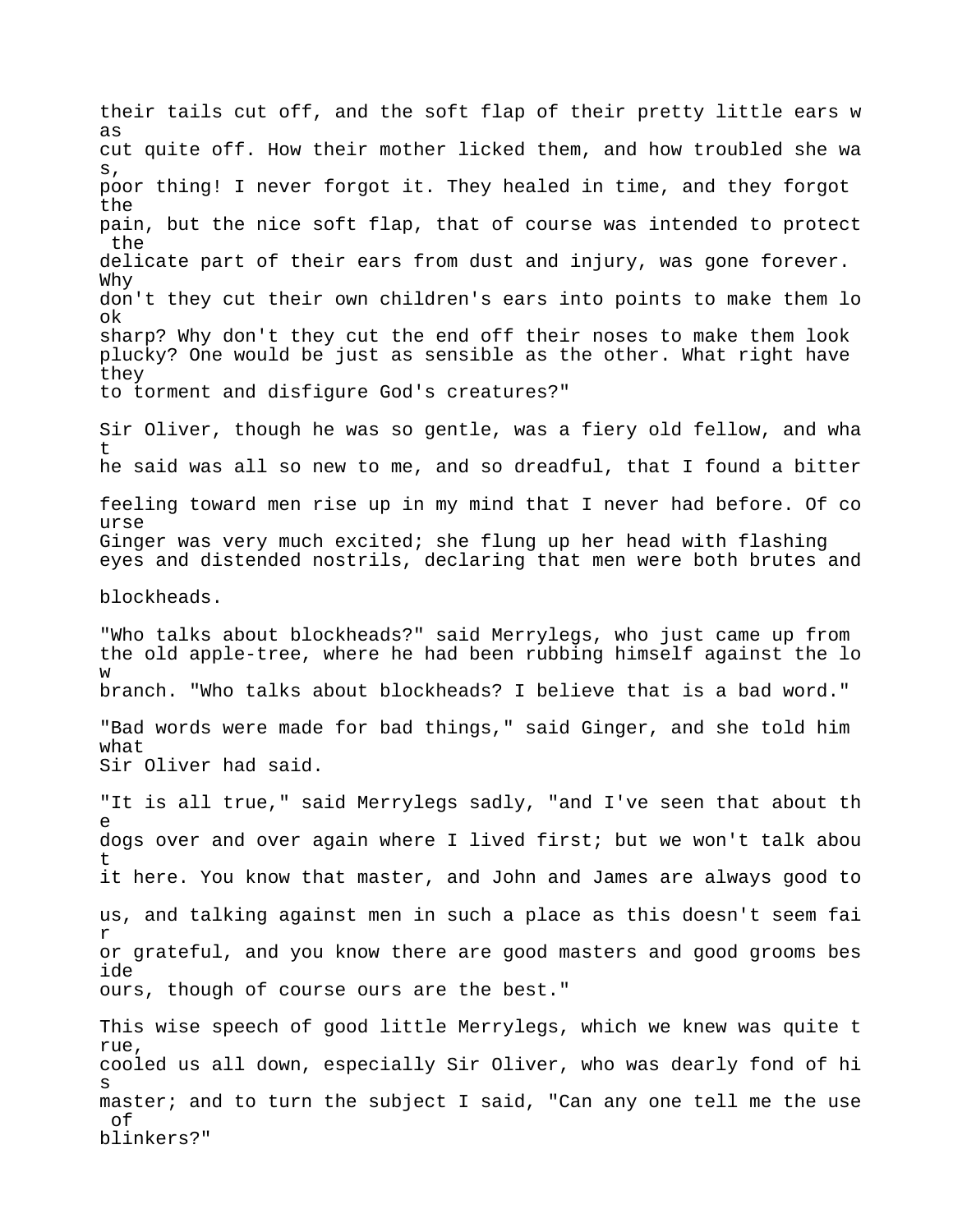their tails cut off, and the soft flap of their pretty little ears w as cut quite off. How their mother licked them, and how troubled she wa s, poor thing! I never forgot it. They healed in time, and they forgot the pain, but the nice soft flap, that of course was intended to protect the delicate part of their ears from dust and injury, was gone forever. Why don't they cut their own children's ears into points to make them lo ok sharp? Why don't they cut the end off their noses to make them look plucky? One would be just as sensible as the other. What right have they to torment and disfigure God's creatures?" Sir Oliver, though he was so gentle, was a fiery old fellow, and wha t he said was all so new to me, and so dreadful, that I found a bitter feeling toward men rise up in my mind that I never had before. Of co urse Ginger was very much excited; she flung up her head with flashing eyes and distended nostrils, declaring that men were both brutes and blockheads. "Who talks about blockheads?" said Merrylegs, who just came up from the old apple-tree, where he had been rubbing himself against the lo w branch. "Who talks about blockheads? I believe that is a bad word." "Bad words were made for bad things," said Ginger, and she told him what Sir Oliver had said. "It is all true," said Merrylegs sadly, "and I've seen that about th e dogs over and over again where I lived first; but we won't talk abou t it here. You know that master, and John and James are always good to us, and talking against men in such a place as this doesn't seem fai r or grateful, and you know there are good masters and good grooms bes ide ours, though of course ours are the best." This wise speech of good little Merrylegs, which we knew was quite t rue, cooled us all down, especially Sir Oliver, who was dearly fond of hi s master; and to turn the subject I said, "Can any one tell me the use of blinkers?"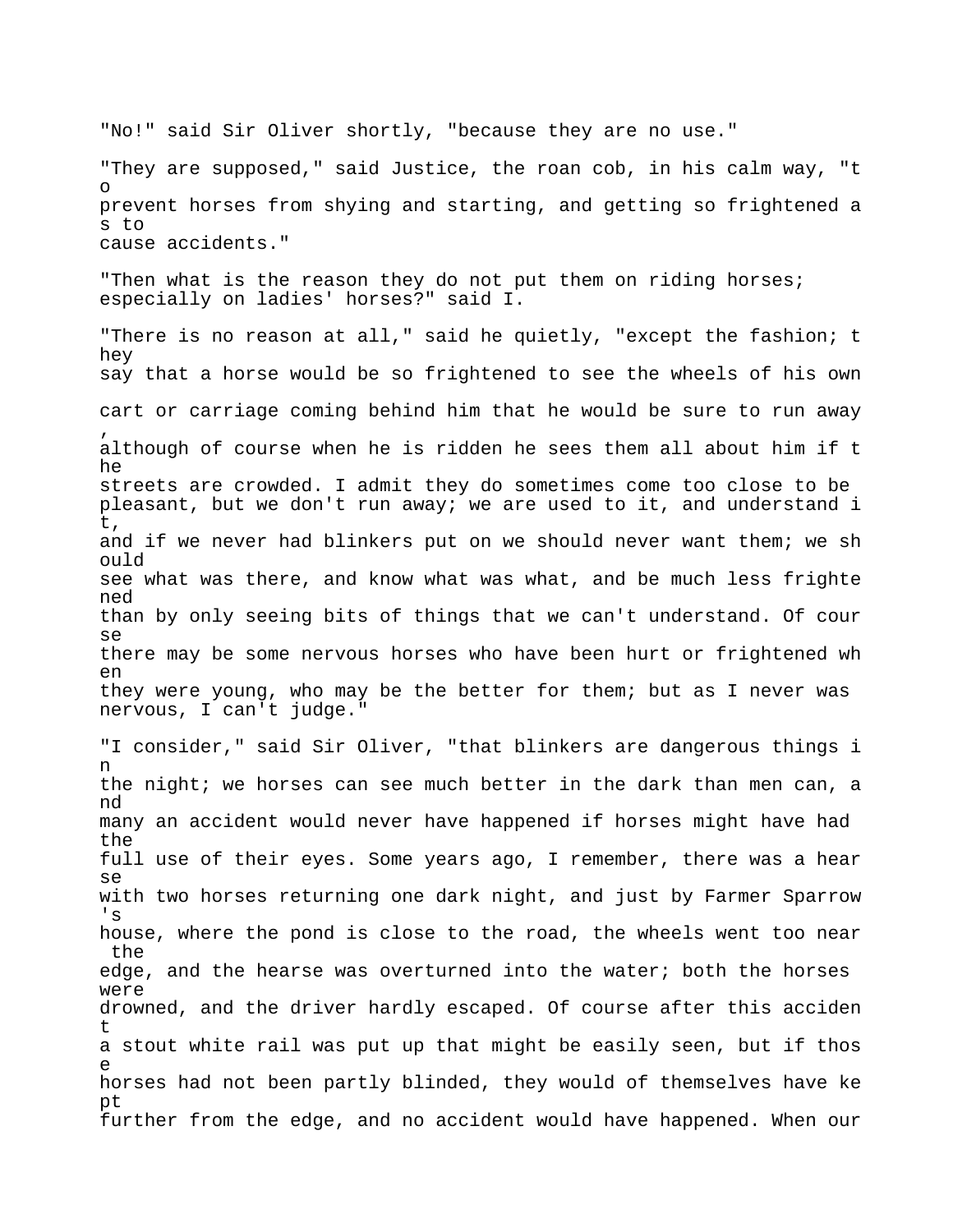"No!" said Sir Oliver shortly, "because they are no use." "They are supposed," said Justice, the roan cob, in his calm way, "t o prevent horses from shying and starting, and getting so frightened a s to cause accidents." "Then what is the reason they do not put them on riding horses; especially on ladies' horses?" said I. "There is no reason at all," said he quietly, "except the fashion; t hey say that a horse would be so frightened to see the wheels of his own cart or carriage coming behind him that he would be sure to run away , although of course when he is ridden he sees them all about him if t he streets are crowded. I admit they do sometimes come too close to be pleasant, but we don't run away; we are used to it, and understand i t, and if we never had blinkers put on we should never want them; we sh ould see what was there, and know what was what, and be much less frighte ned than by only seeing bits of things that we can't understand. Of cour se there may be some nervous horses who have been hurt or frightened wh en they were young, who may be the better for them; but as I never was nervous, I can't judge." "I consider," said Sir Oliver, "that blinkers are dangerous things i n the night; we horses can see much better in the dark than men can, a nd many an accident would never have happened if horses might have had the full use of their eyes. Some years ago, I remember, there was a hear se with two horses returning one dark night, and just by Farmer Sparrow 's house, where the pond is close to the road, the wheels went too near the edge, and the hearse was overturned into the water; both the horses were drowned, and the driver hardly escaped. Of course after this acciden t a stout white rail was put up that might be easily seen, but if thos e horses had not been partly blinded, they would of themselves have ke pt further from the edge, and no accident would have happened. When our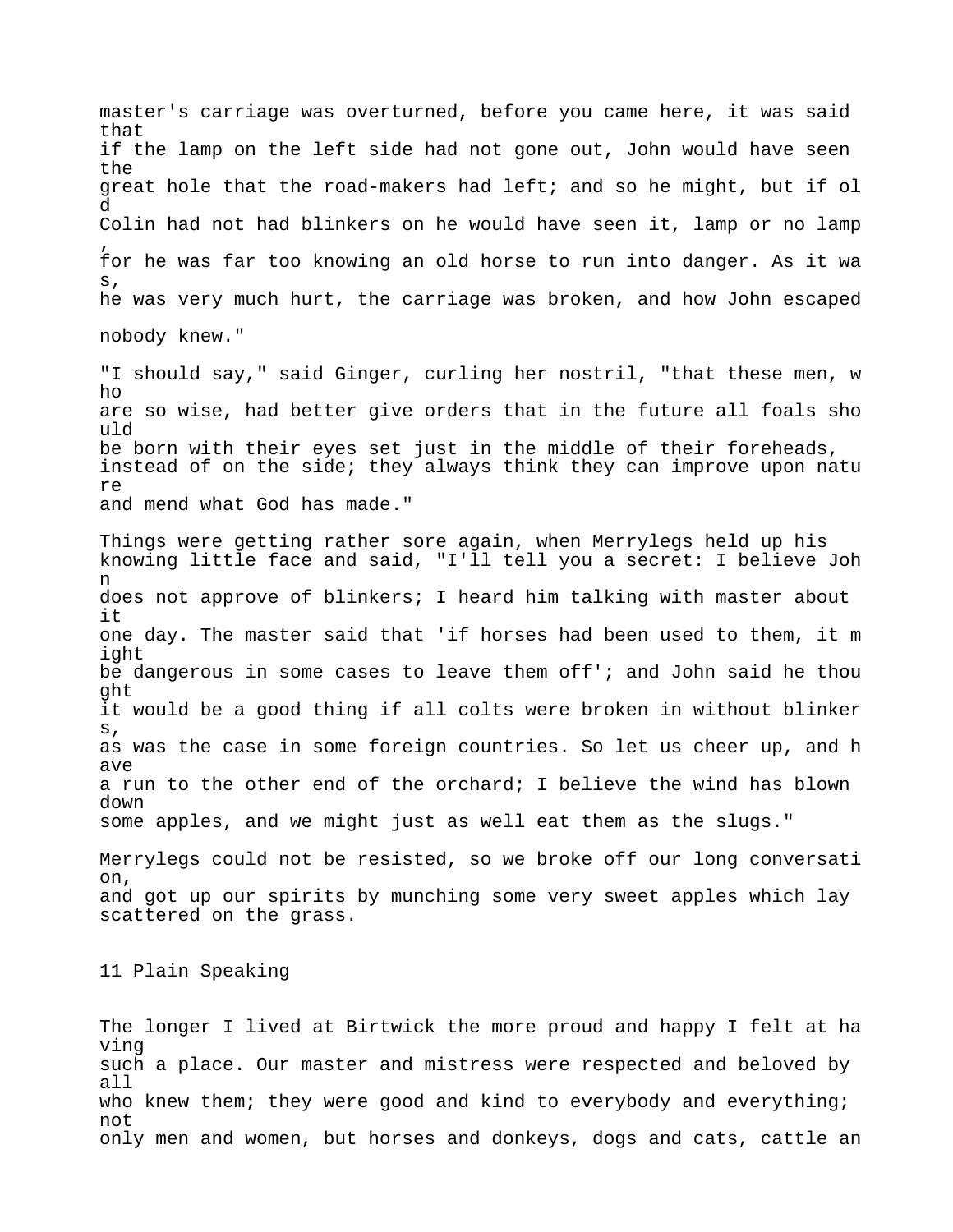master's carriage was overturned, before you came here, it was said that if the lamp on the left side had not gone out, John would have seen the great hole that the road-makers had left; and so he might, but if ol d Colin had not had blinkers on he would have seen it, lamp or no lamp , for he was far too knowing an old horse to run into danger. As it wa s, he was very much hurt, the carriage was broken, and how John escaped nobody knew." "I should say," said Ginger, curling her nostril, "that these men, w ho are so wise, had better give orders that in the future all foals sho uld be born with their eyes set just in the middle of their foreheads, instead of on the side; they always think they can improve upon natu re and mend what God has made." Things were getting rather sore again, when Merrylegs held up his knowing little face and said, "I'll tell you a secret: I believe Joh n does not approve of blinkers; I heard him talking with master about it one day. The master said that 'if horses had been used to them, it m ight be dangerous in some cases to leave them off'; and John said he thou ght it would be a good thing if all colts were broken in without blinker s, as was the case in some foreign countries. So let us cheer up, and h ave a run to the other end of the orchard; I believe the wind has blown down some apples, and we might just as well eat them as the slugs." Merrylegs could not be resisted, so we broke off our long conversati on, and got up our spirits by munching some very sweet apples which lay scattered on the grass. 11 Plain Speaking

The longer I lived at Birtwick the more proud and happy I felt at ha ving such a place. Our master and mistress were respected and beloved by all who knew them; they were good and kind to everybody and everything; not only men and women, but horses and donkeys, dogs and cats, cattle an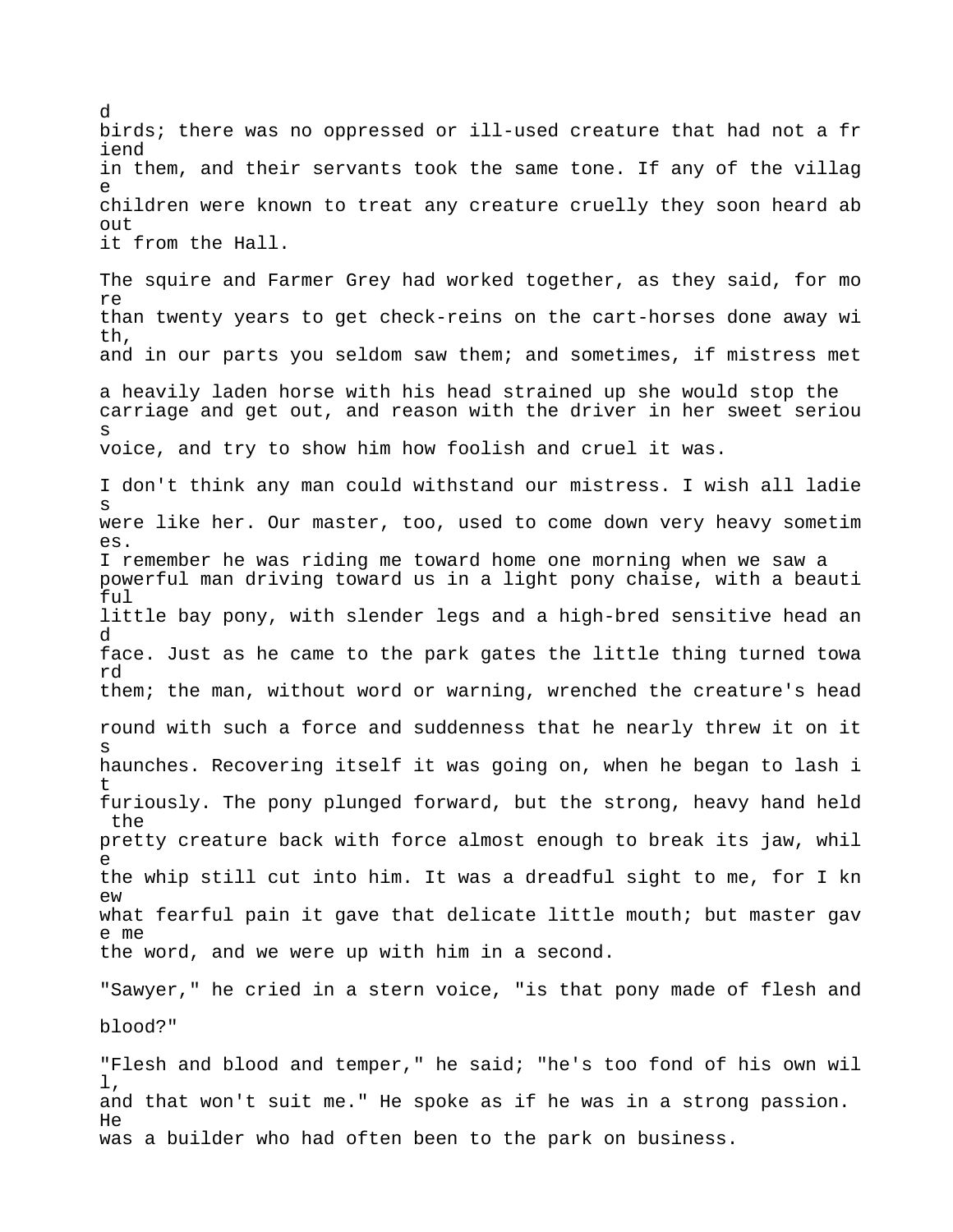birds; there was no oppressed or ill-used creature that had not a fr iend in them, and their servants took the same tone. If any of the villag e children were known to treat any creature cruelly they soon heard ab out it from the Hall. The squire and Farmer Grey had worked together, as they said, for mo re than twenty years to get check-reins on the cart-horses done away wi th, and in our parts you seldom saw them; and sometimes, if mistress met a heavily laden horse with his head strained up she would stop the carriage and get out, and reason with the driver in her sweet seriou s voice, and try to show him how foolish and cruel it was. I don't think any man could withstand our mistress. I wish all ladie s were like her. Our master, too, used to come down very heavy sometim es. I remember he was riding me toward home one morning when we saw a powerful man driving toward us in a light pony chaise, with a beauti ful little bay pony, with slender legs and a high-bred sensitive head an d face. Just as he came to the park gates the little thing turned towa rd them; the man, without word or warning, wrenched the creature's head round with such a force and suddenness that he nearly threw it on it s haunches. Recovering itself it was going on, when he began to lash i t furiously. The pony plunged forward, but the strong, heavy hand held the pretty creature back with force almost enough to break its jaw, whil e the whip still cut into him. It was a dreadful sight to me, for I kn  $PW$ what fearful pain it gave that delicate little mouth; but master gav e me the word, and we were up with him in a second. "Sawyer," he cried in a stern voice, "is that pony made of flesh and blood?"

d

"Flesh and blood and temper," he said; "he's too fond of his own wil l, and that won't suit me." He spoke as if he was in a strong passion. He was a builder who had often been to the park on business.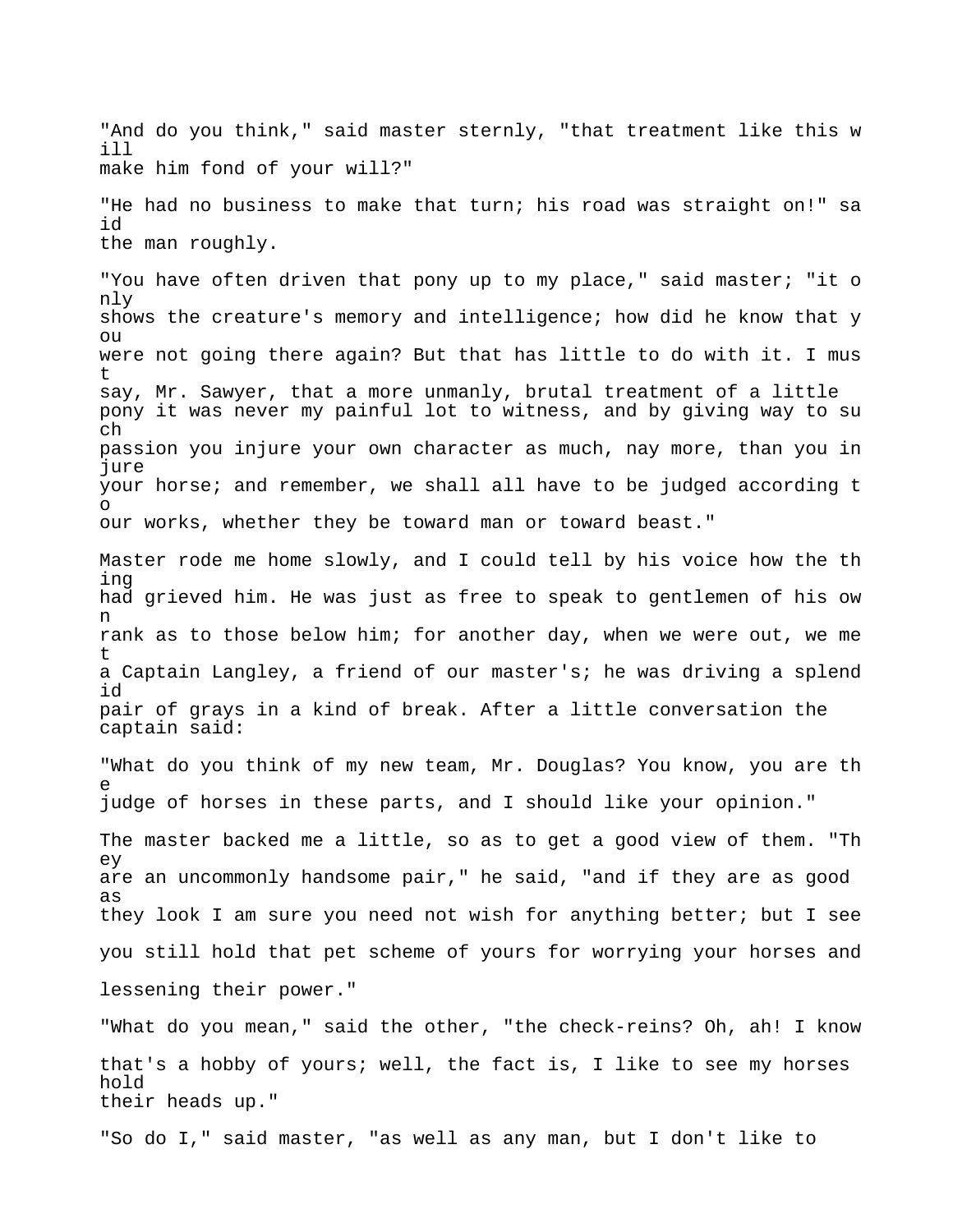"And do you think," said master sternly, "that treatment like this w ill make him fond of your will?" "He had no business to make that turn; his road was straight on!" sa id the man roughly. "You have often driven that pony up to my place," said master; "it o nly shows the creature's memory and intelligence; how did he know that y  $\bigcap$ were not going there again? But that has little to do with it. I mus t say, Mr. Sawyer, that a more unmanly, brutal treatment of a little pony it was never my painful lot to witness, and by giving way to su ch passion you injure your own character as much, nay more, than you in jure your horse; and remember, we shall all have to be judged according t o our works, whether they be toward man or toward beast." Master rode me home slowly, and I could tell by his voice how the th ing had grieved him. He was just as free to speak to gentlemen of his ow n rank as to those below him; for another day, when we were out, we me t a Captain Langley, a friend of our master's; he was driving a splend id pair of grays in a kind of break. After a little conversation the captain said: "What do you think of my new team, Mr. Douglas? You know, you are th e judge of horses in these parts, and I should like your opinion." The master backed me a little, so as to get a good view of them. "Th ey are an uncommonly handsome pair," he said, "and if they are as good as they look I am sure you need not wish for anything better; but I see you still hold that pet scheme of yours for worrying your horses and lessening their power." "What do you mean," said the other, "the check-reins? Oh, ah! I know that's a hobby of yours; well, the fact is, I like to see my horses hold their heads up." "So do I," said master, "as well as any man, but I don't like to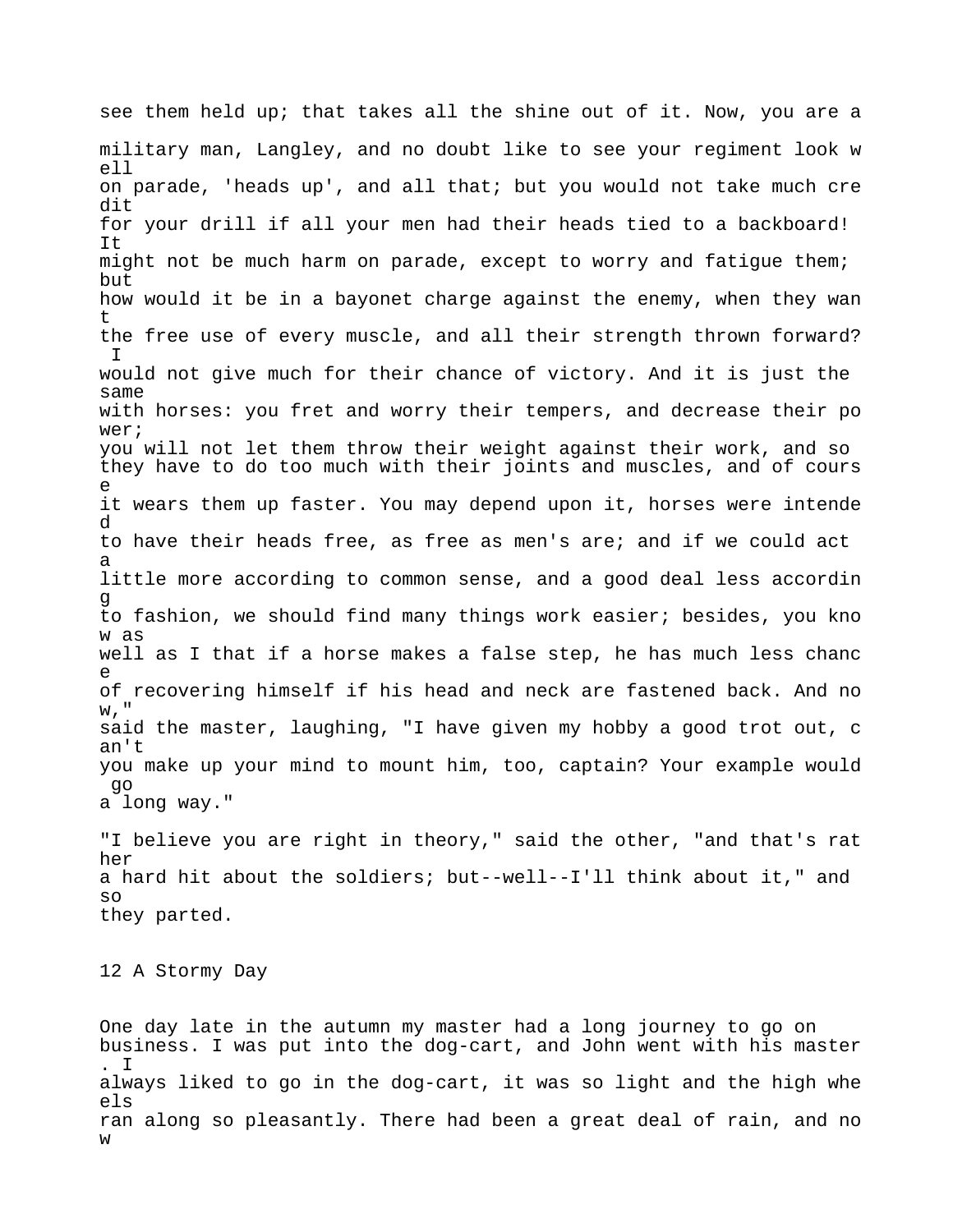see them held up; that takes all the shine out of it. Now, you are a military man, Langley, and no doubt like to see your regiment look w ell on parade, 'heads up', and all that; but you would not take much cre dit for your drill if all your men had their heads tied to a backboard! It might not be much harm on parade, except to worry and fatigue them; but how would it be in a bayonet charge against the enemy, when they wan t the free use of every muscle, and all their strength thrown forward? I would not give much for their chance of victory. And it is just the same with horses: you fret and worry their tempers, and decrease their po wer; you will not let them throw their weight against their work, and so they have to do too much with their joints and muscles, and of cours e it wears them up faster. You may depend upon it, horses were intende d to have their heads free, as free as men's are; and if we could act a little more according to common sense, and a good deal less accordin g to fashion, we should find many things work easier; besides, you kno w as well as I that if a horse makes a false step, he has much less chanc e of recovering himself if his head and neck are fastened back. And no w," said the master, laughing, "I have given my hobby a good trot out, c an't you make up your mind to mount him, too, captain? Your example would go a long way." "I believe you are right in theory," said the other, "and that's rat her a hard hit about the soldiers; but--well--I'll think about it," and so they parted. 12 A Stormy Day

One day late in the autumn my master had a long journey to go on business. I was put into the dog-cart, and John went with his master . I always liked to go in the dog-cart, it was so light and the high whe els ran along so pleasantly. There had been a great deal of rain, and no w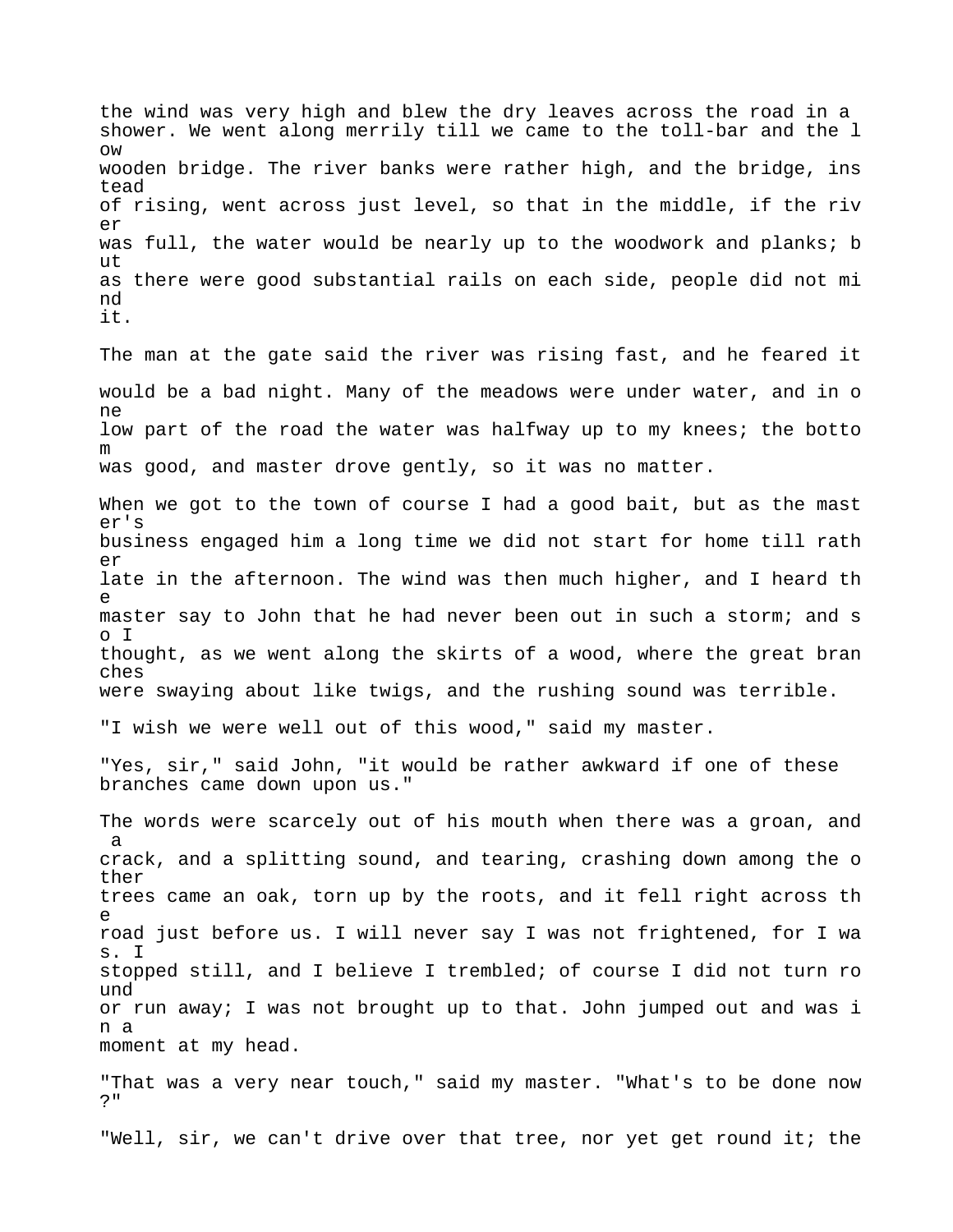the wind was very high and blew the dry leaves across the road in a shower. We went along merrily till we came to the toll-bar and the l ow wooden bridge. The river banks were rather high, and the bridge, ins tead of rising, went across just level, so that in the middle, if the riv er was full, the water would be nearly up to the woodwork and planks; b ut as there were good substantial rails on each side, people did not mi nd it.

The man at the gate said the river was rising fast, and he feared it would be a bad night. Many of the meadows were under water, and in o ne low part of the road the water was halfway up to my knees; the botto m was good, and master drove gently, so it was no matter.

When we got to the town of course I had a good bait, but as the mast er's business engaged him a long time we did not start for home till rath  $\rho r$ late in the afternoon. The wind was then much higher, and I heard th e master say to John that he had never been out in such a storm; and s o I thought, as we went along the skirts of a wood, where the great bran ches were swaying about like twigs, and the rushing sound was terrible.

"I wish we were well out of this wood," said my master.

"Yes, sir," said John, "it would be rather awkward if one of these branches came down upon us."

The words were scarcely out of his mouth when there was a groan, and a crack, and a splitting sound, and tearing, crashing down among the o ther trees came an oak, torn up by the roots, and it fell right across th e road just before us. I will never say I was not frightened, for I wa s. I stopped still, and I believe I trembled; of course I did not turn ro und or run away; I was not brought up to that. John jumped out and was i n a moment at my head.

"That was a very near touch," said my master. "What's to be done now ?"

"Well, sir, we can't drive over that tree, nor yet get round it; the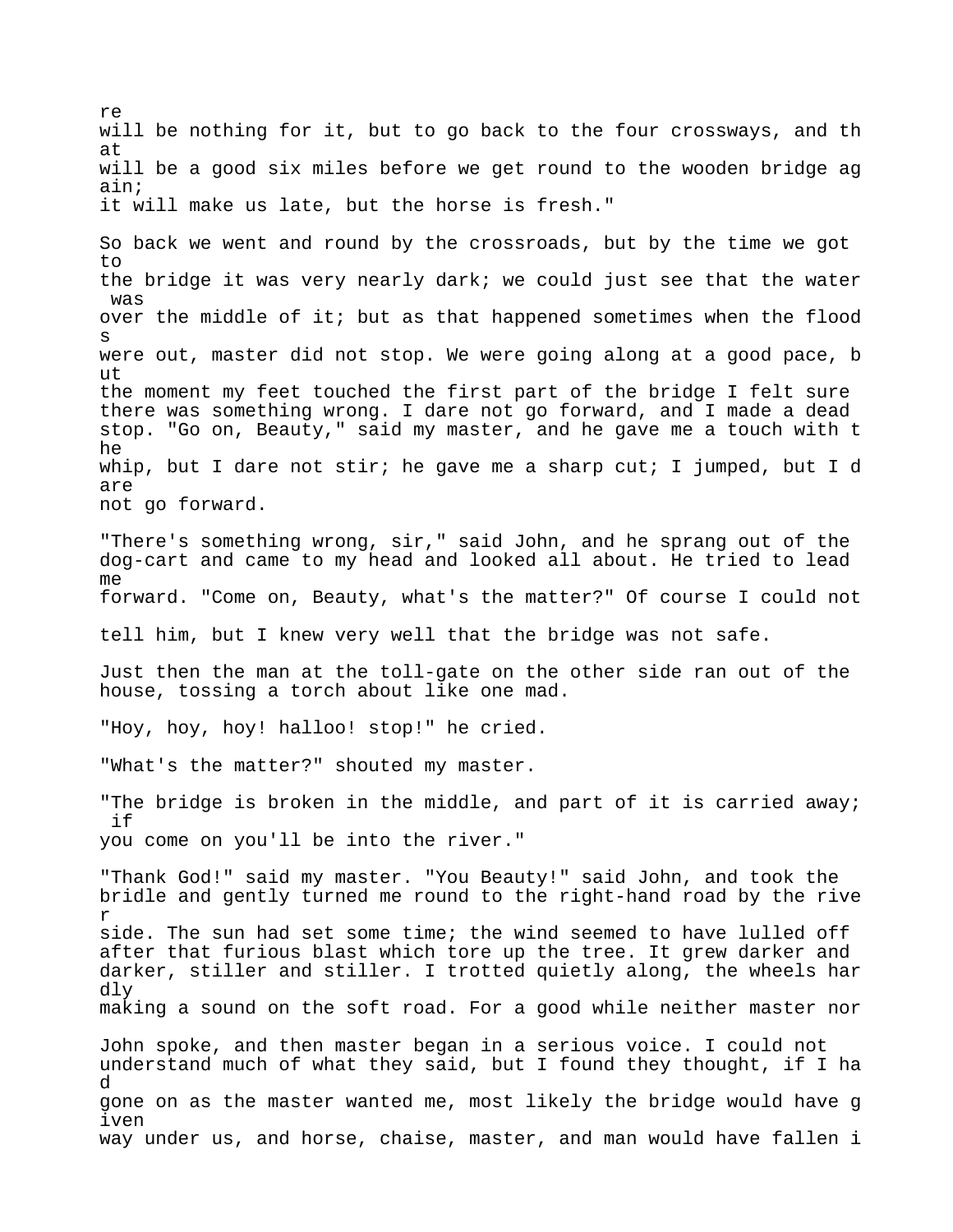re will be nothing for it, but to go back to the four crossways, and th at will be a good six miles before we get round to the wooden bridge ag ain; it will make us late, but the horse is fresh." So back we went and round by the crossroads, but by the time we got to the bridge it was very nearly dark; we could just see that the water was over the middle of it; but as that happened sometimes when the flood s were out, master did not stop. We were going along at a good pace, b ut the moment my feet touched the first part of the bridge I felt sure there was something wrong. I dare not go forward, and I made a dead stop. "Go on, Beauty," said my master, and he gave me a touch with t he whip, but I dare not stir; he gave me a sharp cut; I jumped, but I d are not go forward. "There's something wrong, sir," said John, and he sprang out of the dog-cart and came to my head and looked all about. He tried to lead me forward. "Come on, Beauty, what's the matter?" Of course I could not tell him, but I knew very well that the bridge was not safe. Just then the man at the toll-gate on the other side ran out of the house, tossing a torch about like one mad. "Hoy, hoy, hoy! halloo! stop!" he cried. "What's the matter?" shouted my master. "The bridge is broken in the middle, and part of it is carried away; if you come on you'll be into the river." "Thank God!" said my master. "You Beauty!" said John, and took the bridle and gently turned me round to the right-hand road by the rive r side. The sun had set some time; the wind seemed to have lulled off after that furious blast which tore up the tree. It grew darker and darker, stiller and stiller. I trotted quietly along, the wheels har dly making a sound on the soft road. For a good while neither master nor John spoke, and then master began in a serious voice. I could not understand much of what they said, but I found they thought, if I ha d gone on as the master wanted me, most likely the bridge would have g iven way under us, and horse, chaise, master, and man would have fallen i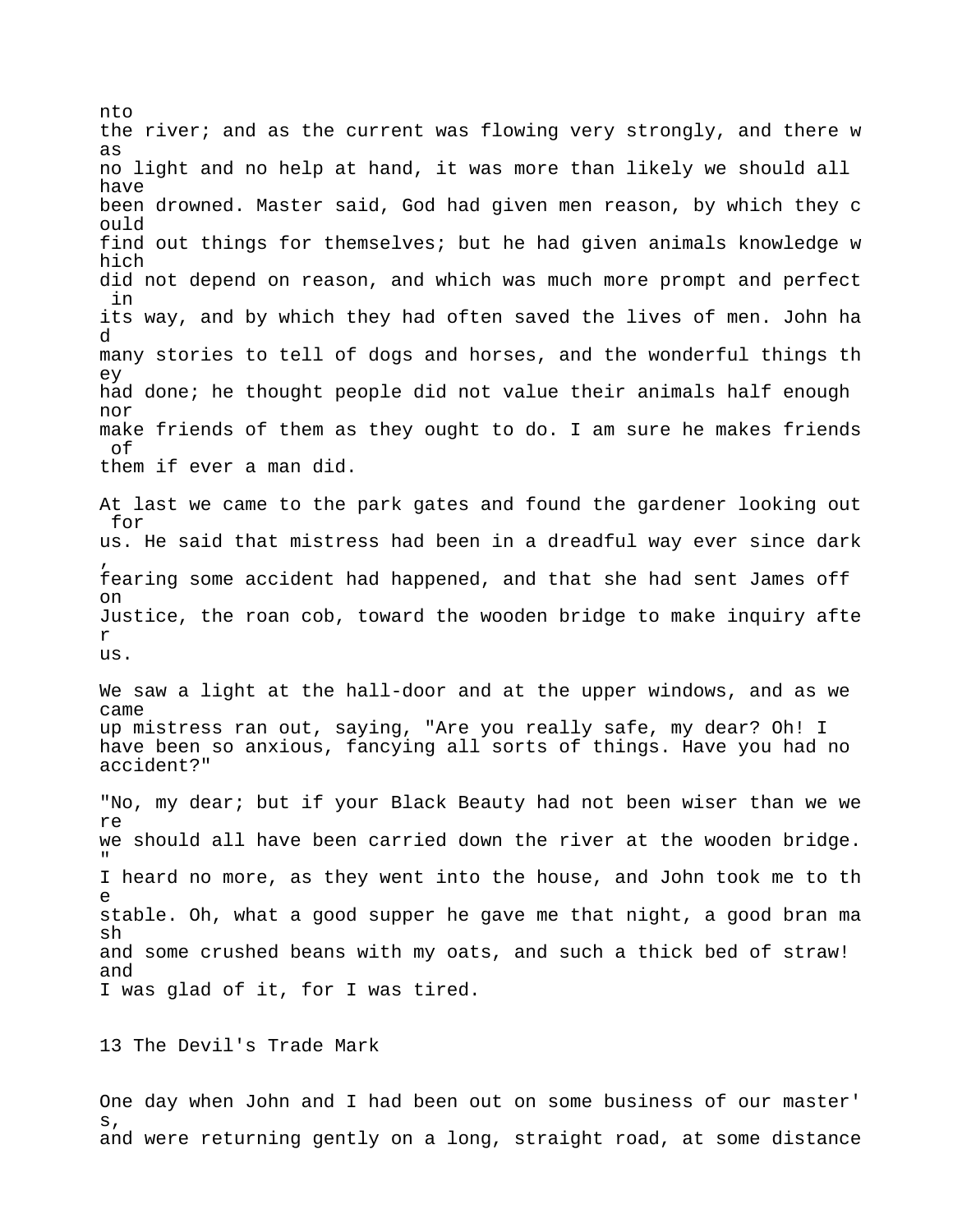nto the river; and as the current was flowing very strongly, and there w as no light and no help at hand, it was more than likely we should all have been drowned. Master said, God had given men reason, by which they c ould find out things for themselves; but he had given animals knowledge w hich did not depend on reason, and which was much more prompt and perfect in its way, and by which they had often saved the lives of men. John ha d many stories to tell of dogs and horses, and the wonderful things th ey had done; he thought people did not value their animals half enough nor make friends of them as they ought to do. I am sure he makes friends of them if ever a man did. At last we came to the park gates and found the gardener looking out for us. He said that mistress had been in a dreadful way ever since dark , fearing some accident had happened, and that she had sent James off on Justice, the roan cob, toward the wooden bridge to make inquiry afte r us. We saw a light at the hall-door and at the upper windows, and as we came up mistress ran out, saying, "Are you really safe, my dear? Oh! I have been so anxious, fancying all sorts of things. Have you had no accident?" "No, my dear; but if your Black Beauty had not been wiser than we we re we should all have been carried down the river at the wooden bridge. " I heard no more, as they went into the house, and John took me to th e stable. Oh, what a good supper he gave me that night, a good bran ma sh and some crushed beans with my oats, and such a thick bed of straw! and I was glad of it, for I was tired.

13 The Devil's Trade Mark

One day when John and I had been out on some business of our master' s, and were returning gently on a long, straight road, at some distance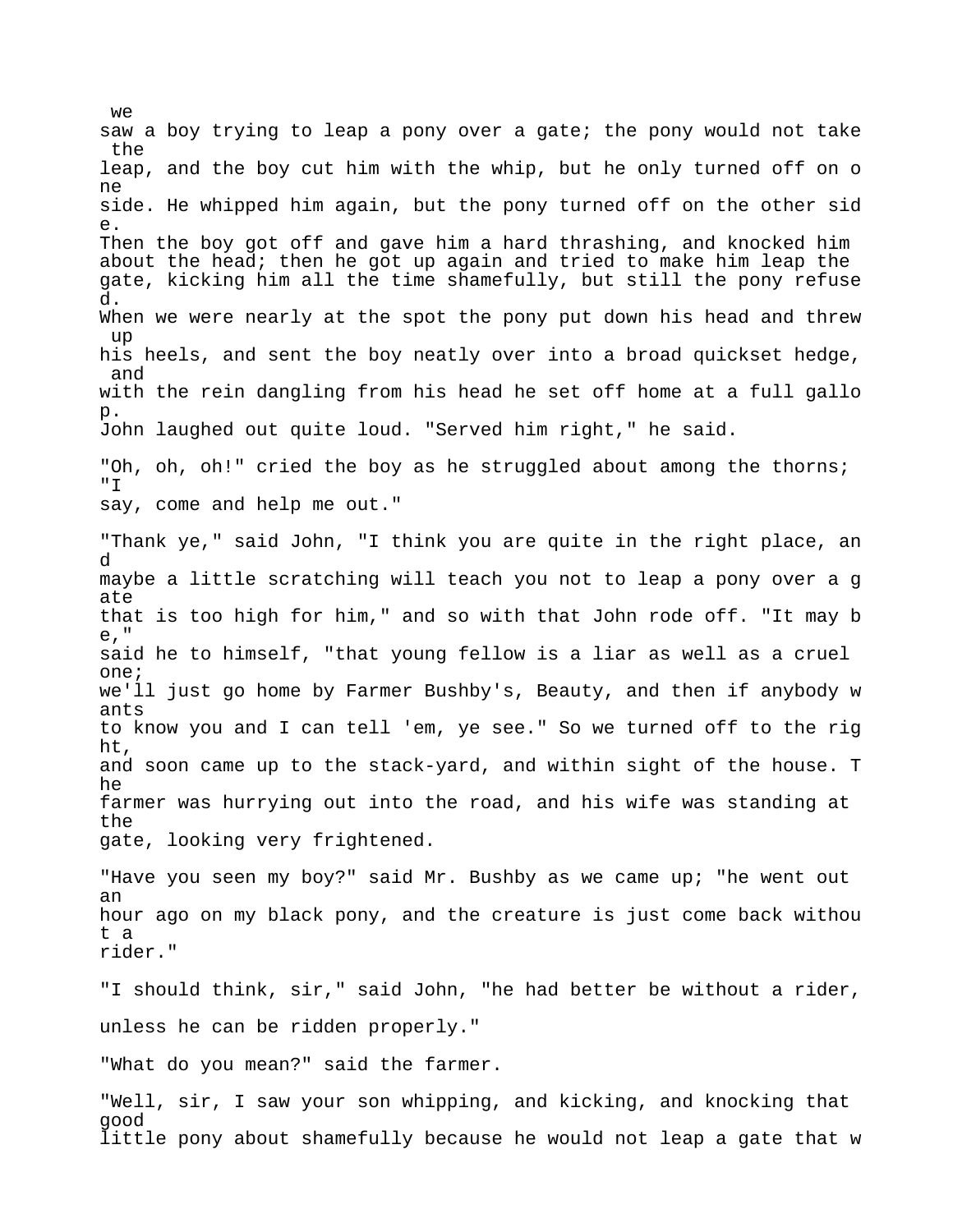we saw a boy trying to leap a pony over a gate; the pony would not take the leap, and the boy cut him with the whip, but he only turned off on o ne side. He whipped him again, but the pony turned off on the other sid e. Then the boy got off and gave him a hard thrashing, and knocked him about the head; then he got up again and tried to make him leap the gate, kicking him all the time shamefully, but still the pony refuse d. When we were nearly at the spot the pony put down his head and threw up his heels, and sent the boy neatly over into a broad quickset hedge, and with the rein dangling from his head he set off home at a full gallo p. John laughed out quite loud. "Served him right," he said. "Oh, oh, oh!" cried the boy as he struggled about among the thorns; "T say, come and help me out." "Thank ye," said John, "I think you are quite in the right place, an d maybe a little scratching will teach you not to leap a pony over a g ate that is too high for him," and so with that John rode off. "It may b e," said he to himself, "that young fellow is a liar as well as a cruel one; we'll just go home by Farmer Bushby's, Beauty, and then if anybody w ants to know you and I can tell 'em, ye see." So we turned off to the rig ht, and soon came up to the stack-yard, and within sight of the house. T he farmer was hurrying out into the road, and his wife was standing at the gate, looking very frightened. "Have you seen my boy?" said Mr. Bushby as we came up; "he went out an hour ago on my black pony, and the creature is just come back withou t a rider." "I should think, sir," said John, "he had better be without a rider, unless he can be ridden properly." "What do you mean?" said the farmer.

"Well, sir, I saw your son whipping, and kicking, and knocking that good little pony about shamefully because he would not leap a gate that w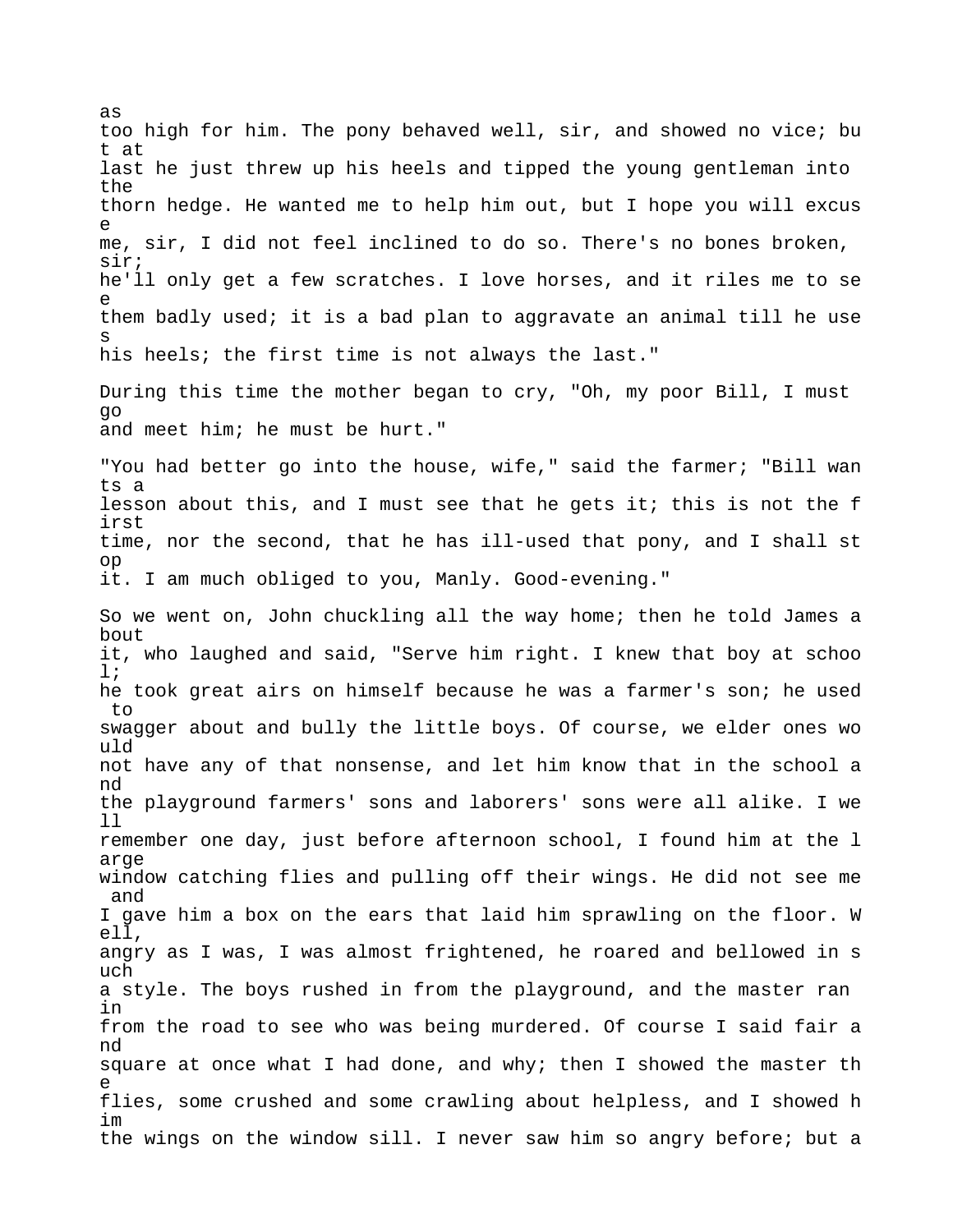too high for him. The pony behaved well, sir, and showed no vice; bu t at last he just threw up his heels and tipped the young gentleman into the thorn hedge. He wanted me to help him out, but I hope you will excus e me, sir, I did not feel inclined to do so. There's no bones broken, sir; he'll only get a few scratches. I love horses, and it riles me to se e them badly used; it is a bad plan to aggravate an animal till he use s his heels; the first time is not always the last." During this time the mother began to cry, "Oh, my poor Bill, I must go and meet him; he must be hurt." "You had better go into the house, wife," said the farmer; "Bill wan ts a lesson about this, and I must see that he gets it; this is not the f irst time, nor the second, that he has ill-used that pony, and I shall st op it. I am much obliged to you, Manly. Good-evening." So we went on, John chuckling all the way home; then he told James a bout it, who laughed and said, "Serve him right. I knew that boy at schoo l; he took great airs on himself because he was a farmer's son; he used to swagger about and bully the little boys. Of course, we elder ones wo uld not have any of that nonsense, and let him know that in the school a nd the playground farmers' sons and laborers' sons were all alike. I we ll remember one day, just before afternoon school, I found him at the l arge window catching flies and pulling off their wings. He did not see me and I gave him a box on the ears that laid him sprawling on the floor. W ell, angry as I was, I was almost frightened, he roared and bellowed in s uch a style. The boys rushed in from the playground, and the master ran in from the road to see who was being murdered. Of course I said fair a nd square at once what I had done, and why; then I showed the master th e flies, some crushed and some crawling about helpless, and I showed h im the wings on the window sill. I never saw him so angry before; but a

as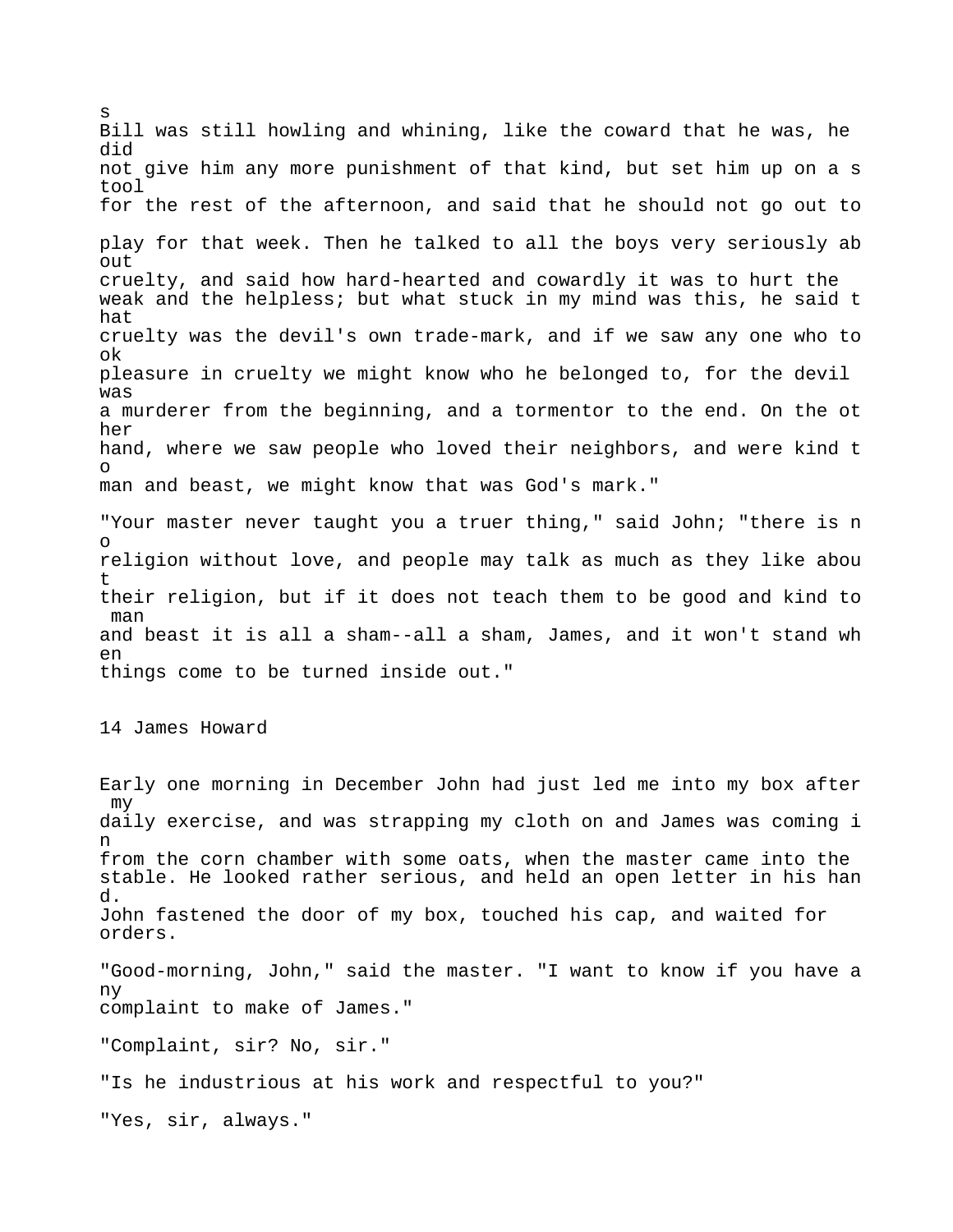s Bill was still howling and whining, like the coward that he was, he did not give him any more punishment of that kind, but set him up on a s tool for the rest of the afternoon, and said that he should not go out to play for that week. Then he talked to all the boys very seriously ab out cruelty, and said how hard-hearted and cowardly it was to hurt the weak and the helpless; but what stuck in my mind was this, he said t hat cruelty was the devil's own trade-mark, and if we saw any one who to ok pleasure in cruelty we might know who he belonged to, for the devil was a murderer from the beginning, and a tormentor to the end. On the ot her hand, where we saw people who loved their neighbors, and were kind t o man and beast, we might know that was God's mark." "Your master never taught you a truer thing," said John; "there is n o religion without love, and people may talk as much as they like abou t their religion, but if it does not teach them to be good and kind to man and beast it is all a sham--all a sham, James, and it won't stand wh en things come to be turned inside out." 14 James Howard Early one morning in December John had just led me into my box after my daily exercise, and was strapping my cloth on and James was coming i n from the corn chamber with some oats, when the master came into the stable. He looked rather serious, and held an open letter in his han d. John fastened the door of my box, touched his cap, and waited for orders. "Good-morning, John," said the master. "I want to know if you have a ny complaint to make of James." "Complaint, sir? No, sir." "Is he industrious at his work and respectful to you?" "Yes, sir, always."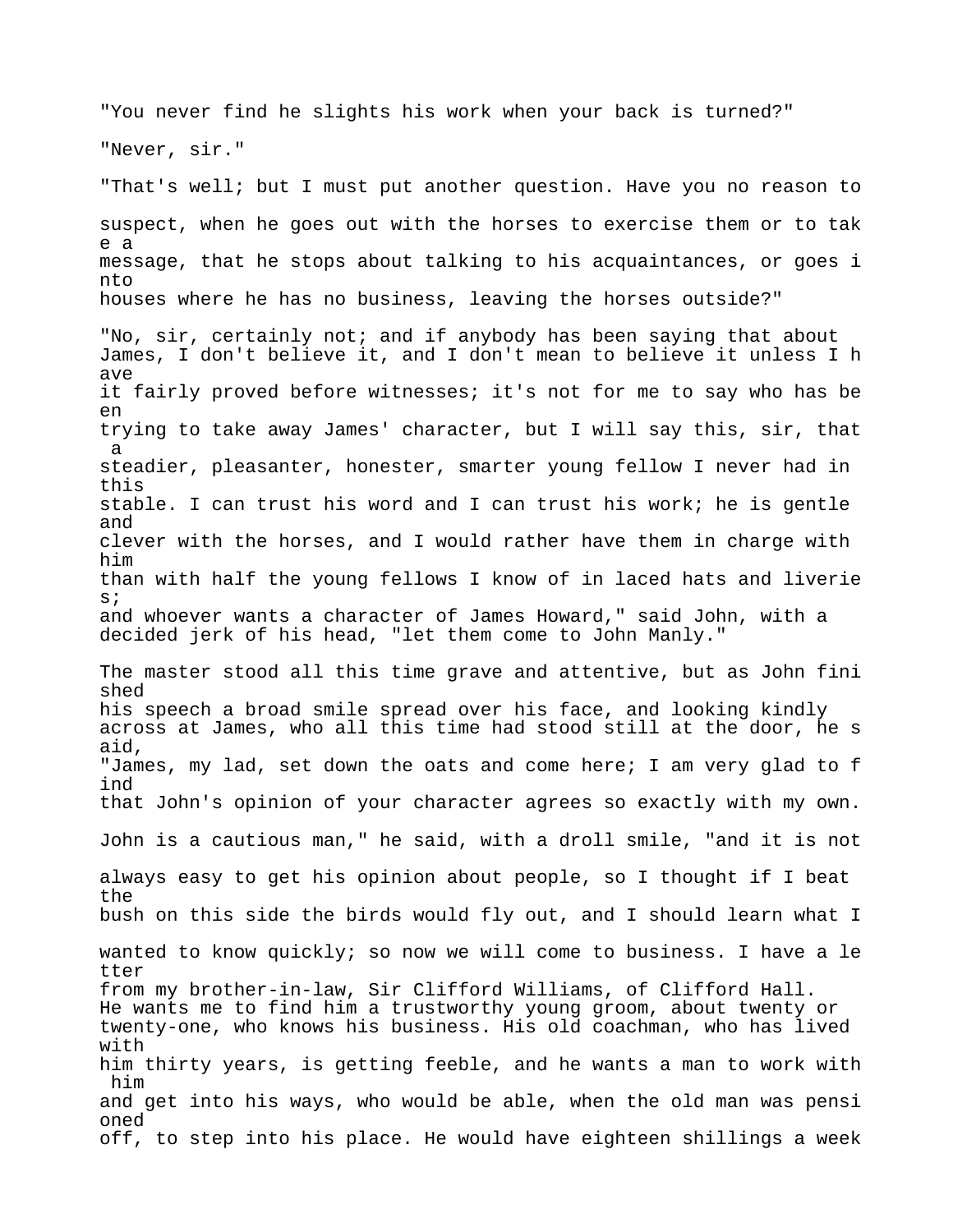"You never find he slights his work when your back is turned?" "Never, sir." "That's well; but I must put another question. Have you no reason to suspect, when he goes out with the horses to exercise them or to tak e a message, that he stops about talking to his acquaintances, or goes i nto houses where he has no business, leaving the horses outside?" "No, sir, certainly not; and if anybody has been saying that about James, I don't believe it, and I don't mean to believe it unless I h ave it fairly proved before witnesses; it's not for me to say who has be en trying to take away James' character, but I will say this, sir, that a steadier, pleasanter, honester, smarter young fellow I never had in this stable. I can trust his word and I can trust his work; he is gentle and clever with the horses, and I would rather have them in charge with him than with half the young fellows I know of in laced hats and liverie s; and whoever wants a character of James Howard," said John, with a decided jerk of his head, "let them come to John Manly." The master stood all this time grave and attentive, but as John fini shed his speech a broad smile spread over his face, and looking kindly across at James, who all this time had stood still at the door, he s aid, "James, my lad, set down the oats and come here; I am very glad to f ind that John's opinion of your character agrees so exactly with my own. John is a cautious man," he said, with a droll smile, "and it is not always easy to get his opinion about people, so I thought if I beat the bush on this side the birds would fly out, and I should learn what I wanted to know quickly; so now we will come to business. I have a le tter from my brother-in-law, Sir Clifford Williams, of Clifford Hall. He wants me to find him a trustworthy young groom, about twenty or twenty-one, who knows his business. His old coachman, who has lived with him thirty years, is getting feeble, and he wants a man to work with him and get into his ways, who would be able, when the old man was pensi oned off, to step into his place. He would have eighteen shillings a week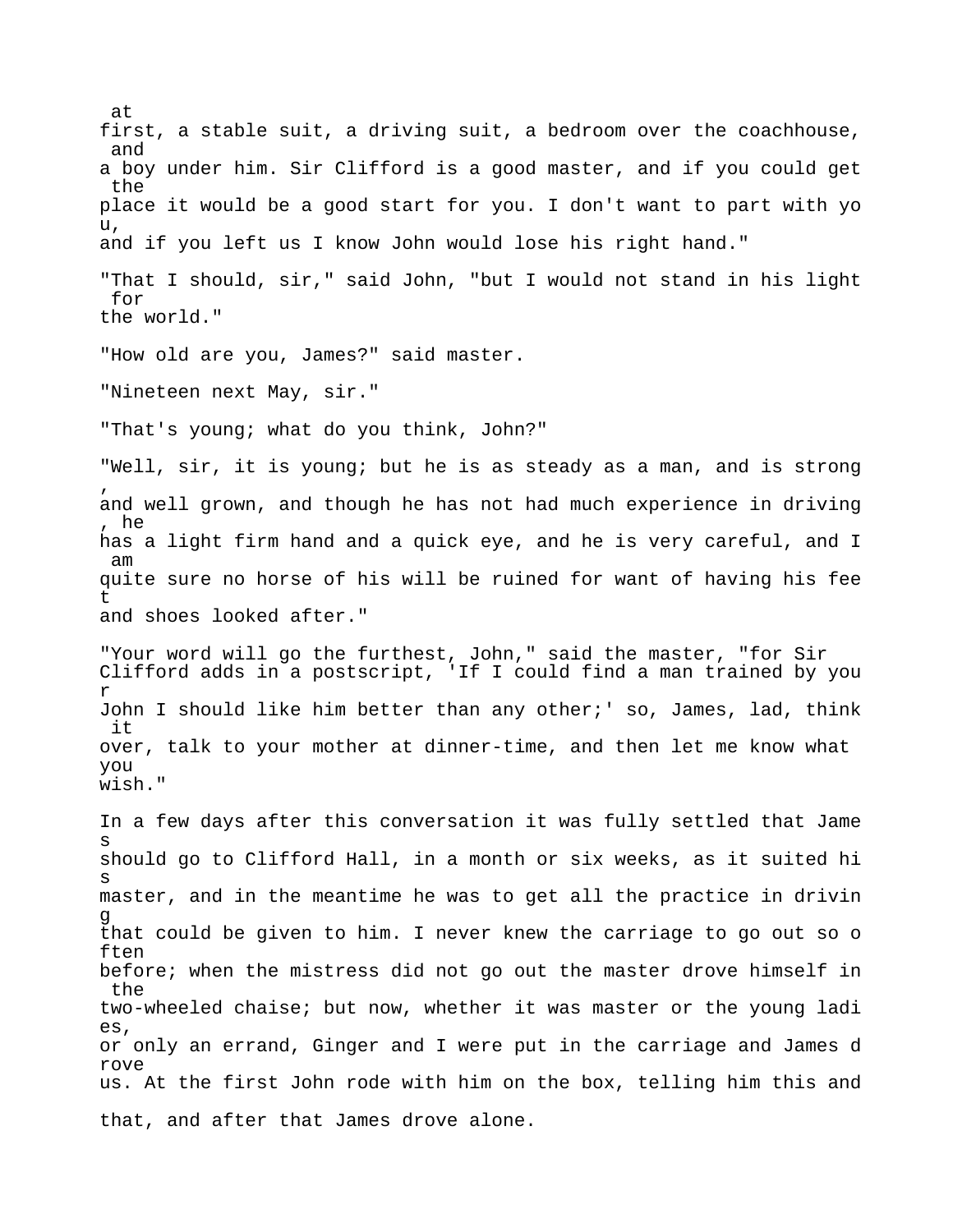at first, a stable suit, a driving suit, a bedroom over the coachhouse, and a boy under him. Sir Clifford is a good master, and if you could get the place it would be a good start for you. I don't want to part with yo u, and if you left us I know John would lose his right hand." "That I should, sir," said John, "but I would not stand in his light for the world." "How old are you, James?" said master. "Nineteen next May, sir." "That's young; what do you think, John?" "Well, sir, it is young; but he is as steady as a man, and is strong , and well grown, and though he has not had much experience in driving , he has a light firm hand and a quick eye, and he is very careful, and I am quite sure no horse of his will be ruined for want of having his fee t and shoes looked after." "Your word will go the furthest, John," said the master, "for Sir Clifford adds in a postscript, 'If I could find a man trained by you r John I should like him better than any other;' so, James, lad, think it over, talk to your mother at dinner-time, and then let me know what you wish." In a few days after this conversation it was fully settled that Jame s should go to Clifford Hall, in a month or six weeks, as it suited hi s master, and in the meantime he was to get all the practice in drivin g that could be given to him. I never knew the carriage to go out so o ften before; when the mistress did not go out the master drove himself in the two-wheeled chaise; but now, whether it was master or the young ladi es, or only an errand, Ginger and I were put in the carriage and James d rove us. At the first John rode with him on the box, telling him this and that, and after that James drove alone.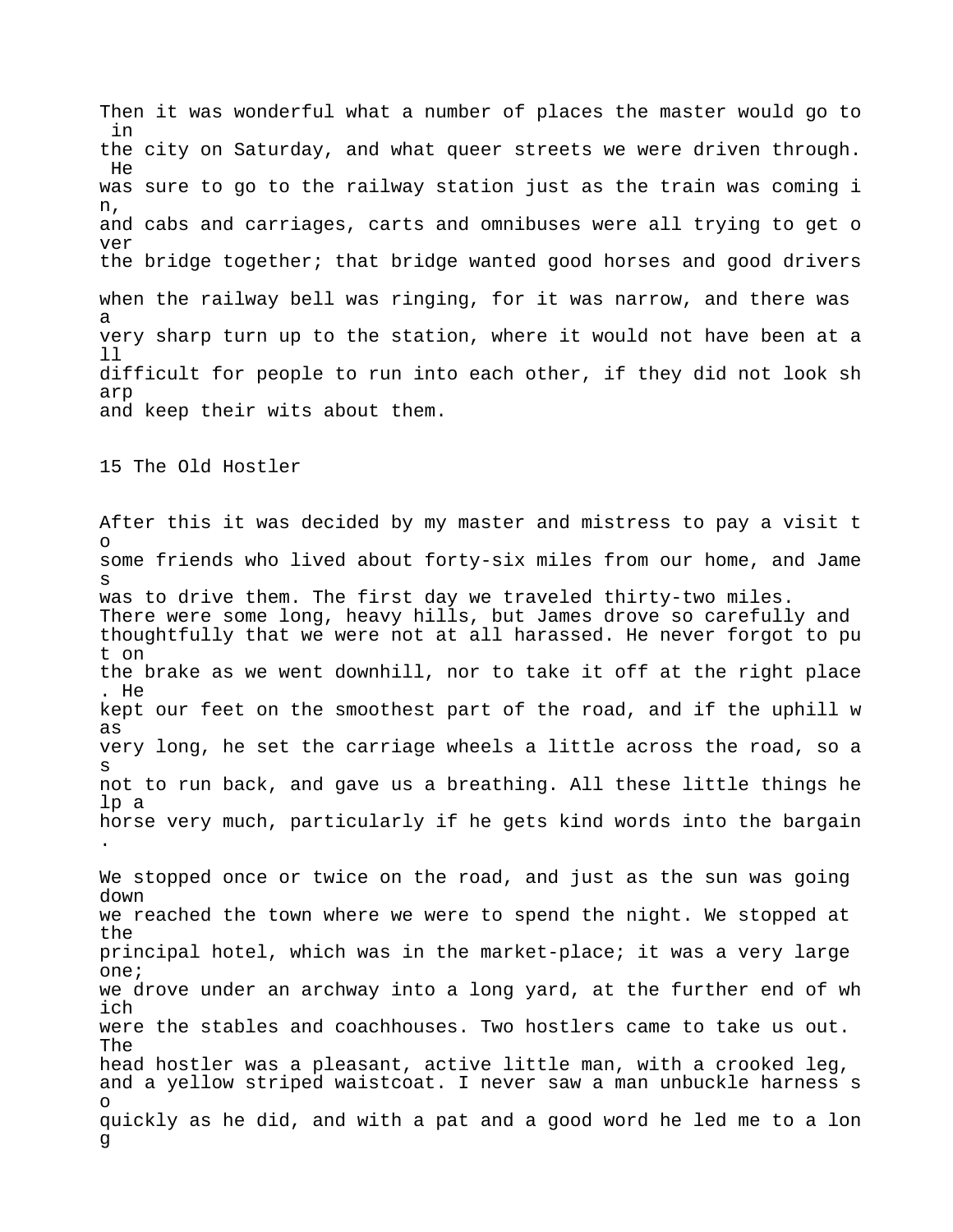Then it was wonderful what a number of places the master would go to in the city on Saturday, and what queer streets we were driven through. He was sure to go to the railway station just as the train was coming i n, and cabs and carriages, carts and omnibuses were all trying to get o ver the bridge together; that bridge wanted good horses and good drivers when the railway bell was ringing, for it was narrow, and there was a very sharp turn up to the station, where it would not have been at a ll difficult for people to run into each other, if they did not look sh arp and keep their wits about them.

15 The Old Hostler

After this it was decided by my master and mistress to pay a visit t o some friends who lived about forty-six miles from our home, and Jame s was to drive them. The first day we traveled thirty-two miles. There were some long, heavy hills, but James drove so carefully and thoughtfully that we were not at all harassed. He never forgot to pu t on the brake as we went downhill, nor to take it off at the right place . He kept our feet on the smoothest part of the road, and if the uphill w as very long, he set the carriage wheels a little across the road, so a s not to run back, and gave us a breathing. All these little things he lp a horse very much, particularly if he gets kind words into the bargain .

We stopped once or twice on the road, and just as the sun was going down we reached the town where we were to spend the night. We stopped at the principal hotel, which was in the market-place; it was a very large one; we drove under an archway into a long yard, at the further end of wh ich were the stables and coachhouses. Two hostlers came to take us out. The head hostler was a pleasant, active little man, with a crooked leg, and a yellow striped waistcoat. I never saw a man unbuckle harness s o quickly as he did, and with a pat and a good word he led me to a lon g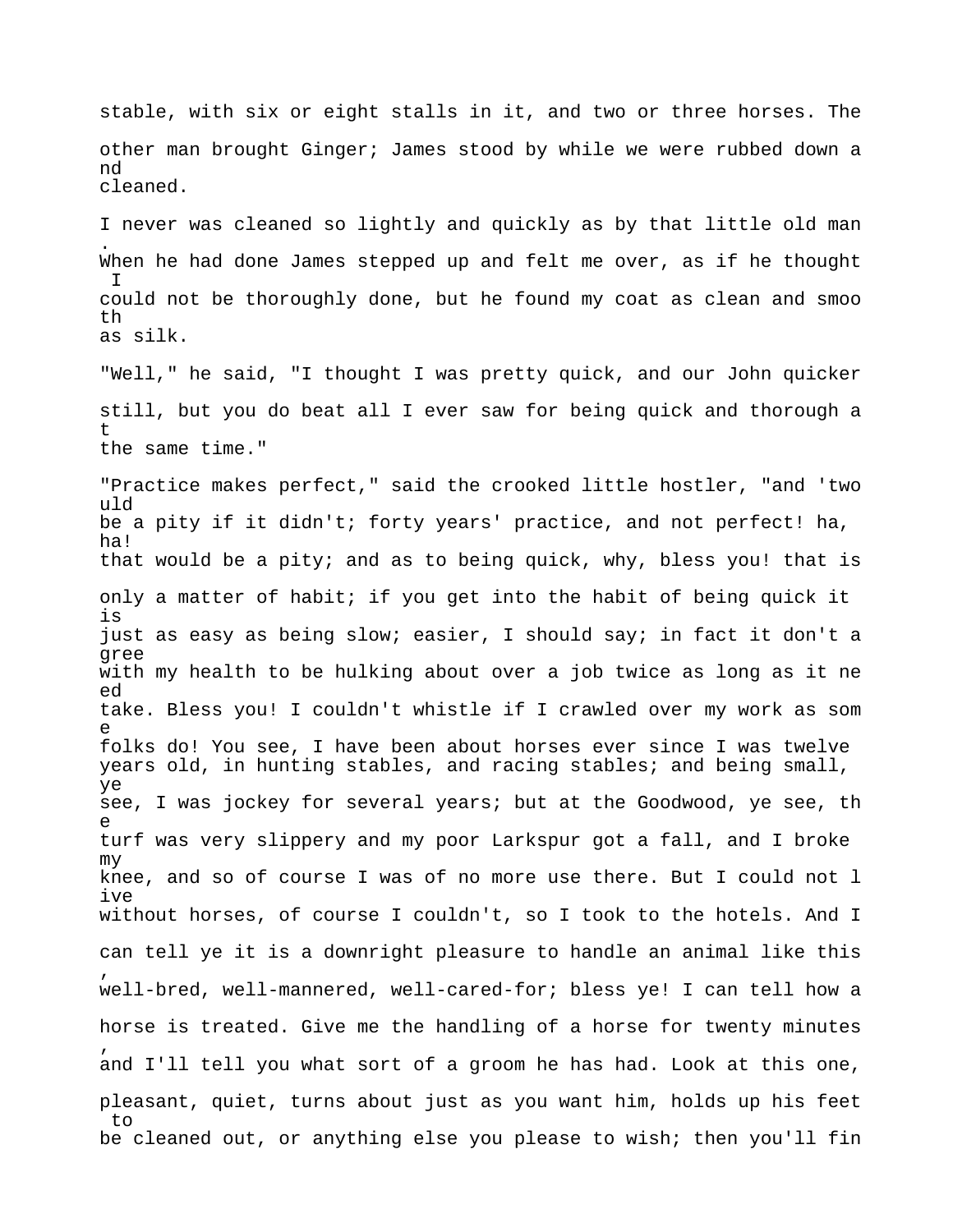stable, with six or eight stalls in it, and two or three horses. The other man brought Ginger; James stood by while we were rubbed down a nd cleaned. I never was cleaned so lightly and quickly as by that little old man . When he had done James stepped up and felt me over, as if he thought  $\top$ could not be thoroughly done, but he found my coat as clean and smoo th as silk. "Well," he said, "I thought I was pretty quick, and our John quicker still, but you do beat all I ever saw for being quick and thorough a t the same time." "Practice makes perfect," said the crooked little hostler, "and 'two uld be a pity if it didn't; forty years' practice, and not perfect! ha, ha! that would be a pity; and as to being quick, why, bless you! that is only a matter of habit; if you get into the habit of being quick it is just as easy as being slow; easier, I should say; in fact it don't a gree with my health to be hulking about over a job twice as long as it ne ed take. Bless you! I couldn't whistle if I crawled over my work as som e folks do! You see, I have been about horses ever since I was twelve years old, in hunting stables, and racing stables; and being small, ye see, I was jockey for several years; but at the Goodwood, ye see, th e turf was very slippery and my poor Larkspur got a fall, and I broke my knee, and so of course I was of no more use there. But I could not l ive without horses, of course I couldn't, so I took to the hotels. And I can tell ye it is a downright pleasure to handle an animal like this , well-bred, well-mannered, well-cared-for; bless ye! I can tell how a horse is treated. Give me the handling of a horse for twenty minutes , and I'll tell you what sort of a groom he has had. Look at this one, pleasant, quiet, turns about just as you want him, holds up his feet to be cleaned out, or anything else you please to wish; then you'll fin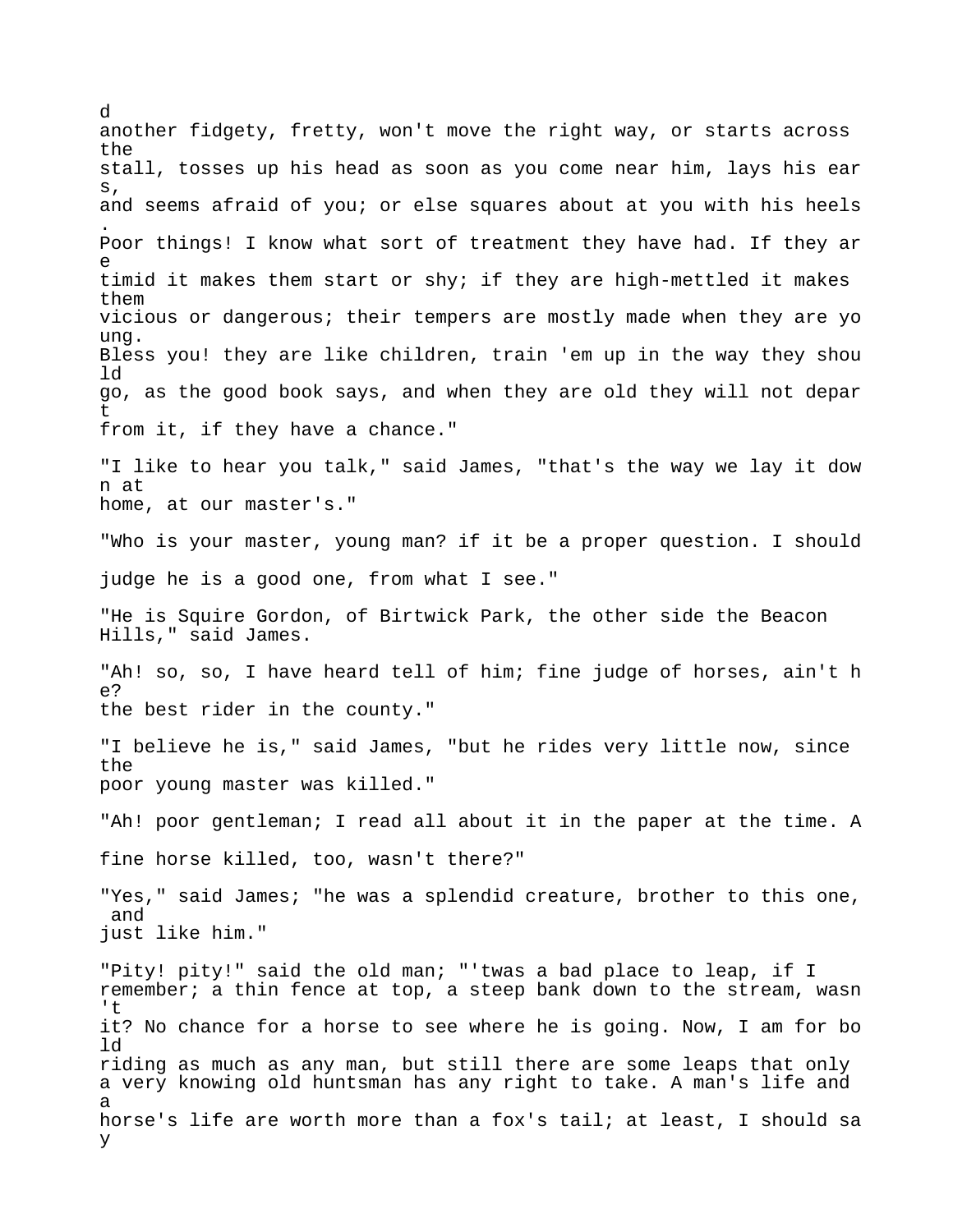d another fidgety, fretty, won't move the right way, or starts across the stall, tosses up his head as soon as you come near him, lays his ear s, and seems afraid of you; or else squares about at you with his heels . Poor things! I know what sort of treatment they have had. If they ar e timid it makes them start or shy; if they are high-mettled it makes them vicious or dangerous; their tempers are mostly made when they are yo ung. Bless you! they are like children, train 'em up in the way they shou ld go, as the good book says, and when they are old they will not depar t from it, if they have a chance." "I like to hear you talk," said James, "that's the way we lay it dow n at home, at our master's." "Who is your master, young man? if it be a proper question. I should judge he is a good one, from what I see." "He is Squire Gordon, of Birtwick Park, the other side the Beacon Hills," said James. "Ah! so, so, I have heard tell of him; fine judge of horses, ain't h  $\cap$ the best rider in the county." "I believe he is," said James, "but he rides very little now, since the poor young master was killed." "Ah! poor gentleman; I read all about it in the paper at the time. A fine horse killed, too, wasn't there?" "Yes," said James; "he was a splendid creature, brother to this one, and just like him." "Pity! pity!" said the old man; "'twas a bad place to leap, if I remember; a thin fence at top, a steep bank down to the stream, wasn 't it? No chance for a horse to see where he is going. Now, I am for bo ld riding as much as any man, but still there are some leaps that only a very knowing old huntsman has any right to take. A man's life and a horse's life are worth more than a fox's tail; at least, I should sa y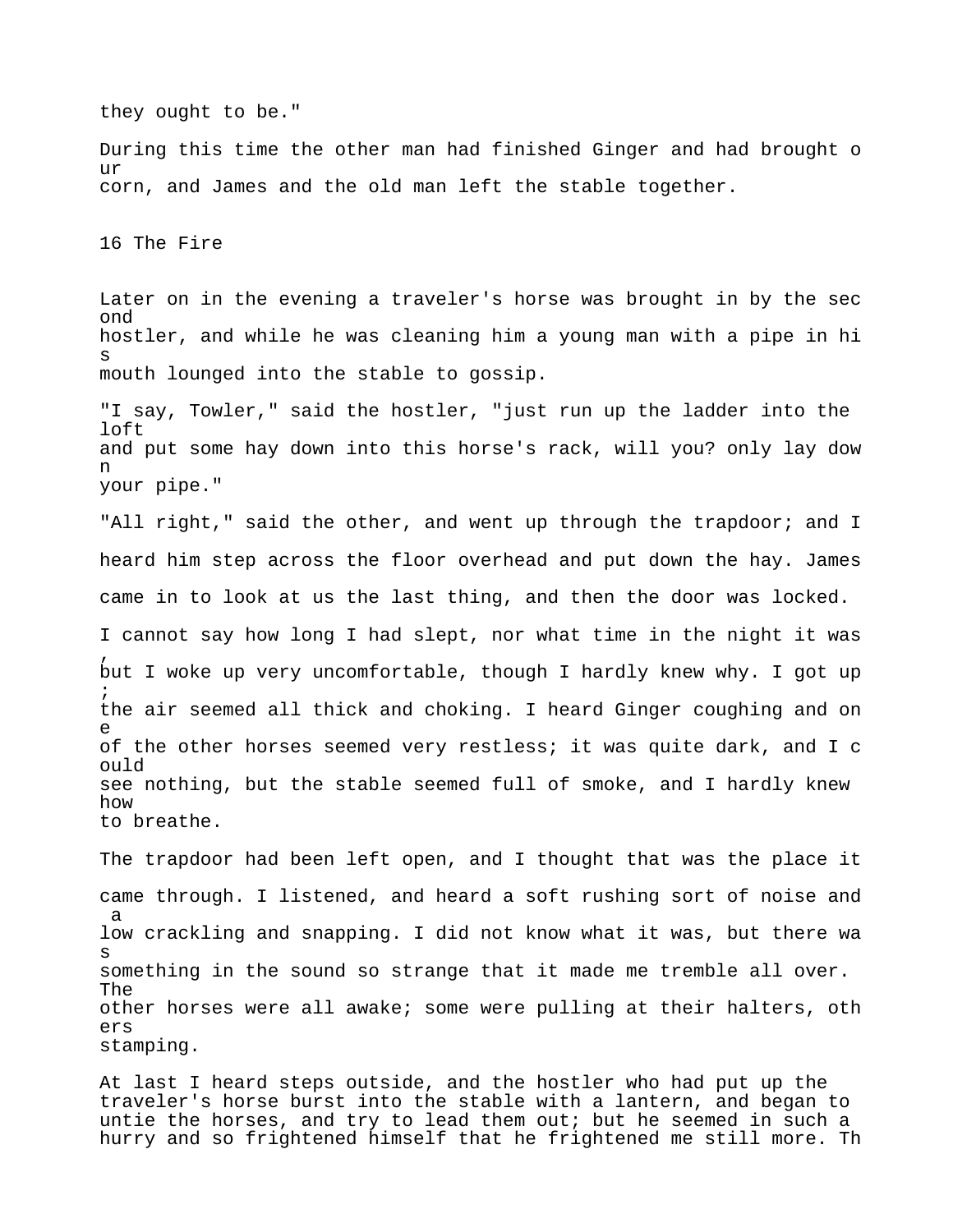they ought to be." During this time the other man had finished Ginger and had brought o ur corn, and James and the old man left the stable together. 16 The Fire Later on in the evening a traveler's horse was brought in by the sec ond hostler, and while he was cleaning him a young man with a pipe in hi s mouth lounged into the stable to gossip. "I say, Towler," said the hostler, "just run up the ladder into the loft and put some hay down into this horse's rack, will you? only lay dow n your pipe." "All right," said the other, and went up through the trapdoor; and I heard him step across the floor overhead and put down the hay. James came in to look at us the last thing, and then the door was locked. I cannot say how long I had slept, nor what time in the night it was , but I woke up very uncomfortable, though I hardly knew why. I got up ; the air seemed all thick and choking. I heard Ginger coughing and on e of the other horses seemed very restless; it was quite dark, and I c ould see nothing, but the stable seemed full of smoke, and I hardly knew how to breathe. The trapdoor had been left open, and I thought that was the place it came through. I listened, and heard a soft rushing sort of noise and a low crackling and snapping. I did not know what it was, but there wa s something in the sound so strange that it made me tremble all over. The other horses were all awake; some were pulling at their halters, oth ers stamping.

At last I heard steps outside, and the hostler who had put up the traveler's horse burst into the stable with a lantern, and began to untie the horses, and try to lead them out; but he seemed in such a hurry and so frightened himself that he frightened me still more. Th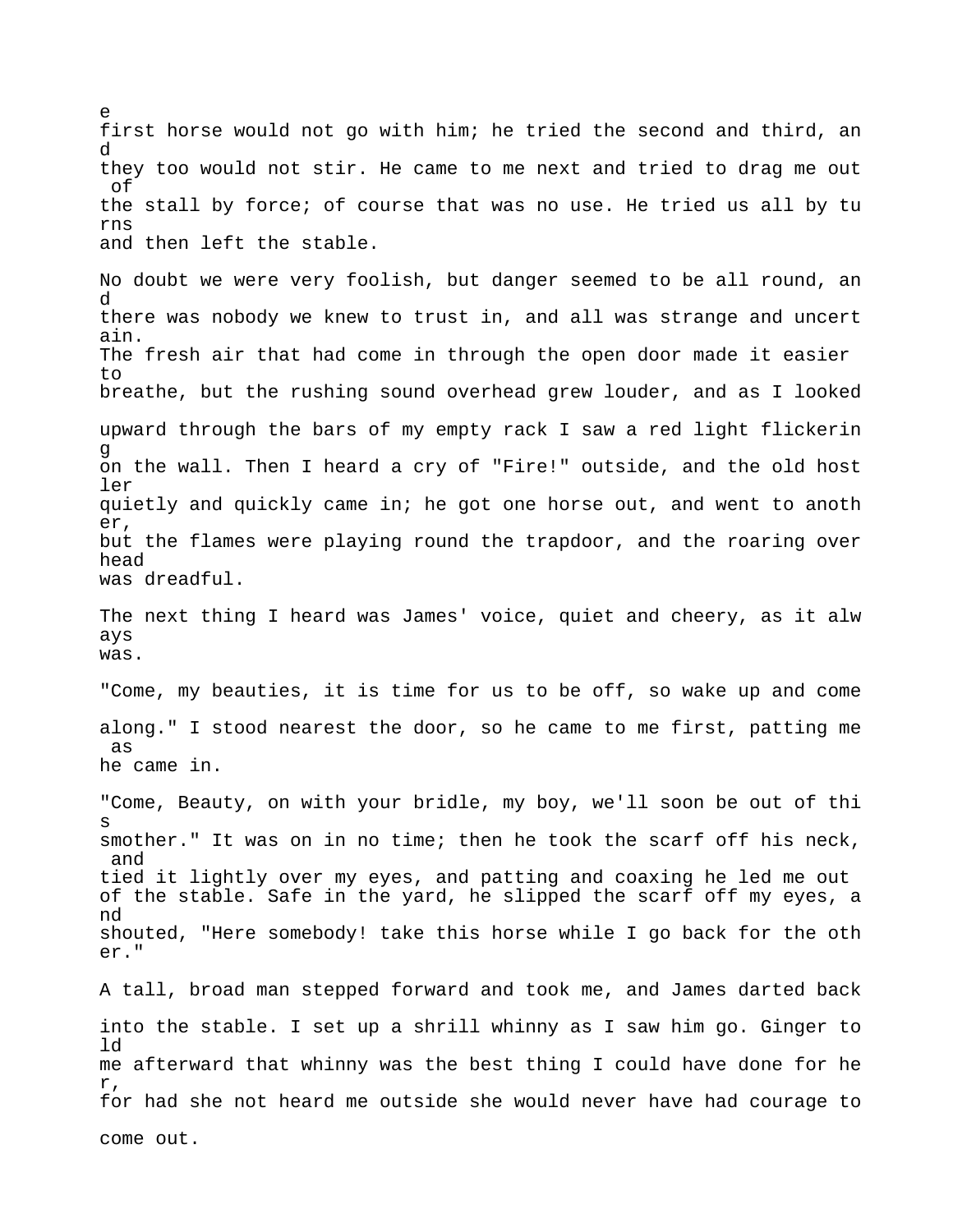first horse would not go with him; he tried the second and third, an d they too would not stir. He came to me next and tried to drag me out of the stall by force; of course that was no use. He tried us all by tu rns and then left the stable. No doubt we were very foolish, but danger seemed to be all round, an d there was nobody we knew to trust in, and all was strange and uncert ain. The fresh air that had come in through the open door made it easier  $t \circ$ breathe, but the rushing sound overhead grew louder, and as I looked upward through the bars of my empty rack I saw a red light flickerin g on the wall. Then I heard a cry of "Fire!" outside, and the old host ler quietly and quickly came in; he got one horse out, and went to anoth er, but the flames were playing round the trapdoor, and the roaring over head was dreadful. The next thing I heard was James' voice, quiet and cheery, as it alw ays was. "Come, my beauties, it is time for us to be off, so wake up and come along." I stood nearest the door, so he came to me first, patting me as he came in. "Come, Beauty, on with your bridle, my boy, we'll soon be out of thi s smother." It was on in no time; then he took the scarf off his neck, and tied it lightly over my eyes, and patting and coaxing he led me out of the stable. Safe in the yard, he slipped the scarf off my eyes, a nd shouted, "Here somebody! take this horse while I go back for the oth er." A tall, broad man stepped forward and took me, and James darted back into the stable. I set up a shrill whinny as I saw him go. Ginger to ld me afterward that whinny was the best thing I could have done for he r, for had she not heard me outside she would never have had courage to come out.

e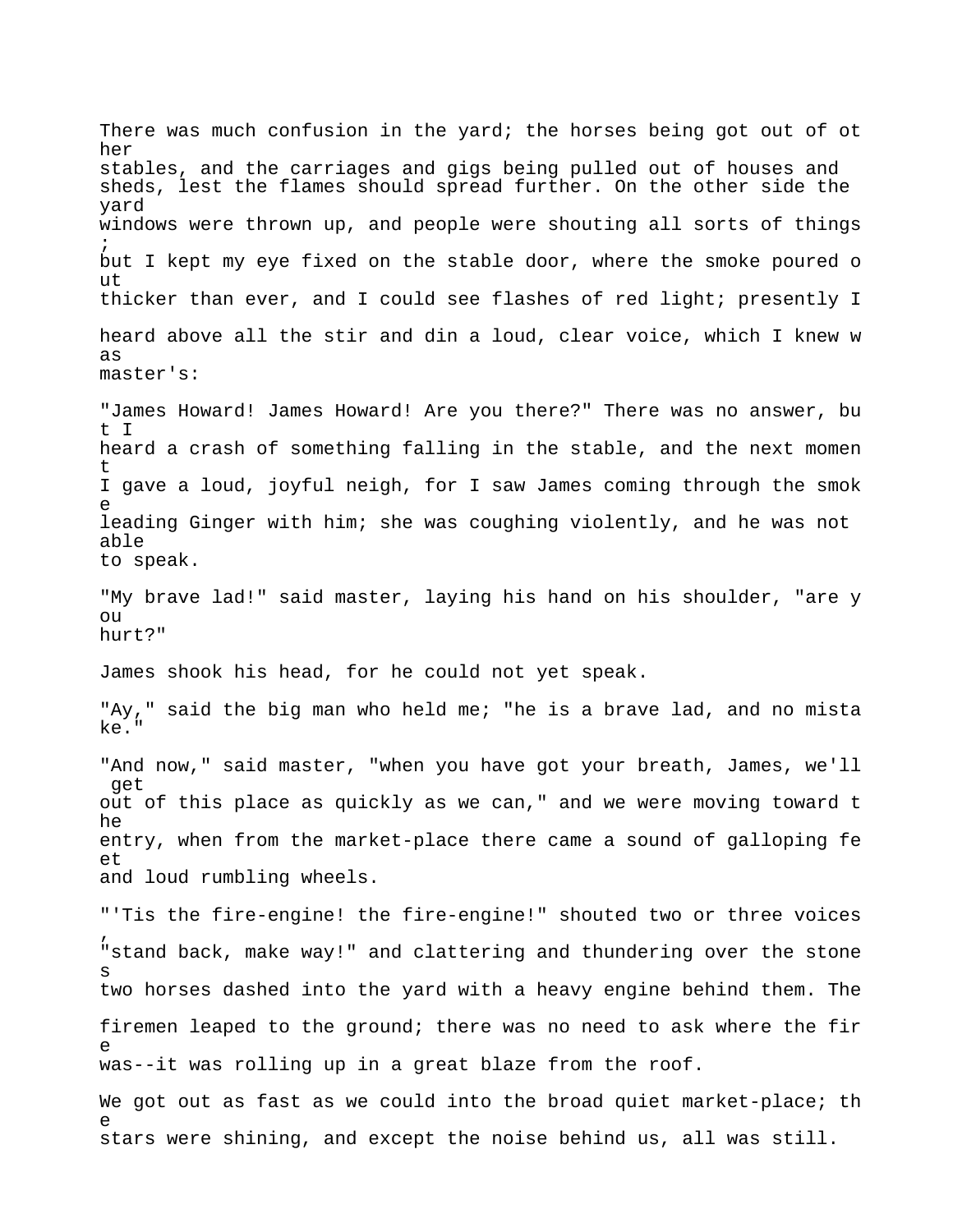There was much confusion in the yard; the horses being got out of ot her stables, and the carriages and gigs being pulled out of houses and sheds, lest the flames should spread further. On the other side the yard windows were thrown up, and people were shouting all sorts of things ; but I kept my eye fixed on the stable door, where the smoke poured o ut thicker than ever, and I could see flashes of red light; presently I heard above all the stir and din a loud, clear voice, which I knew w as master's: "James Howard! James Howard! Are you there?" There was no answer, bu t I heard a crash of something falling in the stable, and the next momen t I gave a loud, joyful neigh, for I saw James coming through the smok e leading Ginger with him; she was coughing violently, and he was not able to speak. "My brave lad!" said master, laying his hand on his shoulder, "are y  $\bigcap$ hurt?" James shook his head, for he could not yet speak. "Ay," said the big man who held me; "he is a brave lad, and no mista ke." "And now," said master, "when you have got your breath, James, we'll get out of this place as quickly as we can," and we were moving toward t he entry, when from the market-place there came a sound of galloping fe et and loud rumbling wheels. "'Tis the fire-engine! the fire-engine!" shouted two or three voices , "stand back, make way!" and clattering and thundering over the stone s two horses dashed into the yard with a heavy engine behind them. The firemen leaped to the ground; there was no need to ask where the fir e was--it was rolling up in a great blaze from the roof. We got out as fast as we could into the broad quiet market-place; th e stars were shining, and except the noise behind us, all was still.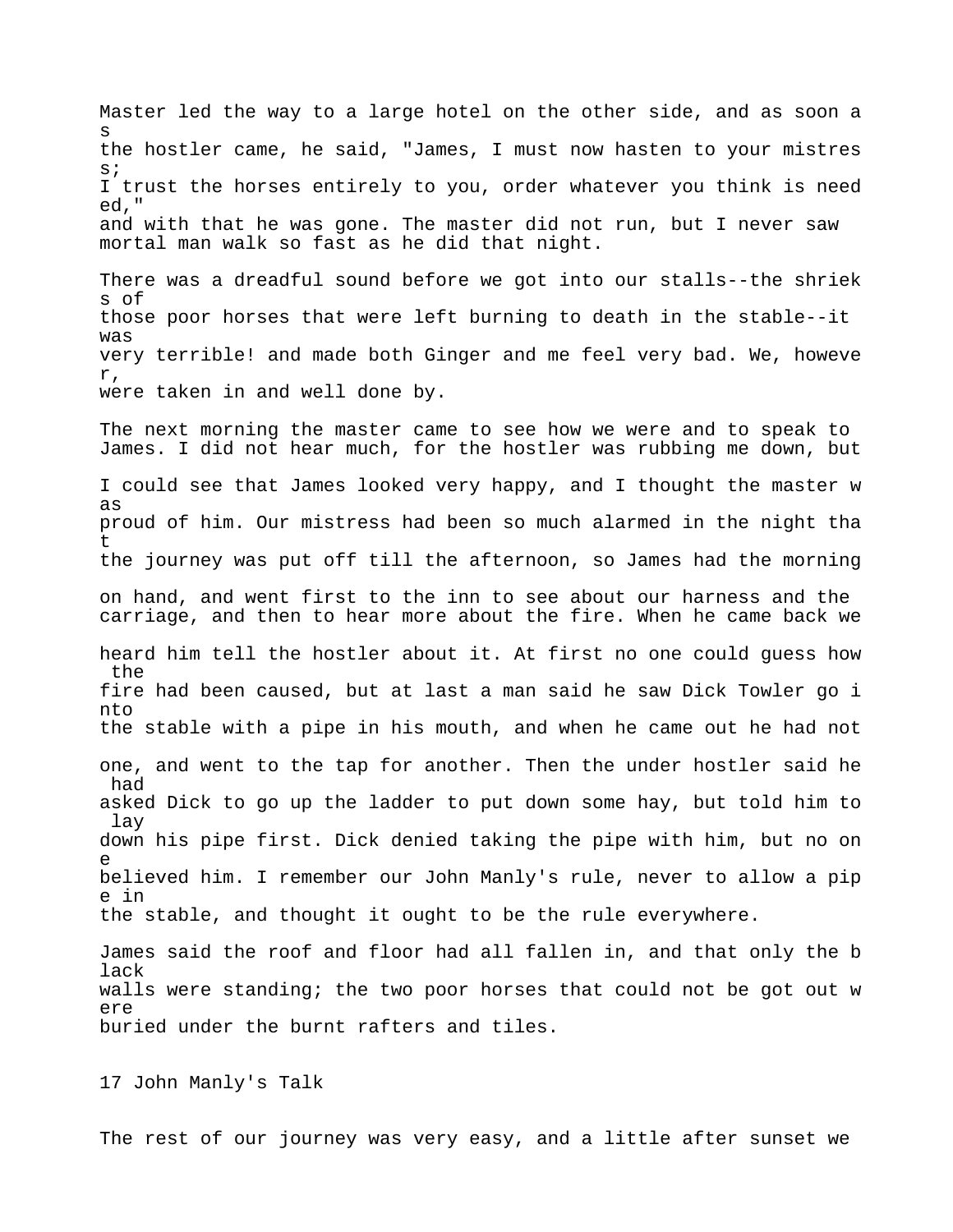Master led the way to a large hotel on the other side, and as soon a s the hostler came, he said, "James, I must now hasten to your mistres s; I trust the horses entirely to you, order whatever you think is need ed," and with that he was gone. The master did not run, but I never saw mortal man walk so fast as he did that night. There was a dreadful sound before we got into our stalls--the shriek s of those poor horses that were left burning to death in the stable--it was very terrible! and made both Ginger and me feel very bad. We, howeve r, were taken in and well done by. The next morning the master came to see how we were and to speak to James. I did not hear much, for the hostler was rubbing me down, but I could see that James looked very happy, and I thought the master w as proud of him. Our mistress had been so much alarmed in the night tha t the journey was put off till the afternoon, so James had the morning on hand, and went first to the inn to see about our harness and the carriage, and then to hear more about the fire. When he came back we heard him tell the hostler about it. At first no one could guess how the fire had been caused, but at last a man said he saw Dick Towler go i nto the stable with a pipe in his mouth, and when he came out he had not one, and went to the tap for another. Then the under hostler said he had asked Dick to go up the ladder to put down some hay, but told him to lay down his pipe first. Dick denied taking the pipe with him, but no on e believed him. I remember our John Manly's rule, never to allow a pip e in the stable, and thought it ought to be the rule everywhere. James said the roof and floor had all fallen in, and that only the b lack walls were standing; the two poor horses that could not be got out w ere

buried under the burnt rafters and tiles.

17 John Manly's Talk

The rest of our journey was very easy, and a little after sunset we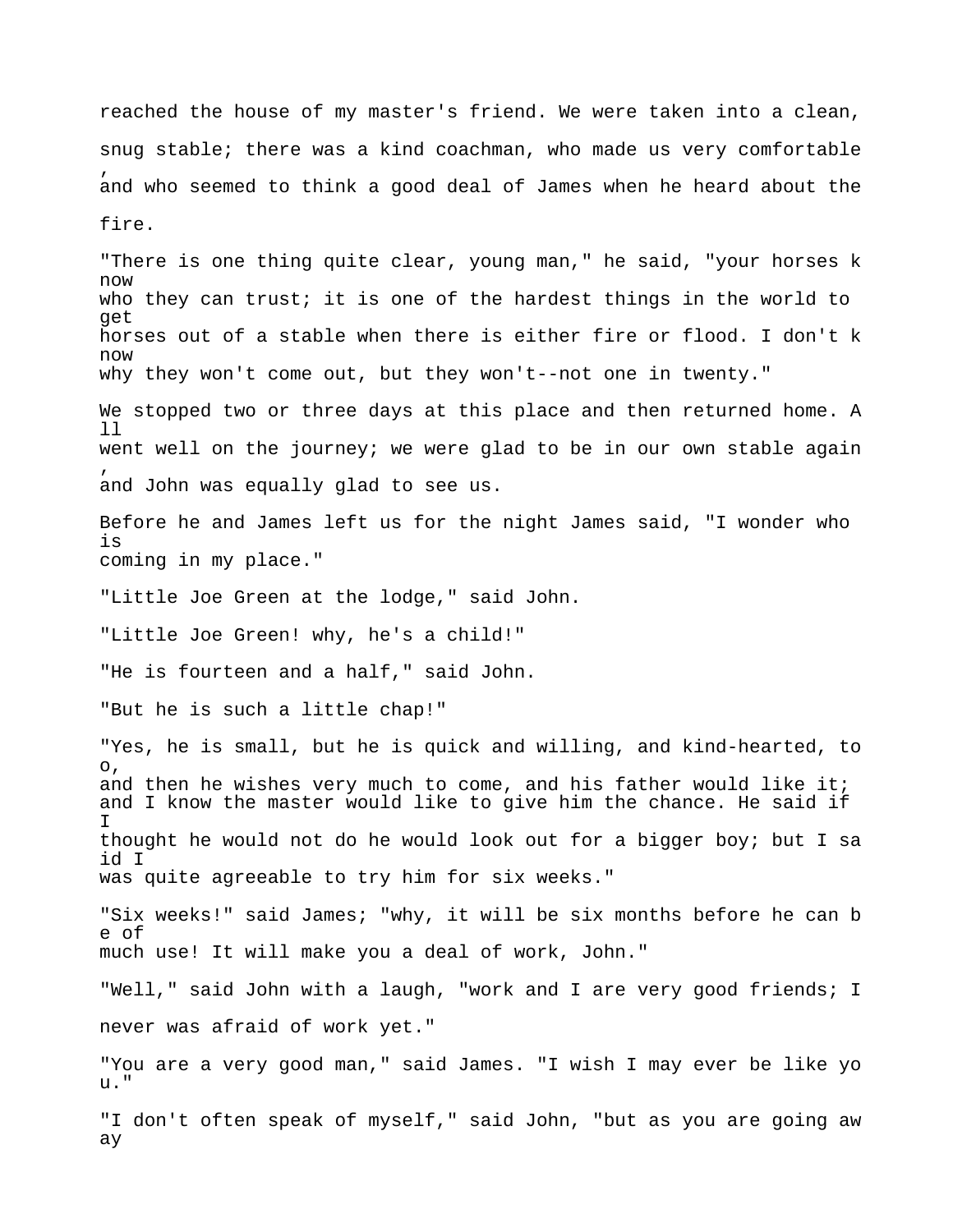reached the house of my master's friend. We were taken into a clean, snug stable; there was a kind coachman, who made us very comfortable , and who seemed to think a good deal of James when he heard about the fire. "There is one thing quite clear, young man," he said, "your horses k now who they can trust; it is one of the hardest things in the world to get horses out of a stable when there is either fire or flood. I don't k now why they won't come out, but they won't--not one in twenty." We stopped two or three days at this place and then returned home. A ll went well on the journey; we were glad to be in our own stable again , and John was equally glad to see us. Before he and James left us for the night James said, "I wonder who is coming in my place." "Little Joe Green at the lodge," said John. "Little Joe Green! why, he's a child!" "He is fourteen and a half," said John. "But he is such a little chap!" "Yes, he is small, but he is quick and willing, and kind-hearted, to o, and then he wishes very much to come, and his father would like it; and I know the master would like to give him the chance. He said if I thought he would not do he would look out for a bigger boy; but I sa id I was quite agreeable to try him for six weeks." "Six weeks!" said James; "why, it will be six months before he can b e of much use! It will make you a deal of work, John." "Well," said John with a laugh, "work and I are very good friends; I never was afraid of work yet." "You are a very good man," said James. "I wish I may ever be like yo u." "I don't often speak of myself," said John, "but as you are going aw ay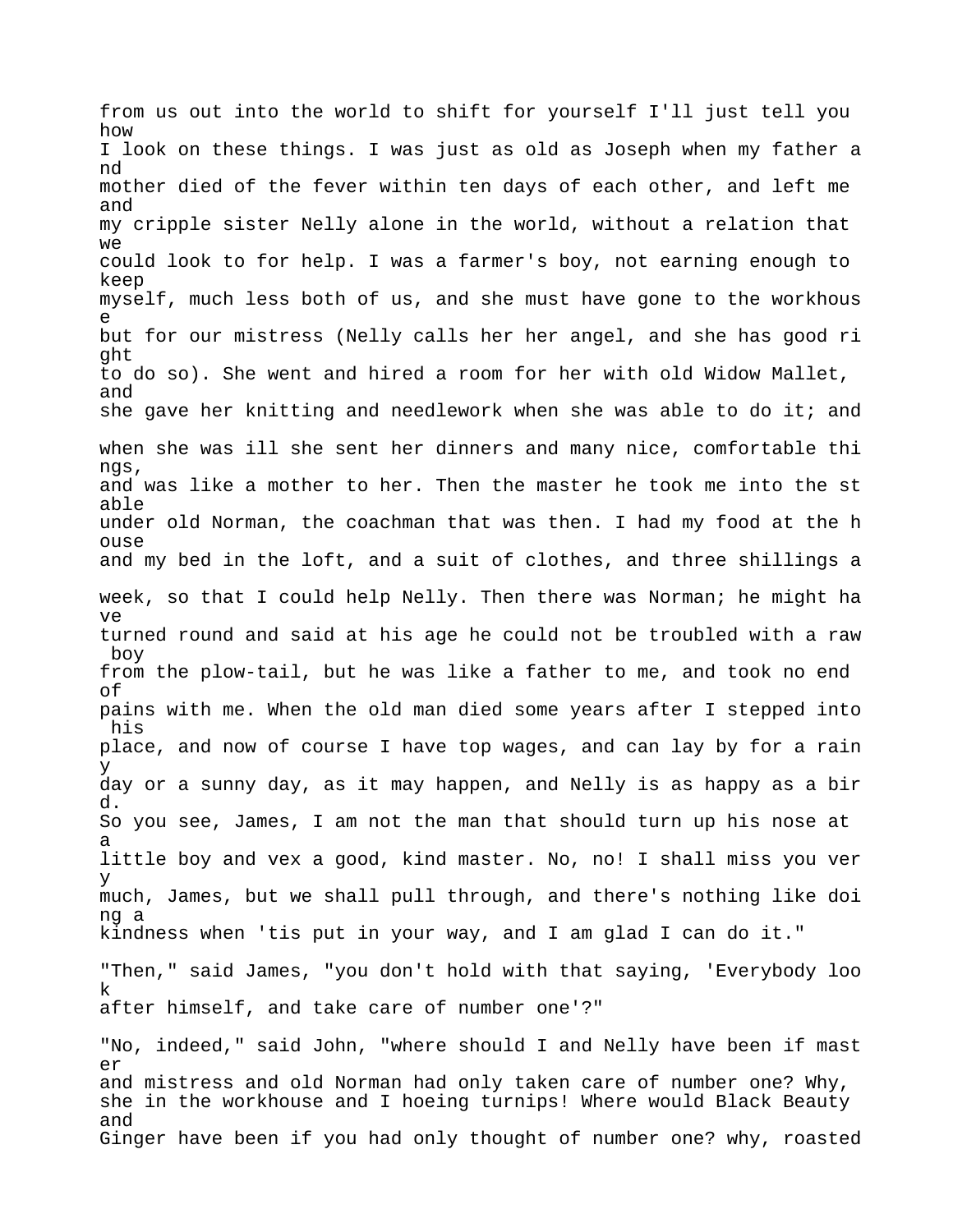from us out into the world to shift for yourself I'll just tell you how I look on these things. I was just as old as Joseph when my father a nd mother died of the fever within ten days of each other, and left me and my cripple sister Nelly alone in the world, without a relation that we could look to for help. I was a farmer's boy, not earning enough to keep myself, much less both of us, and she must have gone to the workhous e but for our mistress (Nelly calls her her angel, and she has good ri ght to do so). She went and hired a room for her with old Widow Mallet, and she gave her knitting and needlework when she was able to do it; and when she was ill she sent her dinners and many nice, comfortable thi ngs, and was like a mother to her. Then the master he took me into the st able under old Norman, the coachman that was then. I had my food at the h ouse and my bed in the loft, and a suit of clothes, and three shillings a week, so that I could help Nelly. Then there was Norman; he might ha ve turned round and said at his age he could not be troubled with a raw boy from the plow-tail, but he was like a father to me, and took no end of pains with me. When the old man died some years after I stepped into his place, and now of course I have top wages, and can lay by for a rain y day or a sunny day, as it may happen, and Nelly is as happy as a bir d. So you see, James, I am not the man that should turn up his nose at a little boy and vex a good, kind master. No, no! I shall miss you ver y much, James, but we shall pull through, and there's nothing like doi ng a kindness when 'tis put in your way, and I am glad I can do it." "Then," said James, "you don't hold with that saying, 'Everybody loo k after himself, and take care of number one'?" "No, indeed," said John, "where should I and Nelly have been if mast er and mistress and old Norman had only taken care of number one? Why, she in the workhouse and I hoeing turnips! Where would Black Beauty

Ginger have been if you had only thought of number one? why, roasted

and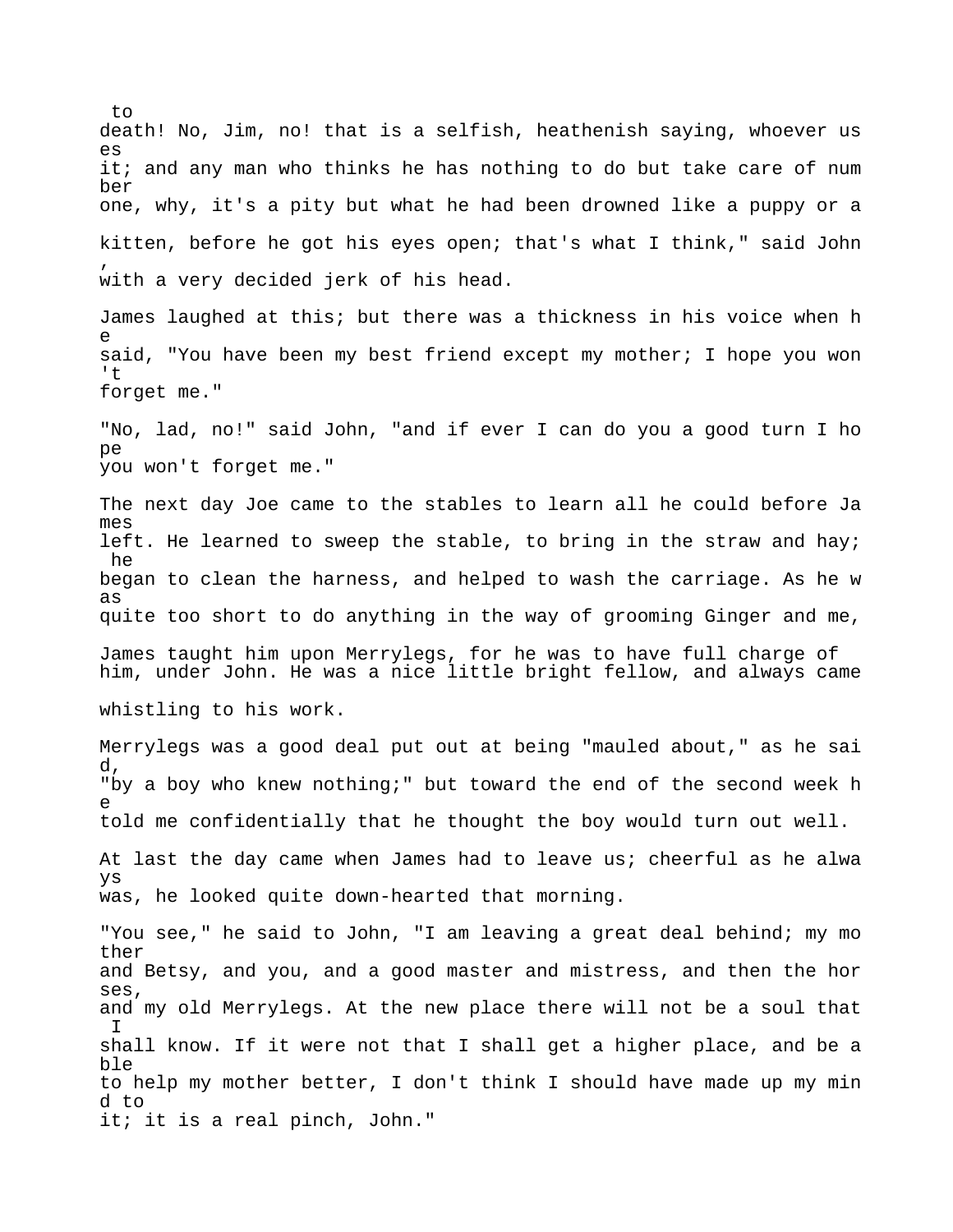death! No, Jim, no! that is a selfish, heathenish saying, whoever us es it; and any man who thinks he has nothing to do but take care of num ber one, why, it's a pity but what he had been drowned like a puppy or a kitten, before he got his eyes open; that's what I think," said John , with a very decided jerk of his head. James laughed at this; but there was a thickness in his voice when h e said, "You have been my best friend except my mother; I hope you won  $'$ forget me." "No, lad, no!" said John, "and if ever I can do you a good turn I ho  $n \infty$ you won't forget me." The next day Joe came to the stables to learn all he could before Ja mes left. He learned to sweep the stable, to bring in the straw and hay; he began to clean the harness, and helped to wash the carriage. As he w as quite too short to do anything in the way of grooming Ginger and me, James taught him upon Merrylegs, for he was to have full charge of him, under John. He was a nice little bright fellow, and always came whistling to his work. Merrylegs was a good deal put out at being "mauled about," as he sai d, "by a boy who knew nothing;" but toward the end of the second week h e told me confidentially that he thought the boy would turn out well. At last the day came when James had to leave us; cheerful as he alwa ys was, he looked quite down-hearted that morning. "You see," he said to John, "I am leaving a great deal behind; my mo ther and Betsy, and you, and a good master and mistress, and then the hor ses, and my old Merrylegs. At the new place there will not be a soul that I shall know. If it were not that I shall get a higher place, and be a ble to help my mother better, I don't think I should have made up my min d to it; it is a real pinch, John."

to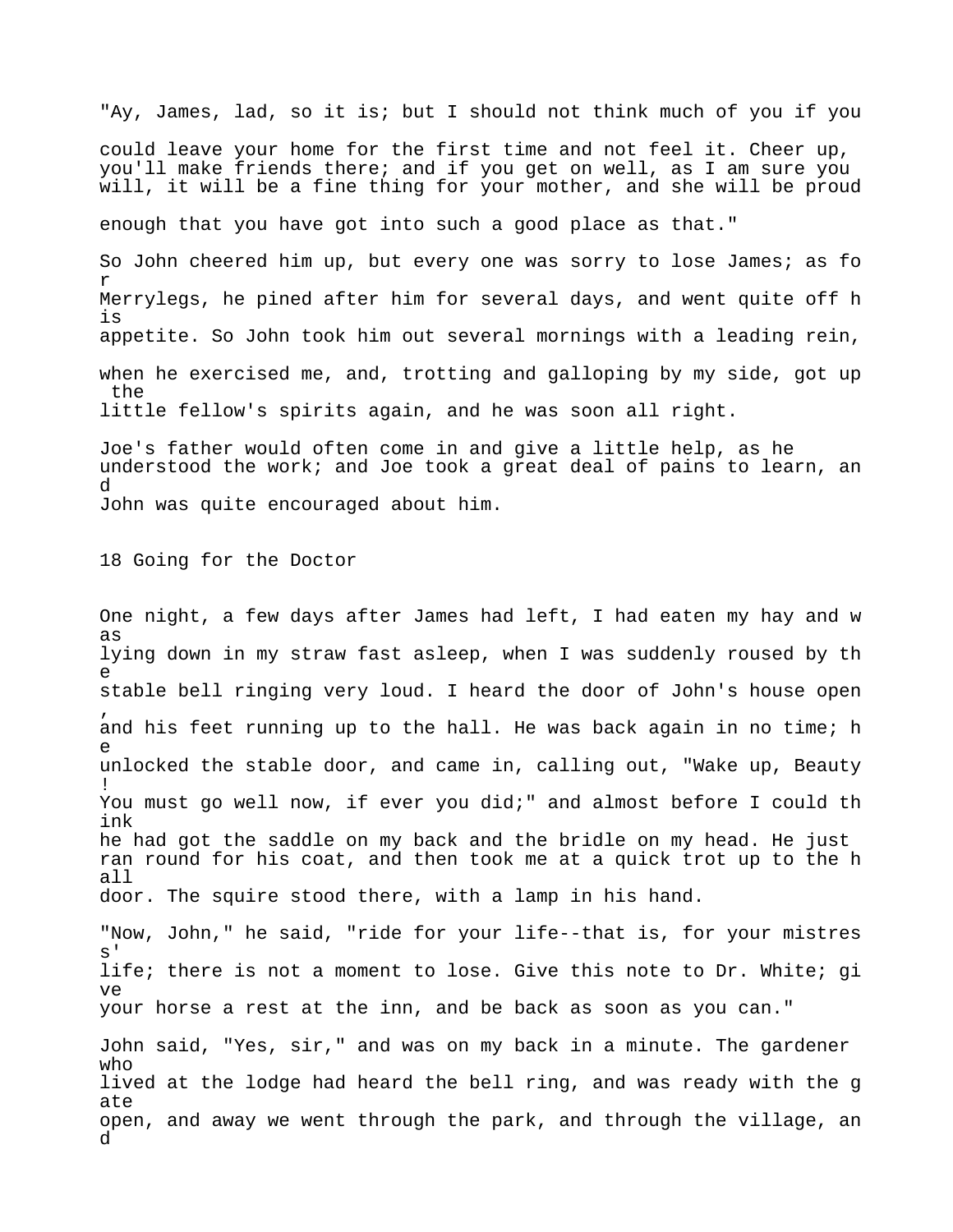"Ay, James, lad, so it is; but I should not think much of you if you could leave your home for the first time and not feel it. Cheer up, you'll make friends there; and if you get on well, as I am sure you will, it will be a fine thing for your mother, and she will be proud enough that you have got into such a good place as that." So John cheered him up, but every one was sorry to lose James; as fo r Merrylegs, he pined after him for several days, and went quite off h is appetite. So John took him out several mornings with a leading rein, when he exercised me, and, trotting and galloping by my side, got up the little fellow's spirits again, and he was soon all right.

Joe's father would often come in and give a little help, as he understood the work; and Joe took a great deal of pains to learn, an d John was quite encouraged about him.

18 Going for the Doctor

One night, a few days after James had left, I had eaten my hay and w as lying down in my straw fast asleep, when I was suddenly roused by th e stable bell ringing very loud. I heard the door of John's house open , and his feet running up to the hall. He was back again in no time; h e unlocked the stable door, and came in, calling out, "Wake up, Beauty ! You must go well now, if ever you did;" and almost before I could th ink he had got the saddle on my back and the bridle on my head. He just ran round for his coat, and then took me at a quick trot up to the h all door. The squire stood there, with a lamp in his hand.

"Now, John," he said, "ride for your life--that is, for your mistres s' life; there is not a moment to lose. Give this note to Dr. White; gi ve your horse a rest at the inn, and be back as soon as you can."

John said, "Yes, sir," and was on my back in a minute. The gardener who lived at the lodge had heard the bell ring, and was ready with the g ate open, and away we went through the park, and through the village, an d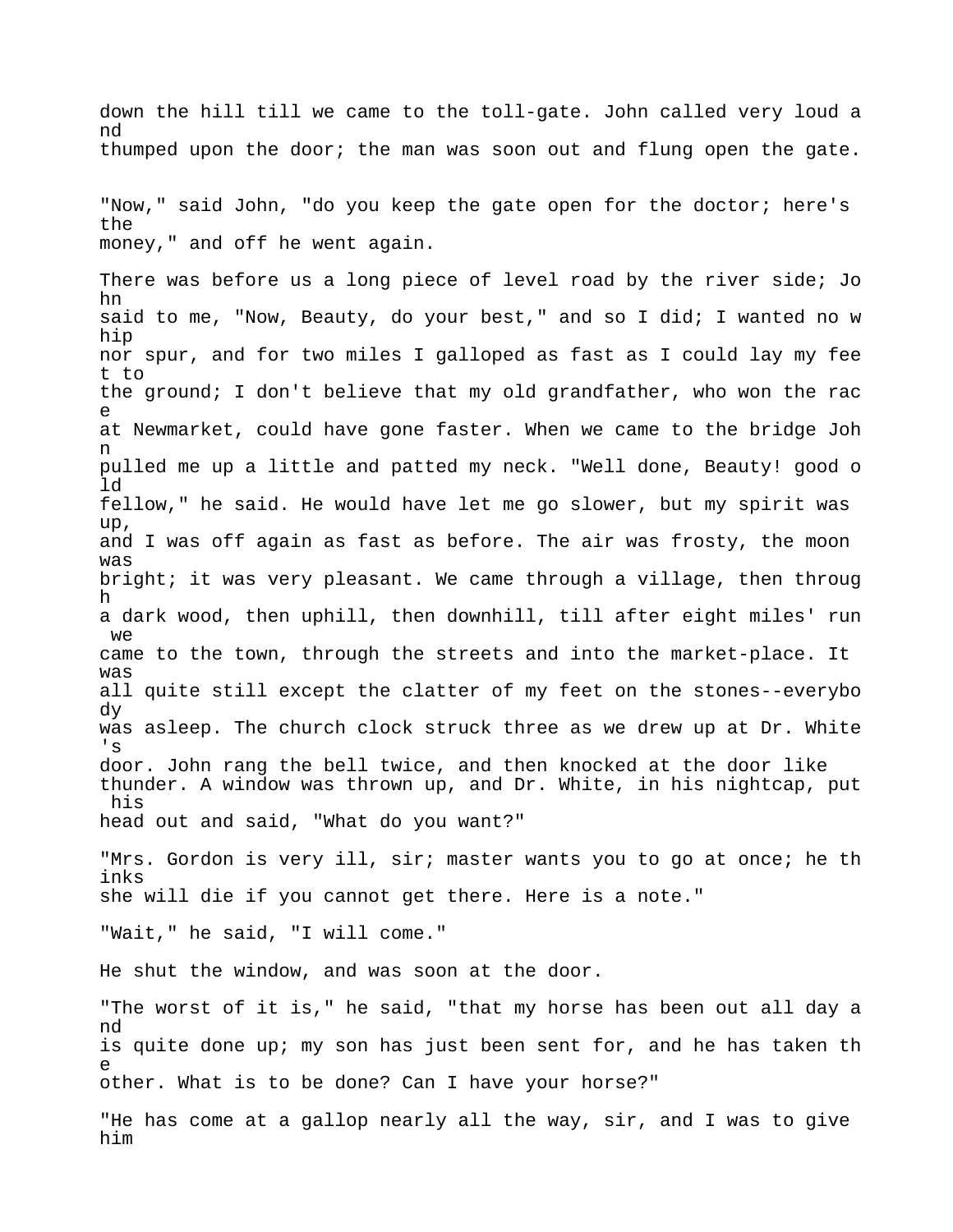down the hill till we came to the toll-gate. John called very loud a nd thumped upon the door; the man was soon out and flung open the gate.

"Now," said John, "do you keep the gate open for the doctor; here's the money," and off he went again.

There was before us a long piece of level road by the river side; Jo hn said to me, "Now, Beauty, do your best," and so I did; I wanted no w hip nor spur, and for two miles I galloped as fast as I could lay my fee t to the ground; I don't believe that my old grandfather, who won the rac e at Newmarket, could have gone faster. When we came to the bridge Joh n pulled me up a little and patted my neck. "Well done, Beauty! good o ld fellow," he said. He would have let me go slower, but my spirit was up, and I was off again as fast as before. The air was frosty, the moon was bright; it was very pleasant. We came through a village, then throug h a dark wood, then uphill, then downhill, till after eight miles' run we came to the town, through the streets and into the market-place. It was all quite still except the clatter of my feet on the stones--everybo dy was asleep. The church clock struck three as we drew up at Dr. White 's door. John rang the bell twice, and then knocked at the door like thunder. A window was thrown up, and Dr. White, in his nightcap, put his head out and said, "What do you want?" "Mrs. Gordon is very ill, sir; master wants you to go at once; he th

she will die if you cannot get there. Here is a note."

"Wait," he said, "I will come."

inks

He shut the window, and was soon at the door.

"The worst of it is," he said, "that my horse has been out all day a nd is quite done up; my son has just been sent for, and he has taken th e other. What is to be done? Can I have your horse?"

"He has come at a gallop nearly all the way, sir, and I was to give him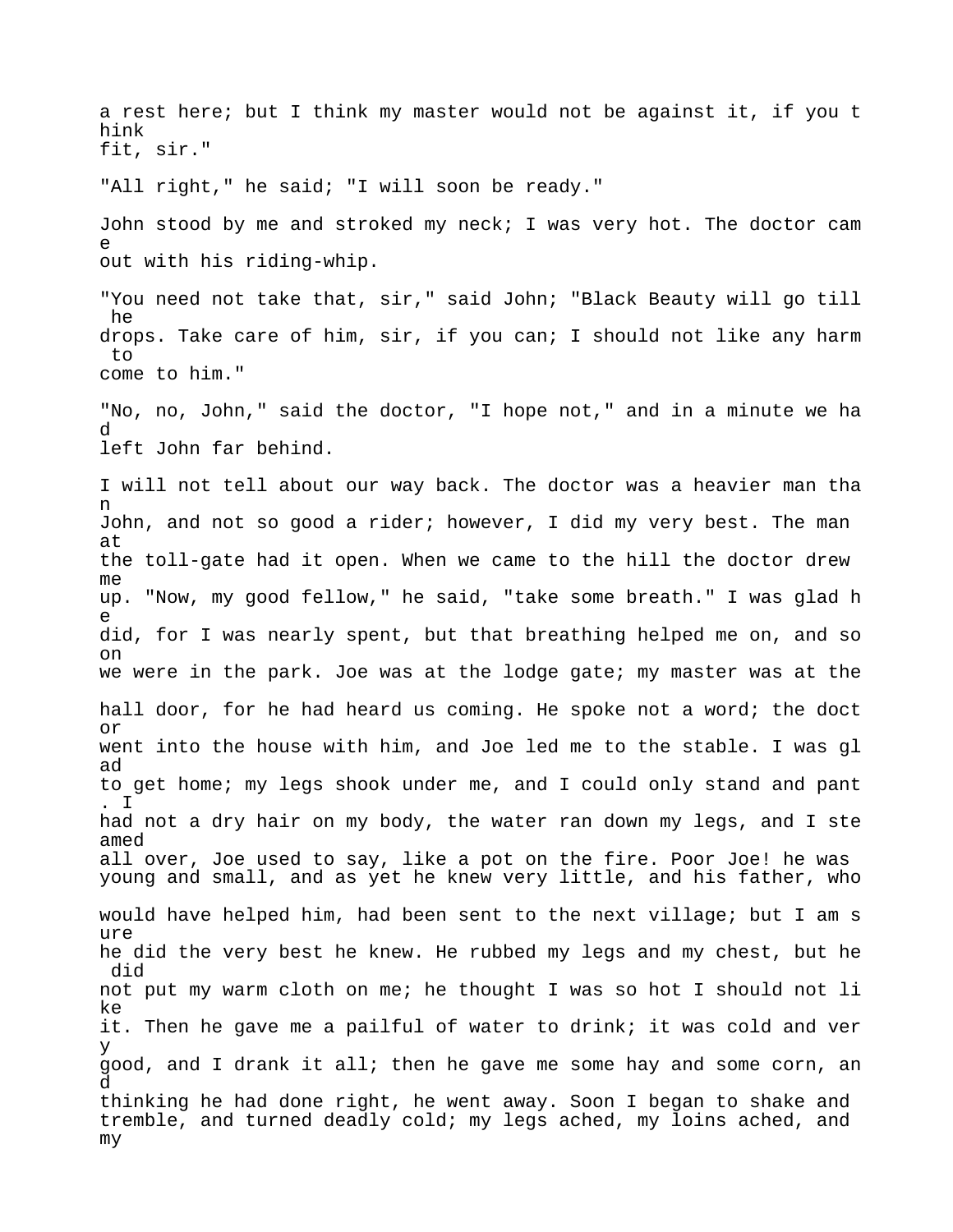a rest here; but I think my master would not be against it, if you t hink fit, sir." "All right," he said; "I will soon be ready." John stood by me and stroked my neck; I was very hot. The doctor cam e out with his riding-whip. "You need not take that, sir," said John; "Black Beauty will go till he drops. Take care of him, sir, if you can; I should not like any harm to come to him." "No, no, John," said the doctor, "I hope not," and in a minute we ha d left John far behind. I will not tell about our way back. The doctor was a heavier man tha n John, and not so good a rider; however, I did my very best. The man at the toll-gate had it open. When we came to the hill the doctor drew me up. "Now, my good fellow," he said, "take some breath." I was glad h e did, for I was nearly spent, but that breathing helped me on, and so on we were in the park. Joe was at the lodge gate; my master was at the hall door, for he had heard us coming. He spoke not a word; the doct or went into the house with him, and Joe led me to the stable. I was gl ad to get home; my legs shook under me, and I could only stand and pant . I had not a dry hair on my body, the water ran down my legs, and I ste amed all over, Joe used to say, like a pot on the fire. Poor Joe! he was young and small, and as yet he knew very little, and his father, who would have helped him, had been sent to the next village; but I am s ure he did the very best he knew. He rubbed my legs and my chest, but he did not put my warm cloth on me; he thought I was so hot I should not li ke it. Then he gave me a pailful of water to drink; it was cold and ver y good, and I drank it all; then he gave me some hay and some corn, an d thinking he had done right, he went away. Soon I began to shake and tremble, and turned deadly cold; my legs ached, my loins ached, and my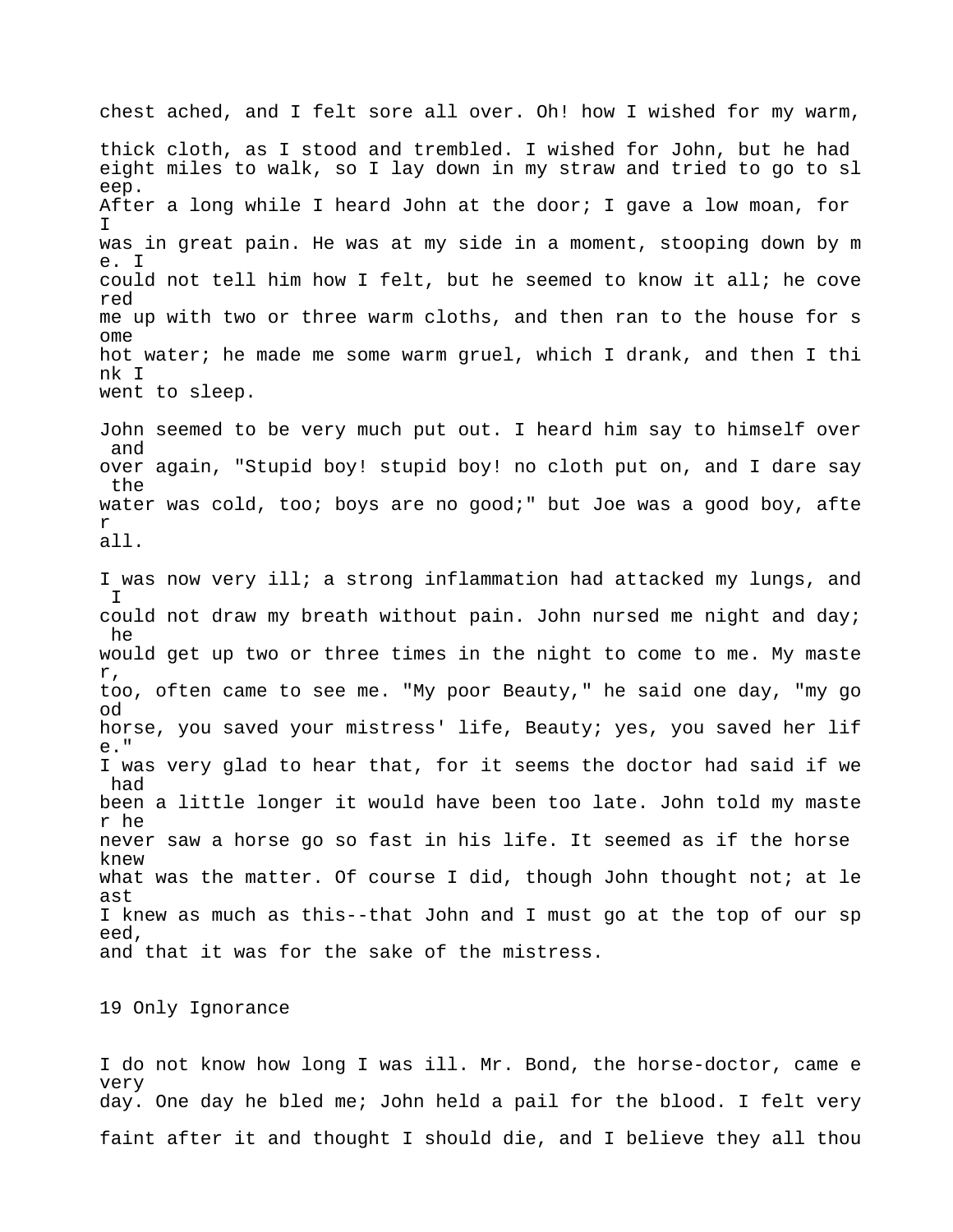chest ached, and I felt sore all over. Oh! how I wished for my warm, thick cloth, as I stood and trembled. I wished for John, but he had eight miles to walk, so I lay down in my straw and tried to go to sl eep. After a long while I heard John at the door; I gave a low moan, for I was in great pain. He was at my side in a moment, stooping down by m e. I could not tell him how I felt, but he seemed to know it all; he cove red me up with two or three warm cloths, and then ran to the house for s ome hot water; he made me some warm gruel, which I drank, and then I thi nk I went to sleep. John seemed to be very much put out. I heard him say to himself over and over again, "Stupid boy! stupid boy! no cloth put on, and I dare say the water was cold, too; boys are no good;" but Joe was a good boy, afte r all. I was now very ill; a strong inflammation had attacked my lungs, and I could not draw my breath without pain. John nursed me night and day; he would get up two or three times in the night to come to me. My maste r, too, often came to see me. "My poor Beauty," he said one day, "my go od horse, you saved your mistress' life, Beauty; yes, you saved her lif e." I was very glad to hear that, for it seems the doctor had said if we had been a little longer it would have been too late. John told my maste r he never saw a horse go so fast in his life. It seemed as if the horse knew what was the matter. Of course I did, though John thought not; at le ast I knew as much as this--that John and I must go at the top of our sp eed, and that it was for the sake of the mistress.

19 Only Ignorance

I do not know how long I was ill. Mr. Bond, the horse-doctor, came e very day. One day he bled me; John held a pail for the blood. I felt very faint after it and thought I should die, and I believe they all thou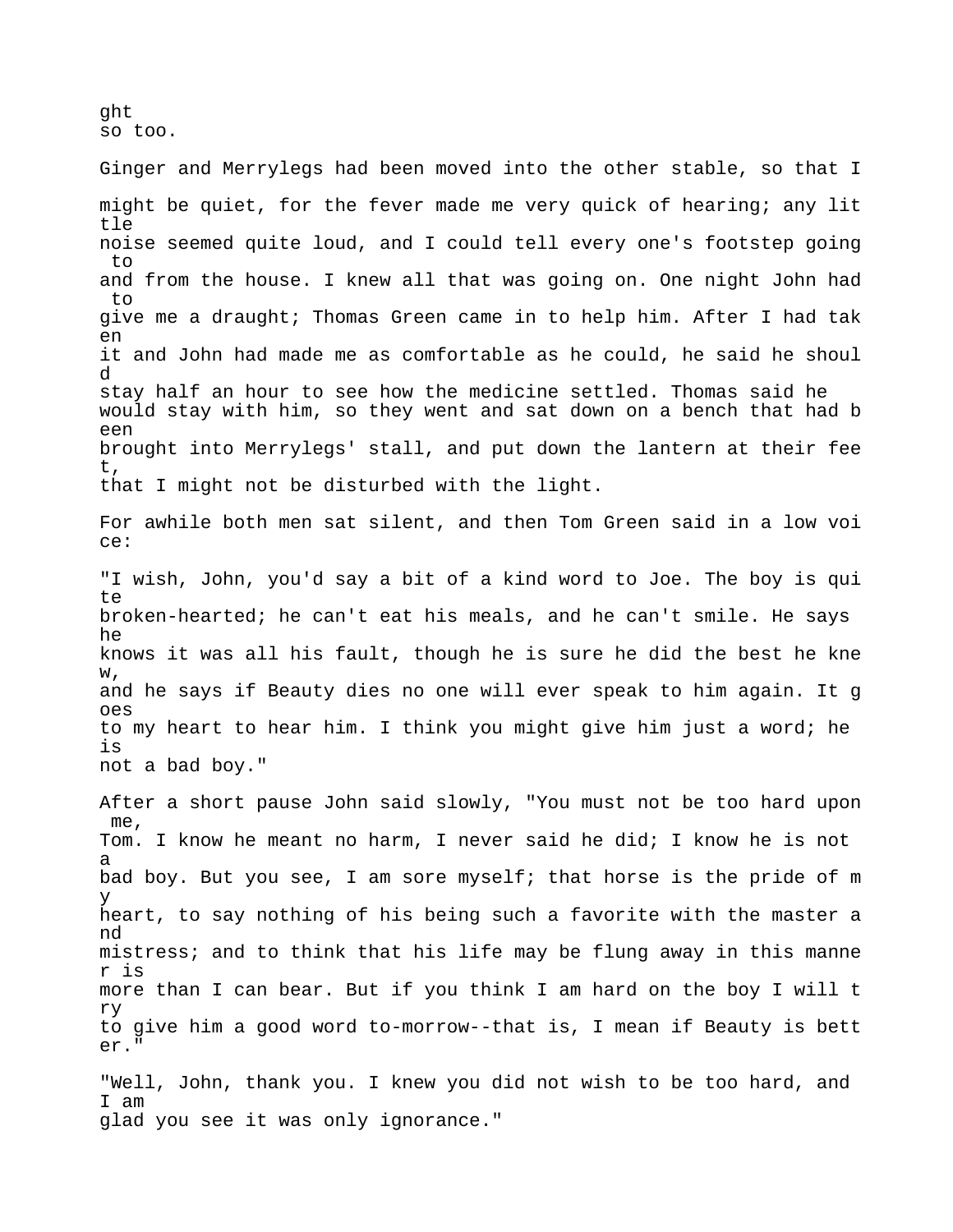ght so too.

Ginger and Merrylegs had been moved into the other stable, so that I might be quiet, for the fever made me very quick of hearing; any lit tle noise seemed quite loud, and I could tell every one's footstep going  $t \circ$ and from the house. I knew all that was going on. One night John had to give me a draught; Thomas Green came in to help him. After I had tak en it and John had made me as comfortable as he could, he said he shoul d stay half an hour to see how the medicine settled. Thomas said he would stay with him, so they went and sat down on a bench that had b een brought into Merrylegs' stall, and put down the lantern at their fee t, that I might not be disturbed with the light.

For awhile both men sat silent, and then Tom Green said in a low voi ce:

"I wish, John, you'd say a bit of a kind word to Joe. The boy is qui te broken-hearted; he can't eat his meals, and he can't smile. He says he knows it was all his fault, though he is sure he did the best he kne w, and he says if Beauty dies no one will ever speak to him again. It g oes to my heart to hear him. I think you might give him just a word; he is not a bad boy."

After a short pause John said slowly, "You must not be too hard upon me, Tom. I know he meant no harm, I never said he did; I know he is not a bad boy. But you see, I am sore myself; that horse is the pride of m y heart, to say nothing of his being such a favorite with the master a nd mistress; and to think that his life may be flung away in this manne r is more than I can bear. But if you think I am hard on the boy I will t ry to give him a good word to-morrow--that is, I mean if Beauty is bett er."

"Well, John, thank you. I knew you did not wish to be too hard, and I am glad you see it was only ignorance."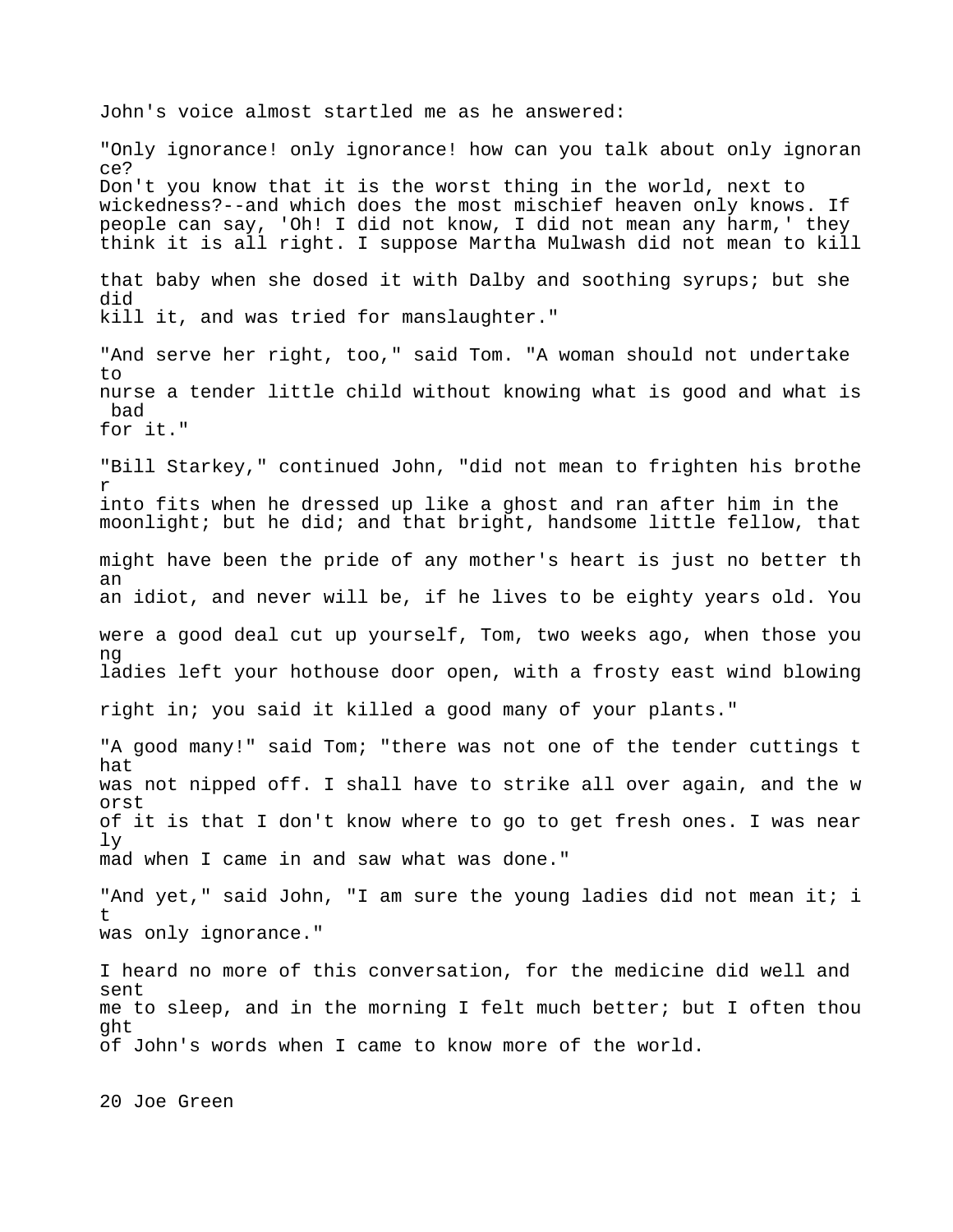John's voice almost startled me as he answered: "Only ignorance! only ignorance! how can you talk about only ignoran ce? Don't you know that it is the worst thing in the world, next to wickedness?--and which does the most mischief heaven only knows. If people can say, 'Oh! I did not know, I did not mean any harm,' they think it is all right. I suppose Martha Mulwash did not mean to kill that baby when she dosed it with Dalby and soothing syrups; but she did kill it, and was tried for manslaughter." "And serve her right, too," said Tom. "A woman should not undertake  $t \circ$ nurse a tender little child without knowing what is good and what is bad for it." "Bill Starkey," continued John, "did not mean to frighten his brothe r into fits when he dressed up like a ghost and ran after him in the moonlight; but he did; and that bright, handsome little fellow, that might have been the pride of any mother's heart is just no better th an an idiot, and never will be, if he lives to be eighty years old. You were a good deal cut up yourself, Tom, two weeks ago, when those you ng ladies left your hothouse door open, with a frosty east wind blowing right in; you said it killed a good many of your plants." "A good many!" said Tom; "there was not one of the tender cuttings t hat was not nipped off. I shall have to strike all over again, and the w orst of it is that I don't know where to go to get fresh ones. I was near ly mad when I came in and saw what was done." "And yet," said John, "I am sure the young ladies did not mean it; i t was only ignorance." I heard no more of this conversation, for the medicine did well and sent me to sleep, and in the morning I felt much better; but I often thou ght of John's words when I came to know more of the world. 20 Joe Green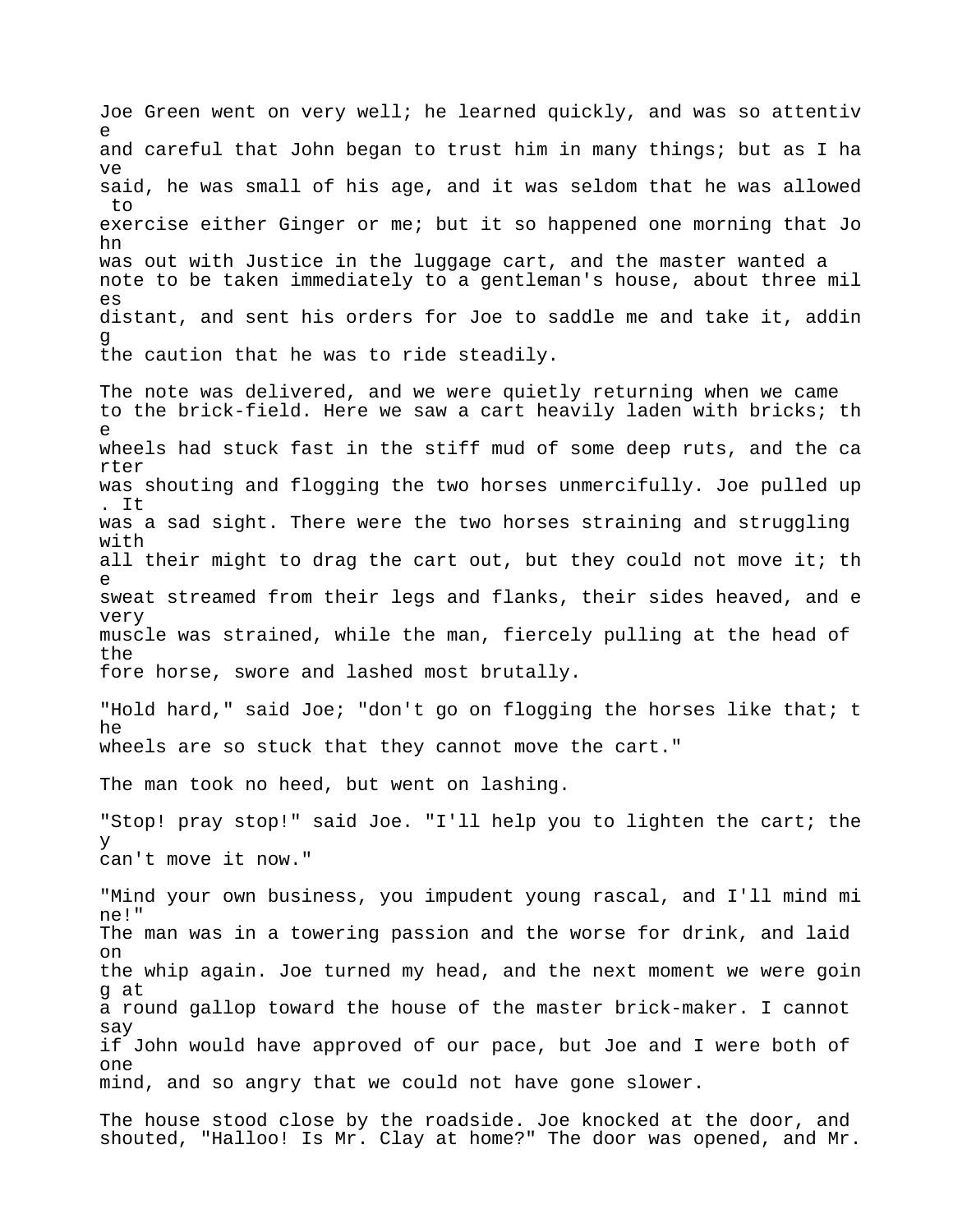Joe Green went on very well; he learned quickly, and was so attentiv e and careful that John began to trust him in many things; but as I ha ve said, he was small of his age, and it was seldom that he was allowed to exercise either Ginger or me; but it so happened one morning that Jo hn was out with Justice in the luggage cart, and the master wanted a note to be taken immediately to a gentleman's house, about three mil es distant, and sent his orders for Joe to saddle me and take it, addin g the caution that he was to ride steadily.

The note was delivered, and we were quietly returning when we came to the brick-field. Here we saw a cart heavily laden with bricks; th e wheels had stuck fast in the stiff mud of some deep ruts, and the ca rter was shouting and flogging the two horses unmercifully. Joe pulled up . It was a sad sight. There were the two horses straining and struggling with all their might to drag the cart out, but they could not move it; th e sweat streamed from their legs and flanks, their sides heaved, and e very muscle was strained, while the man, fiercely pulling at the head of the fore horse, swore and lashed most brutally.

"Hold hard," said Joe; "don't go on flogging the horses like that; t he wheels are so stuck that they cannot move the cart."

The man took no heed, but went on lashing.

"Stop! pray stop!" said Joe. "I'll help you to lighten the cart; the y can't move it now."

"Mind your own business, you impudent young rascal, and I'll mind mi ne!" The man was in a towering passion and the worse for drink, and laid on the whip again. Joe turned my head, and the next moment we were goin g at a round gallop toward the house of the master brick-maker. I cannot say if John would have approved of our pace, but Joe and I were both of one mind, and so angry that we could not have gone slower.

The house stood close by the roadside. Joe knocked at the door, and shouted, "Halloo! Is Mr. Clay at home?" The door was opened, and Mr.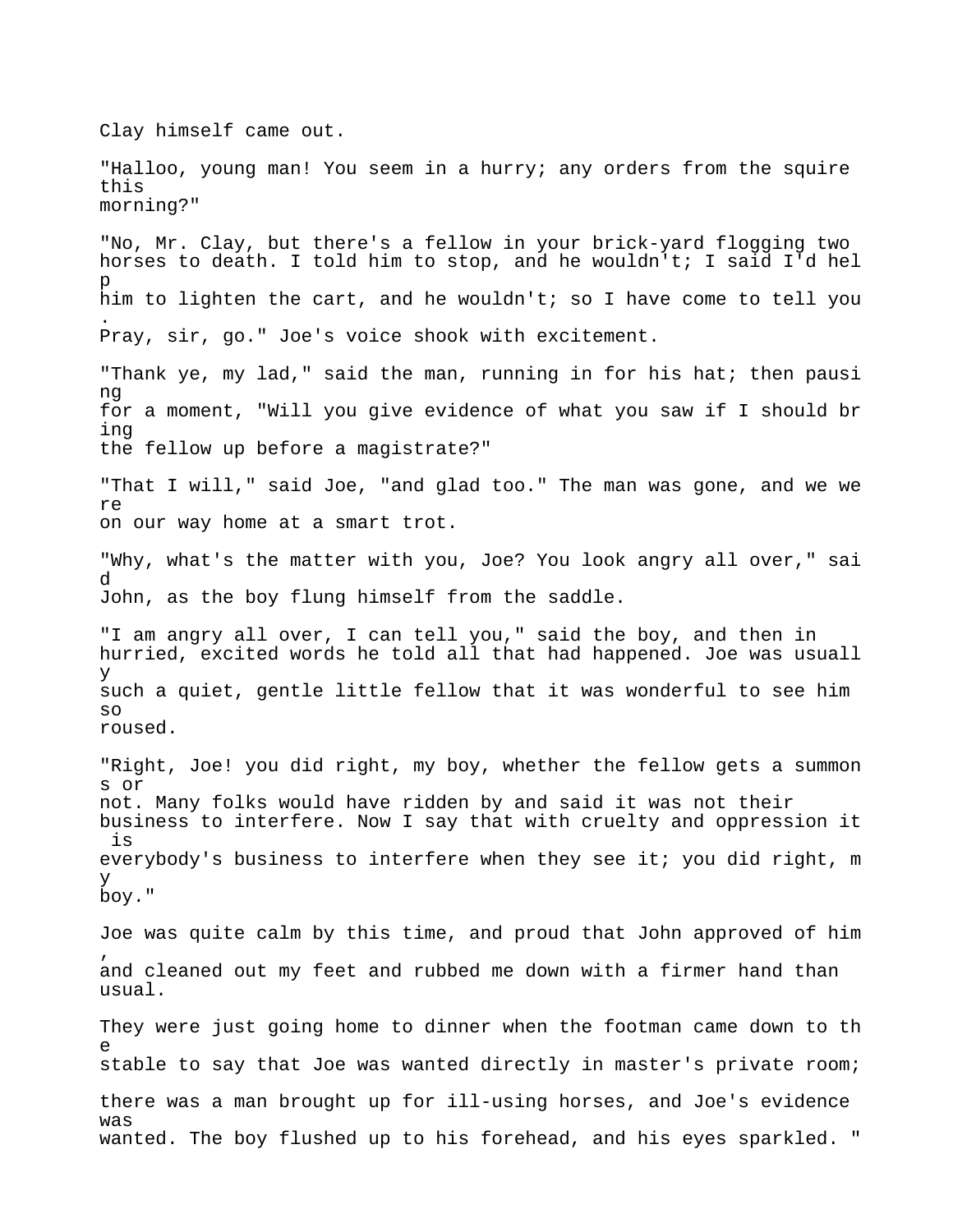Clay himself came out. "Halloo, young man! You seem in a hurry; any orders from the squire this morning?" "No, Mr. Clay, but there's a fellow in your brick-yard flogging two horses to death. I told him to stop, and he wouldn't; I said I'd hel p him to lighten the cart, and he wouldn't; so I have come to tell you . Pray, sir, go." Joe's voice shook with excitement. "Thank ye, my lad," said the man, running in for his hat; then pausi ng for a moment, "Will you give evidence of what you saw if I should br ing the fellow up before a magistrate?" "That I will," said Joe, "and glad too." The man was gone, and we we re on our way home at a smart trot. "Why, what's the matter with you, Joe? You look angry all over," sai d John, as the boy flung himself from the saddle. "I am angry all over, I can tell you," said the boy, and then in hurried, excited words he told all that had happened. Joe was usuall y such a quiet, gentle little fellow that it was wonderful to see him so roused. "Right, Joe! you did right, my boy, whether the fellow gets a summon s or not. Many folks would have ridden by and said it was not their business to interfere. Now I say that with cruelty and oppression it is everybody's business to interfere when they see it; you did right, m y boy." Joe was quite calm by this time, and proud that John approved of him , and cleaned out my feet and rubbed me down with a firmer hand than usual. They were just going home to dinner when the footman came down to th e stable to say that Joe was wanted directly in master's private room; there was a man brought up for ill-using horses, and Joe's evidence was wanted. The boy flushed up to his forehead, and his eyes sparkled. "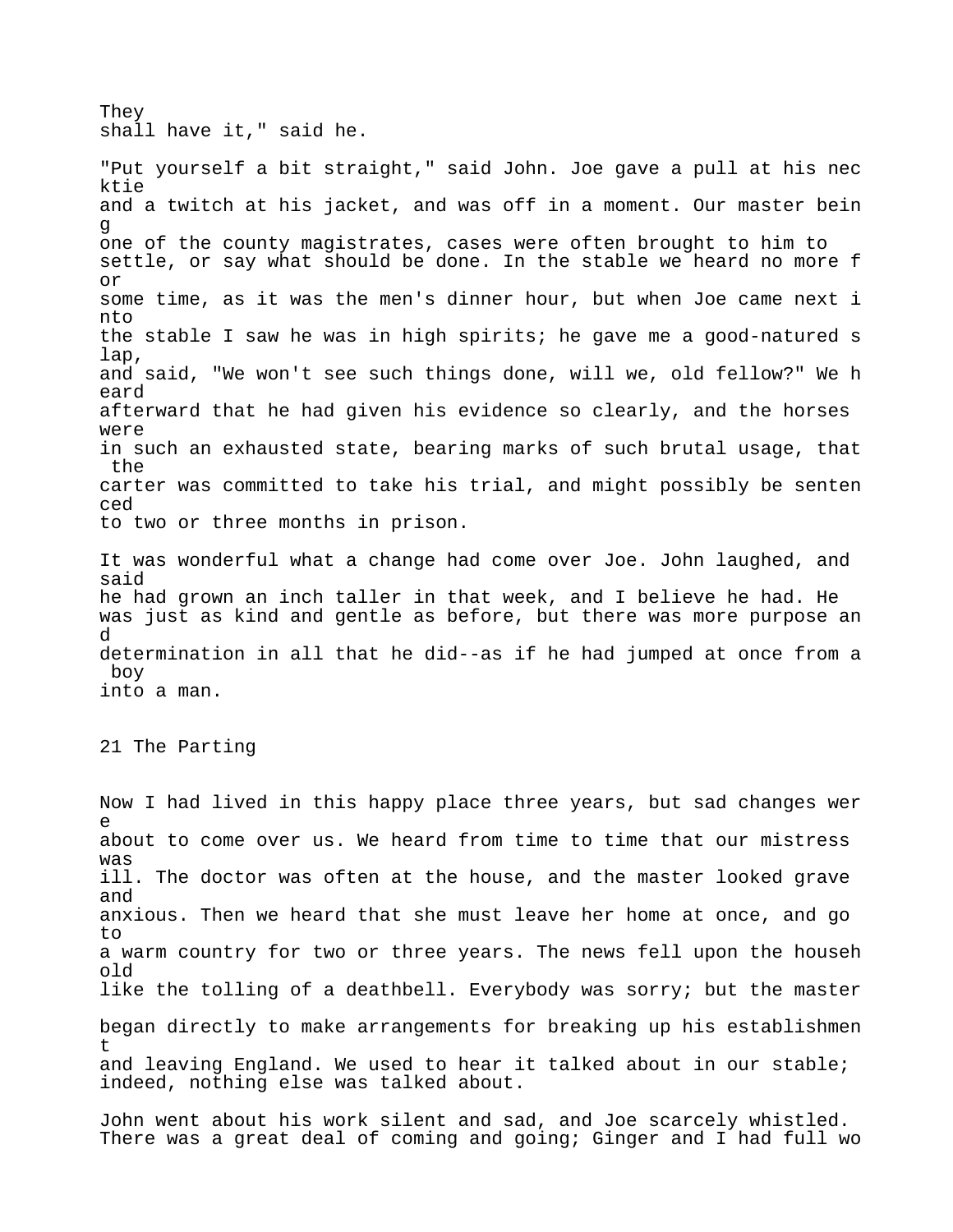They shall have it," said he.

"Put yourself a bit straight," said John. Joe gave a pull at his nec ktie and a twitch at his jacket, and was off in a moment. Our master bein g one of the county magistrates, cases were often brought to him to settle, or say what should be done. In the stable we heard no more f or some time, as it was the men's dinner hour, but when Joe came next i nto the stable I saw he was in high spirits; he gave me a good-natured s lap, and said, "We won't see such things done, will we, old fellow?" We h eard afterward that he had given his evidence so clearly, and the horses were in such an exhausted state, bearing marks of such brutal usage, that the carter was committed to take his trial, and might possibly be senten ced to two or three months in prison.

It was wonderful what a change had come over Joe. John laughed, and said he had grown an inch taller in that week, and I believe he had. He was just as kind and gentle as before, but there was more purpose an d determination in all that he did--as if he had jumped at once from a boy into a man.

21 The Parting

Now I had lived in this happy place three years, but sad changes wer e about to come over us. We heard from time to time that our mistress was ill. The doctor was often at the house, and the master looked grave and anxious. Then we heard that she must leave her home at once, and go to a warm country for two or three years. The news fell upon the househ old like the tolling of a deathbell. Everybody was sorry; but the master began directly to make arrangements for breaking up his establishmen t and leaving England. We used to hear it talked about in our stable; indeed, nothing else was talked about.

John went about his work silent and sad, and Joe scarcely whistled. There was a great deal of coming and going; Ginger and I had full wo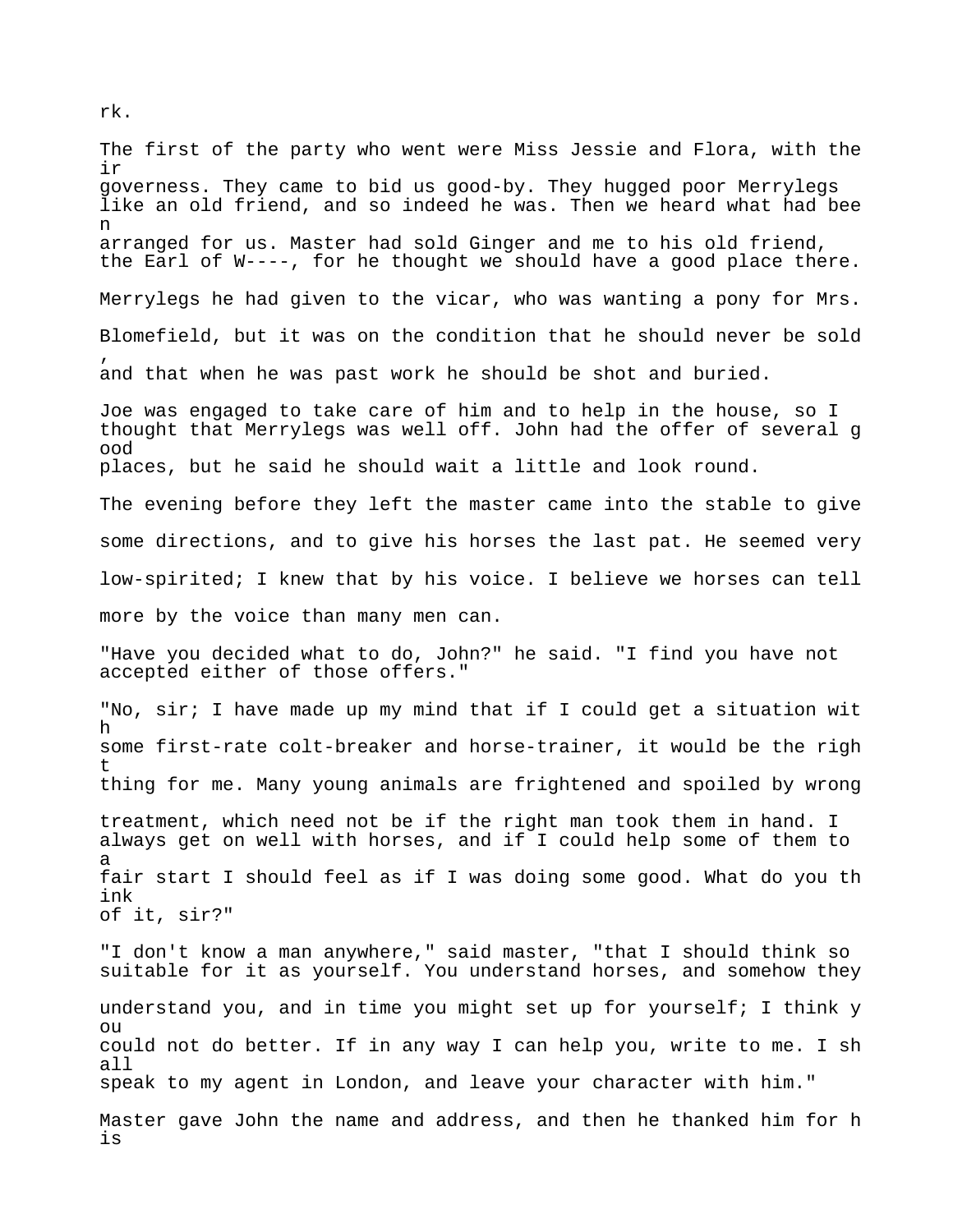The first of the party who went were Miss Jessie and Flora, with the ir governess. They came to bid us good-by. They hugged poor Merrylegs like an old friend, and so indeed he was. Then we heard what had bee n arranged for us. Master had sold Ginger and me to his old friend, the Earl of W----, for he thought we should have a good place there. Merrylegs he had given to the vicar, who was wanting a pony for Mrs. Blomefield, but it was on the condition that he should never be sold , and that when he was past work he should be shot and buried. Joe was engaged to take care of him and to help in the house, so I thought that Merrylegs was well off. John had the offer of several g ood places, but he said he should wait a little and look round. The evening before they left the master came into the stable to give some directions, and to give his horses the last pat. He seemed very low-spirited; I knew that by his voice. I believe we horses can tell more by the voice than many men can. "Have you decided what to do, John?" he said. "I find you have not accepted either of those offers." "No, sir; I have made up my mind that if I could get a situation wit h some first-rate colt-breaker and horse-trainer, it would be the righ t thing for me. Many young animals are frightened and spoiled by wrong treatment, which need not be if the right man took them in hand. I always get on well with horses, and if I could help some of them to a fair start I should feel as if I was doing some good. What do you th ink of it, sir?" "I don't know a man anywhere," said master, "that I should think so suitable for it as yourself. You understand horses, and somehow they understand you, and in time you might set up for yourself; I think y ou could not do better. If in any way I can help you, write to me. I sh all speak to my agent in London, and leave your character with him." Master gave John the name and address, and then he thanked him for h is

rk.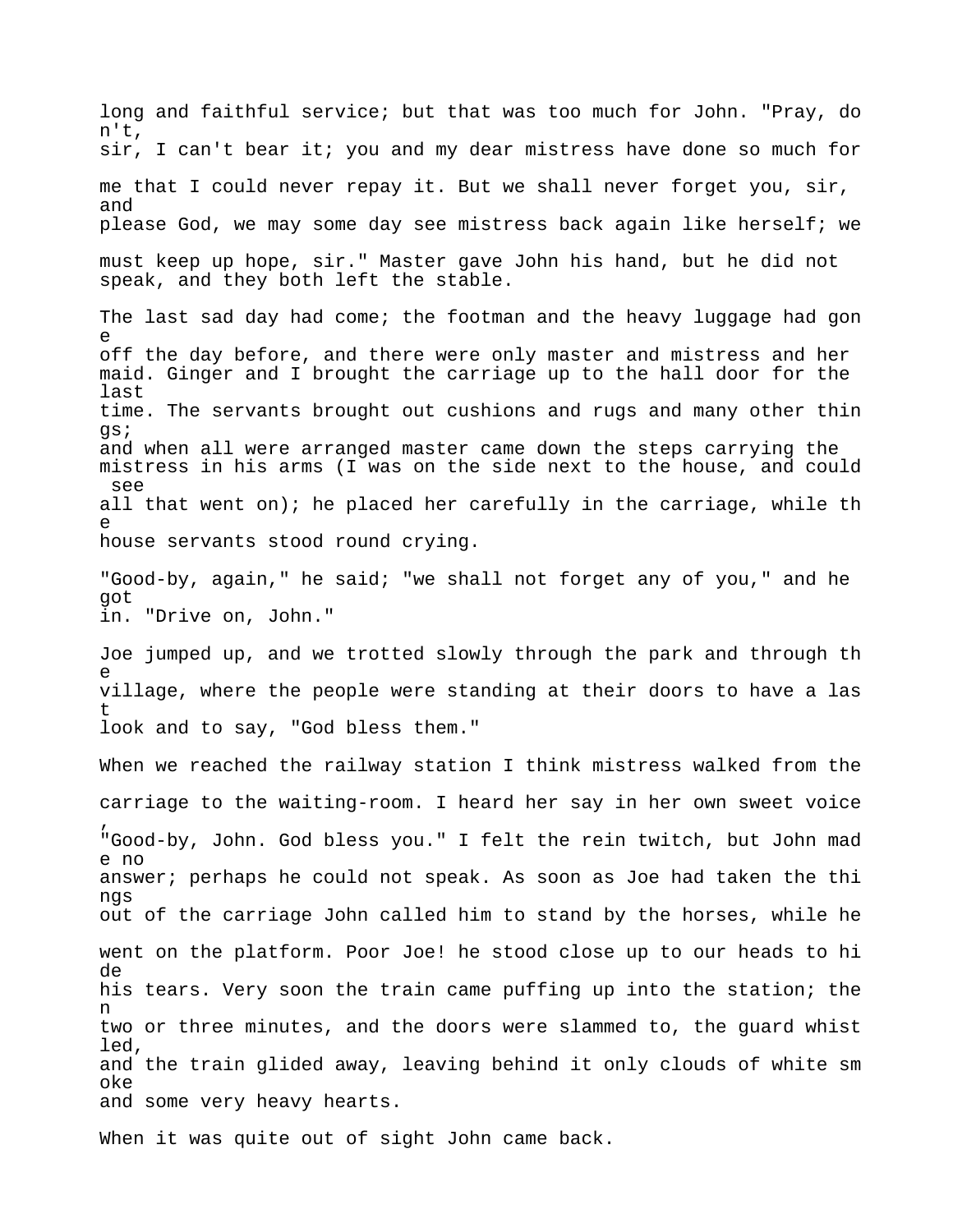long and faithful service; but that was too much for John. "Pray, do n't, sir, I can't bear it; you and my dear mistress have done so much for me that I could never repay it. But we shall never forget you, sir, and please God, we may some day see mistress back again like herself; we must keep up hope, sir." Master gave John his hand, but he did not speak, and they both left the stable. The last sad day had come; the footman and the heavy luggage had gon e off the day before, and there were only master and mistress and her maid. Ginger and I brought the carriage up to the hall door for the last time. The servants brought out cushions and rugs and many other thin gs; and when all were arranged master came down the steps carrying the mistress in his arms (I was on the side next to the house, and could see all that went on); he placed her carefully in the carriage, while th e house servants stood round crying. "Good-by, again," he said; "we shall not forget any of you," and he got in. "Drive on, John." Joe jumped up, and we trotted slowly through the park and through th e village, where the people were standing at their doors to have a las t look and to say, "God bless them." When we reached the railway station I think mistress walked from the carriage to the waiting-room. I heard her say in her own sweet voice , "Good-by, John. God bless you." I felt the rein twitch, but John mad e no answer; perhaps he could not speak. As soon as Joe had taken the thi ngs out of the carriage John called him to stand by the horses, while he went on the platform. Poor Joe! he stood close up to our heads to hi de his tears. Very soon the train came puffing up into the station; the n two or three minutes, and the doors were slammed to, the guard whist led, and the train glided away, leaving behind it only clouds of white sm oke and some very heavy hearts.

When it was quite out of sight John came back.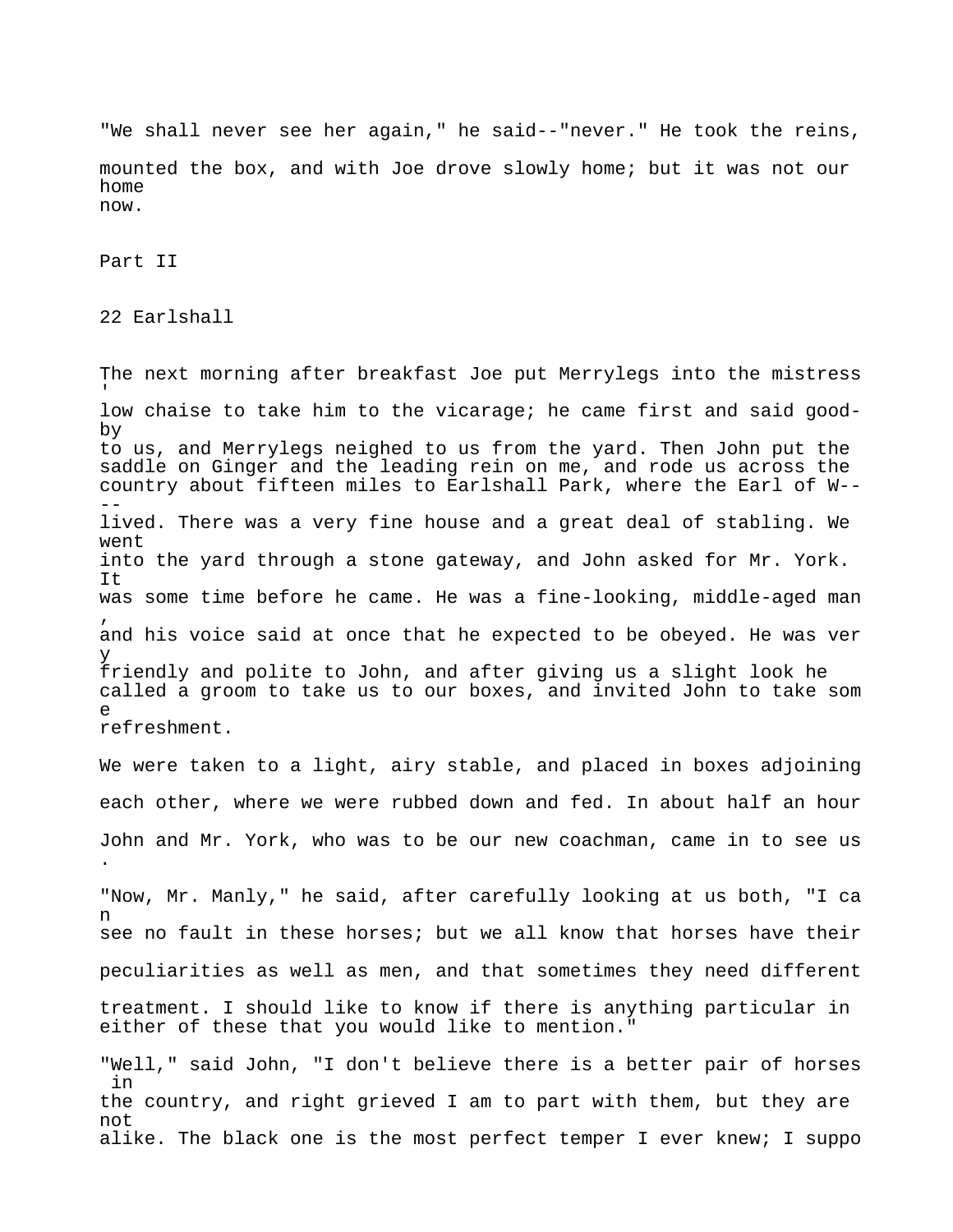"We shall never see her again," he said--"never." He took the reins, mounted the box, and with Joe drove slowly home; but it was not our home now.

Part II

22 Earlshall

The next morning after breakfast Joe put Merrylegs into the mistress 'low chaise to take him to the vicarage; he came first and said goodby to us, and Merrylegs neighed to us from the yard. Then John put the saddle on Ginger and the leading rein on me, and rode us across the country about fifteen miles to Earlshall Park, where the Earl of W--  $$ lived. There was a very fine house and a great deal of stabling. We went into the yard through a stone gateway, and John asked for Mr. York. It was some time before he came. He was a fine-looking, middle-aged man , and his voice said at once that he expected to be obeyed. He was ver y friendly and polite to John, and after giving us a slight look he called a groom to take us to our boxes, and invited John to take som e refreshment. We were taken to a light, airy stable, and placed in boxes adjoining each other, where we were rubbed down and fed. In about half an hour John and Mr. York, who was to be our new coachman, came in to see us . "Now, Mr. Manly," he said, after carefully looking at us both, "I ca n see no fault in these horses; but we all know that horses have their peculiarities as well as men, and that sometimes they need different treatment. I should like to know if there is anything particular in either of these that you would like to mention." "Well," said John, "I don't believe there is a better pair of horses in the country, and right grieved I am to part with them, but they are not

alike. The black one is the most perfect temper I ever knew; I suppo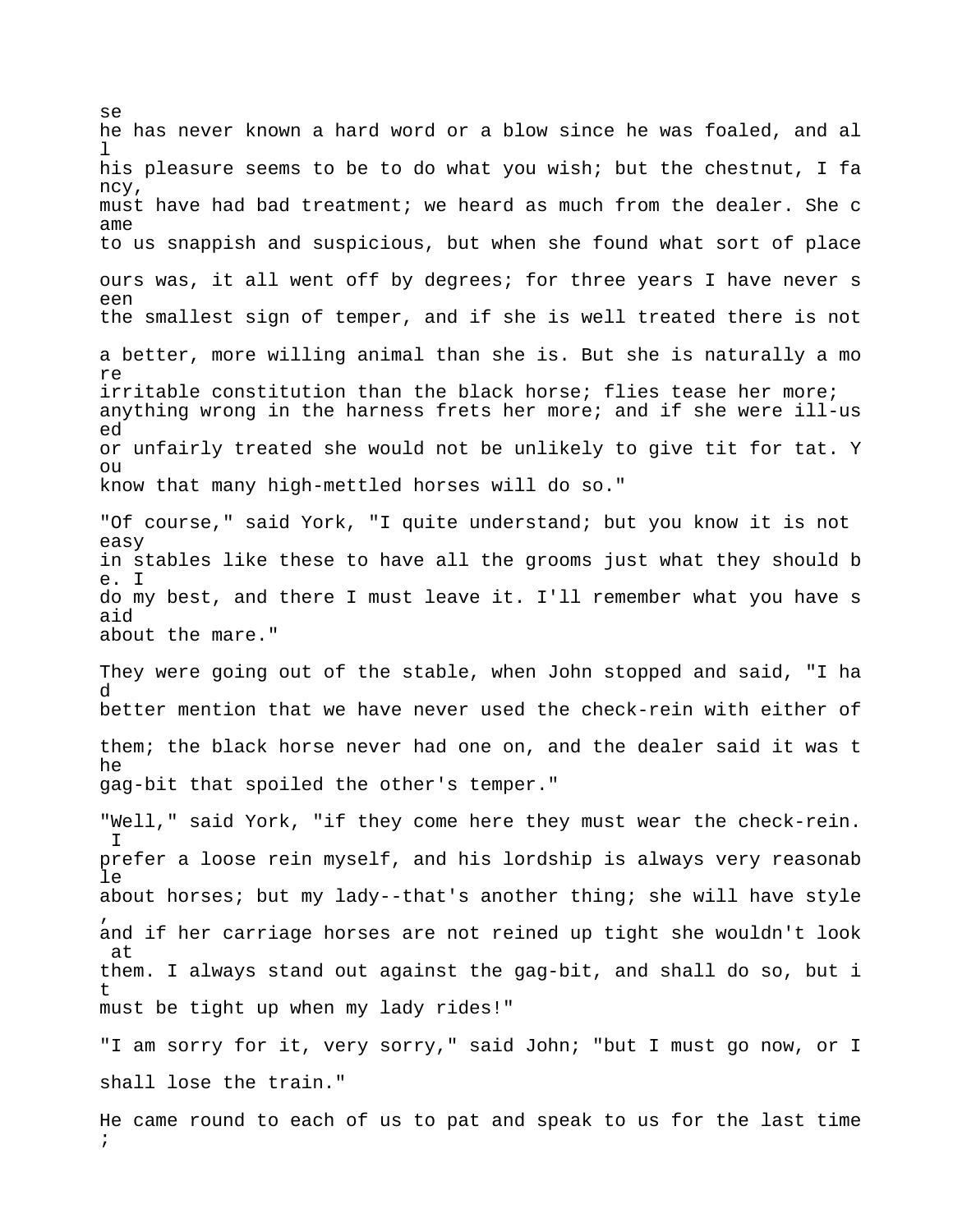se he has never known a hard word or a blow since he was foaled, and al  $\mathbb{I}$ his pleasure seems to be to do what you wish; but the chestnut, I fa ncy, must have had bad treatment; we heard as much from the dealer. She c ame to us snappish and suspicious, but when she found what sort of place ours was, it all went off by degrees; for three years I have never s een the smallest sign of temper, and if she is well treated there is not a better, more willing animal than she is. But she is naturally a mo re irritable constitution than the black horse; flies tease her more; anything wrong in the harness frets her more; and if she were ill-us ed or unfairly treated she would not be unlikely to give tit for tat. Y  $O<sub>11</sub>$ know that many high-mettled horses will do so." "Of course," said York, "I quite understand; but you know it is not easy in stables like these to have all the grooms just what they should b e. I do my best, and there I must leave it. I'll remember what you have s aid about the mare." They were going out of the stable, when John stopped and said, "I ha d better mention that we have never used the check-rein with either of them; the black horse never had one on, and the dealer said it was t he gag-bit that spoiled the other's temper." "Well," said York, "if they come here they must wear the check-rein. I prefer a loose rein myself, and his lordship is always very reasonab le about horses; but my lady--that's another thing; she will have style , and if her carriage horses are not reined up tight she wouldn't look at them. I always stand out against the gag-bit, and shall do so, but i t must be tight up when my lady rides!" "I am sorry for it, very sorry," said John; "but I must go now, or I shall lose the train." He came round to each of us to pat and speak to us for the last time ;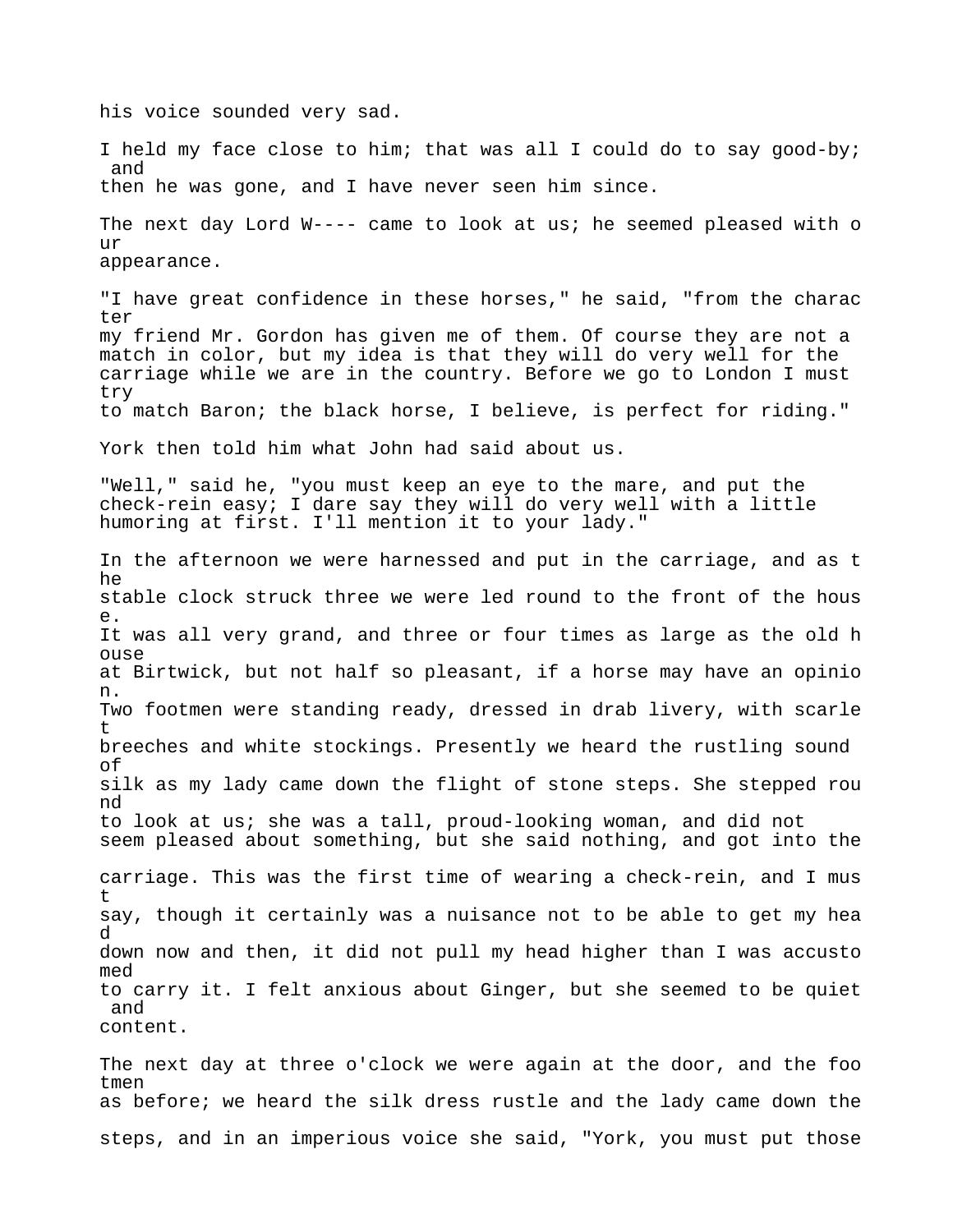his voice sounded very sad.

I held my face close to him; that was all I could do to say good-by; and then he was gone, and I have never seen him since. The next day Lord W---- came to look at us; he seemed pleased with o  $11T$ appearance. "I have great confidence in these horses," he said, "from the charac ter my friend Mr. Gordon has given me of them. Of course they are not a match in color, but my idea is that they will do very well for the carriage while we are in the country. Before we go to London I must try to match Baron; the black horse, I believe, is perfect for riding." York then told him what John had said about us. "Well," said he, "you must keep an eye to the mare, and put the check-rein easy; I dare say they will do very well with a little humoring at first. I'll mention it to your lady." In the afternoon we were harnessed and put in the carriage, and as t he stable clock struck three we were led round to the front of the hous e. It was all very grand, and three or four times as large as the old h ouse at Birtwick, but not half so pleasant, if a horse may have an opinio n. Two footmen were standing ready, dressed in drab livery, with scarle t breeches and white stockings. Presently we heard the rustling sound of silk as my lady came down the flight of stone steps. She stepped rou nd to look at us; she was a tall, proud-looking woman, and did not seem pleased about something, but she said nothing, and got into the carriage. This was the first time of wearing a check-rein, and I mus t say, though it certainly was a nuisance not to be able to get my hea d down now and then, it did not pull my head higher than I was accusto med to carry it. I felt anxious about Ginger, but she seemed to be quiet and content.

The next day at three o'clock we were again at the door, and the foo tmen as before; we heard the silk dress rustle and the lady came down the steps, and in an imperious voice she said, "York, you must put those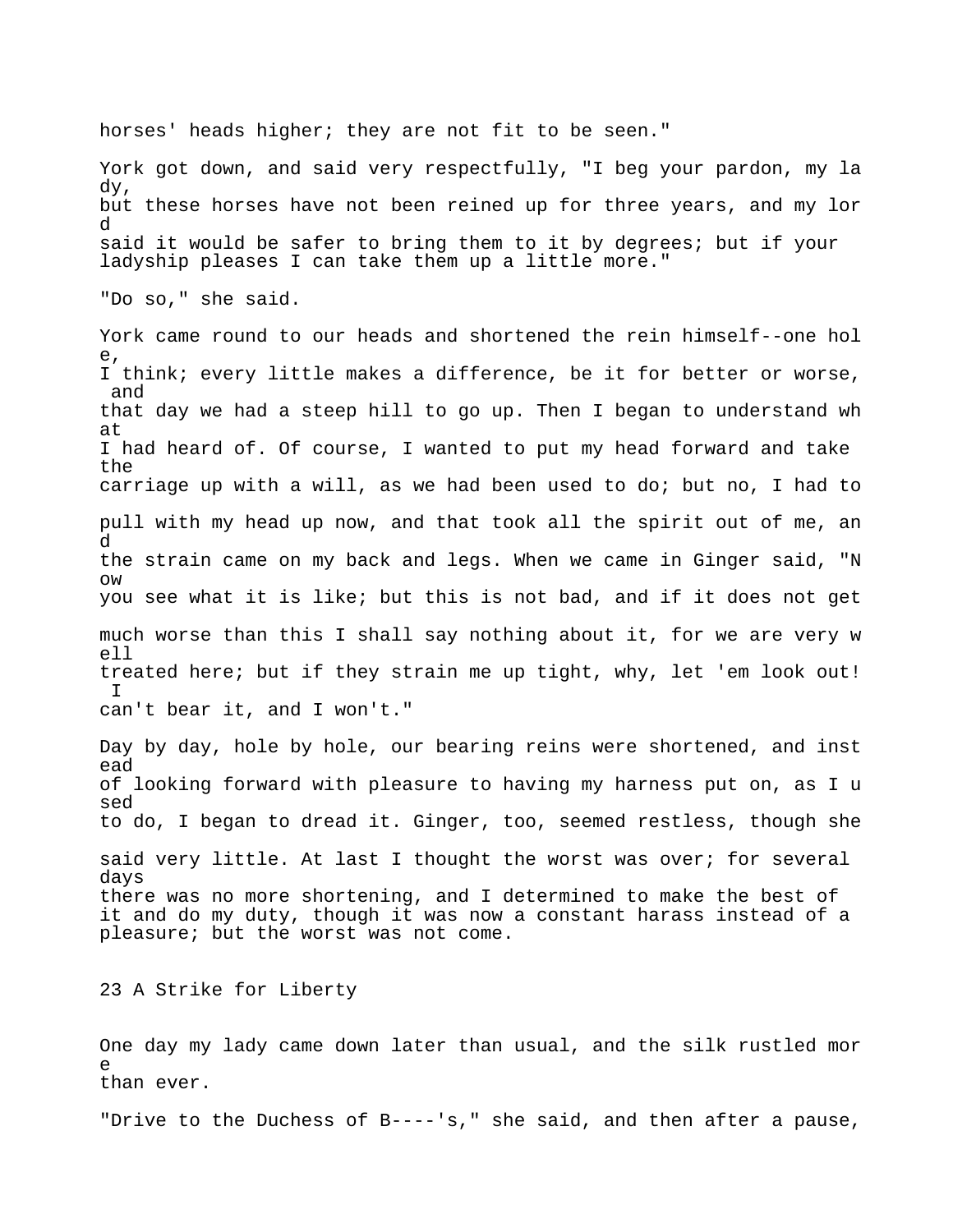horses' heads higher; they are not fit to be seen." York got down, and said very respectfully, "I beg your pardon, my la dy, but these horses have not been reined up for three years, and my lor d said it would be safer to bring them to it by degrees; but if your ladyship pleases I can take them up a little more." "Do so," she said. York came round to our heads and shortened the rein himself--one hol e, I think; every little makes a difference, be it for better or worse, and that day we had a steep hill to go up. Then I began to understand wh at I had heard of. Of course, I wanted to put my head forward and take the carriage up with a will, as we had been used to do; but no, I had to pull with my head up now, and that took all the spirit out of me, an d the strain came on my back and legs. When we came in Ginger said, "N ow you see what it is like; but this is not bad, and if it does not get much worse than this I shall say nothing about it, for we are very w ell treated here; but if they strain me up tight, why, let 'em look out!  $T$ can't bear it, and I won't." Day by day, hole by hole, our bearing reins were shortened, and inst ead of looking forward with pleasure to having my harness put on, as I u sed to do, I began to dread it. Ginger, too, seemed restless, though she said very little. At last I thought the worst was over; for several days there was no more shortening, and I determined to make the best of it and do my duty, though it was now a constant harass instead of a pleasure; but the worst was not come. 23 A Strike for Liberty One day my lady came down later than usual, and the silk rustled mor e than ever.

"Drive to the Duchess of B----'s," she said, and then after a pause,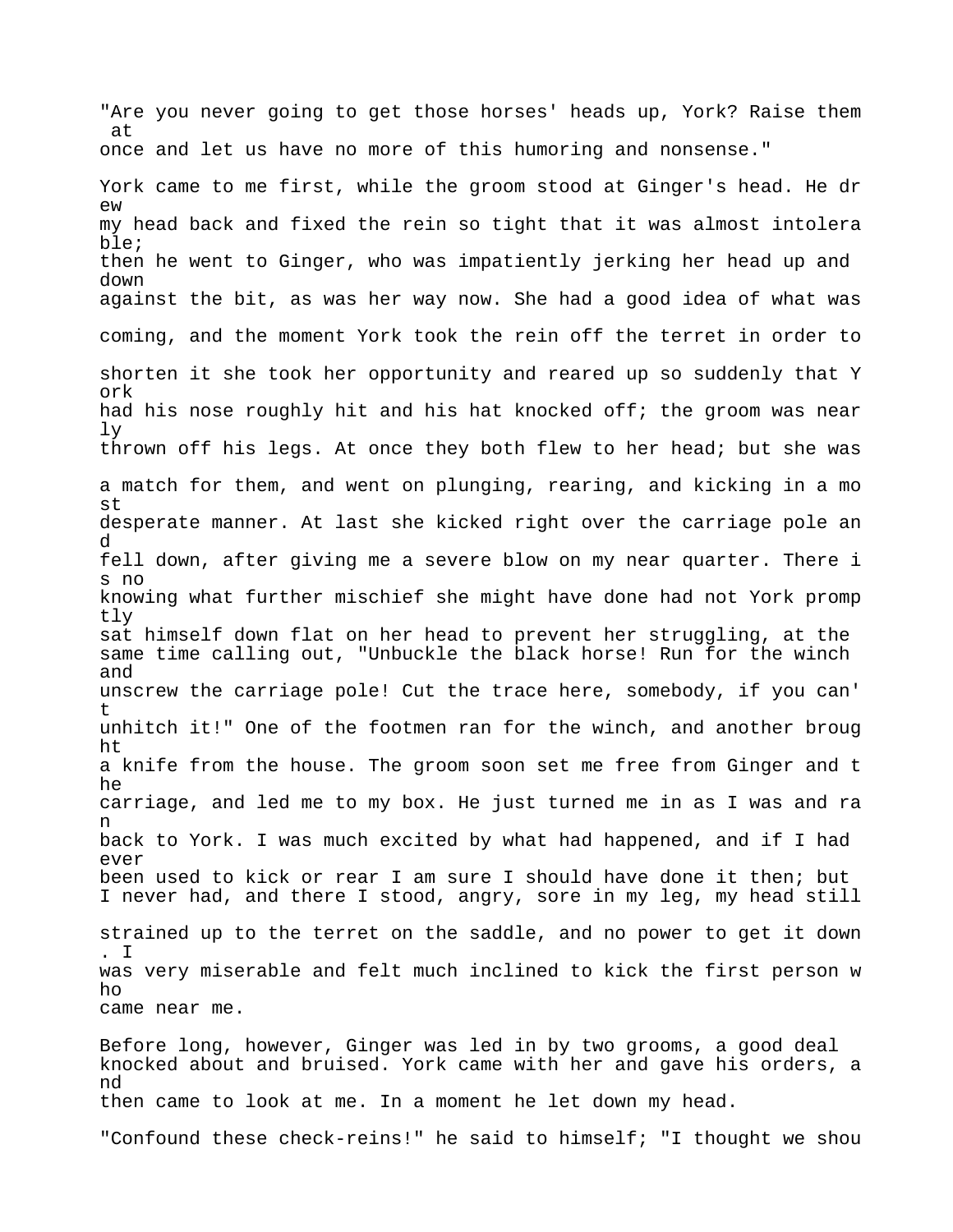"Are you never going to get those horses' heads up, York? Raise them at once and let us have no more of this humoring and nonsense." York came to me first, while the groom stood at Ginger's head. He dr ew my head back and fixed the rein so tight that it was almost intolera ble; then he went to Ginger, who was impatiently jerking her head up and down against the bit, as was her way now. She had a good idea of what was coming, and the moment York took the rein off the terret in order to shorten it she took her opportunity and reared up so suddenly that Y ork had his nose roughly hit and his hat knocked off; the groom was near ly thrown off his legs. At once they both flew to her head; but she was a match for them, and went on plunging, rearing, and kicking in a mo st desperate manner. At last she kicked right over the carriage pole an d fell down, after giving me a severe blow on my near quarter. There i s no knowing what further mischief she might have done had not York promp tly sat himself down flat on her head to prevent her struggling, at the same time calling out, "Unbuckle the black horse! Run for the winch and unscrew the carriage pole! Cut the trace here, somebody, if you can' t unhitch it!" One of the footmen ran for the winch, and another broug ht a knife from the house. The groom soon set me free from Ginger and t he carriage, and led me to my box. He just turned me in as I was and ra n back to York. I was much excited by what had happened, and if I had ever been used to kick or rear I am sure I should have done it then; but I never had, and there I stood, angry, sore in my leg, my head still strained up to the terret on the saddle, and no power to get it down . I was very miserable and felt much inclined to kick the first person w ho came near me. Before long, however, Ginger was led in by two grooms, a good deal knocked about and bruised. York came with her and gave his orders, a nd then came to look at me. In a moment he let down my head.

"Confound these check-reins!" he said to himself; "I thought we shou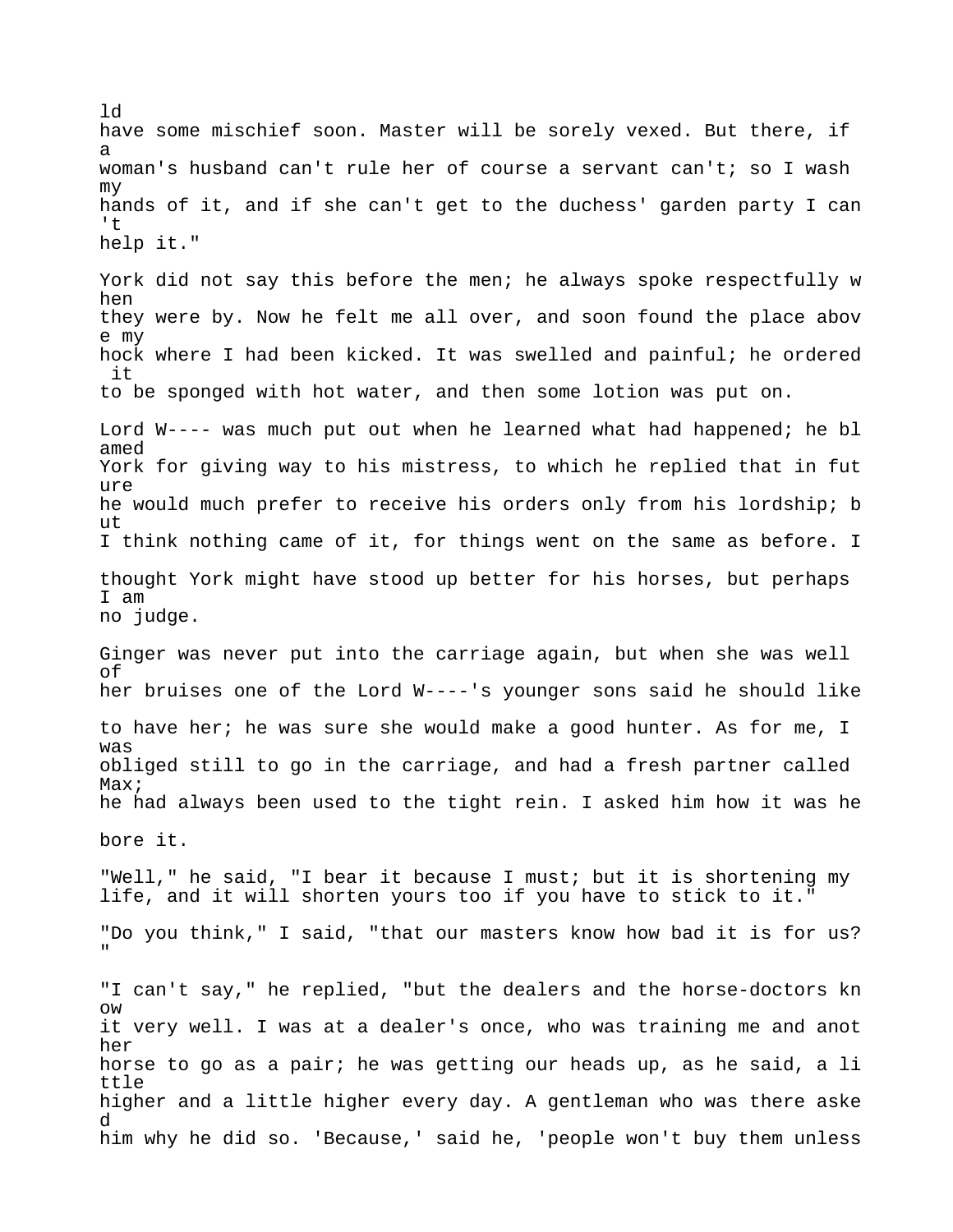have some mischief soon. Master will be sorely vexed. But there, if a woman's husband can't rule her of course a servant can't; so I wash my hands of it, and if she can't get to the duchess' garden party I can 't help it." York did not say this before the men; he always spoke respectfully w hen they were by. Now he felt me all over, and soon found the place abov e my hock where I had been kicked. It was swelled and painful; he ordered it to be sponged with hot water, and then some lotion was put on. Lord W---- was much put out when he learned what had happened; he bl amed York for giving way to his mistress, to which he replied that in fut ure he would much prefer to receive his orders only from his lordship; b ut I think nothing came of it, for things went on the same as before. I thought York might have stood up better for his horses, but perhaps I am no judge. Ginger was never put into the carriage again, but when she was well of her bruises one of the Lord W----'s younger sons said he should like to have her; he was sure she would make a good hunter. As for me, I was obliged still to go in the carriage, and had a fresh partner called Max; he had always been used to the tight rein. I asked him how it was he bore it. "Well," he said, "I bear it because I must; but it is shortening my life, and it will shorten yours too if you have to stick to it." "Do you think," I said, "that our masters know how bad it is for us? " "I can't say," he replied, "but the dealers and the horse-doctors kn ow it very well. I was at a dealer's once, who was training me and anot her horse to go as a pair; he was getting our heads up, as he said, a li ttle higher and a little higher every day. A gentleman who was there aske d him why he did so. 'Because,' said he, 'people won't buy them unless

ld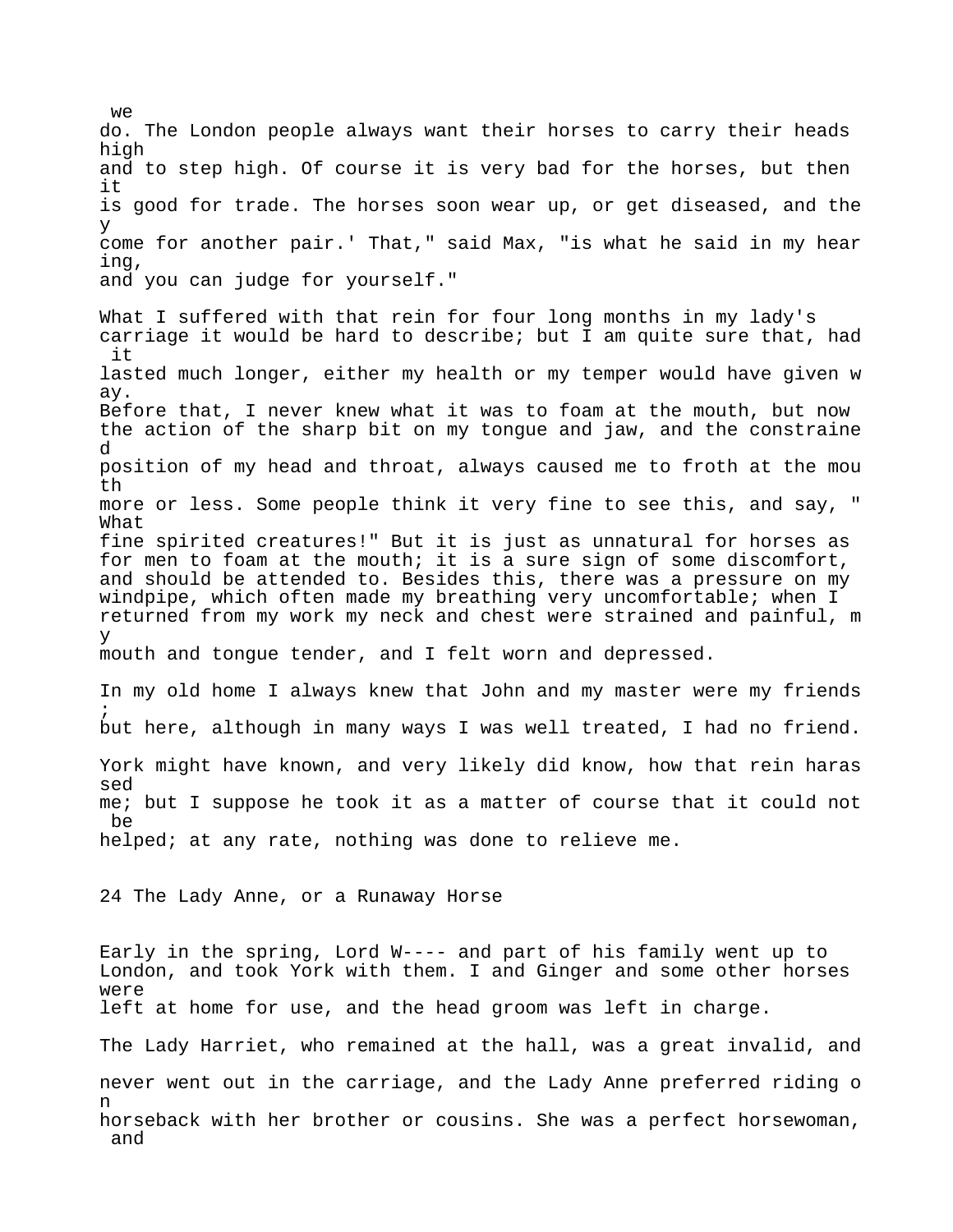do. The London people always want their horses to carry their heads high and to step high. Of course it is very bad for the horses, but then it is good for trade. The horses soon wear up, or get diseased, and the y come for another pair.' That," said Max, "is what he said in my hear ing, and you can judge for yourself." What I suffered with that rein for four long months in my lady's carriage it would be hard to describe; but I am quite sure that, had it lasted much longer, either my health or my temper would have given w ay. Before that, I never knew what it was to foam at the mouth, but now the action of the sharp bit on my tongue and jaw, and the constraine d position of my head and throat, always caused me to froth at the mou th more or less. Some people think it very fine to see this, and say, " What fine spirited creatures!" But it is just as unnatural for horses as for men to foam at the mouth; it is a sure sign of some discomfort, and should be attended to. Besides this, there was a pressure on my windpipe, which often made my breathing very uncomfortable; when I returned from my work my neck and chest were strained and painful, m y mouth and tongue tender, and I felt worn and depressed. In my old home I always knew that John and my master were my friends ; but here, although in many ways I was well treated, I had no friend. York might have known, and very likely did know, how that rein haras sed me; but I suppose he took it as a matter of course that it could not be helped; at any rate, nothing was done to relieve me. 24 The Lady Anne, or a Runaway Horse Early in the spring, Lord W---- and part of his family went up to London, and took York with them. I and Ginger and some other horses were left at home for use, and the head groom was left in charge. The Lady Harriet, who remained at the hall, was a great invalid, and never went out in the carriage, and the Lady Anne preferred riding o n horseback with her brother or cousins. She was a perfect horsewoman, and

 $W^{\ominus}$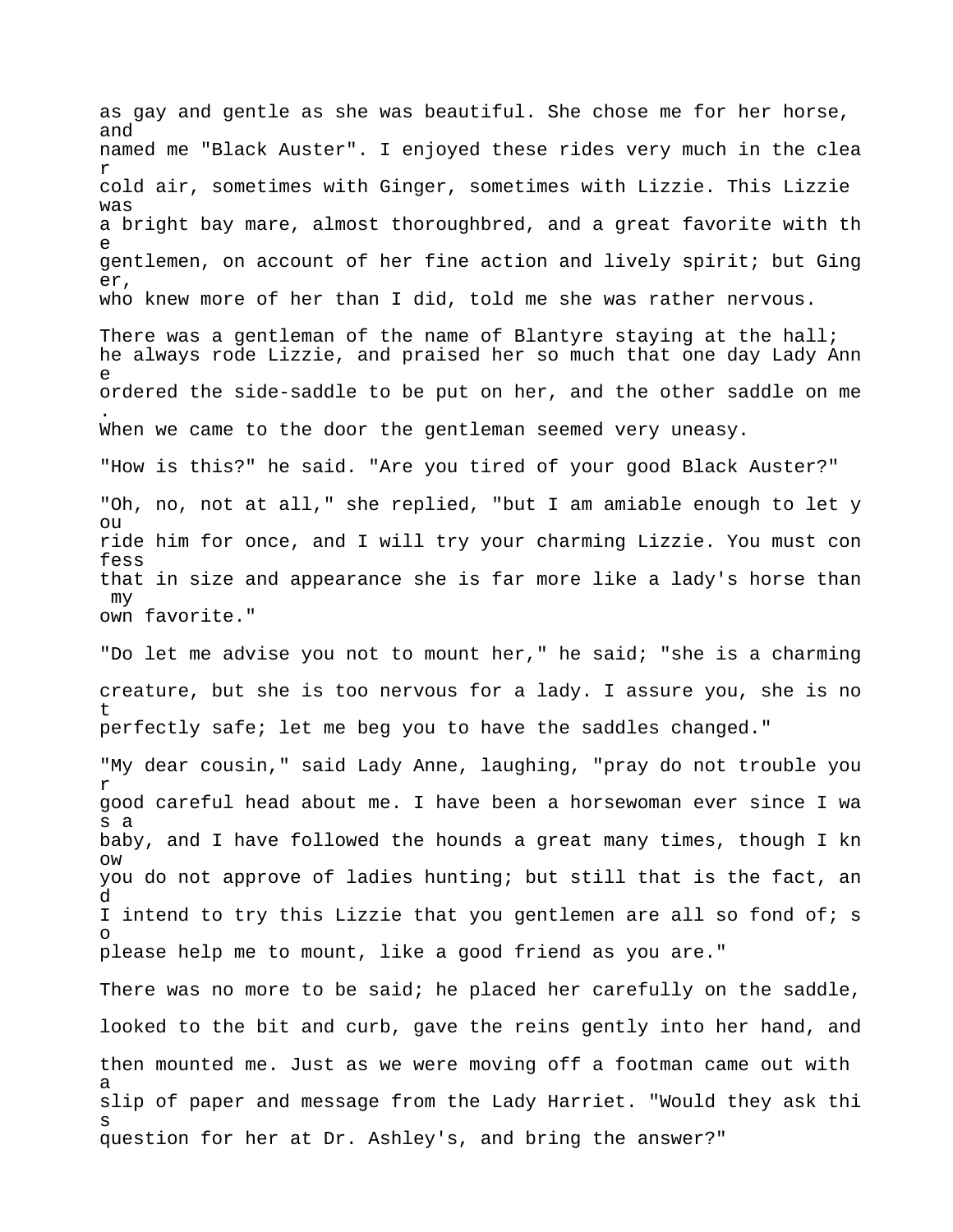as gay and gentle as she was beautiful. She chose me for her horse, and named me "Black Auster". I enjoyed these rides very much in the clea r cold air, sometimes with Ginger, sometimes with Lizzie. This Lizzie was a bright bay mare, almost thoroughbred, and a great favorite with th e gentlemen, on account of her fine action and lively spirit; but Ging er, who knew more of her than I did, told me she was rather nervous. There was a gentleman of the name of Blantyre staying at the hall; he always rode Lizzie, and praised her so much that one day Lady Ann e ordered the side-saddle to be put on her, and the other saddle on me . When we came to the door the gentleman seemed very uneasy. "How is this?" he said. "Are you tired of your good Black Auster?" "Oh, no, not at all," she replied, "but I am amiable enough to let y ou ride him for once, and I will try your charming Lizzie. You must con fess that in size and appearance she is far more like a lady's horse than my own favorite." "Do let me advise you not to mount her," he said; "she is a charming creature, but she is too nervous for a lady. I assure you, she is no t perfectly safe; let me beg you to have the saddles changed." "My dear cousin," said Lady Anne, laughing, "pray do not trouble you r good careful head about me. I have been a horsewoman ever since I wa s a baby, and I have followed the hounds a great many times, though I kn ow you do not approve of ladies hunting; but still that is the fact, an d I intend to try this Lizzie that you gentlemen are all so fond of; s o please help me to mount, like a good friend as you are." There was no more to be said; he placed her carefully on the saddle, looked to the bit and curb, gave the reins gently into her hand, and then mounted me. Just as we were moving off a footman came out with a slip of paper and message from the Lady Harriet. "Would they ask thi s question for her at Dr. Ashley's, and bring the answer?"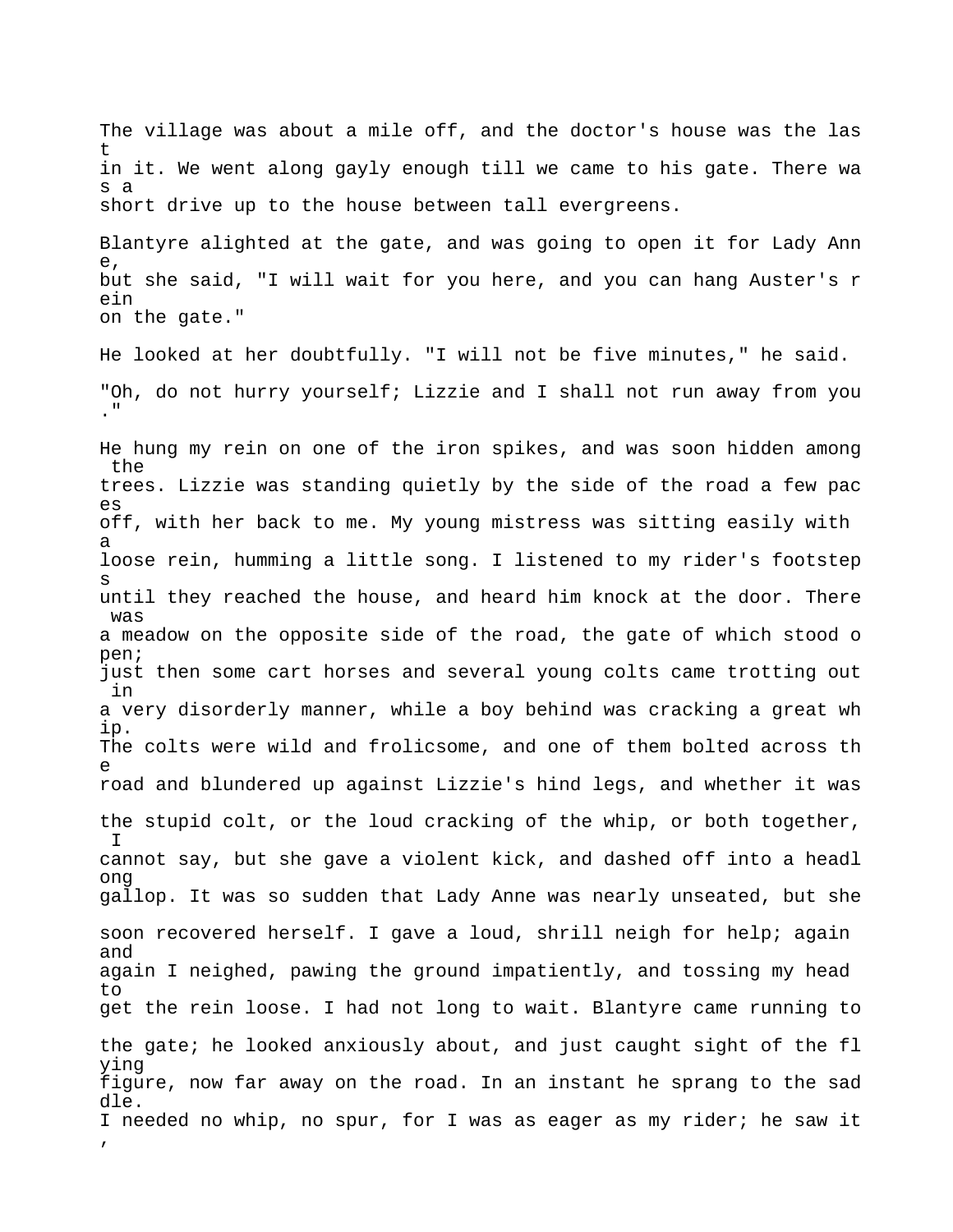The village was about a mile off, and the doctor's house was the las t in it. We went along gayly enough till we came to his gate. There wa s a short drive up to the house between tall evergreens.

Blantyre alighted at the gate, and was going to open it for Lady Ann e, but she said, "I will wait for you here, and you can hang Auster's r ein on the gate."

He looked at her doubtfully. "I will not be five minutes," he said. "Oh, do not hurry yourself; Lizzie and I shall not run away from you ."

He hung my rein on one of the iron spikes, and was soon hidden among the trees. Lizzie was standing quietly by the side of the road a few pac es off, with her back to me. My young mistress was sitting easily with a loose rein, humming a little song. I listened to my rider's footstep s until they reached the house, and heard him knock at the door. There was a meadow on the opposite side of the road, the gate of which stood o pen; just then some cart horses and several young colts came trotting out in a very disorderly manner, while a boy behind was cracking a great wh ip. The colts were wild and frolicsome, and one of them bolted across th e road and blundered up against Lizzie's hind legs, and whether it was the stupid colt, or the loud cracking of the whip, or both together, I cannot say, but she gave a violent kick, and dashed off into a headl ong gallop. It was so sudden that Lady Anne was nearly unseated, but she soon recovered herself. I gave a loud, shrill neigh for help; again and again I neighed, pawing the ground impatiently, and tossing my head to get the rein loose. I had not long to wait. Blantyre came running to the gate; he looked anxiously about, and just caught sight of the fl ying figure, now far away on the road. In an instant he sprang to the sad dle. I needed no whip, no spur, for I was as eager as my rider; he saw it ,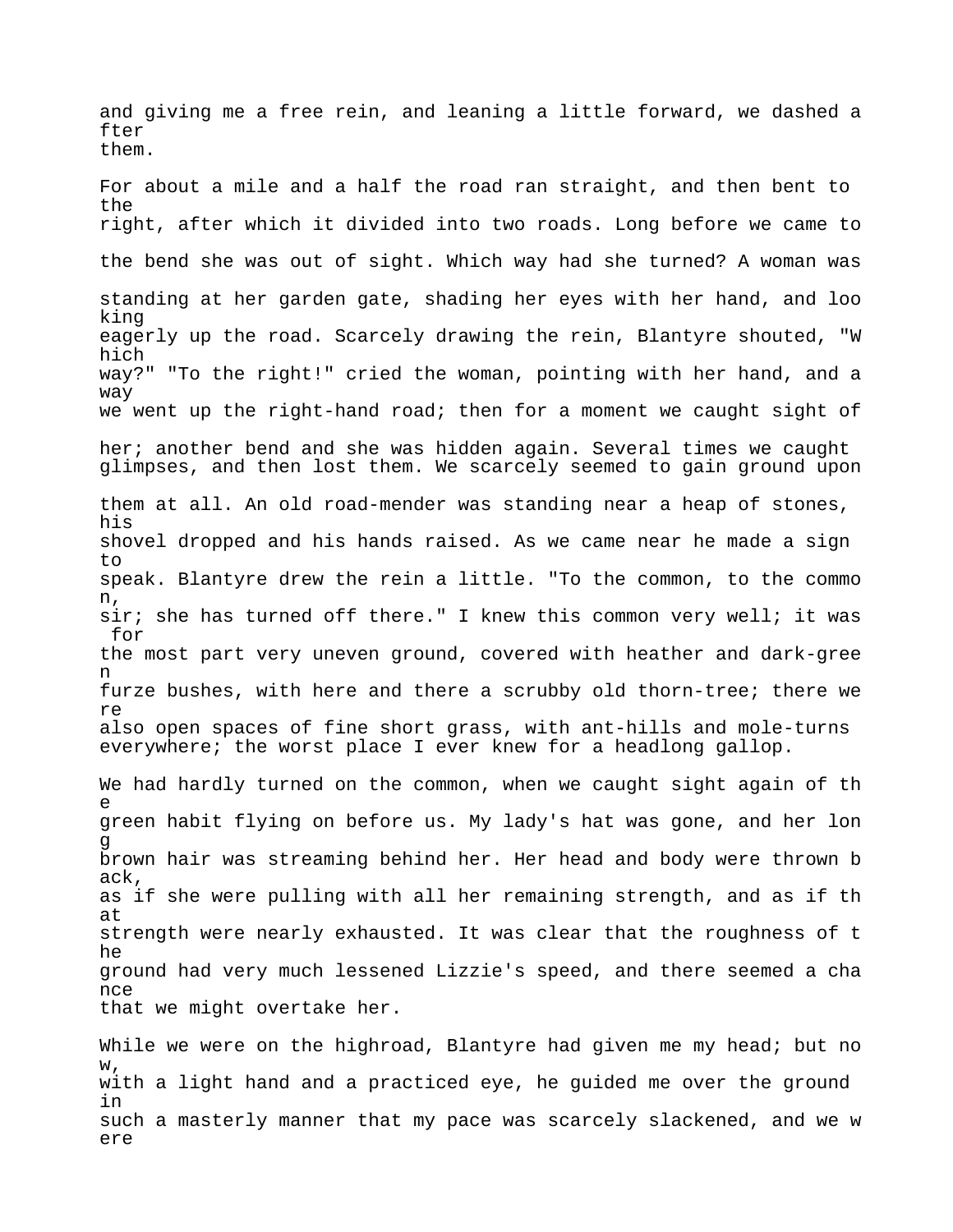and giving me a free rein, and leaning a little forward, we dashed a fter them. For about a mile and a half the road ran straight, and then bent to the right, after which it divided into two roads. Long before we came to the bend she was out of sight. Which way had she turned? A woman was standing at her garden gate, shading her eyes with her hand, and loo king eagerly up the road. Scarcely drawing the rein, Blantyre shouted, "W hich way?" "To the right!" cried the woman, pointing with her hand, and a way we went up the right-hand road; then for a moment we caught sight of her; another bend and she was hidden again. Several times we caught glimpses, and then lost them. We scarcely seemed to gain ground upon them at all. An old road-mender was standing near a heap of stones, his shovel dropped and his hands raised. As we came near he made a sign to speak. Blantyre drew the rein a little. "To the common, to the commo n, sir; she has turned off there." I knew this common very well; it was for the most part very uneven ground, covered with heather and dark-gree n furze bushes, with here and there a scrubby old thorn-tree; there we re also open spaces of fine short grass, with ant-hills and mole-turns everywhere; the worst place I ever knew for a headlong gallop. We had hardly turned on the common, when we caught sight again of th e green habit flying on before us. My lady's hat was gone, and her lon g brown hair was streaming behind her. Her head and body were thrown b ack, as if she were pulling with all her remaining strength, and as if th at strength were nearly exhausted. It was clear that the roughness of t he ground had very much lessened Lizzie's speed, and there seemed a cha nce that we might overtake her.

While we were on the highroad, Blantyre had given me my head; but no w, with a light hand and a practiced eye, he guided me over the ground in such a masterly manner that my pace was scarcely slackened, and we w ere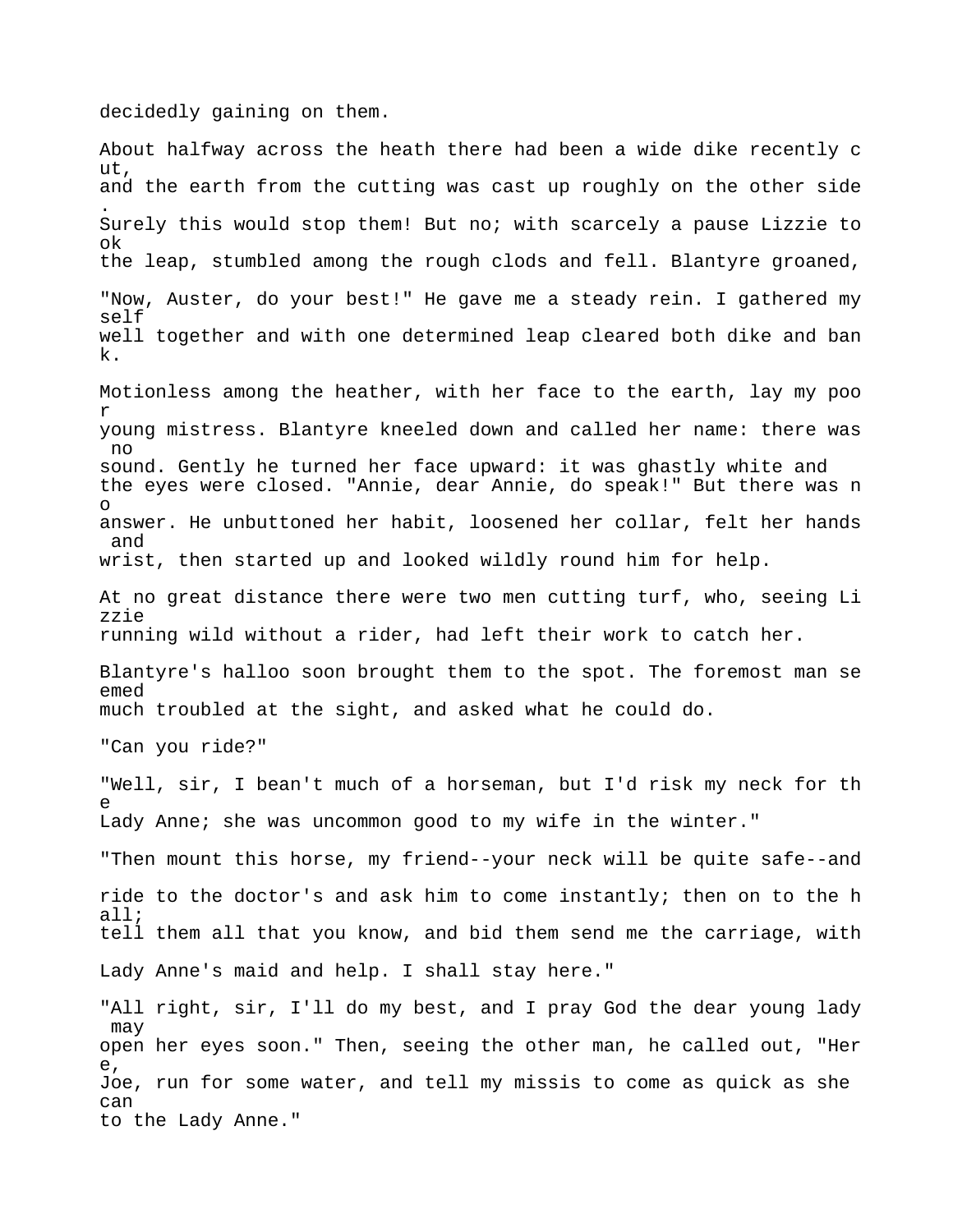decidedly gaining on them.

About halfway across the heath there had been a wide dike recently c ut, and the earth from the cutting was cast up roughly on the other side . Surely this would stop them! But no; with scarcely a pause Lizzie to ok the leap, stumbled among the rough clods and fell. Blantyre groaned, "Now, Auster, do your best!" He gave me a steady rein. I gathered my self well together and with one determined leap cleared both dike and ban k. Motionless among the heather, with her face to the earth, lay my poo r young mistress. Blantyre kneeled down and called her name: there was no sound. Gently he turned her face upward: it was ghastly white and the eyes were closed. "Annie, dear Annie, do speak!" But there was n o answer. He unbuttoned her habit, loosened her collar, felt her hands and wrist, then started up and looked wildly round him for help. At no great distance there were two men cutting turf, who, seeing Li zzie running wild without a rider, had left their work to catch her. Blantyre's halloo soon brought them to the spot. The foremost man se emed much troubled at the sight, and asked what he could do. "Can you ride?" "Well, sir, I bean't much of a horseman, but I'd risk my neck for th e Lady Anne; she was uncommon good to my wife in the winter." "Then mount this horse, my friend--your neck will be quite safe--and ride to the doctor's and ask him to come instantly; then on to the h all; tell them all that you know, and bid them send me the carriage, with Lady Anne's maid and help. I shall stay here." "All right, sir, I'll do my best, and I pray God the dear young lady may open her eyes soon." Then, seeing the other man, he called out, "Her e, Joe, run for some water, and tell my missis to come as quick as she can to the Lady Anne."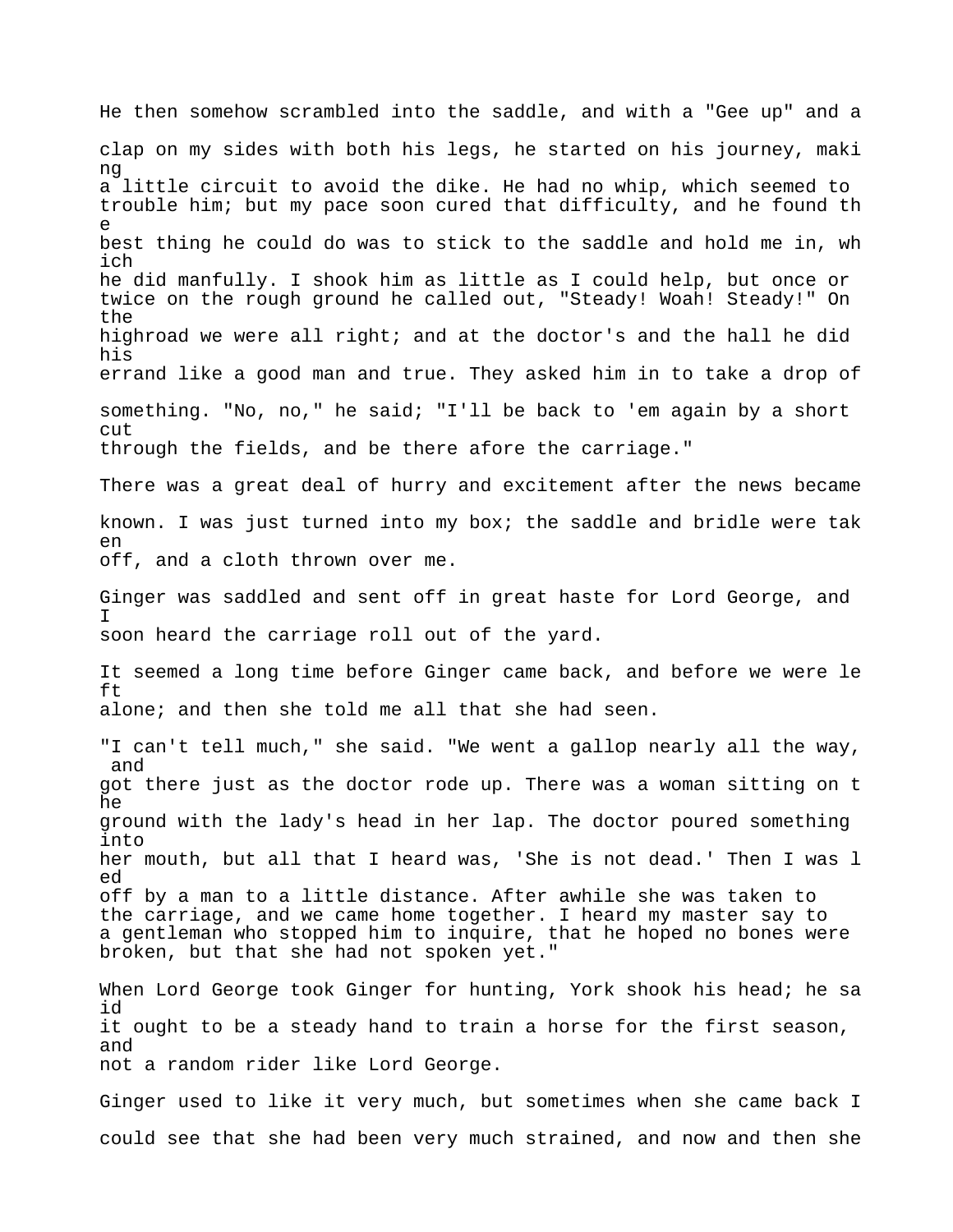He then somehow scrambled into the saddle, and with a "Gee up" and a clap on my sides with both his legs, he started on his journey, maki ng a little circuit to avoid the dike. He had no whip, which seemed to trouble him; but my pace soon cured that difficulty, and he found th e best thing he could do was to stick to the saddle and hold me in, wh ich he did manfully. I shook him as little as I could help, but once or twice on the rough ground he called out, "Steady! Woah! Steady!" On the highroad we were all right; and at the doctor's and the hall he did his errand like a good man and true. They asked him in to take a drop of something. "No, no," he said; "I'll be back to 'em again by a short cut through the fields, and be there afore the carriage." There was a great deal of hurry and excitement after the news became known. I was just turned into my box; the saddle and bridle were tak en off, and a cloth thrown over me. Ginger was saddled and sent off in great haste for Lord George, and I soon heard the carriage roll out of the yard. It seemed a long time before Ginger came back, and before we were le ft alone; and then she told me all that she had seen. "I can't tell much," she said. "We went a gallop nearly all the way, and got there just as the doctor rode up. There was a woman sitting on t he ground with the lady's head in her lap. The doctor poured something into her mouth, but all that I heard was, 'She is not dead.' Then I was l ed off by a man to a little distance. After awhile she was taken to the carriage, and we came home together. I heard my master say to a gentleman who stopped him to inquire, that he hoped no bones were broken, but that she had not spoken yet." When Lord George took Ginger for hunting, York shook his head; he sa id it ought to be a steady hand to train a horse for the first season, and not a random rider like Lord George. Ginger used to like it very much, but sometimes when she came back I could see that she had been very much strained, and now and then she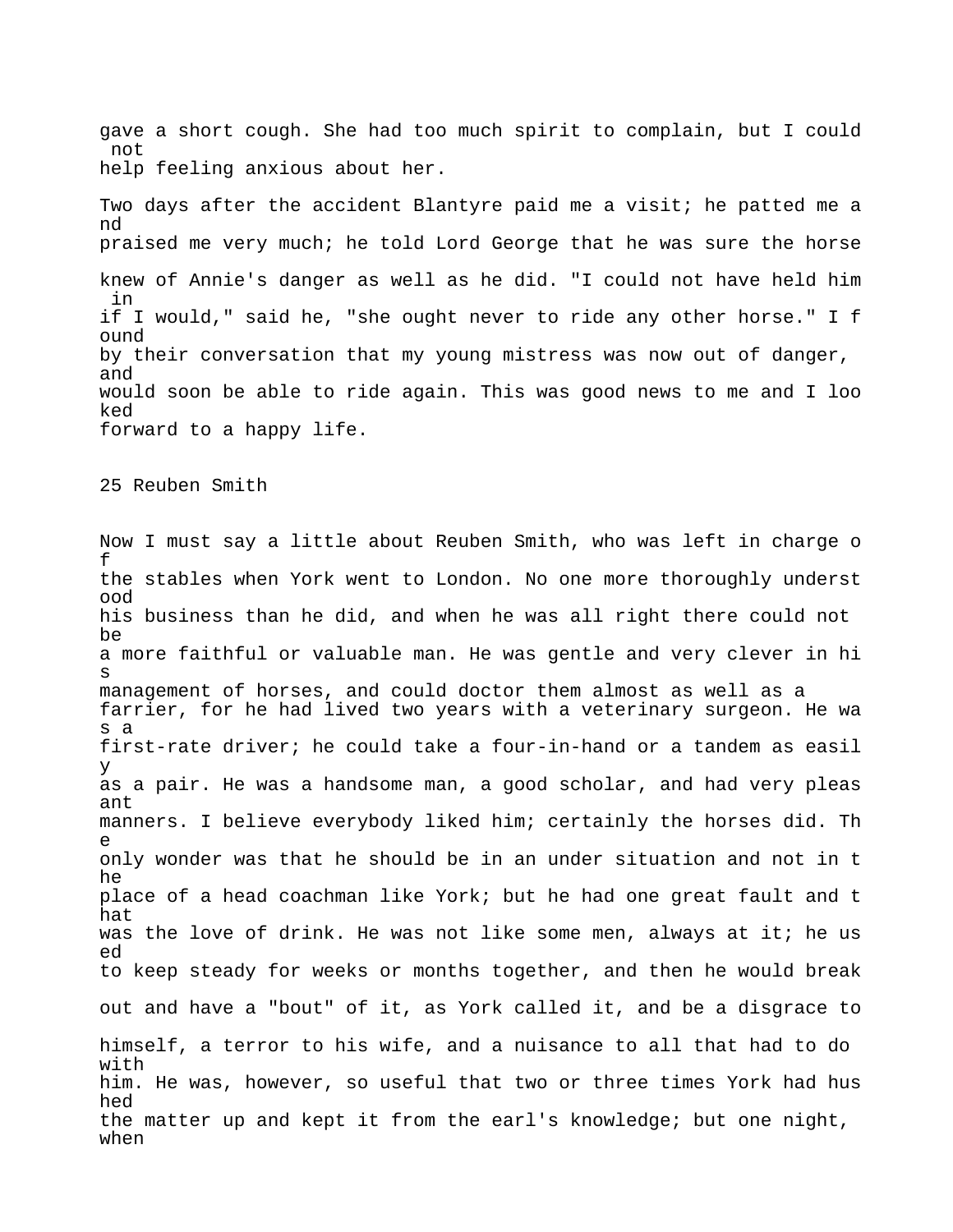gave a short cough. She had too much spirit to complain, but I could not help feeling anxious about her.

Two days after the accident Blantyre paid me a visit; he patted me a nd praised me very much; he told Lord George that he was sure the horse knew of Annie's danger as well as he did. "I could not have held him in if I would," said he, "she ought never to ride any other horse." I f ound by their conversation that my young mistress was now out of danger, and would soon be able to ride again. This was good news to me and I loo ked forward to a happy life.

25 Reuben Smith

Now I must say a little about Reuben Smith, who was left in charge o f the stables when York went to London. No one more thoroughly underst ood his business than he did, and when he was all right there could not be a more faithful or valuable man. He was gentle and very clever in hi s management of horses, and could doctor them almost as well as a farrier, for he had lived two years with a veterinary surgeon. He wa s a first-rate driver; he could take a four-in-hand or a tandem as easil y as a pair. He was a handsome man, a good scholar, and had very pleas ant manners. I believe everybody liked him; certainly the horses did. Th e only wonder was that he should be in an under situation and not in t he place of a head coachman like York; but he had one great fault and t hat was the love of drink. He was not like some men, always at it; he us ed to keep steady for weeks or months together, and then he would break out and have a "bout" of it, as York called it, and be a disgrace to himself, a terror to his wife, and a nuisance to all that had to do with him. He was, however, so useful that two or three times York had hus hed the matter up and kept it from the earl's knowledge; but one night, when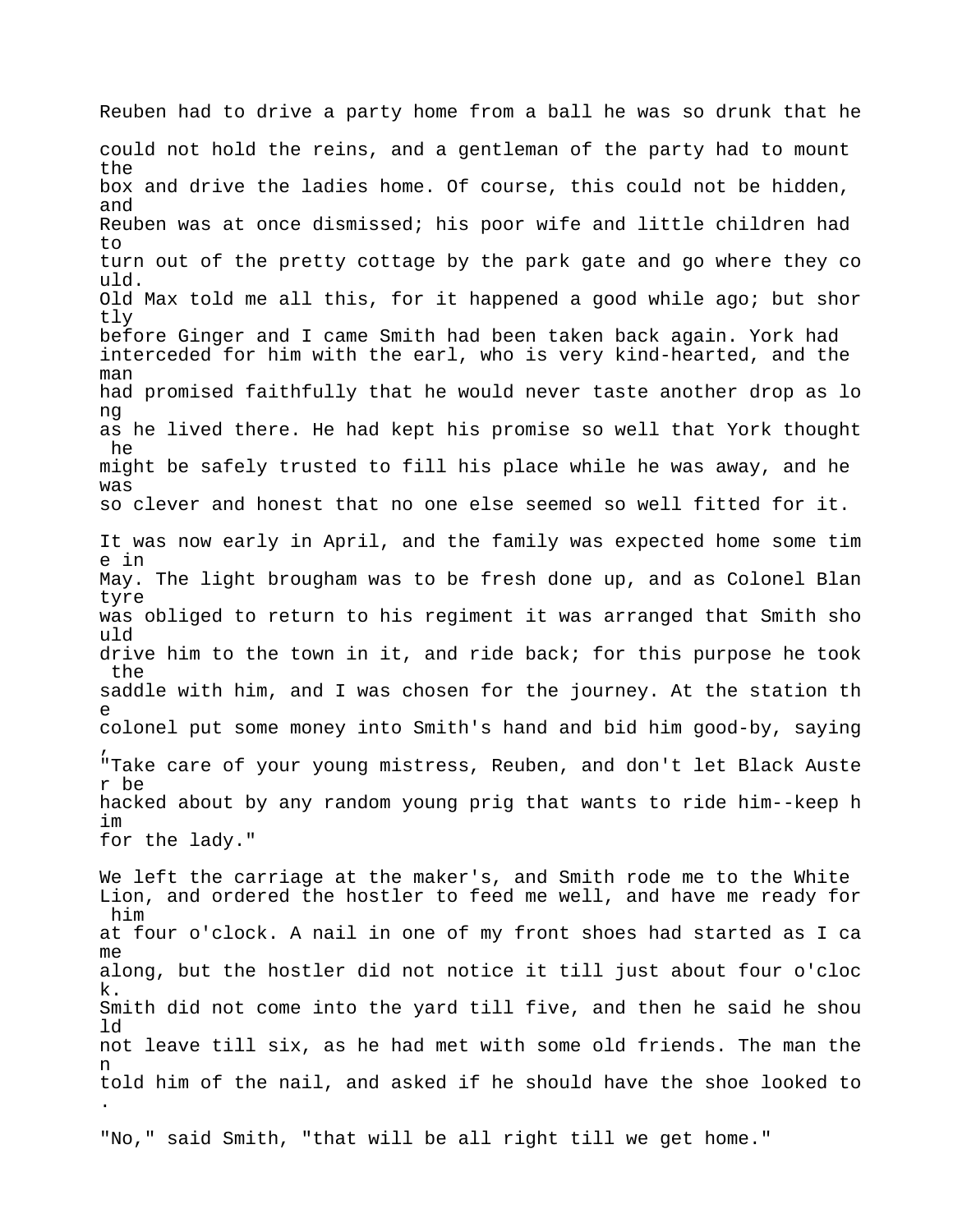Reuben had to drive a party home from a ball he was so drunk that he could not hold the reins, and a gentleman of the party had to mount the box and drive the ladies home. Of course, this could not be hidden, and Reuben was at once dismissed; his poor wife and little children had to turn out of the pretty cottage by the park gate and go where they co uld. Old Max told me all this, for it happened a good while ago; but shor tly before Ginger and I came Smith had been taken back again. York had interceded for him with the earl, who is very kind-hearted, and the man had promised faithfully that he would never taste another drop as lo ng as he lived there. He had kept his promise so well that York thought he might be safely trusted to fill his place while he was away, and he was so clever and honest that no one else seemed so well fitted for it. It was now early in April, and the family was expected home some tim e in May. The light brougham was to be fresh done up, and as Colonel Blan tyre was obliged to return to his regiment it was arranged that Smith sho uld drive him to the town in it, and ride back; for this purpose he took the saddle with him, and I was chosen for the journey. At the station th e colonel put some money into Smith's hand and bid him good-by, saying , "Take care of your young mistress, Reuben, and don't let Black Auste r be hacked about by any random young prig that wants to ride him--keep h im for the lady." We left the carriage at the maker's, and Smith rode me to the White Lion, and ordered the hostler to feed me well, and have me ready for him at four o'clock. A nail in one of my front shoes had started as I ca me along, but the hostler did not notice it till just about four o'cloc k. Smith did not come into the yard till five, and then he said he shou ld not leave till six, as he had met with some old friends. The man the n told him of the nail, and asked if he should have the shoe looked to . "No," said Smith, "that will be all right till we get home."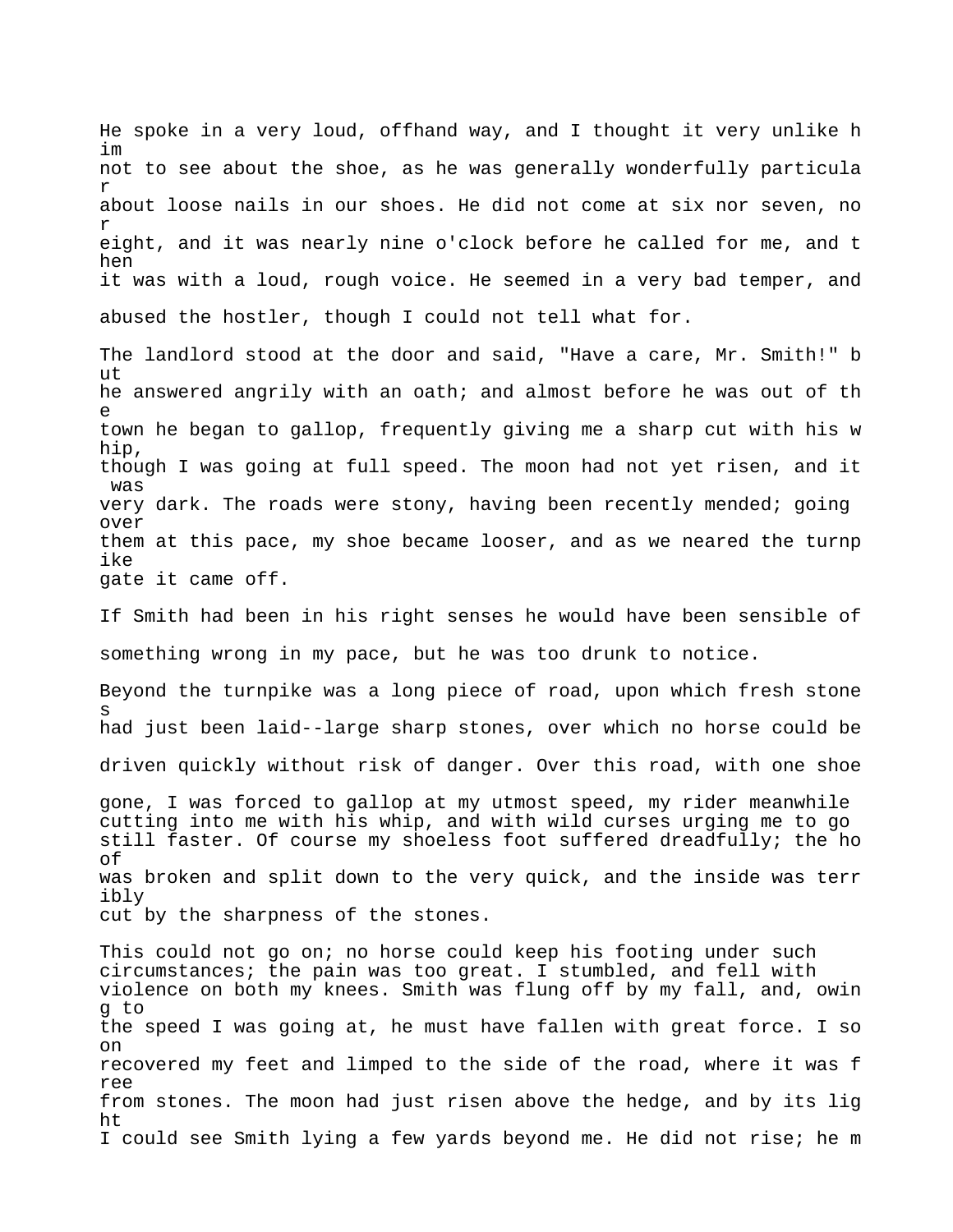He spoke in a very loud, offhand way, and I thought it very unlike h im not to see about the shoe, as he was generally wonderfully particula r about loose nails in our shoes. He did not come at six nor seven, no r eight, and it was nearly nine o'clock before he called for me, and t hen it was with a loud, rough voice. He seemed in a very bad temper, and abused the hostler, though I could not tell what for.

The landlord stood at the door and said, "Have a care, Mr. Smith!" b ut he answered angrily with an oath; and almost before he was out of th e town he began to gallop, frequently giving me a sharp cut with his w hip, though I was going at full speed. The moon had not yet risen, and it was very dark. The roads were stony, having been recently mended; going over them at this pace, my shoe became looser, and as we neared the turnp ike gate it came off.

If Smith had been in his right senses he would have been sensible of something wrong in my pace, but he was too drunk to notice.

Beyond the turnpike was a long piece of road, upon which fresh stone s had just been laid--large sharp stones, over which no horse could be driven quickly without risk of danger. Over this road, with one shoe

gone, I was forced to gallop at my utmost speed, my rider meanwhile cutting into me with his whip, and with wild curses urging me to go still faster. Of course my shoeless foot suffered dreadfully; the ho of was broken and split down to the very quick, and the inside was terr ibly cut by the sharpness of the stones.

This could not go on; no horse could keep his footing under such circumstances; the pain was too great. I stumbled, and fell with violence on both my knees. Smith was flung off by my fall, and, owin g to the speed I was going at, he must have fallen with great force. I so on recovered my feet and limped to the side of the road, where it was f ree from stones. The moon had just risen above the hedge, and by its lig ht I could see Smith lying a few yards beyond me. He did not rise; he m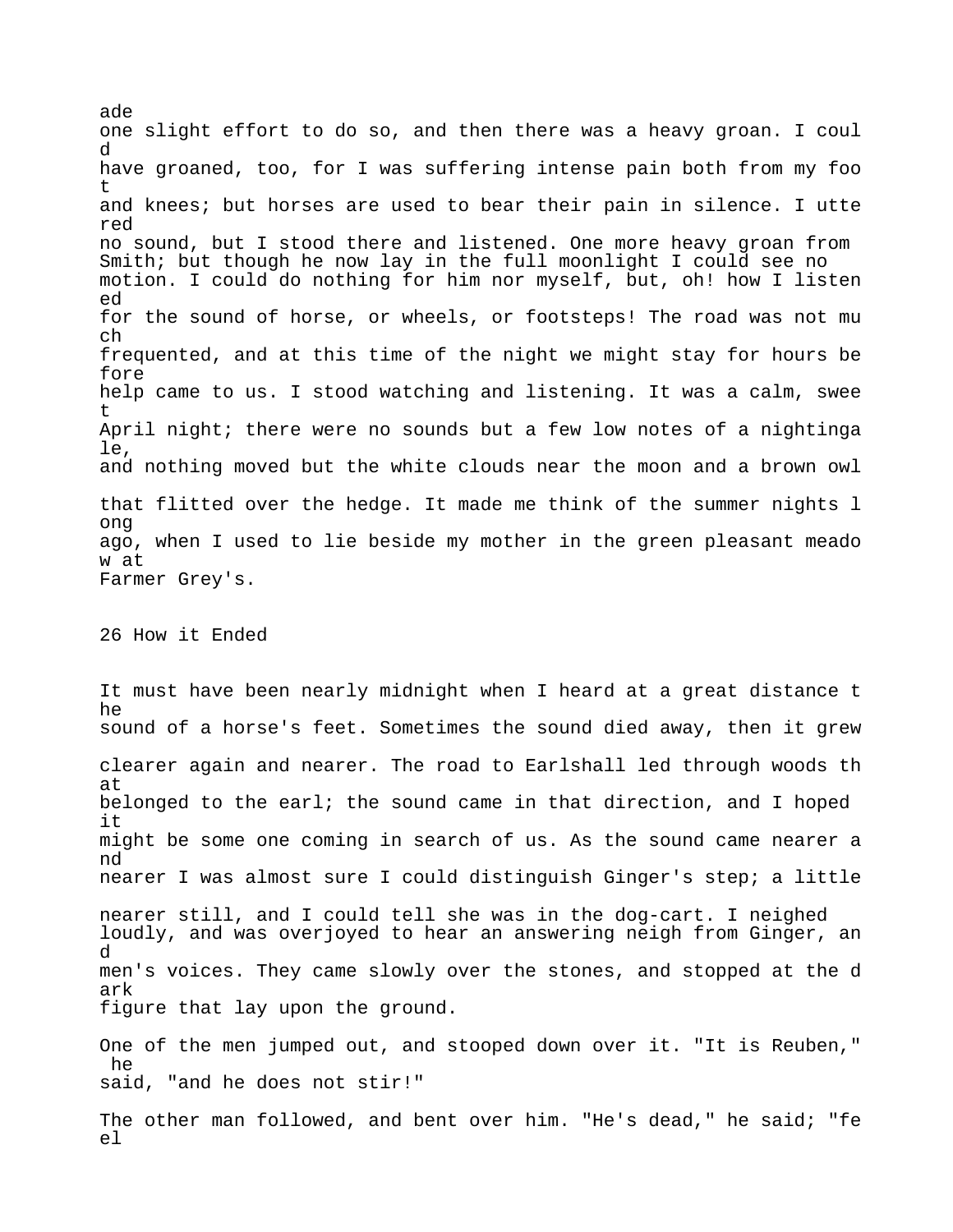ade one slight effort to do so, and then there was a heavy groan. I coul d have groaned, too, for I was suffering intense pain both from my foo t and knees; but horses are used to bear their pain in silence. I utte red no sound, but I stood there and listened. One more heavy groan from Smith; but though he now lay in the full moonlight I could see no motion. I could do nothing for him nor myself, but, oh! how I listen ed for the sound of horse, or wheels, or footsteps! The road was not mu ch frequented, and at this time of the night we might stay for hours be fore help came to us. I stood watching and listening. It was a calm, swee t April night; there were no sounds but a few low notes of a nightinga le, and nothing moved but the white clouds near the moon and a brown owl that flitted over the hedge. It made me think of the summer nights l ong ago, when I used to lie beside my mother in the green pleasant meado w at Farmer Grey's. 26 How it Ended

It must have been nearly midnight when I heard at a great distance t he sound of a horse's feet. Sometimes the sound died away, then it grew clearer again and nearer. The road to Earlshall led through woods th at belonged to the earl; the sound came in that direction, and I hoped it might be some one coming in search of us. As the sound came nearer a nd nearer I was almost sure I could distinguish Ginger's step; a little nearer still, and I could tell she was in the dog-cart. I neighed loudly, and was overjoyed to hear an answering neigh from Ginger, an d men's voices. They came slowly over the stones, and stopped at the d ark figure that lay upon the ground. One of the men jumped out, and stooped down over it. "It is Reuben," he said, "and he does not stir!" The other man followed, and bent over him. "He's dead," he said; "fe el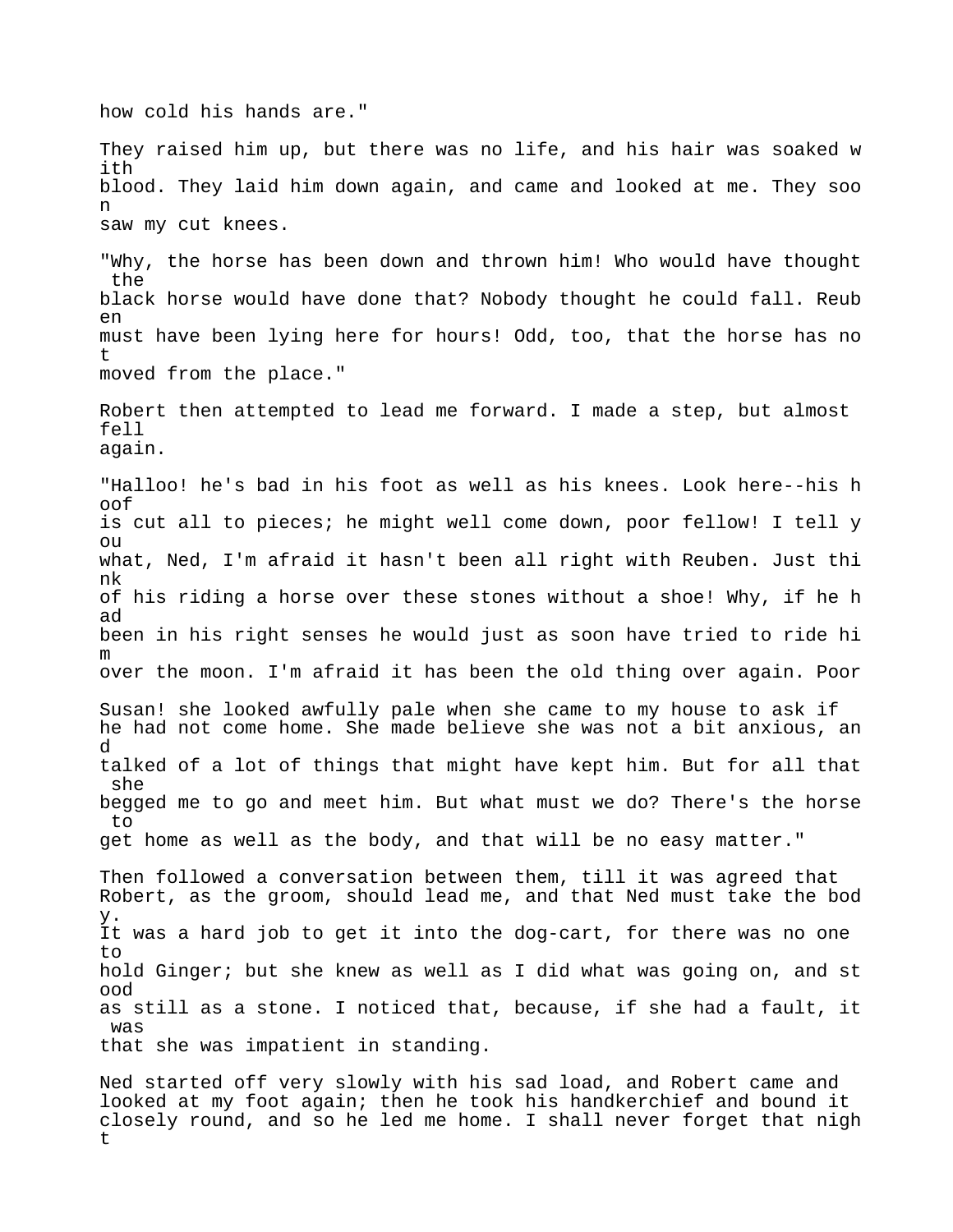how cold his hands are."

They raised him up, but there was no life, and his hair was soaked w ith blood. They laid him down again, and came and looked at me. They soo n saw my cut knees.

"Why, the horse has been down and thrown him! Who would have thought the black horse would have done that? Nobody thought he could fall. Reub en must have been lying here for hours! Odd, too, that the horse has no t moved from the place."

Robert then attempted to lead me forward. I made a step, but almost fell again.

"Halloo! he's bad in his foot as well as his knees. Look here--his h oof is cut all to pieces; he might well come down, poor fellow! I tell y ou what, Ned, I'm afraid it hasn't been all right with Reuben. Just thi nk of his riding a horse over these stones without a shoe! Why, if he h ad been in his right senses he would just as soon have tried to ride hi m over the moon. I'm afraid it has been the old thing over again. Poor

Susan! she looked awfully pale when she came to my house to ask if he had not come home. She made believe she was not a bit anxious, an d talked of a lot of things that might have kept him. But for all that she begged me to go and meet him. But what must we do? There's the horse to get home as well as the body, and that will be no easy matter."

Then followed a conversation between them, till it was agreed that Robert, as the groom, should lead me, and that Ned must take the bod y. It was a hard job to get it into the dog-cart, for there was no one to hold Ginger; but she knew as well as I did what was going on, and st ood as still as a stone. I noticed that, because, if she had a fault, it was that she was impatient in standing.

Ned started off very slowly with his sad load, and Robert came and looked at my foot again; then he took his handkerchief and bound it closely round, and so he led me home. I shall never forget that nigh t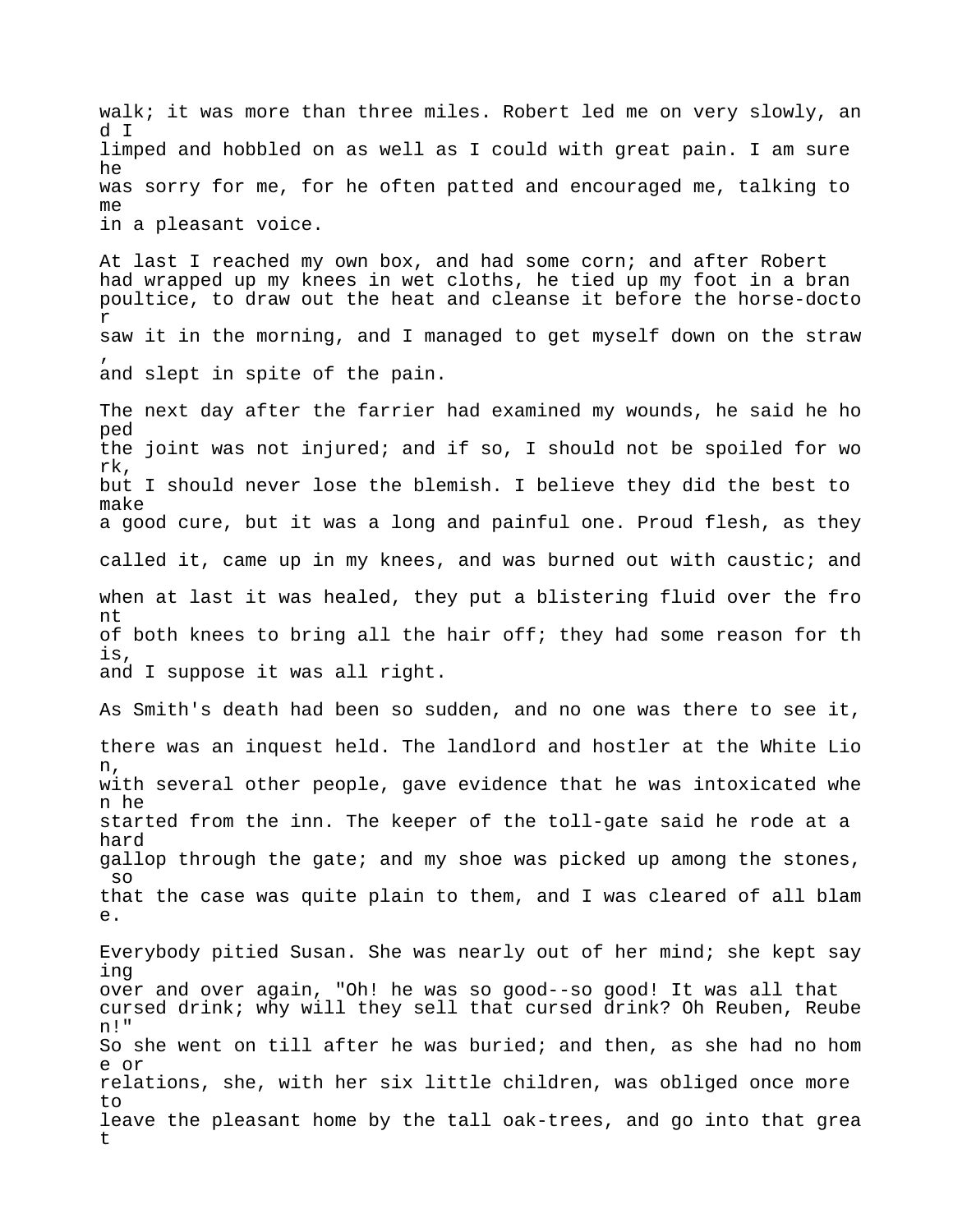walk; it was more than three miles. Robert led me on very slowly, an d I limped and hobbled on as well as I could with great pain. I am sure he was sorry for me, for he often patted and encouraged me, talking to me in a pleasant voice.

At last I reached my own box, and had some corn; and after Robert had wrapped up my knees in wet cloths, he tied up my foot in a bran poultice, to draw out the heat and cleanse it before the horse-docto r saw it in the morning, and I managed to get myself down on the straw , and slept in spite of the pain.

The next day after the farrier had examined my wounds, he said he ho ped the joint was not injured; and if so, I should not be spoiled for wo rk, but I should never lose the blemish. I believe they did the best to make a good cure, but it was a long and painful one. Proud flesh, as they called it, came up in my knees, and was burned out with caustic; and when at last it was healed, they put a blistering fluid over the fro nt of both knees to bring all the hair off; they had some reason for th is, and I suppose it was all right.

As Smith's death had been so sudden, and no one was there to see it, there was an inquest held. The landlord and hostler at the White Lio n, with several other people, gave evidence that he was intoxicated whe n he started from the inn. The keeper of the toll-gate said he rode at a hard gallop through the gate; and my shoe was picked up among the stones, so that the case was quite plain to them, and I was cleared of all blam  $\theta$ .

Everybody pitied Susan. She was nearly out of her mind; she kept say ing over and over again, "Oh! he was so good--so good! It was all that cursed drink; why will they sell that cursed drink? Oh Reuben, Reube n!" So she went on till after he was buried; and then, as she had no hom e or relations, she, with her six little children, was obliged once more to leave the pleasant home by the tall oak-trees, and go into that grea t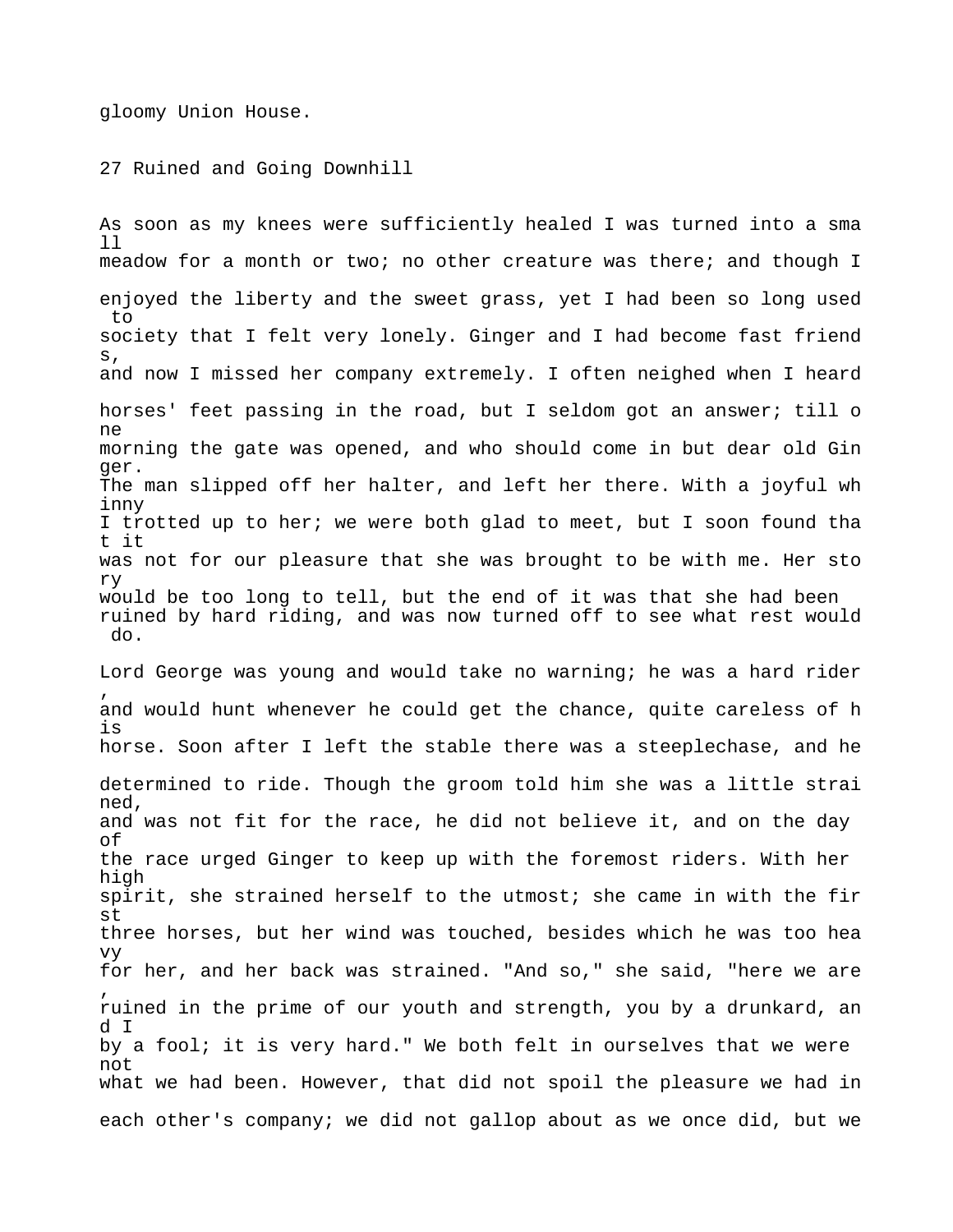gloomy Union House.

27 Ruined and Going Downhill

As soon as my knees were sufficiently healed I was turned into a sma  $11$ meadow for a month or two; no other creature was there; and though I enjoyed the liberty and the sweet grass, yet I had been so long used to society that I felt very lonely. Ginger and I had become fast friend s, and now I missed her company extremely. I often neighed when I heard horses' feet passing in the road, but I seldom got an answer; till o ne morning the gate was opened, and who should come in but dear old Gin ger. The man slipped off her halter, and left her there. With a joyful wh inny I trotted up to her; we were both glad to meet, but I soon found tha t it was not for our pleasure that she was brought to be with me. Her sto ry would be too long to tell, but the end of it was that she had been ruined by hard riding, and was now turned off to see what rest would do.

Lord George was young and would take no warning; he was a hard rider , and would hunt whenever he could get the chance, quite careless of h is horse. Soon after I left the stable there was a steeplechase, and he determined to ride. Though the groom told him she was a little strai ned, and was not fit for the race, he did not believe it, and on the day of the race urged Ginger to keep up with the foremost riders. With her high spirit, she strained herself to the utmost; she came in with the fir st three horses, but her wind was touched, besides which he was too hea vy for her, and her back was strained. "And so," she said, "here we are , ruined in the prime of our youth and strength, you by a drunkard, an d I by a fool; it is very hard." We both felt in ourselves that we were not what we had been. However, that did not spoil the pleasure we had in each other's company; we did not gallop about as we once did, but we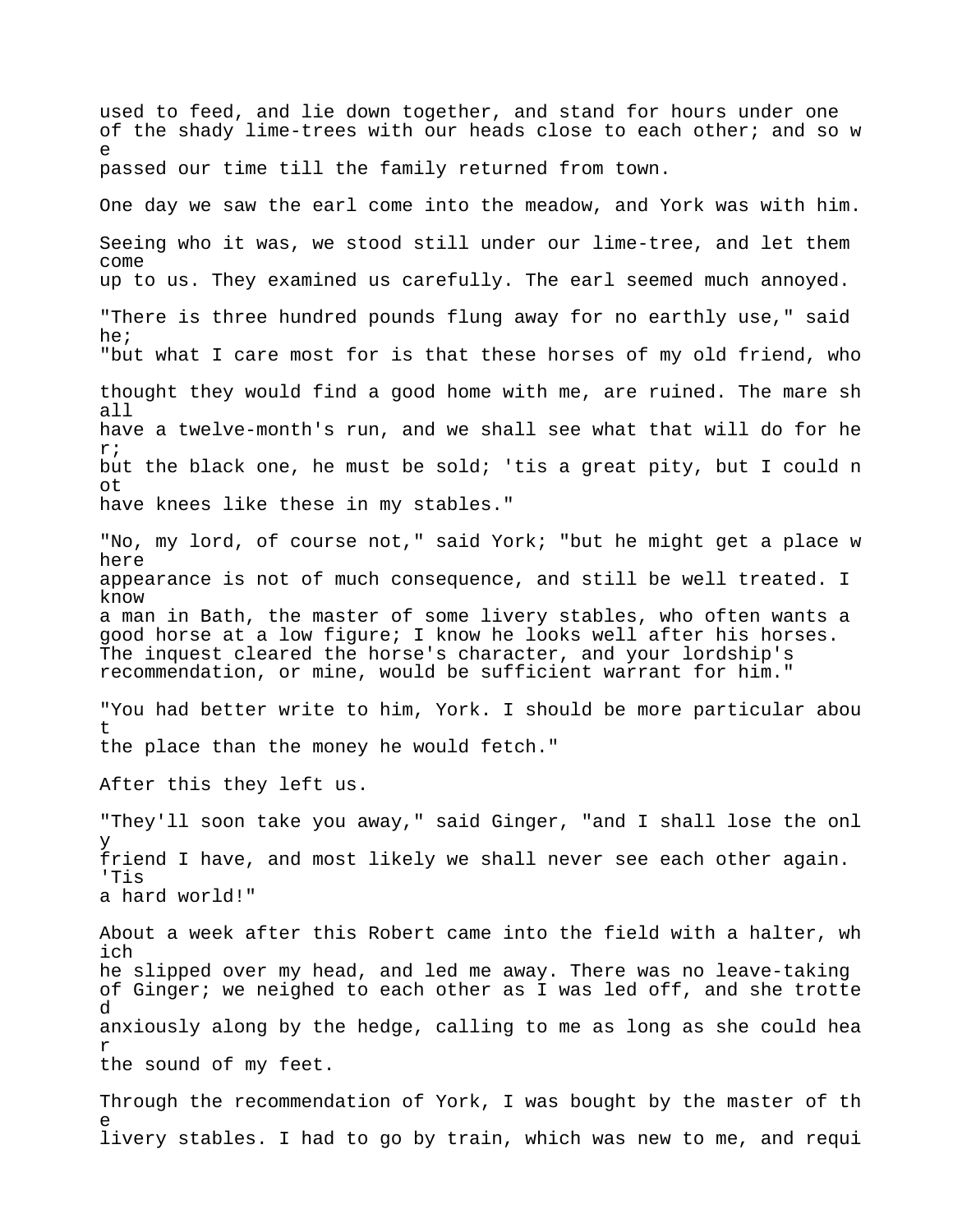used to feed, and lie down together, and stand for hours under one of the shady lime-trees with our heads close to each other; and so w e passed our time till the family returned from town. One day we saw the earl come into the meadow, and York was with him. Seeing who it was, we stood still under our lime-tree, and let them come up to us. They examined us carefully. The earl seemed much annoyed. "There is three hundred pounds flung away for no earthly use," said he; "but what I care most for is that these horses of my old friend, who thought they would find a good home with me, are ruined. The mare sh all have a twelve-month's run, and we shall see what that will do for he r; but the black one, he must be sold; 'tis a great pity, but I could n ot have knees like these in my stables." "No, my lord, of course not," said York; "but he might get a place w here appearance is not of much consequence, and still be well treated. I know a man in Bath, the master of some livery stables, who often wants a good horse at a low figure; I know he looks well after his horses. The inquest cleared the horse's character, and your lordship's recommendation, or mine, would be sufficient warrant for him." "You had better write to him, York. I should be more particular abou t the place than the money he would fetch." After this they left us. "They'll soon take you away," said Ginger, "and I shall lose the onl y friend I have, and most likely we shall never see each other again. 'Tis a hard world!" About a week after this Robert came into the field with a halter, wh ich he slipped over my head, and led me away. There was no leave-taking of Ginger; we neighed to each other as I was led off, and she trotte d anxiously along by the hedge, calling to me as long as she could hea r the sound of my feet. Through the recommendation of York, I was bought by the master of th e livery stables. I had to go by train, which was new to me, and requi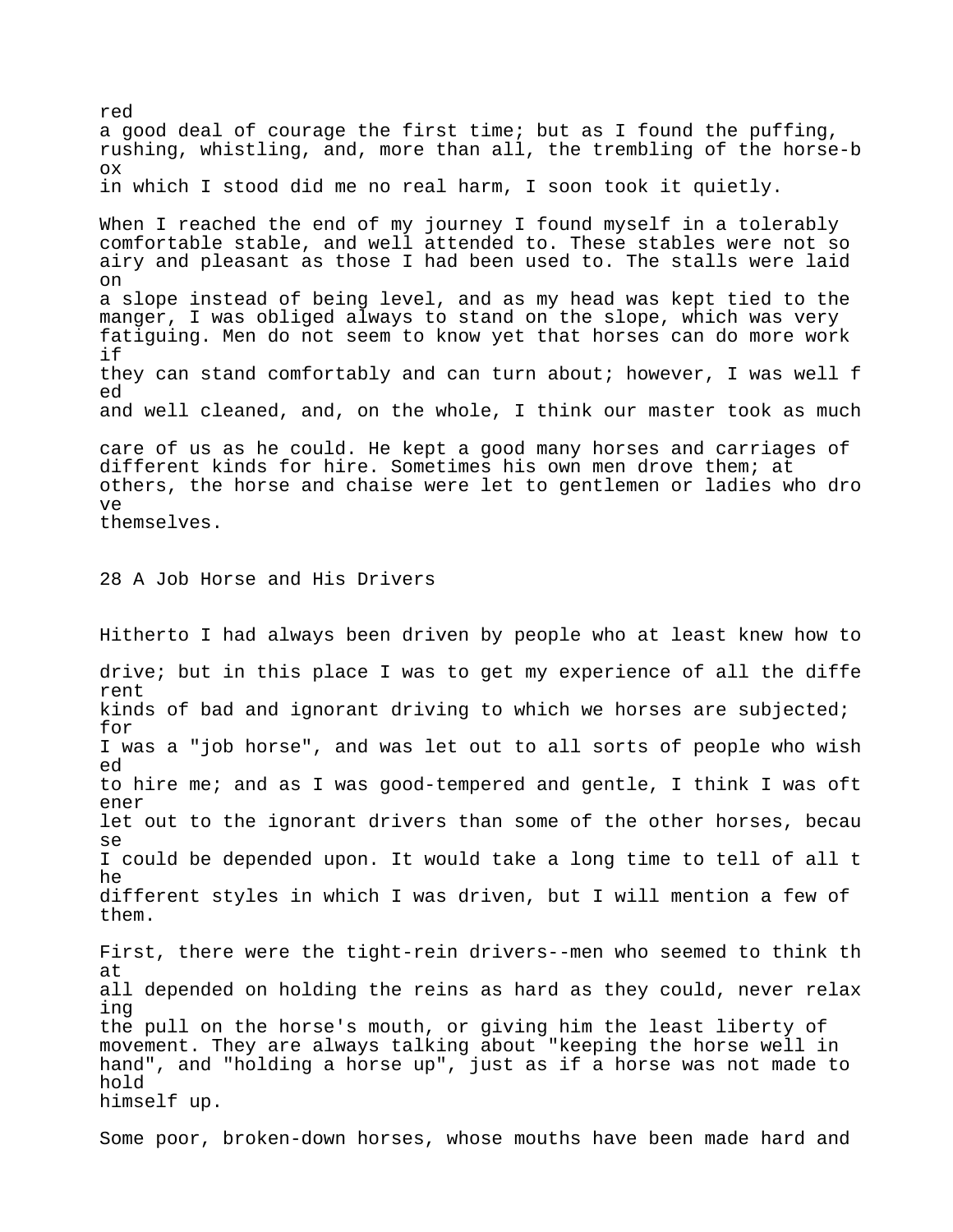a good deal of courage the first time; but as I found the puffing, rushing, whistling, and, more than all, the trembling of the horse-b ox in which I stood did me no real harm, I soon took it quietly. When I reached the end of my journey I found myself in a tolerably comfortable stable, and well attended to. These stables were not so airy and pleasant as those I had been used to. The stalls were laid on a slope instead of being level, and as my head was kept tied to the manger, I was obliged always to stand on the slope, which was very fatiguing. Men do not seem to know yet that horses can do more work if they can stand comfortably and can turn about; however, I was well f ed and well cleaned, and, on the whole, I think our master took as much care of us as he could. He kept a good many horses and carriages of different kinds for hire. Sometimes his own men drove them; at others, the horse and chaise were let to gentlemen or ladies who dro ve themselves. 28 A Job Horse and His Drivers Hitherto I had always been driven by people who at least knew how to drive; but in this place I was to get my experience of all the diffe rent kinds of bad and ignorant driving to which we horses are subjected; for I was a "job horse", and was let out to all sorts of people who wish ed to hire me; and as I was good-tempered and gentle, I think I was oft ener let out to the ignorant drivers than some of the other horses, becau se I could be depended upon. It would take a long time to tell of all t he different styles in which I was driven, but I will mention a few of them. First, there were the tight-rein drivers--men who seemed to think th at all depended on holding the reins as hard as they could, never relax ing the pull on the horse's mouth, or giving him the least liberty of movement. They are always talking about "keeping the horse well in hand", and "holding a horse up", just as if a horse was not made to hold himself up.

red

Some poor, broken-down horses, whose mouths have been made hard and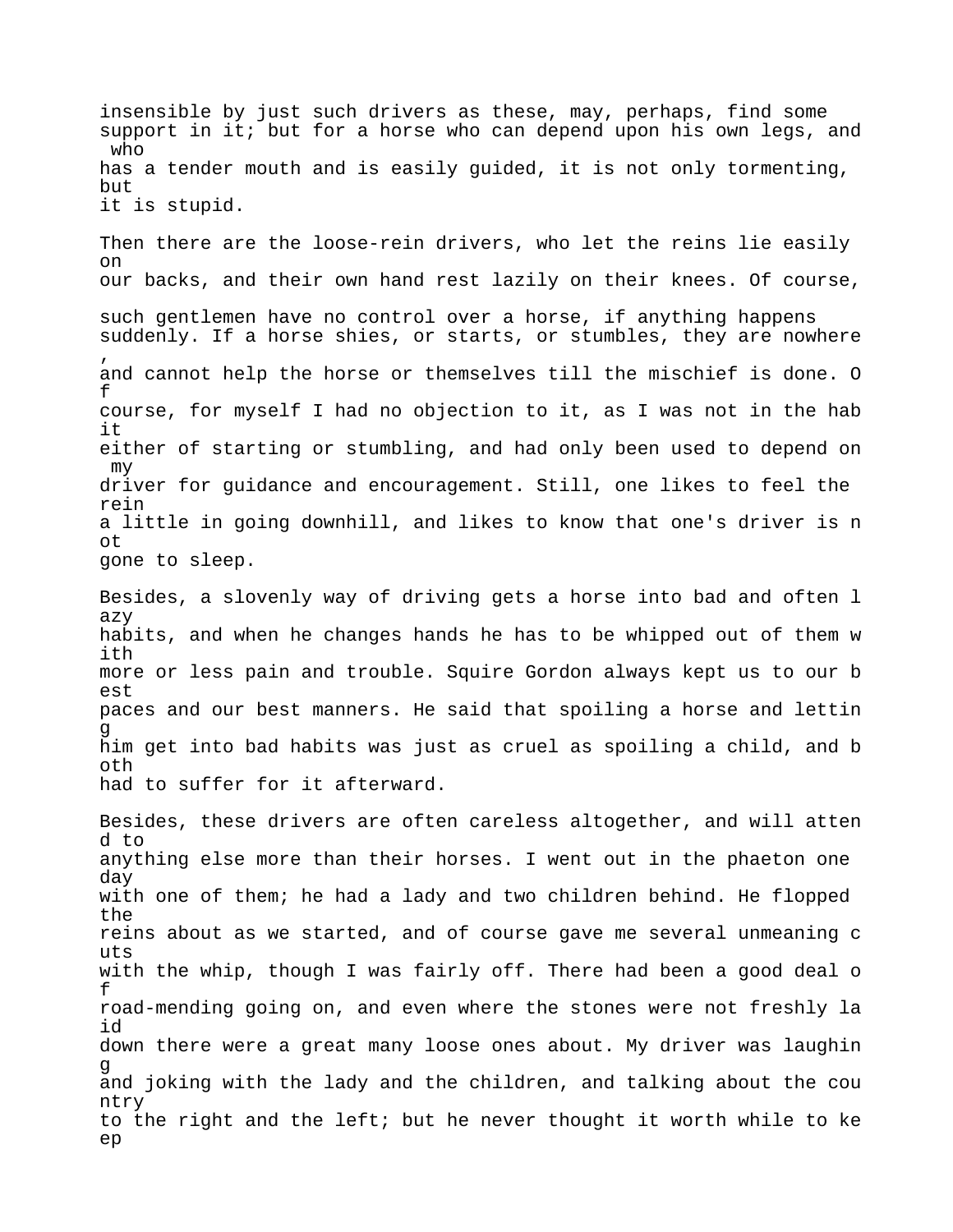insensible by just such drivers as these, may, perhaps, find some support in it; but for a horse who can depend upon his own legs, and who has a tender mouth and is easily guided, it is not only tormenting, but it is stupid. Then there are the loose-rein drivers, who let the reins lie easily on our backs, and their own hand rest lazily on their knees. Of course, such gentlemen have no control over a horse, if anything happens suddenly. If a horse shies, or starts, or stumbles, they are nowhere , and cannot help the horse or themselves till the mischief is done. O f course, for myself I had no objection to it, as I was not in the hab it either of starting or stumbling, and had only been used to depend on my driver for guidance and encouragement. Still, one likes to feel the rein a little in going downhill, and likes to know that one's driver is n ot gone to sleep. Besides, a slovenly way of driving gets a horse into bad and often l azy habits, and when he changes hands he has to be whipped out of them w ith more or less pain and trouble. Squire Gordon always kept us to our b est paces and our best manners. He said that spoiling a horse and lettin g him get into bad habits was just as cruel as spoiling a child, and b oth had to suffer for it afterward. Besides, these drivers are often careless altogether, and will atten d to anything else more than their horses. I went out in the phaeton one day with one of them; he had a lady and two children behind. He flopped the reins about as we started, and of course gave me several unmeaning c uts with the whip, though I was fairly off. There had been a good deal o f road-mending going on, and even where the stones were not freshly la id down there were a great many loose ones about. My driver was laughin g and joking with the lady and the children, and talking about the cou ntry to the right and the left; but he never thought it worth while to ke ep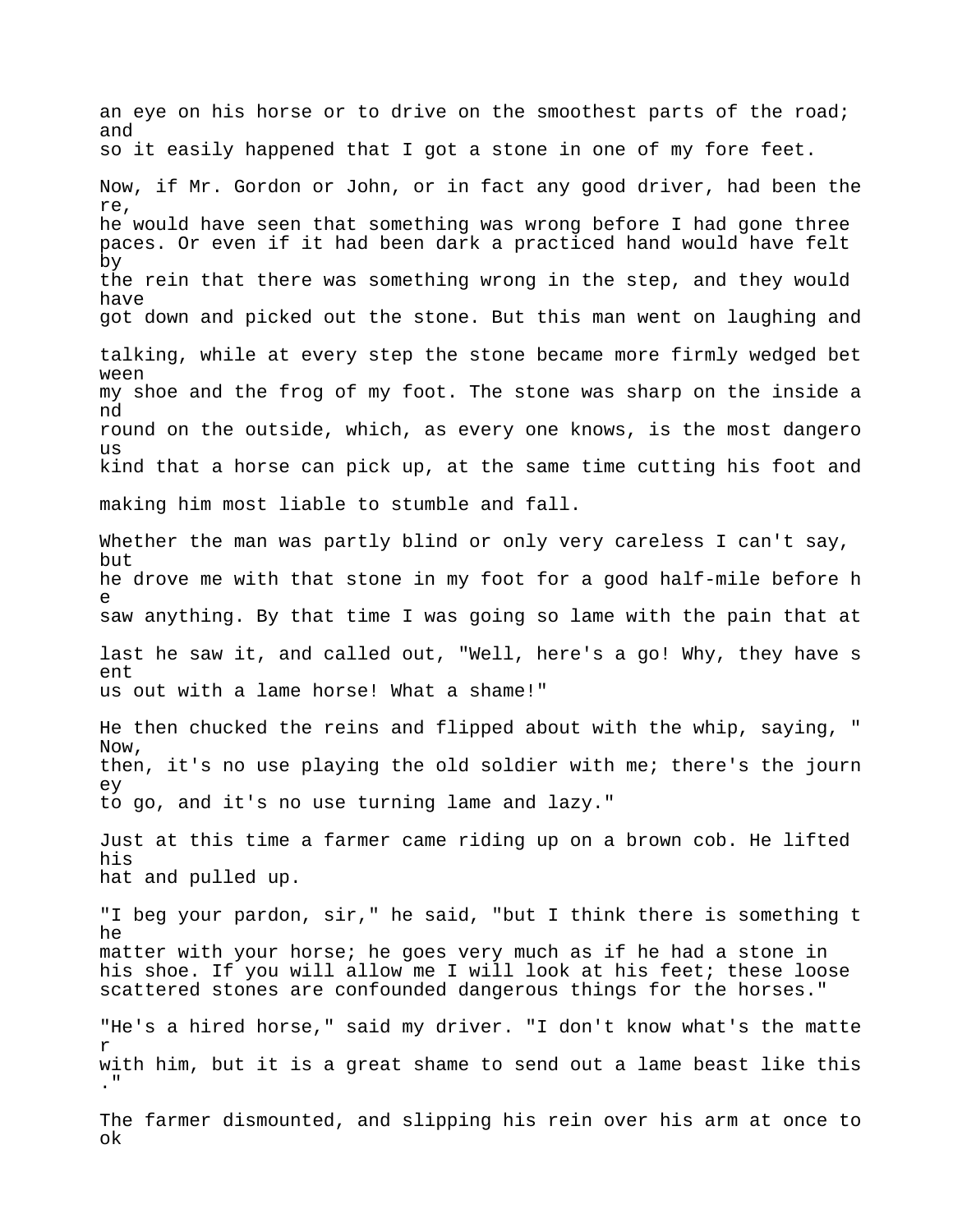an eye on his horse or to drive on the smoothest parts of the road; and so it easily happened that I got a stone in one of my fore feet. Now, if Mr. Gordon or John, or in fact any good driver, had been the re, he would have seen that something was wrong before I had gone three paces. Or even if it had been dark a practiced hand would have felt by the rein that there was something wrong in the step, and they would have got down and picked out the stone. But this man went on laughing and talking, while at every step the stone became more firmly wedged bet ween my shoe and the frog of my foot. The stone was sharp on the inside a nd round on the outside, which, as every one knows, is the most dangero  $11S$ kind that a horse can pick up, at the same time cutting his foot and making him most liable to stumble and fall. Whether the man was partly blind or only very careless I can't say, but he drove me with that stone in my foot for a good half-mile before h e saw anything. By that time I was going so lame with the pain that at last he saw it, and called out, "Well, here's a go! Why, they have s ent us out with a lame horse! What a shame!" He then chucked the reins and flipped about with the whip, saying, " Now, then, it's no use playing the old soldier with me; there's the journ ey to go, and it's no use turning lame and lazy." Just at this time a farmer came riding up on a brown cob. He lifted his hat and pulled up. "I beg your pardon, sir," he said, "but I think there is something t he matter with your horse; he goes very much as if he had a stone in his shoe. If you will allow me I will look at his feet; these loose scattered stones are confounded dangerous things for the horses." "He's a hired horse," said my driver. "I don't know what's the matte r with him, but it is a great shame to send out a lame beast like this ." The farmer dismounted, and slipping his rein over his arm at once to ok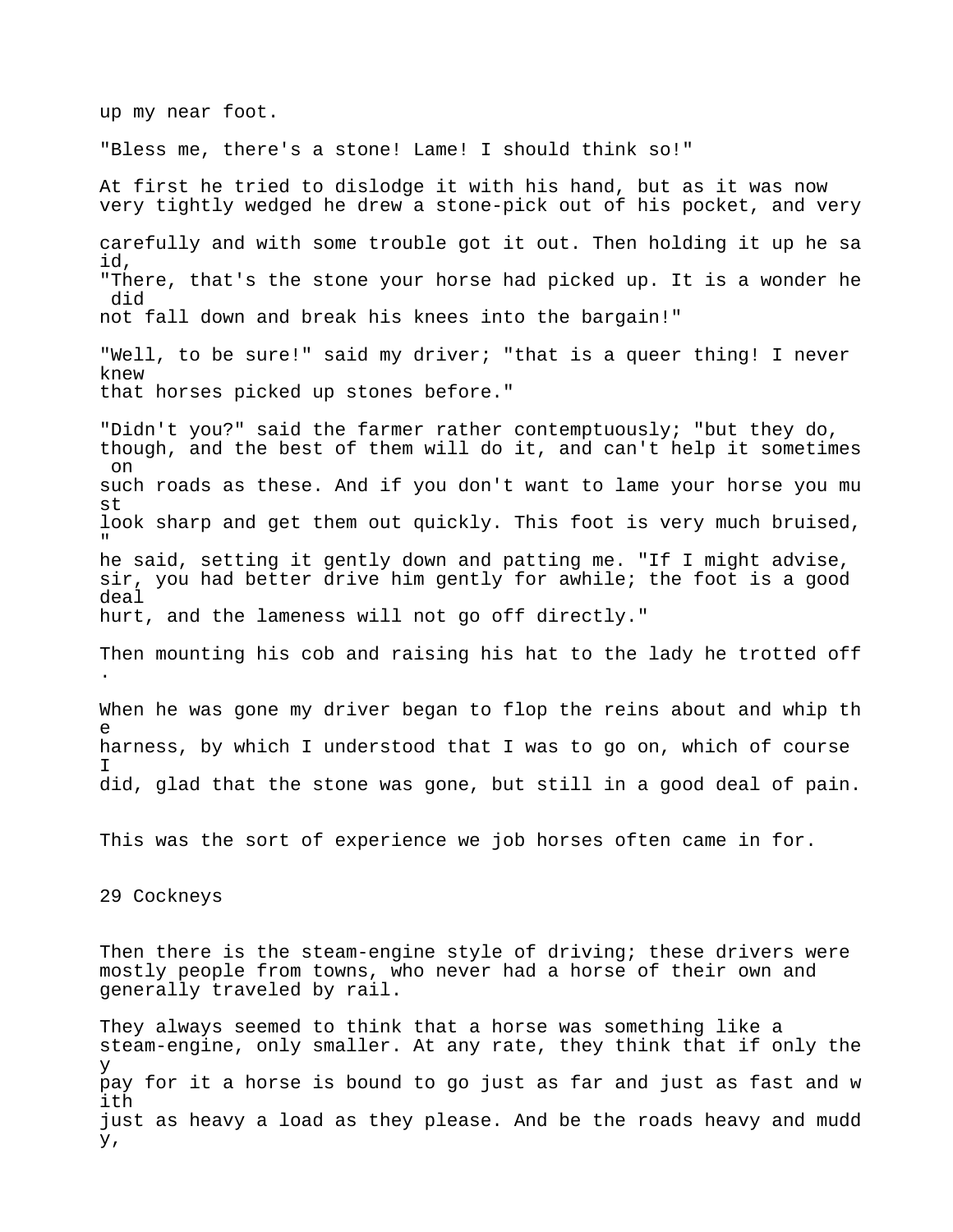up my near foot. "Bless me, there's a stone! Lame! I should think so!" At first he tried to dislodge it with his hand, but as it was now very tightly wedged he drew a stone-pick out of his pocket, and very carefully and with some trouble got it out. Then holding it up he sa id, "There, that's the stone your horse had picked up. It is a wonder he did not fall down and break his knees into the bargain!" "Well, to be sure!" said my driver; "that is a queer thing! I never knew that horses picked up stones before." "Didn't you?" said the farmer rather contemptuously; "but they do, though, and the best of them will do it, and can't help it sometimes on such roads as these. And if you don't want to lame your horse you mu st look sharp and get them out quickly. This foot is very much bruised, " he said, setting it gently down and patting me. "If I might advise, sir, you had better drive him gently for awhile; the foot is a good deal hurt, and the lameness will not go off directly." Then mounting his cob and raising his hat to the lady he trotted off . When he was gone my driver began to flop the reins about and whip th e harness, by which I understood that I was to go on, which of course I did, glad that the stone was gone, but still in a good deal of pain. This was the sort of experience we job horses often came in for. 29 Cockneys Then there is the steam-engine style of driving; these drivers were mostly people from towns, who never had a horse of their own and generally traveled by rail. They always seemed to think that a horse was something like a steam-engine, only smaller. At any rate, they think that if only the y pay for it a horse is bound to go just as far and just as fast and w ith just as heavy a load as they please. And be the roads heavy and mudd y,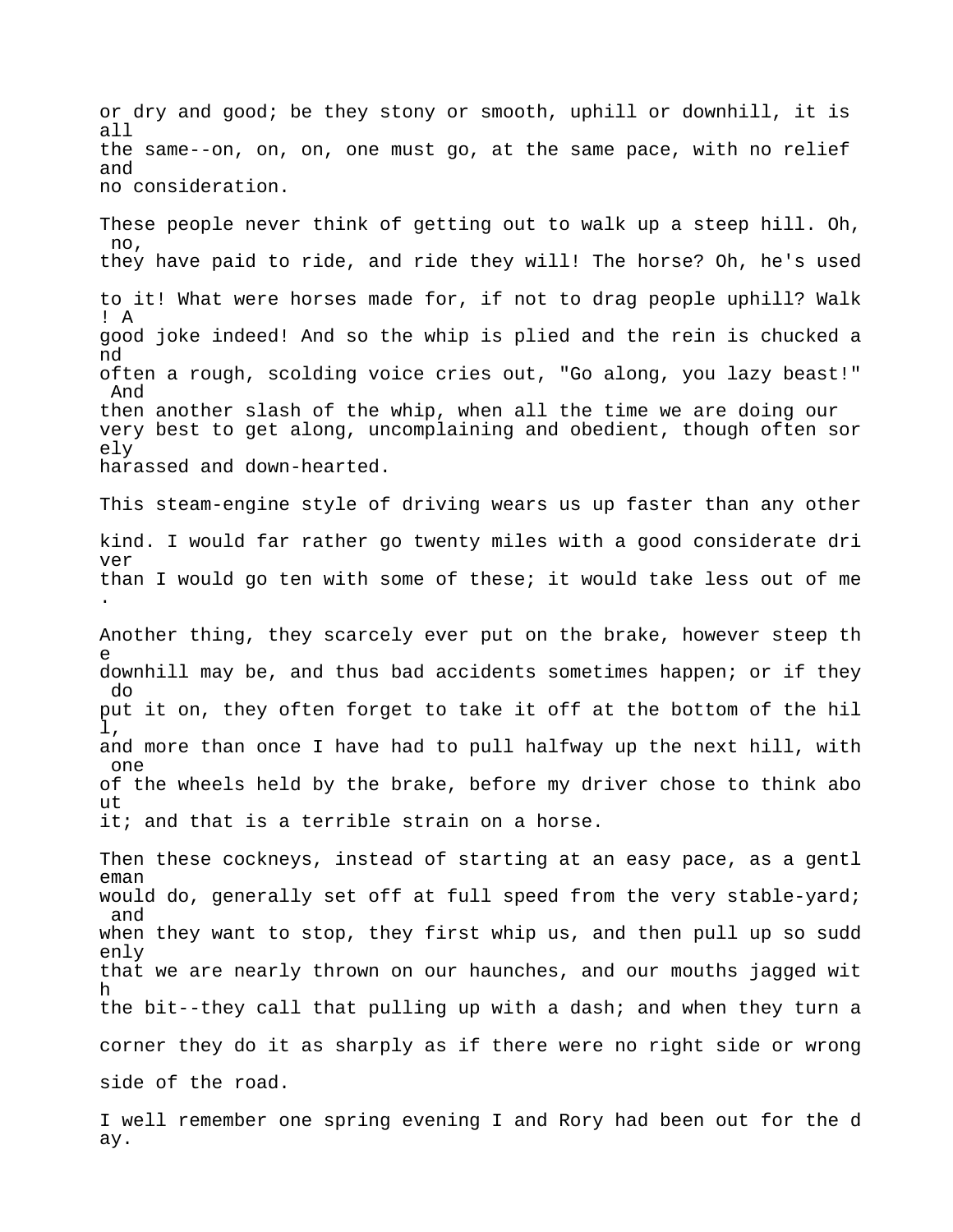or dry and good; be they stony or smooth, uphill or downhill, it is all the same--on, on, on, one must go, at the same pace, with no relief and no consideration. These people never think of getting out to walk up a steep hill. Oh,  $n<sub>0</sub>$ . they have paid to ride, and ride they will! The horse? Oh, he's used to it! What were horses made for, if not to drag people uphill? Walk ! A good joke indeed! And so the whip is plied and the rein is chucked a nd often a rough, scolding voice cries out, "Go along, you lazy beast!" And then another slash of the whip, when all the time we are doing our very best to get along, uncomplaining and obedient, though often sor ely harassed and down-hearted. This steam-engine style of driving wears us up faster than any other kind. I would far rather go twenty miles with a good considerate dri ver than I would go ten with some of these; it would take less out of me . Another thing, they scarcely ever put on the brake, however steep th e downhill may be, and thus bad accidents sometimes happen; or if they do put it on, they often forget to take it off at the bottom of the hil l, and more than once I have had to pull halfway up the next hill, with one of the wheels held by the brake, before my driver chose to think abo ut it; and that is a terrible strain on a horse. Then these cockneys, instead of starting at an easy pace, as a gentl eman would do, generally set off at full speed from the very stable-yard; and when they want to stop, they first whip us, and then pull up so sudd enly that we are nearly thrown on our haunches, and our mouths jagged wit h the bit--they call that pulling up with a dash; and when they turn a corner they do it as sharply as if there were no right side or wrong side of the road.

I well remember one spring evening I and Rory had been out for the d ay.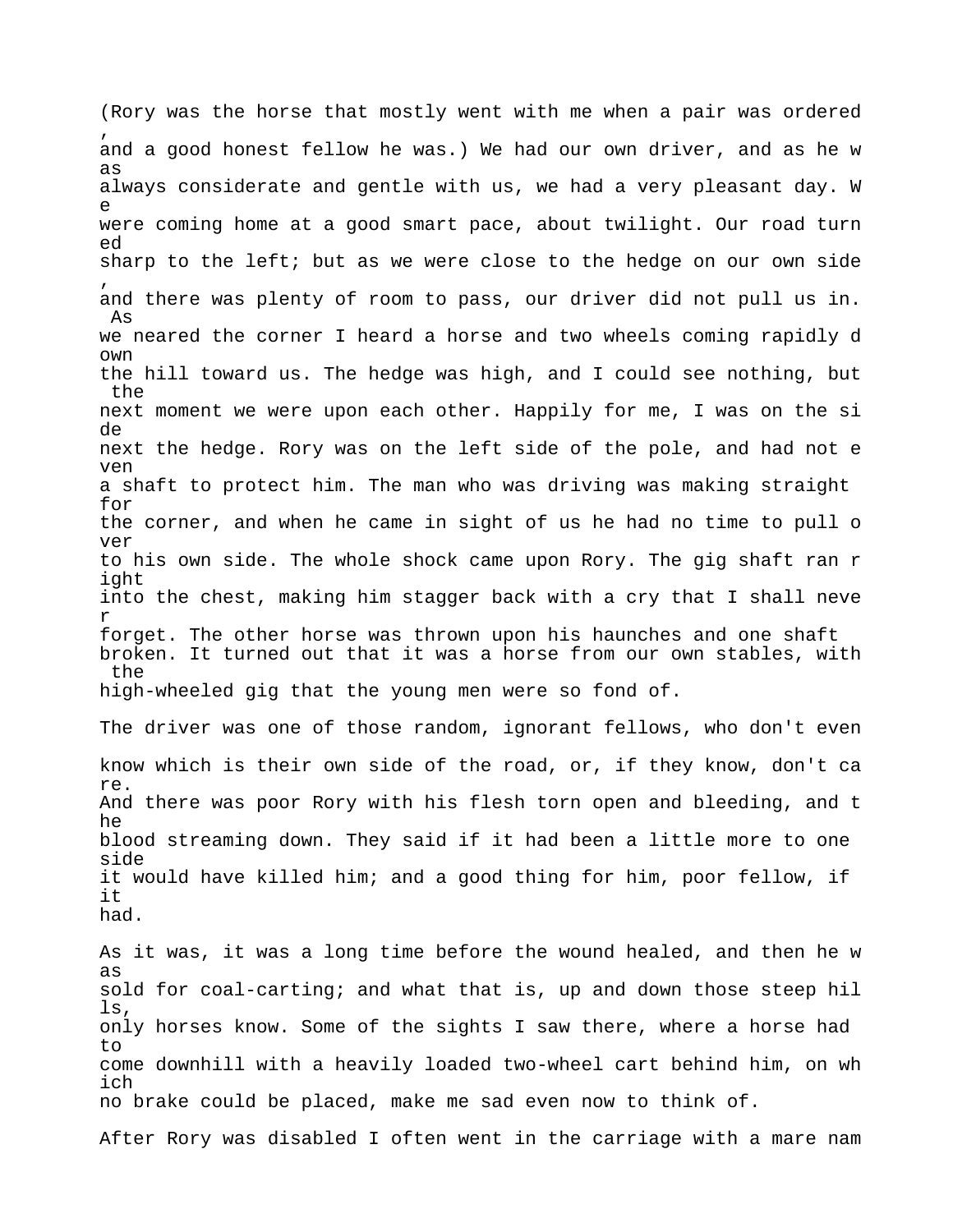(Rory was the horse that mostly went with me when a pair was ordered , and a good honest fellow he was.) We had our own driver, and as he w as always considerate and gentle with us, we had a very pleasant day. W e were coming home at a good smart pace, about twilight. Our road turn ed sharp to the left; but as we were close to the hedge on our own side , and there was plenty of room to pass, our driver did not pull us in. As we neared the corner I heard a horse and two wheels coming rapidly d own the hill toward us. The hedge was high, and I could see nothing, but the next moment we were upon each other. Happily for me, I was on the si de next the hedge. Rory was on the left side of the pole, and had not e ven a shaft to protect him. The man who was driving was making straight for the corner, and when he came in sight of us he had no time to pull o ver to his own side. The whole shock came upon Rory. The gig shaft ran r ight into the chest, making him stagger back with a cry that I shall neve r forget. The other horse was thrown upon his haunches and one shaft broken. It turned out that it was a horse from our own stables, with the high-wheeled gig that the young men were so fond of. The driver was one of those random, ignorant fellows, who don't even know which is their own side of the road, or, if they know, don't ca re. And there was poor Rory with his flesh torn open and bleeding, and t he blood streaming down. They said if it had been a little more to one side it would have killed him; and a good thing for him, poor fellow, if it had. As it was, it was a long time before the wound healed, and then he w as sold for coal-carting; and what that is, up and down those steep hil ls, only horses know. Some of the sights I saw there, where a horse had to come downhill with a heavily loaded two-wheel cart behind him, on wh ich no brake could be placed, make me sad even now to think of.

After Rory was disabled I often went in the carriage with a mare nam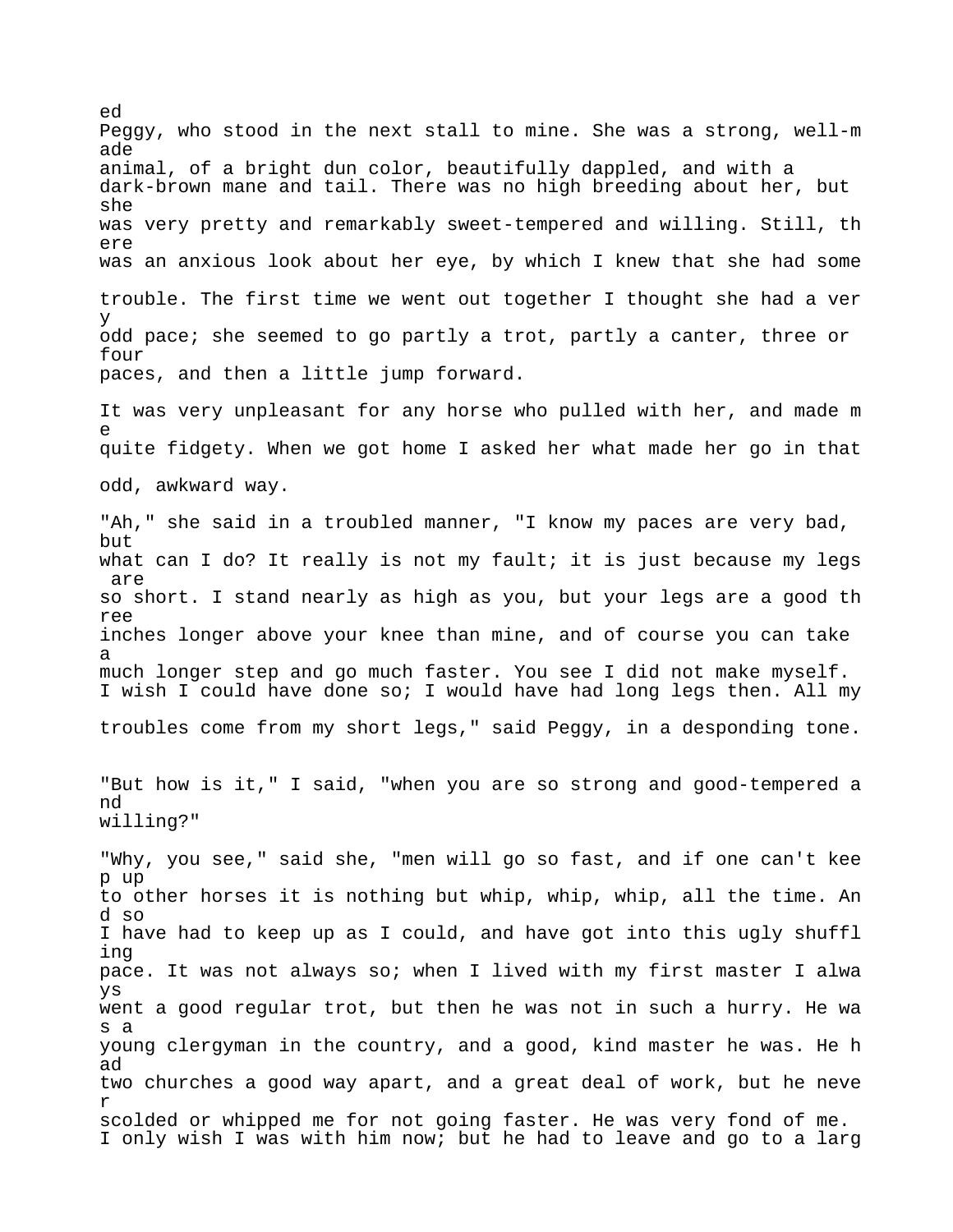Peggy, who stood in the next stall to mine. She was a strong, well-m ade animal, of a bright dun color, beautifully dappled, and with a dark-brown mane and tail. There was no high breeding about her, but she was very pretty and remarkably sweet-tempered and willing. Still, th ere was an anxious look about her eye, by which I knew that she had some trouble. The first time we went out together I thought she had a ver y odd pace; she seemed to go partly a trot, partly a canter, three or four paces, and then a little jump forward. It was very unpleasant for any horse who pulled with her, and made m e quite fidgety. When we got home I asked her what made her go in that odd, awkward way. "Ah," she said in a troubled manner, "I know my paces are very bad, but what can I do? It really is not my fault; it is just because my legs are so short. I stand nearly as high as you, but your legs are a good th ree inches longer above your knee than mine, and of course you can take a much longer step and go much faster. You see I did not make myself. I wish I could have done so; I would have had long legs then. All my troubles come from my short legs," said Peggy, in a desponding tone. "But how is it," I said, "when you are so strong and good-tempered a nd willing?" "Why, you see," said she, "men will go so fast, and if one can't kee p up to other horses it is nothing but whip, whip, whip, all the time. An d so I have had to keep up as I could, and have got into this ugly shuffl ing pace. It was not always so; when I lived with my first master I alwa ys went a good regular trot, but then he was not in such a hurry. He wa s a young clergyman in the country, and a good, kind master he was. He h ad two churches a good way apart, and a great deal of work, but he neve r scolded or whipped me for not going faster. He was very fond of me. I only wish I was with him now; but he had to leave and go to a larg

ed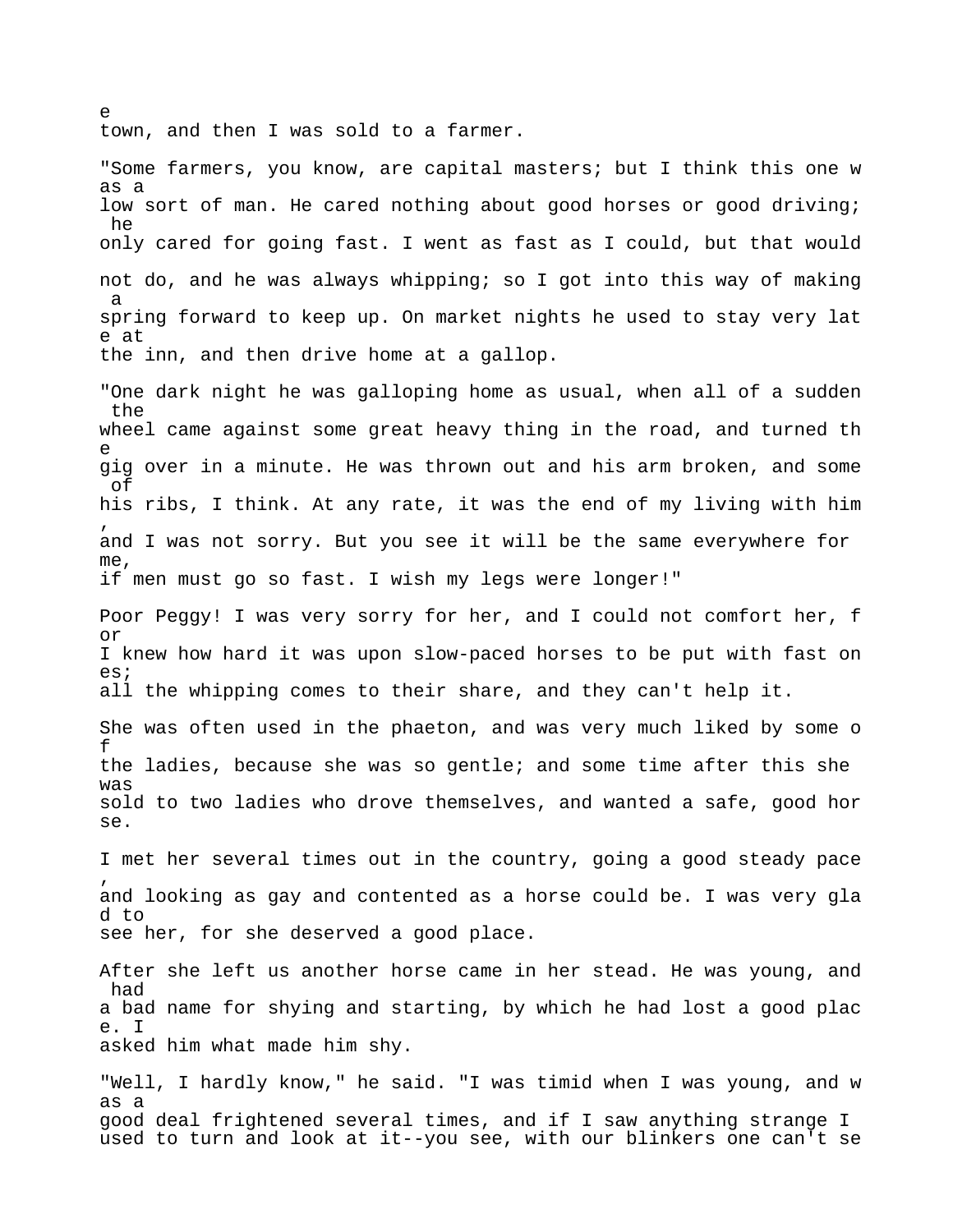town, and then I was sold to a farmer.

 $\sim$ 

"Some farmers, you know, are capital masters; but I think this one w as a low sort of man. He cared nothing about good horses or good driving; he only cared for going fast. I went as fast as I could, but that would not do, and he was always whipping; so I got into this way of making a spring forward to keep up. On market nights he used to stay very lat e at the inn, and then drive home at a gallop.

"One dark night he was galloping home as usual, when all of a sudden the wheel came against some great heavy thing in the road, and turned th e gig over in a minute. He was thrown out and his arm broken, and some of his ribs, I think. At any rate, it was the end of my living with him , and I was not sorry. But you see it will be the same everywhere for me, if men must go so fast. I wish my legs were longer!"

Poor Peggy! I was very sorry for her, and I could not comfort her, f or I knew how hard it was upon slow-paced horses to be put with fast on es; all the whipping comes to their share, and they can't help it.

She was often used in the phaeton, and was very much liked by some o f the ladies, because she was so gentle; and some time after this she was sold to two ladies who drove themselves, and wanted a safe, good hor se.

I met her several times out in the country, going a good steady pace , and looking as gay and contented as a horse could be. I was very gla d to see her, for she deserved a good place.

After she left us another horse came in her stead. He was young, and had a bad name for shying and starting, by which he had lost a good plac e. I asked him what made him shy.

"Well, I hardly know," he said. "I was timid when I was young, and w as a good deal frightened several times, and if I saw anything strange I used to turn and look at it--you see, with our blinkers one can't se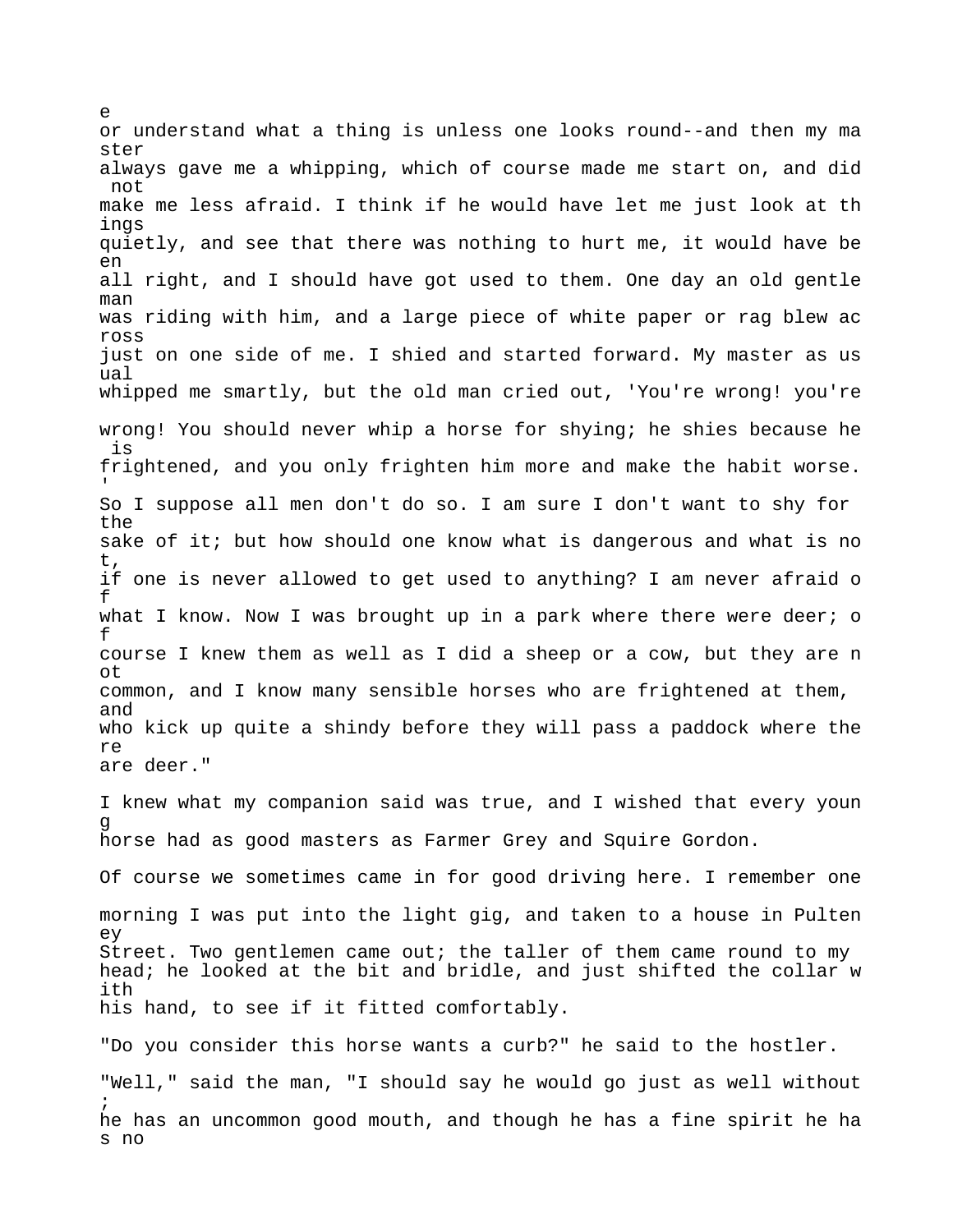or understand what a thing is unless one looks round--and then my ma ster always gave me a whipping, which of course made me start on, and did not make me less afraid. I think if he would have let me just look at th ings quietly, and see that there was nothing to hurt me, it would have be en all right, and I should have got used to them. One day an old gentle man was riding with him, and a large piece of white paper or rag blew ac ross just on one side of me. I shied and started forward. My master as us ual whipped me smartly, but the old man cried out, 'You're wrong! you're wrong! You should never whip a horse for shying; he shies because he is frightened, and you only frighten him more and make the habit worse. 'So I suppose all men don't do so. I am sure I don't want to shy for the sake of it; but how should one know what is dangerous and what is no t, if one is never allowed to get used to anything? I am never afraid o f what I know. Now I was brought up in a park where there were deer; o f course I knew them as well as I did a sheep or a cow, but they are n ot common, and I know many sensible horses who are frightened at them, and who kick up quite a shindy before they will pass a paddock where the re are deer." I knew what my companion said was true, and I wished that every youn g horse had as good masters as Farmer Grey and Squire Gordon. Of course we sometimes came in for good driving here. I remember one morning I was put into the light gig, and taken to a house in Pulten ey Street. Two gentlemen came out; the taller of them came round to my head; he looked at the bit and bridle, and just shifted the collar w ith his hand, to see if it fitted comfortably. "Do you consider this horse wants a curb?" he said to the hostler. "Well," said the man, "I should say he would go just as well without ; he has an uncommon good mouth, and though he has a fine spirit he ha s no

e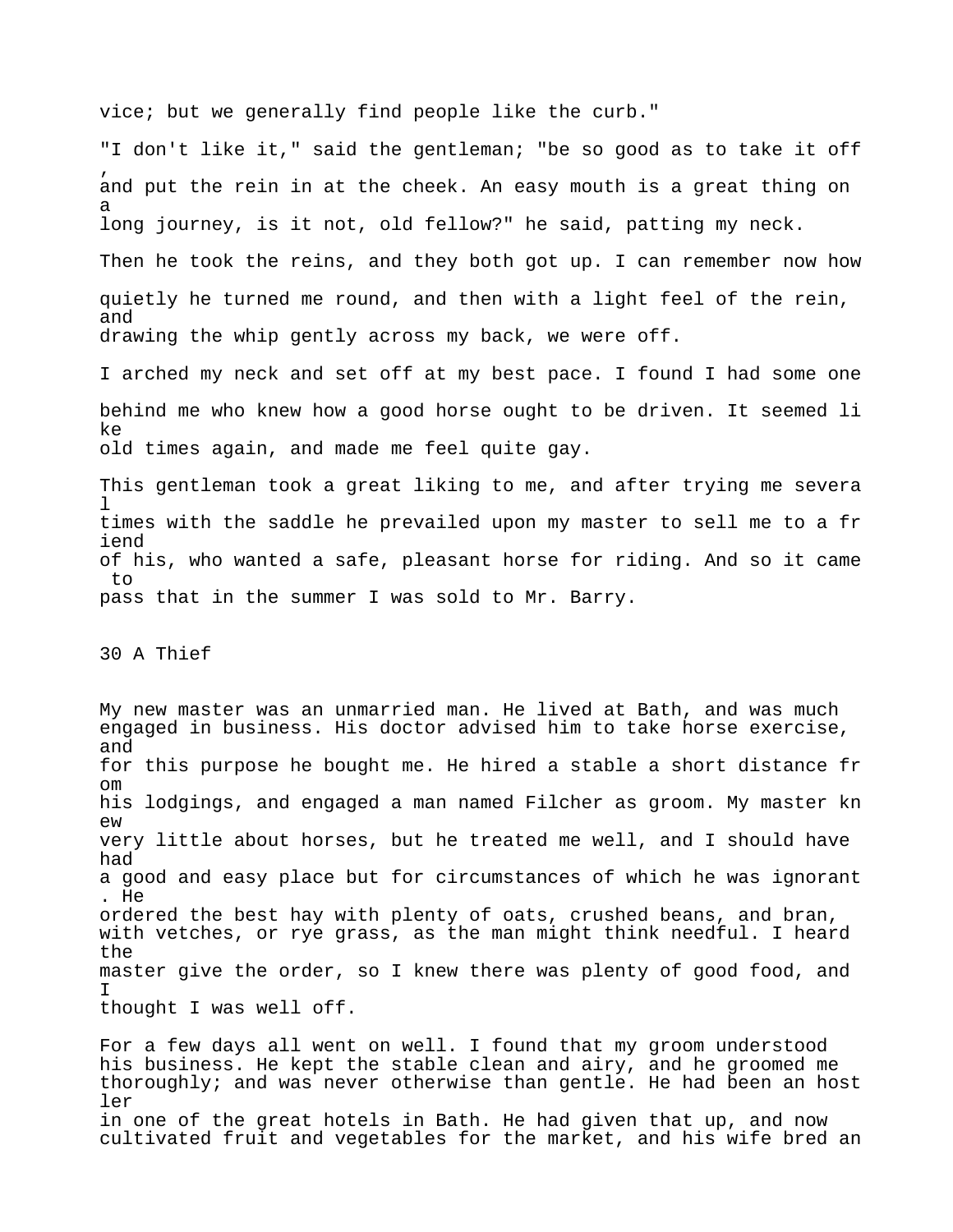vice; but we generally find people like the curb."

"I don't like it," said the gentleman; "be so good as to take it off , and put the rein in at the cheek. An easy mouth is a great thing on a long journey, is it not, old fellow?" he said, patting my neck.

Then he took the reins, and they both got up. I can remember now how quietly he turned me round, and then with a light feel of the rein, and drawing the whip gently across my back, we were off.

I arched my neck and set off at my best pace. I found I had some one behind me who knew how a good horse ought to be driven. It seemed li ke old times again, and made me feel quite gay.

This gentleman took a great liking to me, and after trying me severa  $\mathbb{1}$ times with the saddle he prevailed upon my master to sell me to a fr iend of his, who wanted a safe, pleasant horse for riding. And so it came to pass that in the summer I was sold to Mr. Barry.

30 A Thief

My new master was an unmarried man. He lived at Bath, and was much engaged in business. His doctor advised him to take horse exercise, and for this purpose he bought me. He hired a stable a short distance fr om his lodgings, and engaged a man named Filcher as groom. My master kn ew very little about horses, but he treated me well, and I should have had a good and easy place but for circumstances of which he was ignorant . He ordered the best hay with plenty of oats, crushed beans, and bran, with vetches, or rye grass, as the man might think needful. I heard the master give the order, so I knew there was plenty of good food, and I thought I was well off.

For a few days all went on well. I found that my groom understood his business. He kept the stable clean and airy, and he groomed me thoroughly; and was never otherwise than gentle. He had been an host ler in one of the great hotels in Bath. He had given that up, and now cultivated fruit and vegetables for the market, and his wife bred an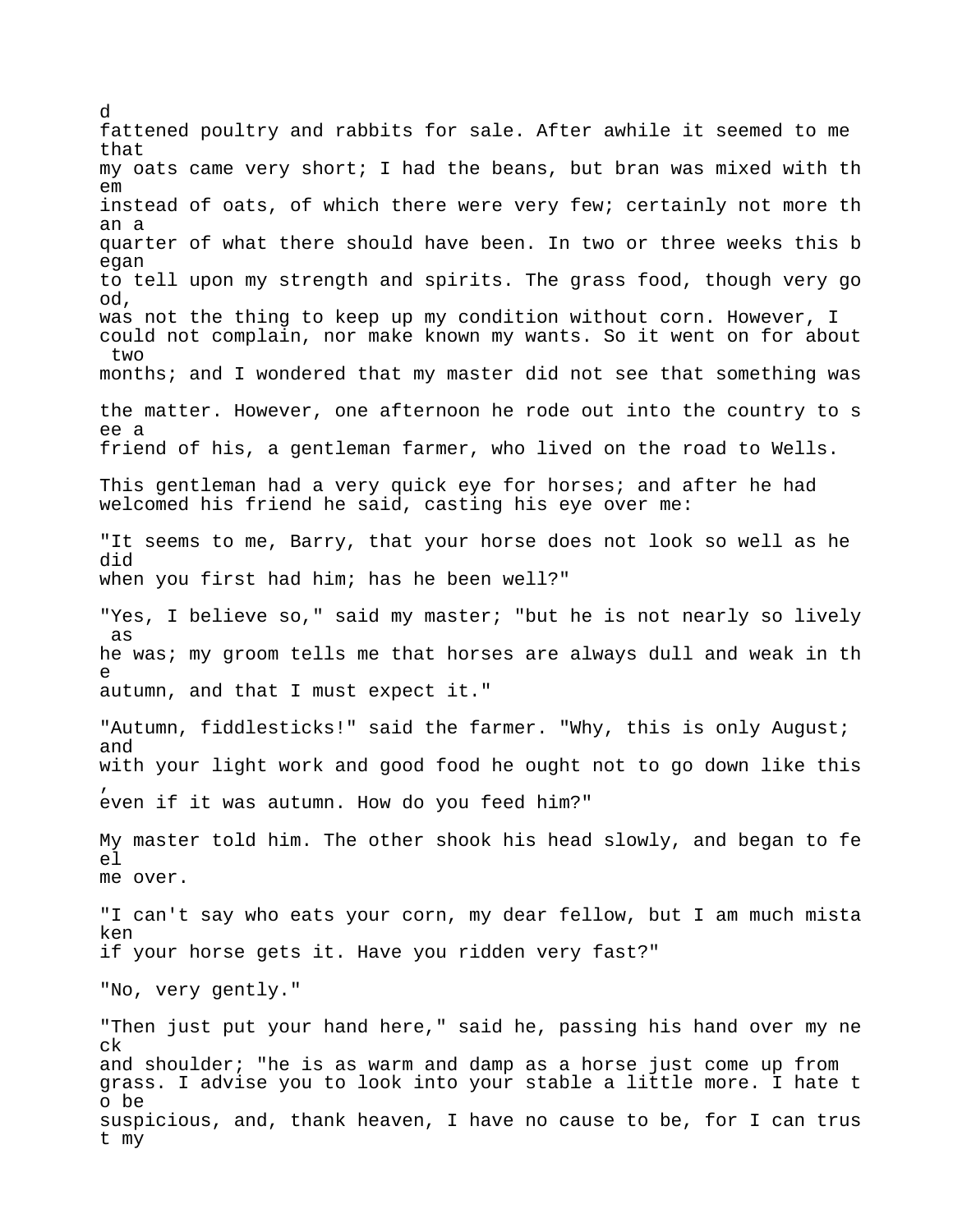d fattened poultry and rabbits for sale. After awhile it seemed to me that my oats came very short; I had the beans, but bran was mixed with th em instead of oats, of which there were very few; certainly not more th an a quarter of what there should have been. In two or three weeks this b egan to tell upon my strength and spirits. The grass food, though very go od, was not the thing to keep up my condition without corn. However, I could not complain, nor make known my wants. So it went on for about two months; and I wondered that my master did not see that something was the matter. However, one afternoon he rode out into the country to s ee a friend of his, a gentleman farmer, who lived on the road to Wells. This gentleman had a very quick eye for horses; and after he had welcomed his friend he said, casting his eye over me: "It seems to me, Barry, that your horse does not look so well as he did when you first had him; has he been well?" "Yes, I believe so," said my master; "but he is not nearly so lively as he was; my groom tells me that horses are always dull and weak in th e autumn, and that I must expect it." "Autumn, fiddlesticks!" said the farmer. "Why, this is only August; and with your light work and good food he ought not to go down like this , even if it was autumn. How do you feed him?" My master told him. The other shook his head slowly, and began to fe el me over. "I can't say who eats your corn, my dear fellow, but I am much mista ken if your horse gets it. Have you ridden very fast?" "No, very gently." "Then just put your hand here," said he, passing his hand over my ne ck and shoulder; "he is as warm and damp as a horse just come up from grass. I advise you to look into your stable a little more. I hate t o be suspicious, and, thank heaven, I have no cause to be, for I can trus t my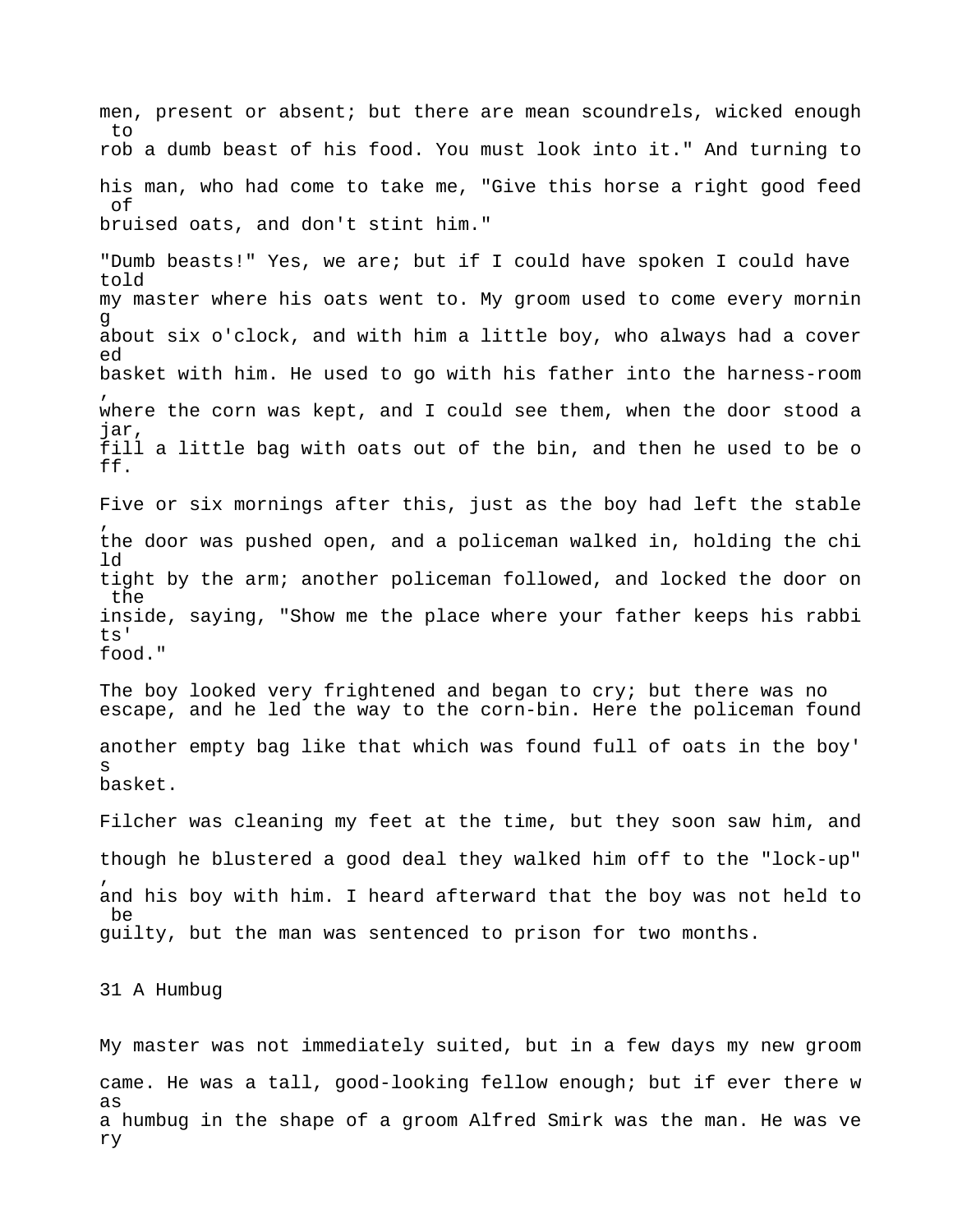men, present or absent; but there are mean scoundrels, wicked enough  $t \circ$ rob a dumb beast of his food. You must look into it." And turning to his man, who had come to take me, "Give this horse a right good feed of bruised oats, and don't stint him." "Dumb beasts!" Yes, we are; but if I could have spoken I could have told my master where his oats went to. My groom used to come every mornin g about six o'clock, and with him a little boy, who always had a cover ed basket with him. He used to go with his father into the harness-room , where the corn was kept, and I could see them, when the door stood a jar, fill a little bag with oats out of the bin, and then he used to be o ff. Five or six mornings after this, just as the boy had left the stable , the door was pushed open, and a policeman walked in, holding the chi ld tight by the arm; another policeman followed, and locked the door on the inside, saying, "Show me the place where your father keeps his rabbi ts' food." The boy looked very frightened and began to cry; but there was no escape, and he led the way to the corn-bin. Here the policeman found another empty bag like that which was found full of oats in the boy' s basket. Filcher was cleaning my feet at the time, but they soon saw him, and though he blustered a good deal they walked him off to the "lock-up" , and his boy with him. I heard afterward that the boy was not held to be guilty, but the man was sentenced to prison for two months. 31 A Humbug

My master was not immediately suited, but in a few days my new groom came. He was a tall, good-looking fellow enough; but if ever there w as a humbug in the shape of a groom Alfred Smirk was the man. He was ve ry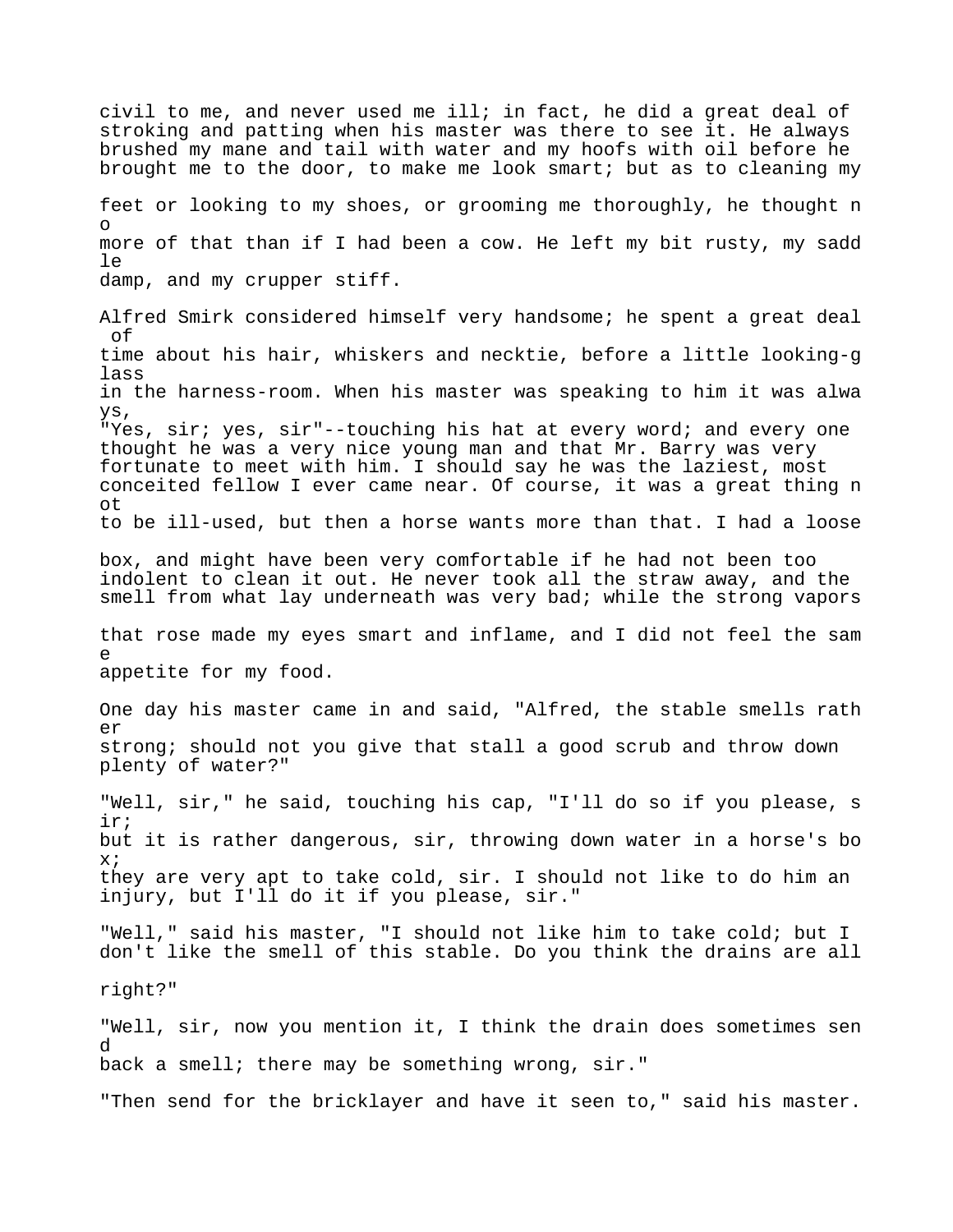civil to me, and never used me ill; in fact, he did a great deal of stroking and patting when his master was there to see it. He always brushed my mane and tail with water and my hoofs with oil before he brought me to the door, to make me look smart; but as to cleaning my feet or looking to my shoes, or grooming me thoroughly, he thought n o more of that than if I had been a cow. He left my bit rusty, my sadd  $\Box$ damp, and my crupper stiff. Alfred Smirk considered himself very handsome; he spent a great deal of time about his hair, whiskers and necktie, before a little looking-g lass in the harness-room. When his master was speaking to him it was alwa ys, "Yes, sir; yes, sir"--touching his hat at every word; and every one thought he was a very nice young man and that Mr. Barry was very fortunate to meet with him. I should say he was the laziest, most conceited fellow I ever came near. Of course, it was a great thing n ot to be ill-used, but then a horse wants more than that. I had a loose box, and might have been very comfortable if he had not been too indolent to clean it out. He never took all the straw away, and the smell from what lay underneath was very bad; while the strong vapors that rose made my eyes smart and inflame, and I did not feel the sam e appetite for my food. One day his master came in and said, "Alfred, the stable smells rath  $\rho r$ strong; should not you give that stall a good scrub and throw down plenty of water?" "Well, sir," he said, touching his cap, "I'll do so if you please, s ir; but it is rather dangerous, sir, throwing down water in a horse's bo x; they are very apt to take cold, sir. I should not like to do him an injury, but I'll do it if you please, sir." "Well," said his master, "I should not like him to take cold; but I don't like the smell of this stable. Do you think the drains are all right?" "Well, sir, now you mention it, I think the drain does sometimes sen d back a smell; there may be something wrong, sir." "Then send for the bricklayer and have it seen to," said his master.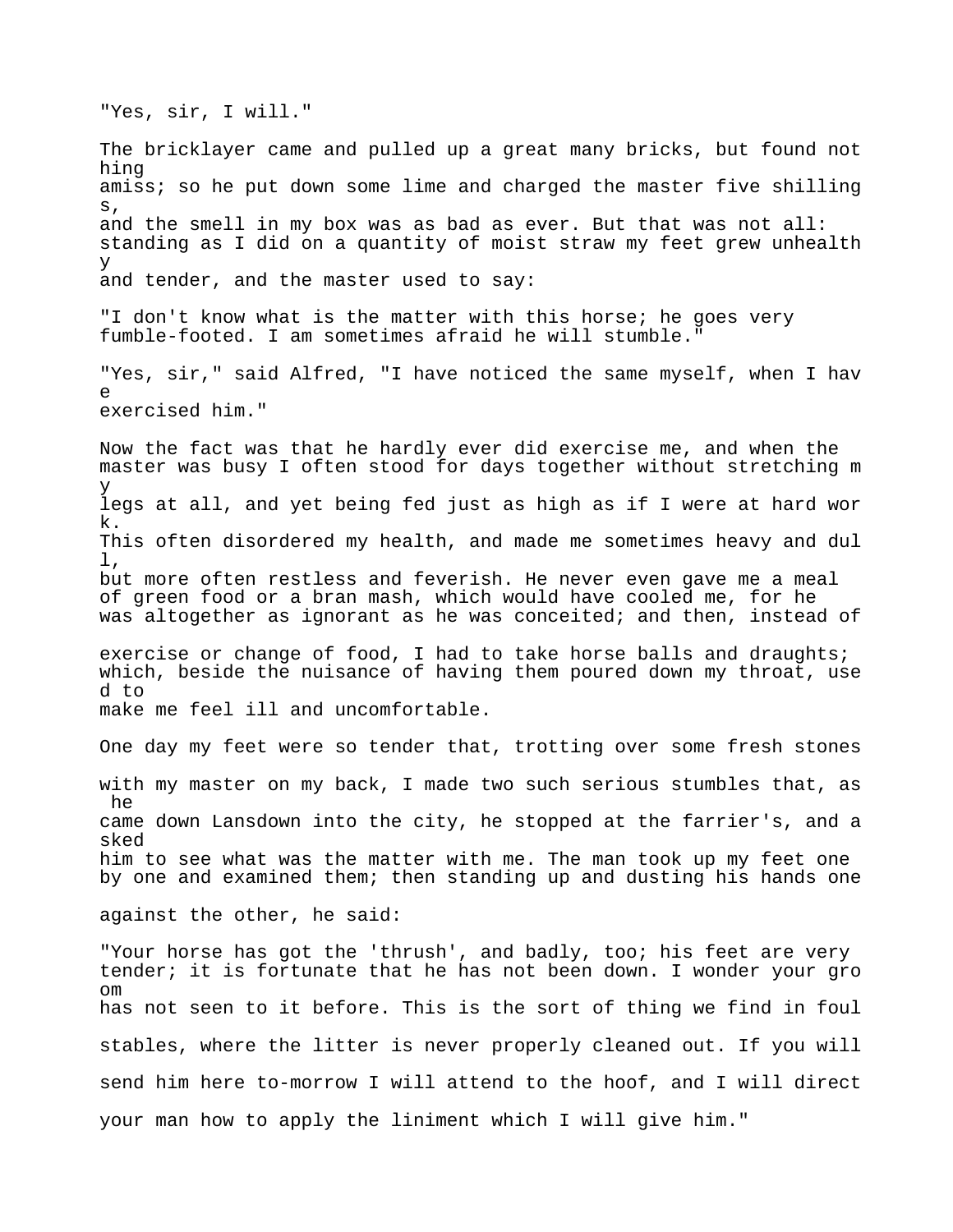The bricklayer came and pulled up a great many bricks, but found not hing amiss; so he put down some lime and charged the master five shilling s, and the smell in my box was as bad as ever. But that was not all: standing as I did on a quantity of moist straw my feet grew unhealth y and tender, and the master used to say: "I don't know what is the matter with this horse; he goes very fumble-footed. I am sometimes afraid he will stumble." "Yes, sir," said Alfred, "I have noticed the same myself, when I hav e exercised him." Now the fact was that he hardly ever did exercise me, and when the master was busy I often stood for days together without stretching m y legs at all, and yet being fed just as high as if I were at hard wor k. This often disordered my health, and made me sometimes heavy and dul l, but more often restless and feverish. He never even gave me a meal of green food or a bran mash, which would have cooled me, for he was altogether as ignorant as he was conceited; and then, instead of exercise or change of food, I had to take horse balls and draughts; which, beside the nuisance of having them poured down my throat, use d to make me feel ill and uncomfortable. One day my feet were so tender that, trotting over some fresh stones with my master on my back, I made two such serious stumbles that, as he came down Lansdown into the city, he stopped at the farrier's, and a sked him to see what was the matter with me. The man took up my feet one by one and examined them; then standing up and dusting his hands one against the other, he said: "Your horse has got the 'thrush', and badly, too; his feet are very tender; it is fortunate that he has not been down. I wonder your gro  $\cap$ m has not seen to it before. This is the sort of thing we find in foul stables, where the litter is never properly cleaned out. If you will send him here to-morrow I will attend to the hoof, and I will direct your man how to apply the liniment which I will give him."

"Yes, sir, I will."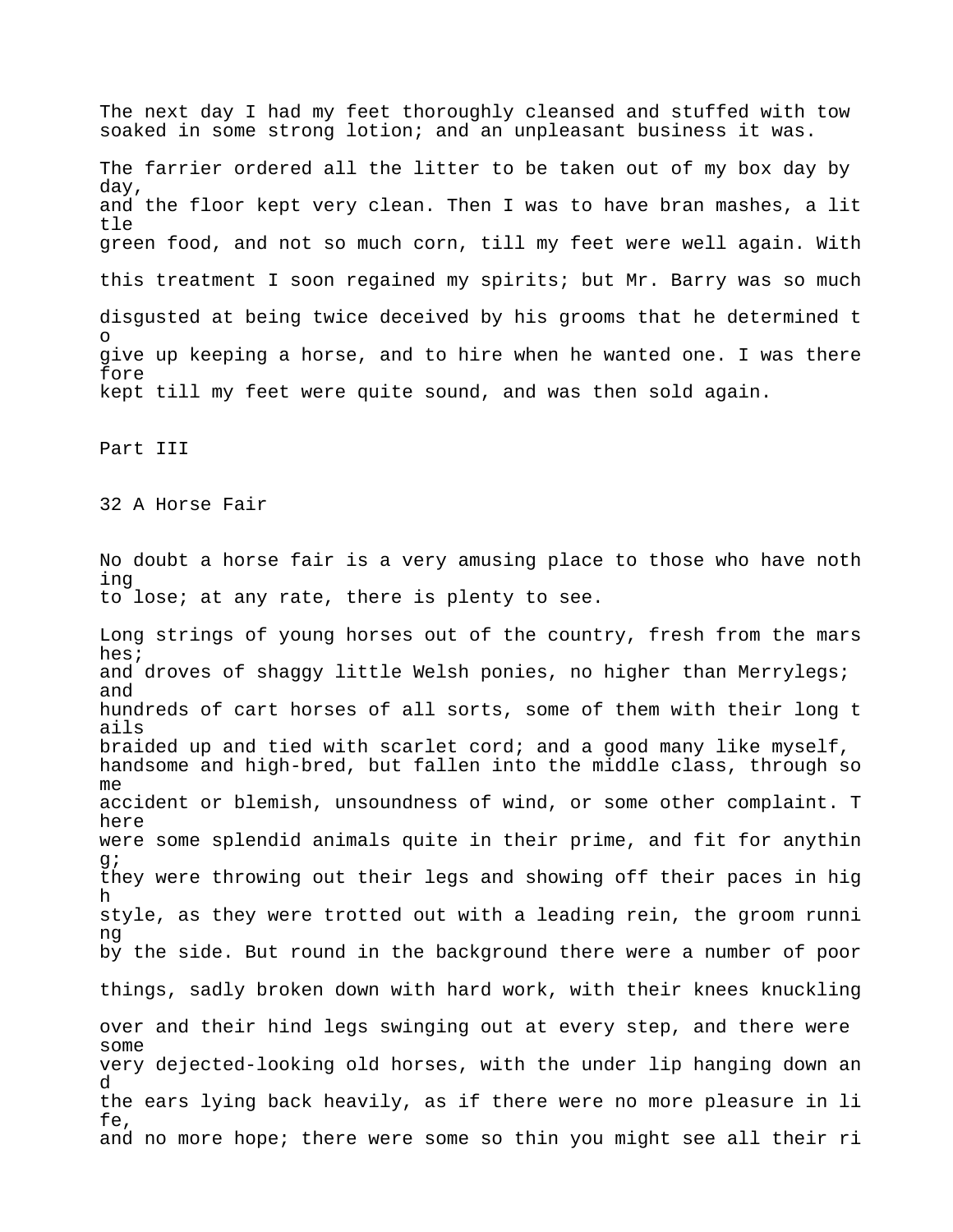The next day I had my feet thoroughly cleansed and stuffed with tow soaked in some strong lotion; and an unpleasant business it was. The farrier ordered all the litter to be taken out of my box day by day, and the floor kept very clean. Then I was to have bran mashes, a lit tle green food, and not so much corn, till my feet were well again. With this treatment I soon regained my spirits; but Mr. Barry was so much disgusted at being twice deceived by his grooms that he determined t o give up keeping a horse, and to hire when he wanted one. I was there fore kept till my feet were quite sound, and was then sold again. Part III 32 A Horse Fair No doubt a horse fair is a very amusing place to those who have noth ing to lose; at any rate, there is plenty to see. Long strings of young horses out of the country, fresh from the mars hes; and droves of shaggy little Welsh ponies, no higher than Merrylegs; and hundreds of cart horses of all sorts, some of them with their long t ails braided up and tied with scarlet cord; and a good many like myself, handsome and high-bred, but fallen into the middle class, through so me accident or blemish, unsoundness of wind, or some other complaint. T here were some splendid animals quite in their prime, and fit for anythin g; they were throwing out their legs and showing off their paces in hig h style, as they were trotted out with a leading rein, the groom runni ng by the side. But round in the background there were a number of poor things, sadly broken down with hard work, with their knees knuckling over and their hind legs swinging out at every step, and there were some very dejected-looking old horses, with the under lip hanging down an d the ears lying back heavily, as if there were no more pleasure in li fe, and no more hope; there were some so thin you might see all their ri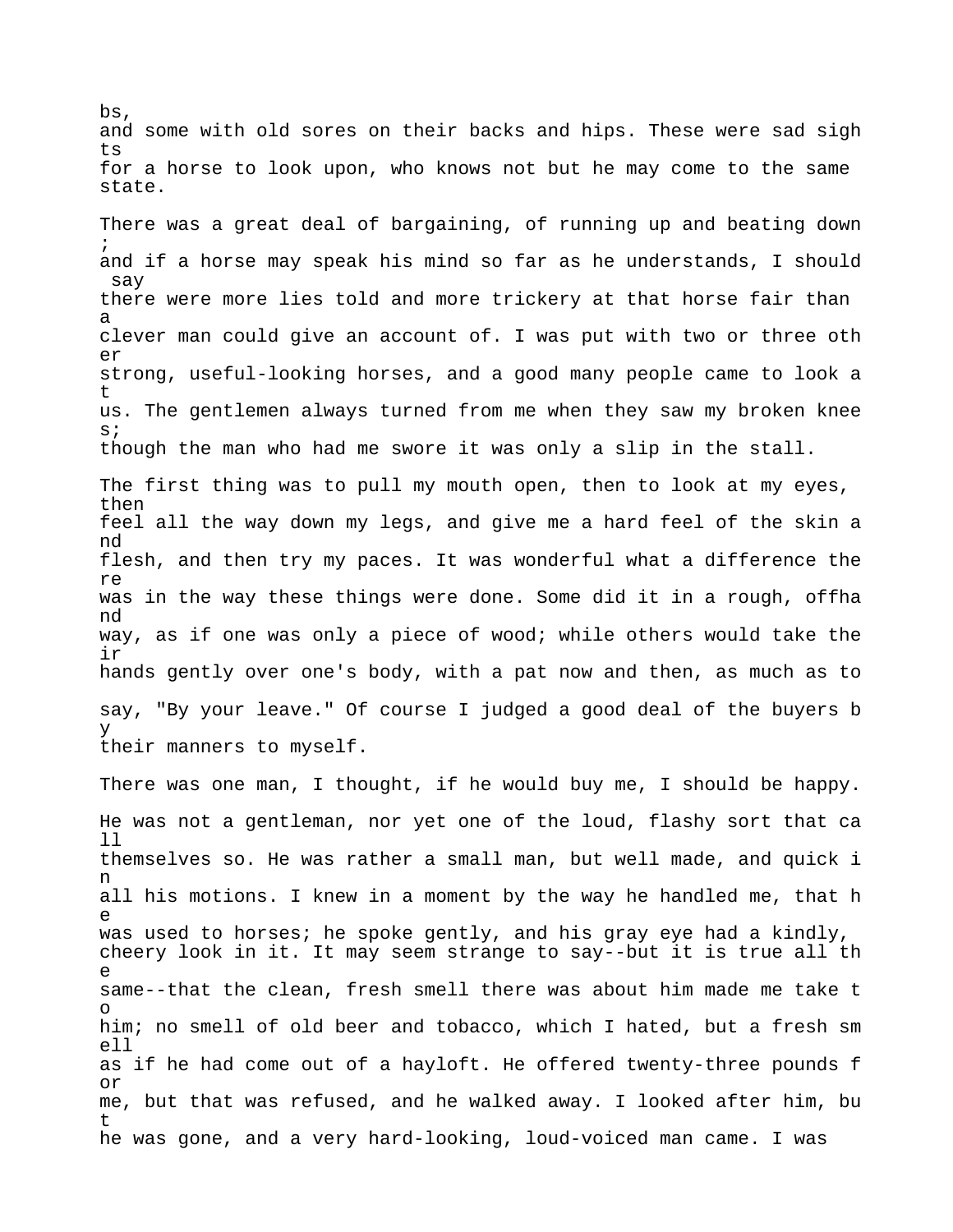bs, and some with old sores on their backs and hips. These were sad sigh ts for a horse to look upon, who knows not but he may come to the same state.

There was a great deal of bargaining, of running up and beating down ; and if a horse may speak his mind so far as he understands, I should say there were more lies told and more trickery at that horse fair than a clever man could give an account of. I was put with two or three oth er strong, useful-looking horses, and a good many people came to look a t us. The gentlemen always turned from me when they saw my broken knee s; though the man who had me swore it was only a slip in the stall.

The first thing was to pull my mouth open, then to look at my eyes, then feel all the way down my legs, and give me a hard feel of the skin a nd flesh, and then try my paces. It was wonderful what a difference the re was in the way these things were done. Some did it in a rough, offha nd way, as if one was only a piece of wood; while others would take the ir hands gently over one's body, with a pat now and then, as much as to say, "By your leave." Of course I judged a good deal of the buyers b y their manners to myself.

There was one man, I thought, if he would buy me, I should be happy. He was not a gentleman, nor yet one of the loud, flashy sort that ca ll themselves so. He was rather a small man, but well made, and quick i n all his motions. I knew in a moment by the way he handled me, that h e was used to horses; he spoke gently, and his gray eye had a kindly, cheery look in it. It may seem strange to say--but it is true all th e same--that the clean, fresh smell there was about him made me take t o him; no smell of old beer and tobacco, which I hated, but a fresh sm ell as if he had come out of a hayloft. He offered twenty-three pounds f or me, but that was refused, and he walked away. I looked after him, bu t he was gone, and a very hard-looking, loud-voiced man came. I was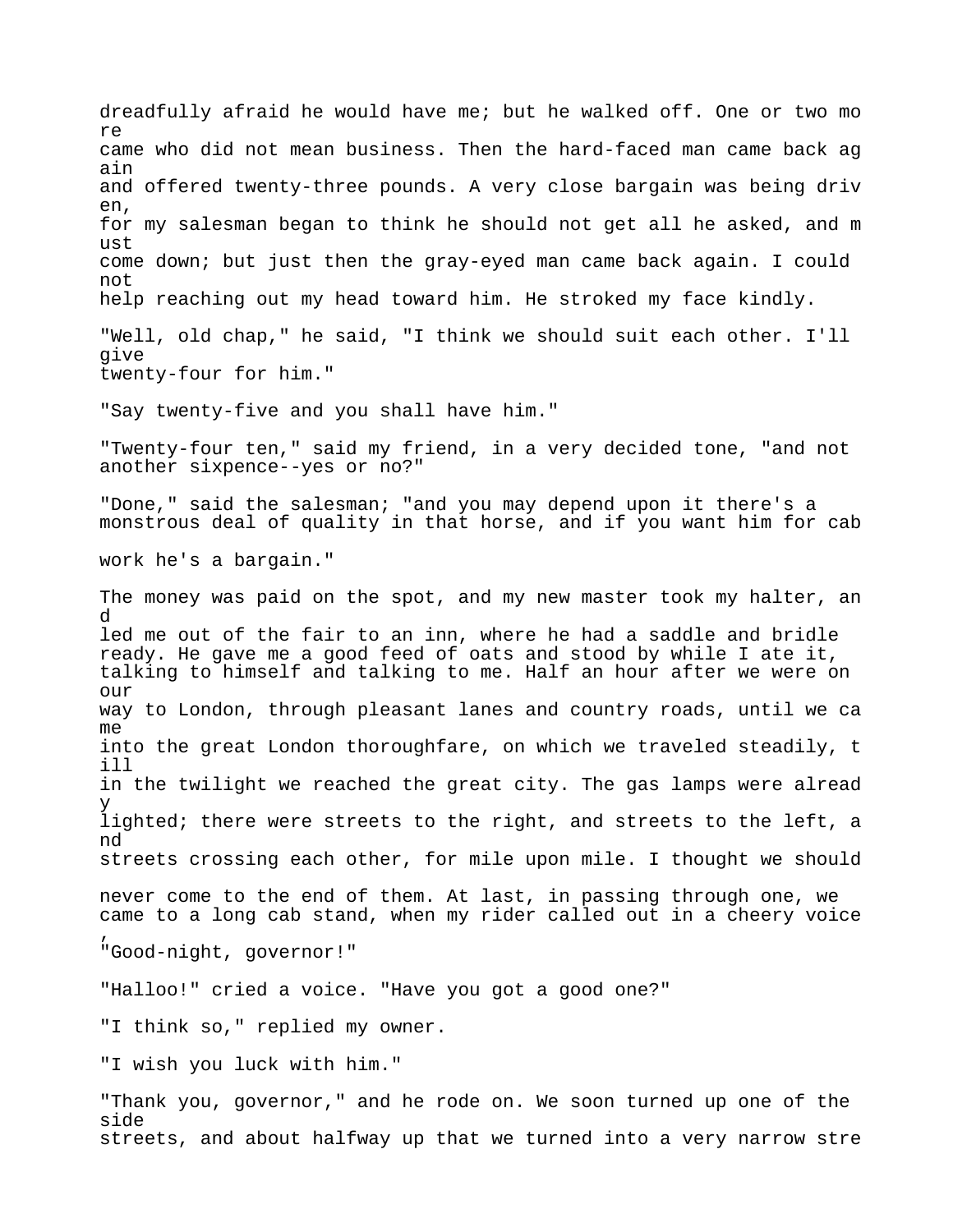dreadfully afraid he would have me; but he walked off. One or two mo re came who did not mean business. Then the hard-faced man came back ag ain and offered twenty-three pounds. A very close bargain was being driv en, for my salesman began to think he should not get all he asked, and m ust come down; but just then the gray-eyed man came back again. I could not help reaching out my head toward him. He stroked my face kindly. "Well, old chap," he said, "I think we should suit each other. I'll give twenty-four for him." "Say twenty-five and you shall have him." "Twenty-four ten," said my friend, in a very decided tone, "and not another sixpence--yes or no?" "Done," said the salesman; "and you may depend upon it there's a monstrous deal of quality in that horse, and if you want him for cab work he's a bargain." The money was paid on the spot, and my new master took my halter, an d led me out of the fair to an inn, where he had a saddle and bridle ready. He gave me a good feed of oats and stood by while I ate it, talking to himself and talking to me. Half an hour after we were on our way to London, through pleasant lanes and country roads, until we ca me into the great London thoroughfare, on which we traveled steadily, t ill in the twilight we reached the great city. The gas lamps were alread y lighted; there were streets to the right, and streets to the left, a nd streets crossing each other, for mile upon mile. I thought we should never come to the end of them. At last, in passing through one, we came to a long cab stand, when my rider called out in a cheery voice , "Good-night, governor!" "Halloo!" cried a voice. "Have you got a good one?" "I think so," replied my owner. "I wish you luck with him." "Thank you, governor," and he rode on. We soon turned up one of the side

streets, and about halfway up that we turned into a very narrow stre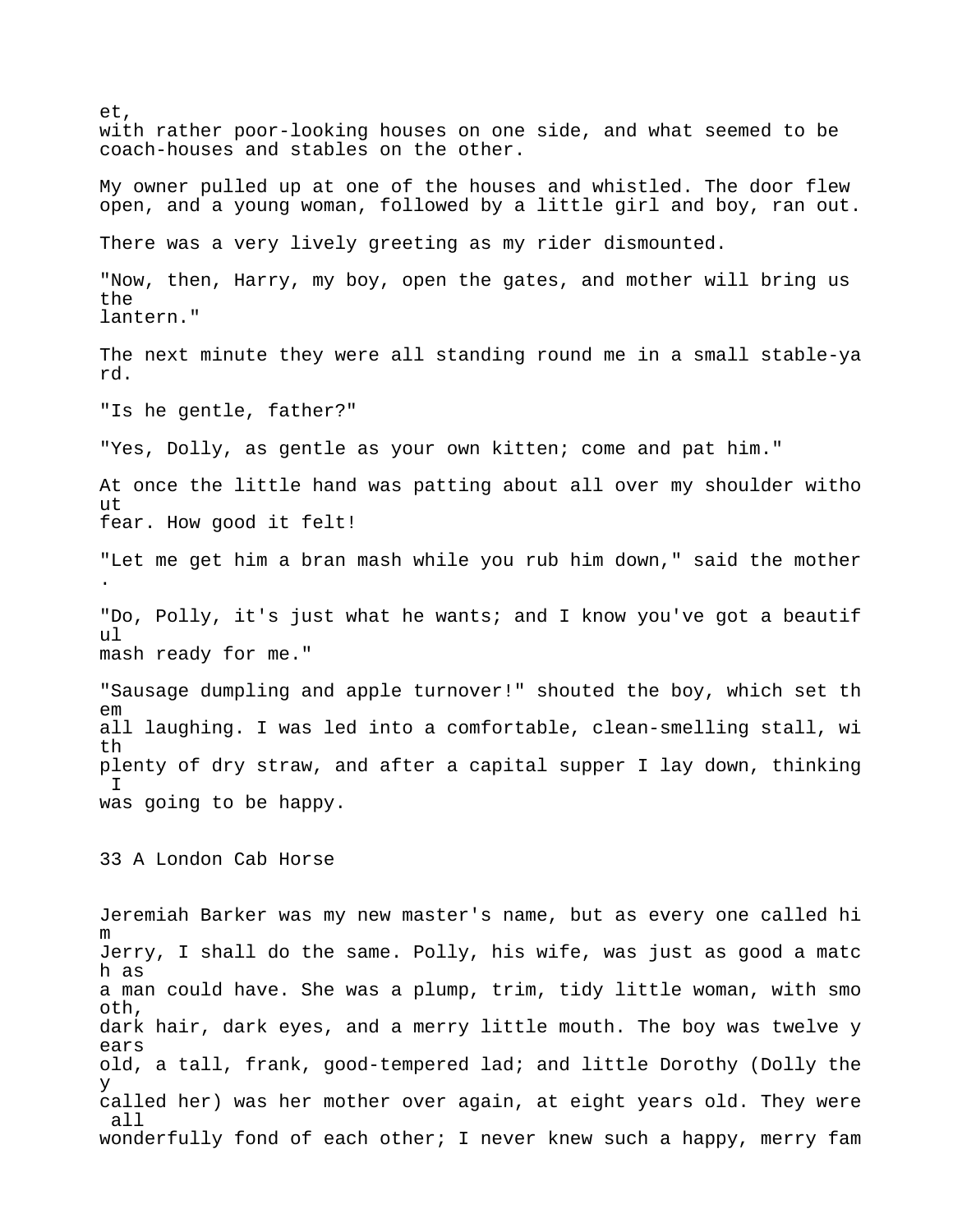et, with rather poor-looking houses on one side, and what seemed to be coach-houses and stables on the other. My owner pulled up at one of the houses and whistled. The door flew open, and a young woman, followed by a little girl and boy, ran out. There was a very lively greeting as my rider dismounted. "Now, then, Harry, my boy, open the gates, and mother will bring us the lantern." The next minute they were all standing round me in a small stable-ya rd. "Is he gentle, father?" "Yes, Dolly, as gentle as your own kitten; come and pat him." At once the little hand was patting about all over my shoulder witho ut fear. How good it felt! "Let me get him a bran mash while you rub him down," said the mother . "Do, Polly, it's just what he wants; and I know you've got a beautif ul mash ready for me." "Sausage dumpling and apple turnover!" shouted the boy, which set th em all laughing. I was led into a comfortable, clean-smelling stall, wi th plenty of dry straw, and after a capital supper I lay down, thinking I was going to be happy. 33 A London Cab Horse Jeremiah Barker was my new master's name, but as every one called hi m Jerry, I shall do the same. Polly, his wife, was just as good a matc h as a man could have. She was a plump, trim, tidy little woman, with smo oth, dark hair, dark eyes, and a merry little mouth. The boy was twelve y ears old, a tall, frank, good-tempered lad; and little Dorothy (Dolly the y called her) was her mother over again, at eight years old. They were all wonderfully fond of each other; I never knew such a happy, merry fam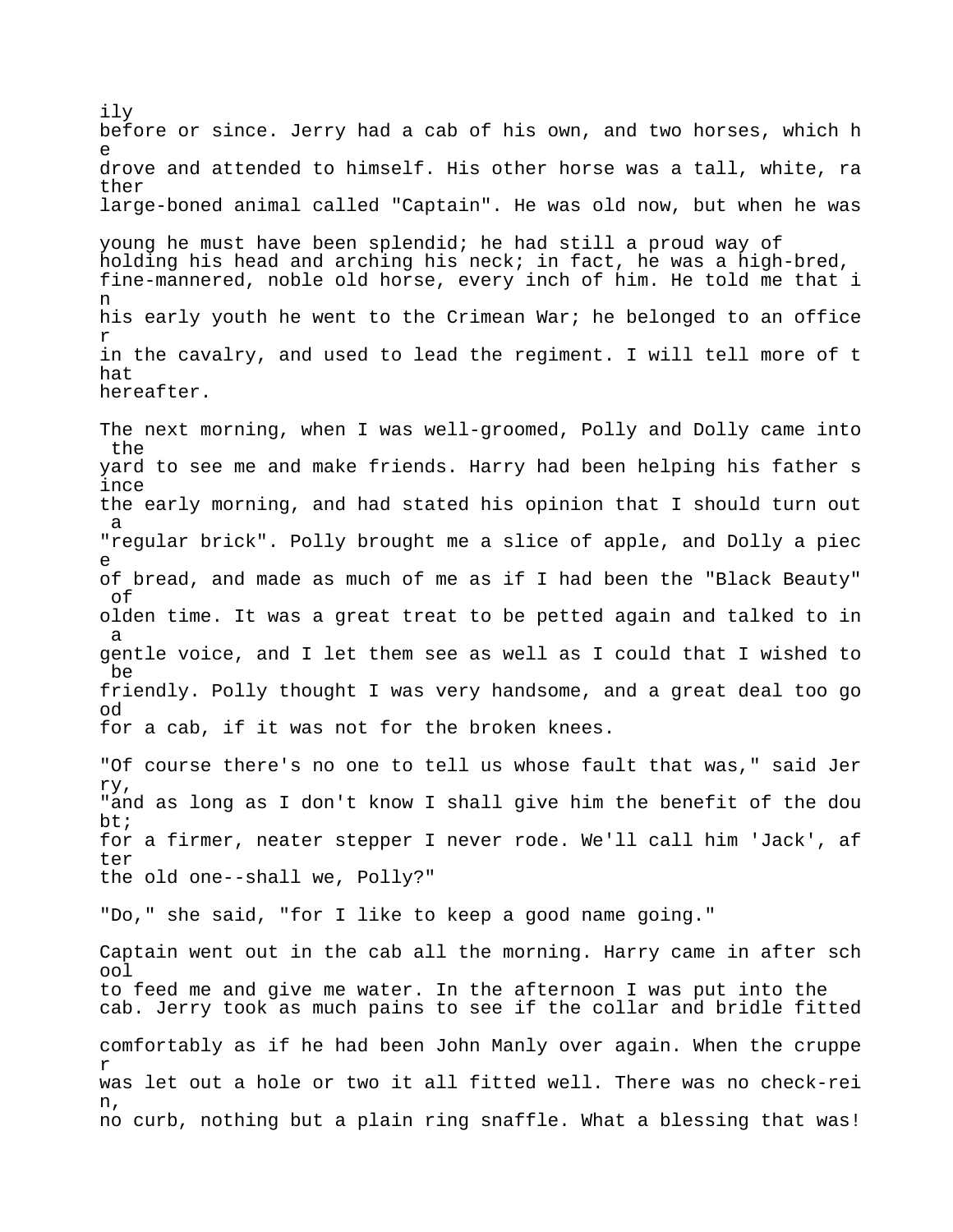ily before or since. Jerry had a cab of his own, and two horses, which h e drove and attended to himself. His other horse was a tall, white, ra ther large-boned animal called "Captain". He was old now, but when he was young he must have been splendid; he had still a proud way of holding his head and arching his neck; in fact, he was a high-bred, fine-mannered, noble old horse, every inch of him. He told me that i n his early youth he went to the Crimean War; he belonged to an office r in the cavalry, and used to lead the regiment. I will tell more of t hat hereafter.

The next morning, when I was well-groomed, Polly and Dolly came into the yard to see me and make friends. Harry had been helping his father s ince the early morning, and had stated his opinion that I should turn out a "regular brick". Polly brought me a slice of apple, and Dolly a piec e of bread, and made as much of me as if I had been the "Black Beauty" of olden time. It was a great treat to be petted again and talked to in a gentle voice, and I let them see as well as I could that I wished to be friendly. Polly thought I was very handsome, and a great deal too go od for a cab, if it was not for the broken knees.

"Of course there's no one to tell us whose fault that was," said Jer ry, "and as long as I don't know I shall give him the benefit of the dou bt; for a firmer, neater stepper I never rode. We'll call him 'Jack', af ter the old one--shall we, Polly?"

"Do," she said, "for I like to keep a good name going."

Captain went out in the cab all the morning. Harry came in after sch ool to feed me and give me water. In the afternoon I was put into the cab. Jerry took as much pains to see if the collar and bridle fitted comfortably as if he had been John Manly over again. When the cruppe r was let out a hole or two it all fitted well. There was no check-rei n, no curb, nothing but a plain ring snaffle. What a blessing that was!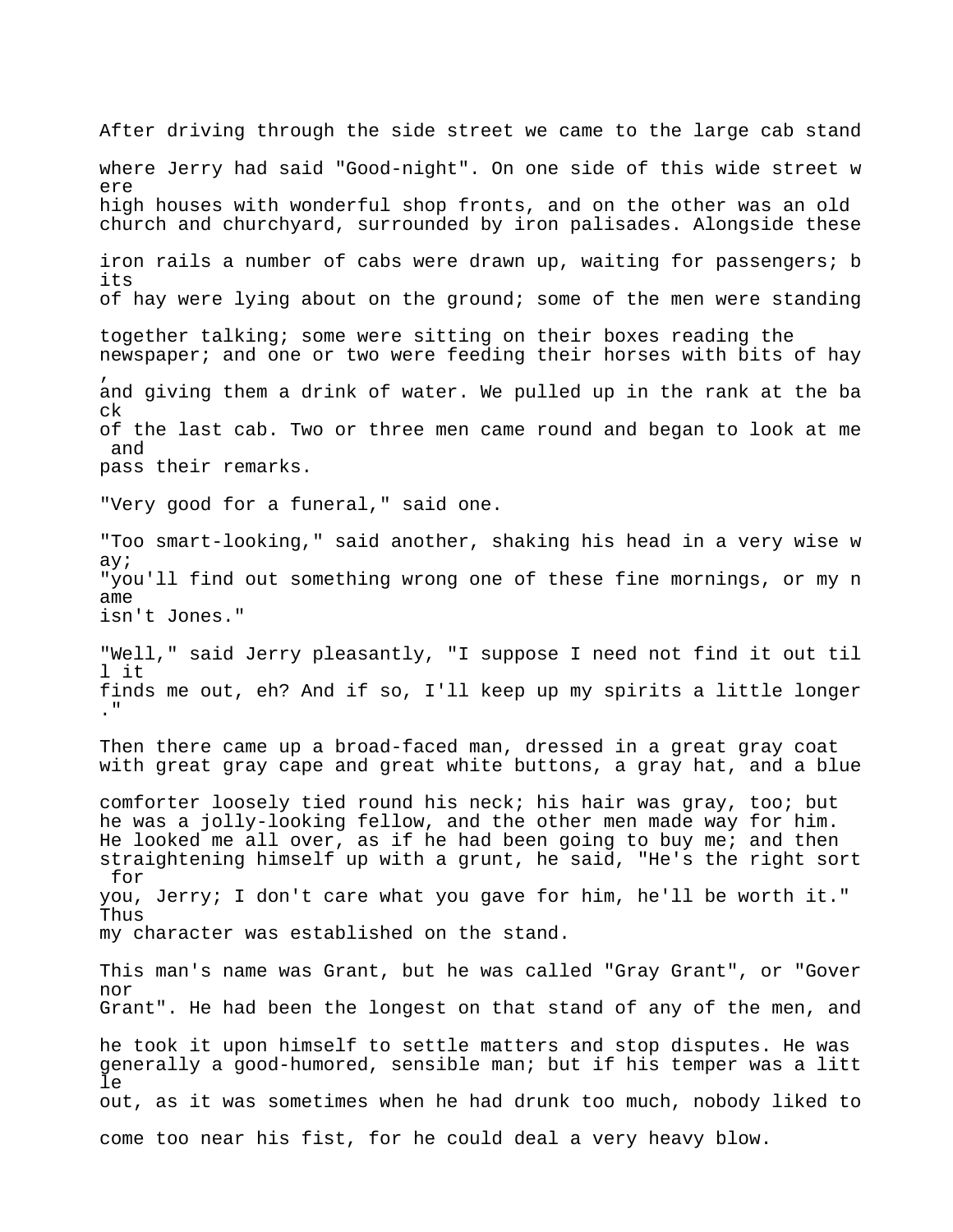After driving through the side street we came to the large cab stand where Jerry had said "Good-night". On one side of this wide street w ere high houses with wonderful shop fronts, and on the other was an old church and churchyard, surrounded by iron palisades. Alongside these iron rails a number of cabs were drawn up, waiting for passengers; b its of hay were lying about on the ground; some of the men were standing together talking; some were sitting on their boxes reading the newspaper; and one or two were feeding their horses with bits of hay , and giving them a drink of water. We pulled up in the rank at the ba ck of the last cab. Two or three men came round and began to look at me and pass their remarks. "Very good for a funeral," said one. "Too smart-looking," said another, shaking his head in a very wise w ay; "you'll find out something wrong one of these fine mornings, or my n ame isn't Jones." "Well," said Jerry pleasantly, "I suppose I need not find it out til l it finds me out, eh? And if so, I'll keep up my spirits a little longer ." Then there came up a broad-faced man, dressed in a great gray coat with great gray cape and great white buttons, a gray hat, and a blue comforter loosely tied round his neck; his hair was gray, too; but he was a jolly-looking fellow, and the other men made way for him. He looked me all over, as if he had been going to buy me; and then straightening himself up with a grunt, he said, "He's the right sort for you, Jerry; I don't care what you gave for him, he'll be worth it." Thus my character was established on the stand. This man's name was Grant, but he was called "Gray Grant", or "Gover nor Grant". He had been the longest on that stand of any of the men, and he took it upon himself to settle matters and stop disputes. He was generally a good-humored, sensible man; but if his temper was a litt le out, as it was sometimes when he had drunk too much, nobody liked to come too near his fist, for he could deal a very heavy blow.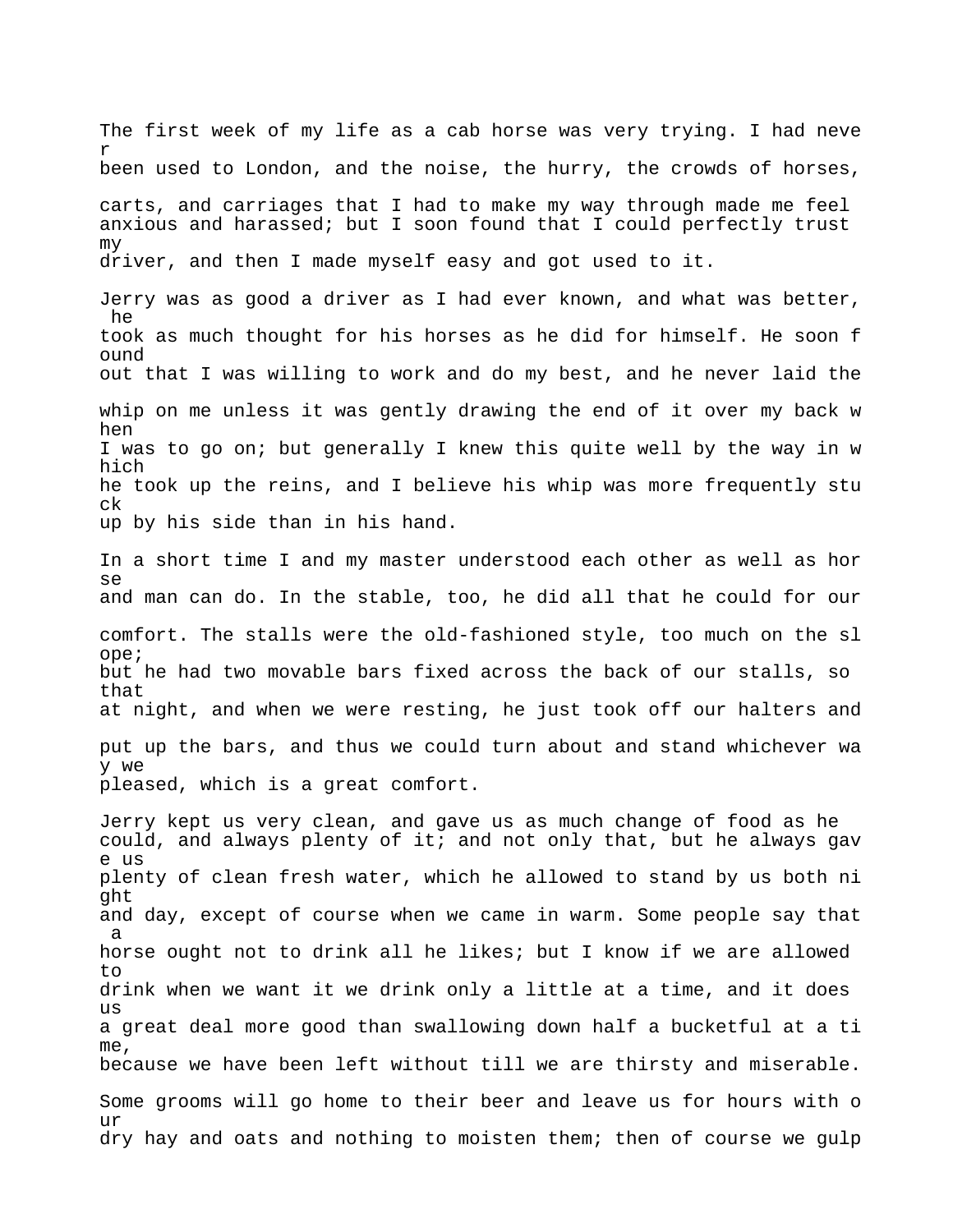The first week of my life as a cab horse was very trying. I had neve r been used to London, and the noise, the hurry, the crowds of horses, carts, and carriages that I had to make my way through made me feel anxious and harassed; but I soon found that I could perfectly trust my driver, and then I made myself easy and got used to it. Jerry was as good a driver as I had ever known, and what was better, he took as much thought for his horses as he did for himself. He soon f ound out that I was willing to work and do my best, and he never laid the whip on me unless it was gently drawing the end of it over my back w hen

I was to go on; but generally I knew this quite well by the way in w hich he took up the reins, and I believe his whip was more frequently stu ck up by his side than in his hand.

In a short time I and my master understood each other as well as hor se and man can do. In the stable, too, he did all that he could for our comfort. The stalls were the old-fashioned style, too much on the sl ope; but he had two movable bars fixed across the back of our stalls, so that at night, and when we were resting, he just took off our halters and put up the bars, and thus we could turn about and stand whichever wa y we

pleased, which is a great comfort.

Jerry kept us very clean, and gave us as much change of food as he could, and always plenty of it; and not only that, but he always gav e us plenty of clean fresh water, which he allowed to stand by us both ni ght and day, except of course when we came in warm. Some people say that a horse ought not to drink all he likes; but I know if we are allowed to drink when we want it we drink only a little at a time, and it does us a great deal more good than swallowing down half a bucketful at a ti me, because we have been left without till we are thirsty and miserable. Some grooms will go home to their beer and leave us for hours with o  $11r$ dry hay and oats and nothing to moisten them; then of course we gulp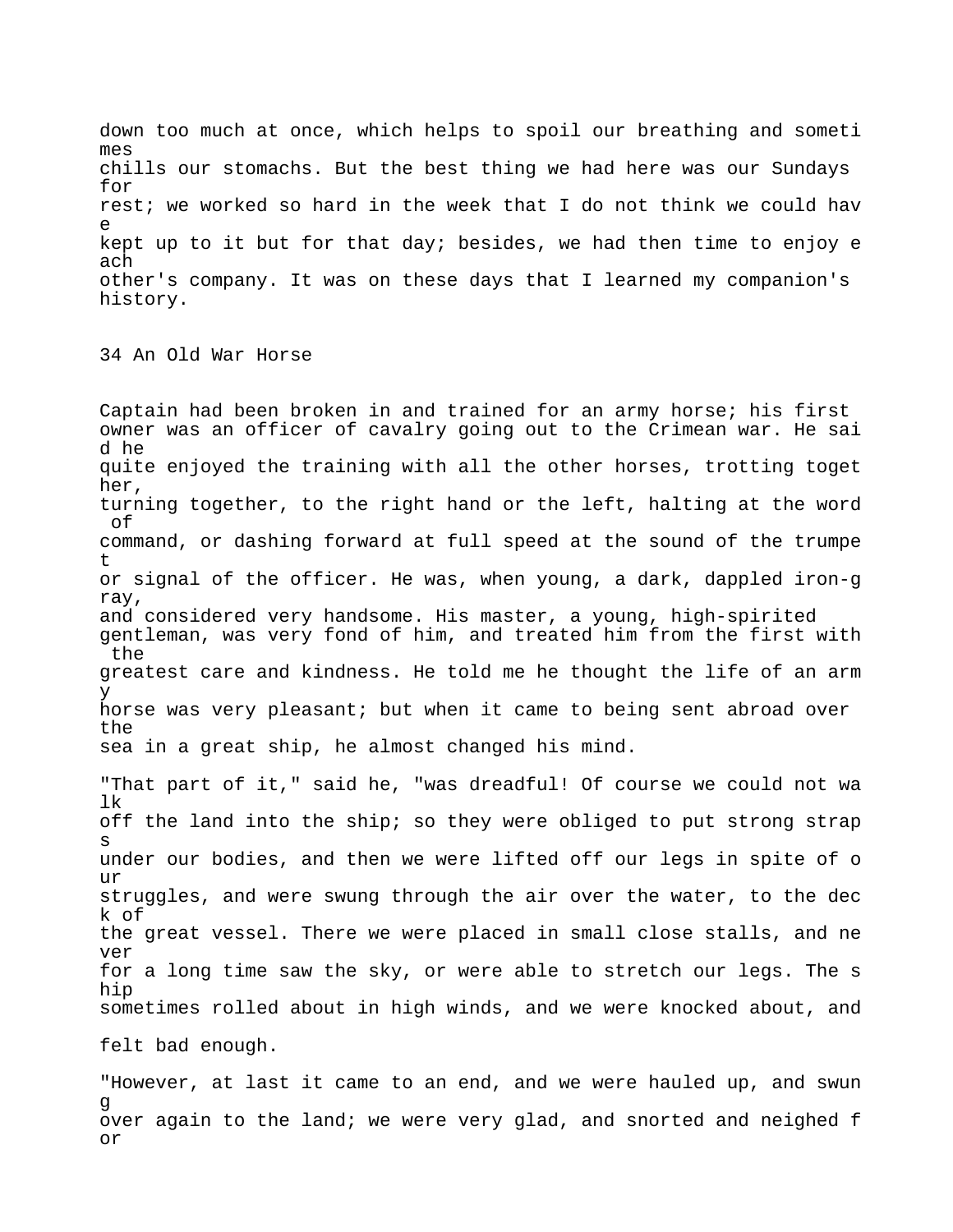down too much at once, which helps to spoil our breathing and someti mes chills our stomachs. But the best thing we had here was our Sundays for rest; we worked so hard in the week that I do not think we could hav e kept up to it but for that day; besides, we had then time to enjoy e ach other's company. It was on these days that I learned my companion's history.

34 An Old War Horse

Captain had been broken in and trained for an army horse; his first owner was an officer of cavalry going out to the Crimean war. He sai d he quite enjoyed the training with all the other horses, trotting toget her, turning together, to the right hand or the left, halting at the word of command, or dashing forward at full speed at the sound of the trumpe t or signal of the officer. He was, when young, a dark, dappled iron-g ray, and considered very handsome. His master, a young, high-spirited gentleman, was very fond of him, and treated him from the first with the greatest care and kindness. He told me he thought the life of an arm y horse was very pleasant; but when it came to being sent abroad over the sea in a great ship, he almost changed his mind. "That part of it," said he, "was dreadful! Of course we could not wa lk off the land into the ship; so they were obliged to put strong strap s under our bodies, and then we were lifted off our legs in spite of o ur struggles, and were swung through the air over the water, to the dec

k of the great vessel. There we were placed in small close stalls, and ne ver for a long time saw the sky, or were able to stretch our legs. The s hip sometimes rolled about in high winds, and we were knocked about, and

felt bad enough.

"However, at last it came to an end, and we were hauled up, and swun g over again to the land; we were very glad, and snorted and neighed f or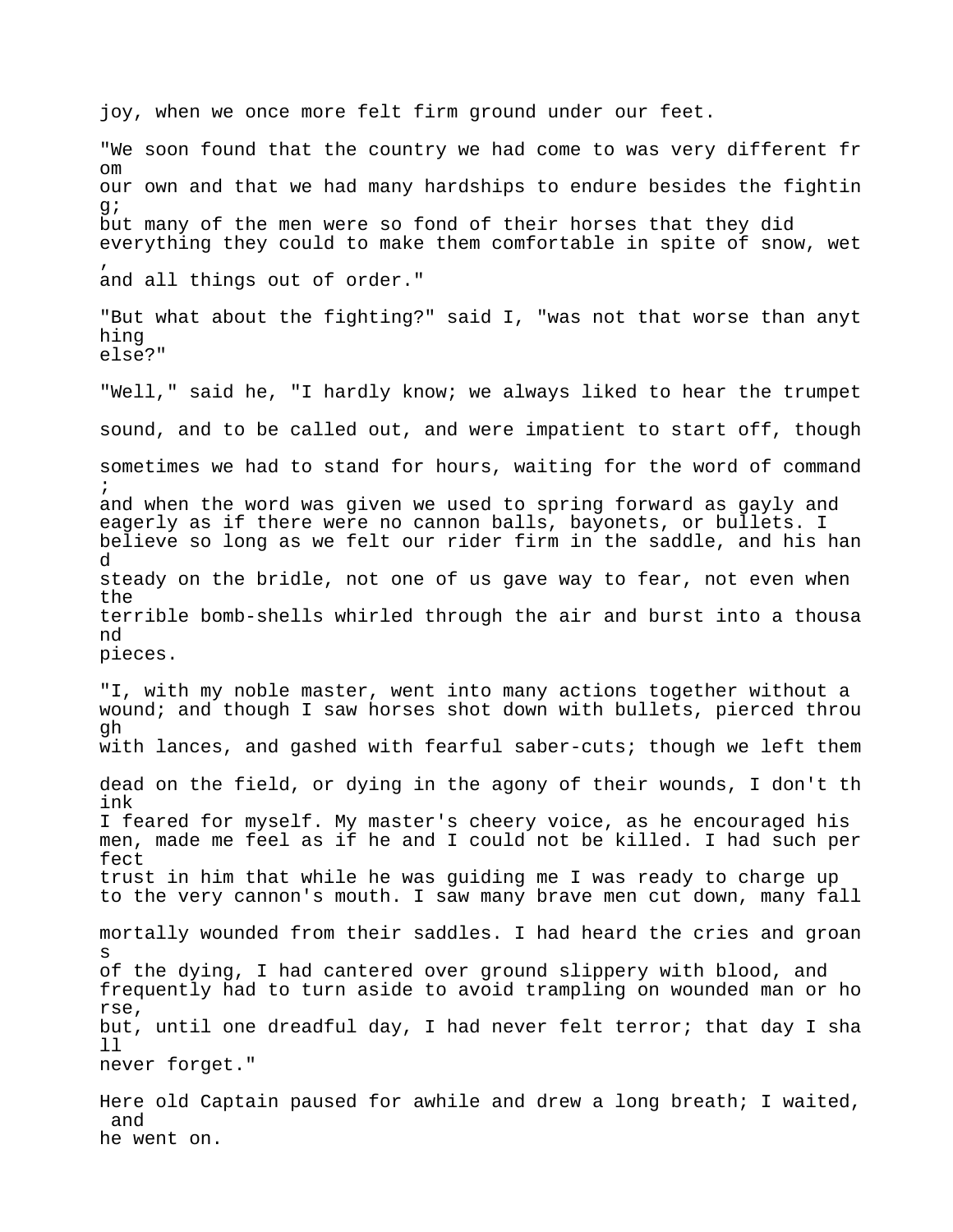joy, when we once more felt firm ground under our feet. "We soon found that the country we had come to was very different fr om our own and that we had many hardships to endure besides the fightin g; but many of the men were so fond of their horses that they did everything they could to make them comfortable in spite of snow, wet , and all things out of order." "But what about the fighting?" said I, "was not that worse than anyt hing else?" "Well," said he, "I hardly know; we always liked to hear the trumpet sound, and to be called out, and were impatient to start off, though sometimes we had to stand for hours, waiting for the word of command ; and when the word was given we used to spring forward as gayly and eagerly as if there were no cannon balls, bayonets, or bullets. I believe so long as we felt our rider firm in the saddle, and his han d steady on the bridle, not one of us gave way to fear, not even when the terrible bomb-shells whirled through the air and burst into a thousa nd pieces. "I, with my noble master, went into many actions together without a wound; and though I saw horses shot down with bullets, pierced throu gh with lances, and gashed with fearful saber-cuts; though we left them dead on the field, or dying in the agony of their wounds, I don't th ink I feared for myself. My master's cheery voice, as he encouraged his men, made me feel as if he and I could not be killed. I had such per fect trust in him that while he was guiding me I was ready to charge up to the very cannon's mouth. I saw many brave men cut down, many fall mortally wounded from their saddles. I had heard the cries and groan s of the dying, I had cantered over ground slippery with blood, and frequently had to turn aside to avoid trampling on wounded man or ho rse, but, until one dreadful day, I had never felt terror; that day I sha ll never forget." Here old Captain paused for awhile and drew a long breath; I waited, and he went on.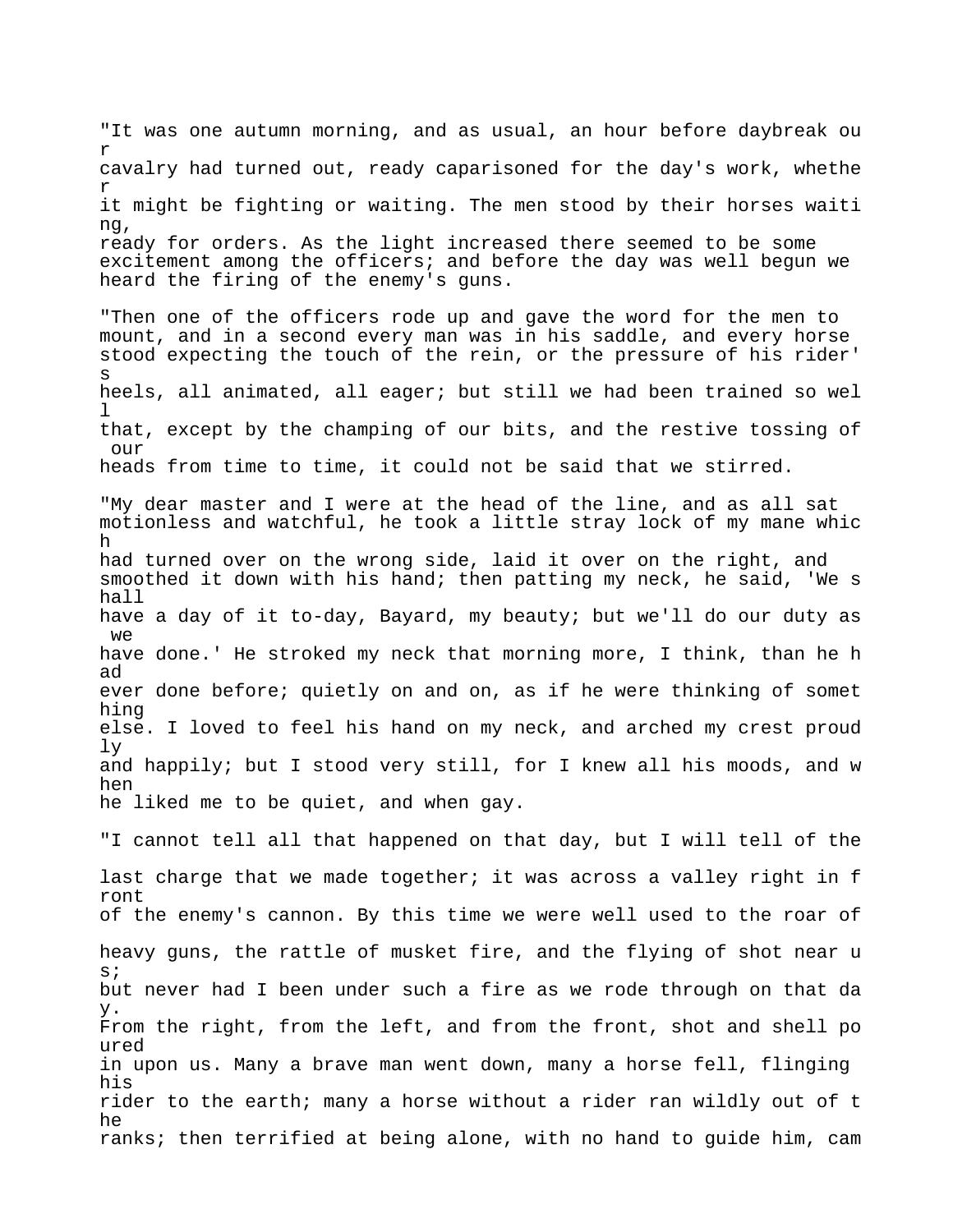"It was one autumn morning, and as usual, an hour before daybreak ou r cavalry had turned out, ready caparisoned for the day's work, whethe r it might be fighting or waiting. The men stood by their horses waiti ng, ready for orders. As the light increased there seemed to be some excitement among the officers; and before the day was well begun we heard the firing of the enemy's guns. "Then one of the officers rode up and gave the word for the men to mount, and in a second every man was in his saddle, and every horse stood expecting the touch of the rein, or the pressure of his rider' s heels, all animated, all eager; but still we had been trained so wel  $\mathbb{1}$ that, except by the champing of our bits, and the restive tossing of our heads from time to time, it could not be said that we stirred. "My dear master and I were at the head of the line, and as all sat motionless and watchful, he took a little stray lock of my mane whic h had turned over on the wrong side, laid it over on the right, and smoothed it down with his hand; then patting my neck, he said, 'We s hall have a day of it to-day, Bayard, my beauty; but we'll do our duty as we have done.' He stroked my neck that morning more, I think, than he h ad ever done before; quietly on and on, as if he were thinking of somet hing else. I loved to feel his hand on my neck, and arched my crest proud ly and happily; but I stood very still, for I knew all his moods, and w hen he liked me to be quiet, and when gay. "I cannot tell all that happened on that day, but I will tell of the last charge that we made together; it was across a valley right in f ront of the enemy's cannon. By this time we were well used to the roar of heavy guns, the rattle of musket fire, and the flying of shot near u s; but never had I been under such a fire as we rode through on that da y. From the right, from the left, and from the front, shot and shell po ured in upon us. Many a brave man went down, many a horse fell, flinging his rider to the earth; many a horse without a rider ran wildly out of t he ranks; then terrified at being alone, with no hand to guide him, cam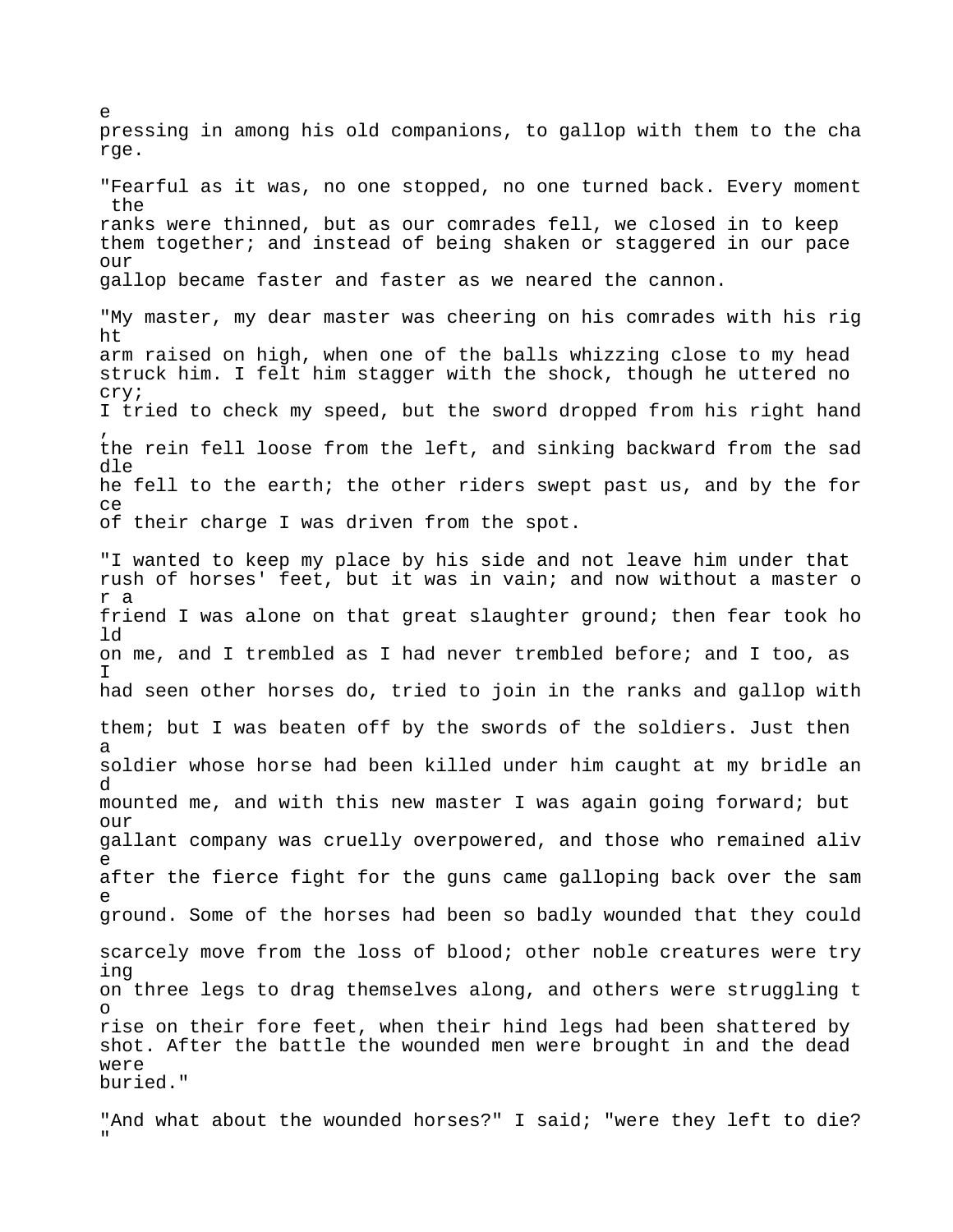pressing in among his old companions, to gallop with them to the cha rge. "Fearful as it was, no one stopped, no one turned back. Every moment the ranks were thinned, but as our comrades fell, we closed in to keep them together; and instead of being shaken or staggered in our pace  $OIII$ gallop became faster and faster as we neared the cannon. "My master, my dear master was cheering on his comrades with his rig ht arm raised on high, when one of the balls whizzing close to my head struck him. I felt him stagger with the shock, though he uttered no cry; I tried to check my speed, but the sword dropped from his right hand , the rein fell loose from the left, and sinking backward from the sad dle he fell to the earth; the other riders swept past us, and by the for ce of their charge I was driven from the spot. "I wanted to keep my place by his side and not leave him under that rush of horses' feet, but it was in vain; and now without a master o r a friend I was alone on that great slaughter ground; then fear took ho ld on me, and I trembled as I had never trembled before; and I too, as I had seen other horses do, tried to join in the ranks and gallop with them; but I was beaten off by the swords of the soldiers. Just then a soldier whose horse had been killed under him caught at my bridle an d mounted me, and with this new master I was again going forward; but  $OIII$ gallant company was cruelly overpowered, and those who remained aliv e after the fierce fight for the guns came galloping back over the sam e ground. Some of the horses had been so badly wounded that they could scarcely move from the loss of blood; other noble creatures were try ing on three legs to drag themselves along, and others were struggling t o rise on their fore feet, when their hind legs had been shattered by shot. After the battle the wounded men were brought in and the dead were buried."

e

"And what about the wounded horses?" I said; "were they left to die? "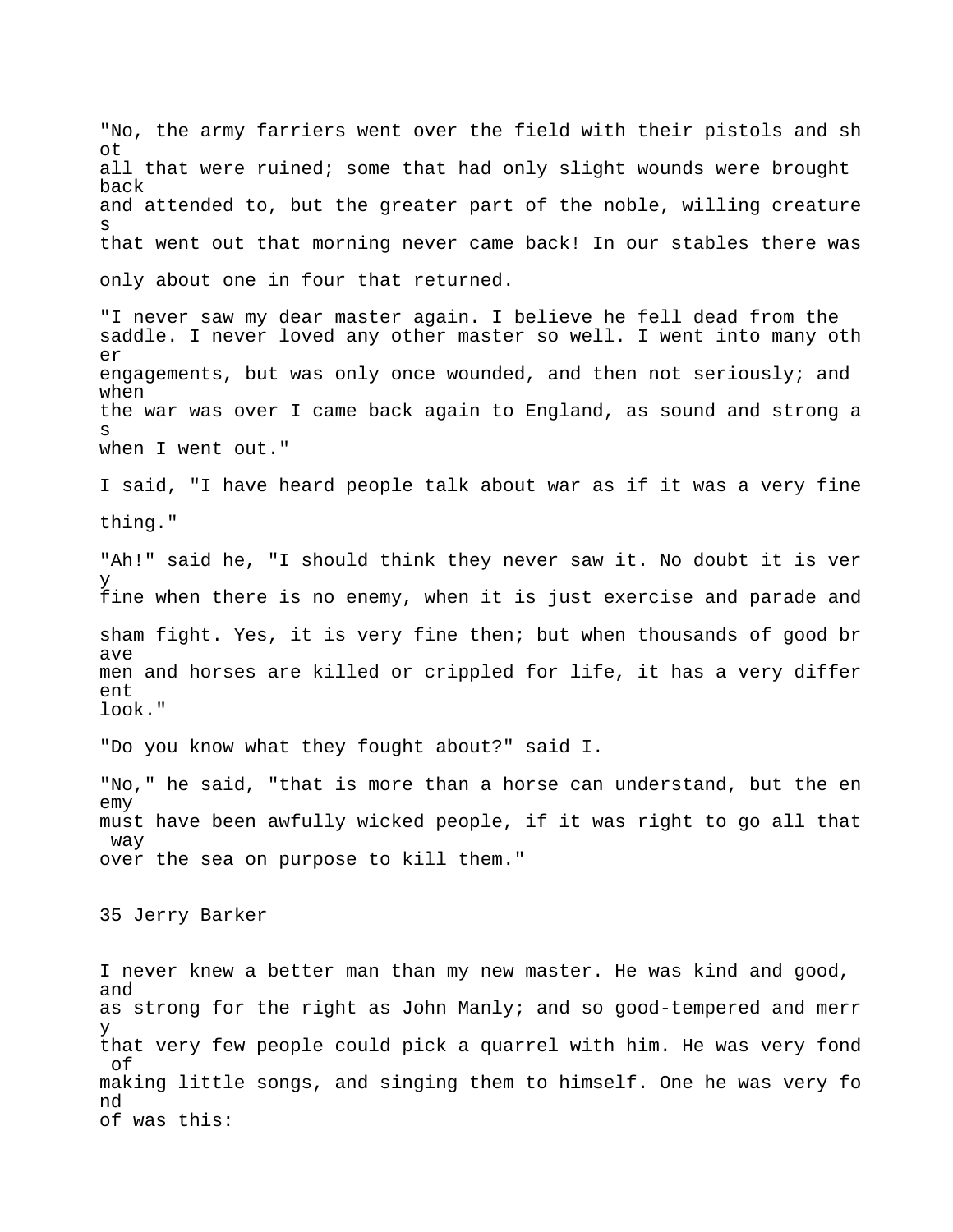"No, the army farriers went over the field with their pistols and sh ot all that were ruined; some that had only slight wounds were brought back and attended to, but the greater part of the noble, willing creature s that went out that morning never came back! In our stables there was only about one in four that returned. "I never saw my dear master again. I believe he fell dead from the saddle. I never loved any other master so well. I went into many oth er engagements, but was only once wounded, and then not seriously; and when the war was over I came back again to England, as sound and strong a s when I went out." I said, "I have heard people talk about war as if it was a very fine thing." "Ah!" said he, "I should think they never saw it. No doubt it is ver y fine when there is no enemy, when it is just exercise and parade and sham fight. Yes, it is very fine then; but when thousands of good br ave men and horses are killed or crippled for life, it has a very differ  $ent$ look." "Do you know what they fought about?" said I. "No," he said, "that is more than a horse can understand, but the en emy must have been awfully wicked people, if it was right to go all that way over the sea on purpose to kill them." 35 Jerry Barker I never knew a better man than my new master. He was kind and good, and as strong for the right as John Manly; and so good-tempered and merr y that very few people could pick a quarrel with him. He was very fond of making little songs, and singing them to himself. One he was very fo nd of was this: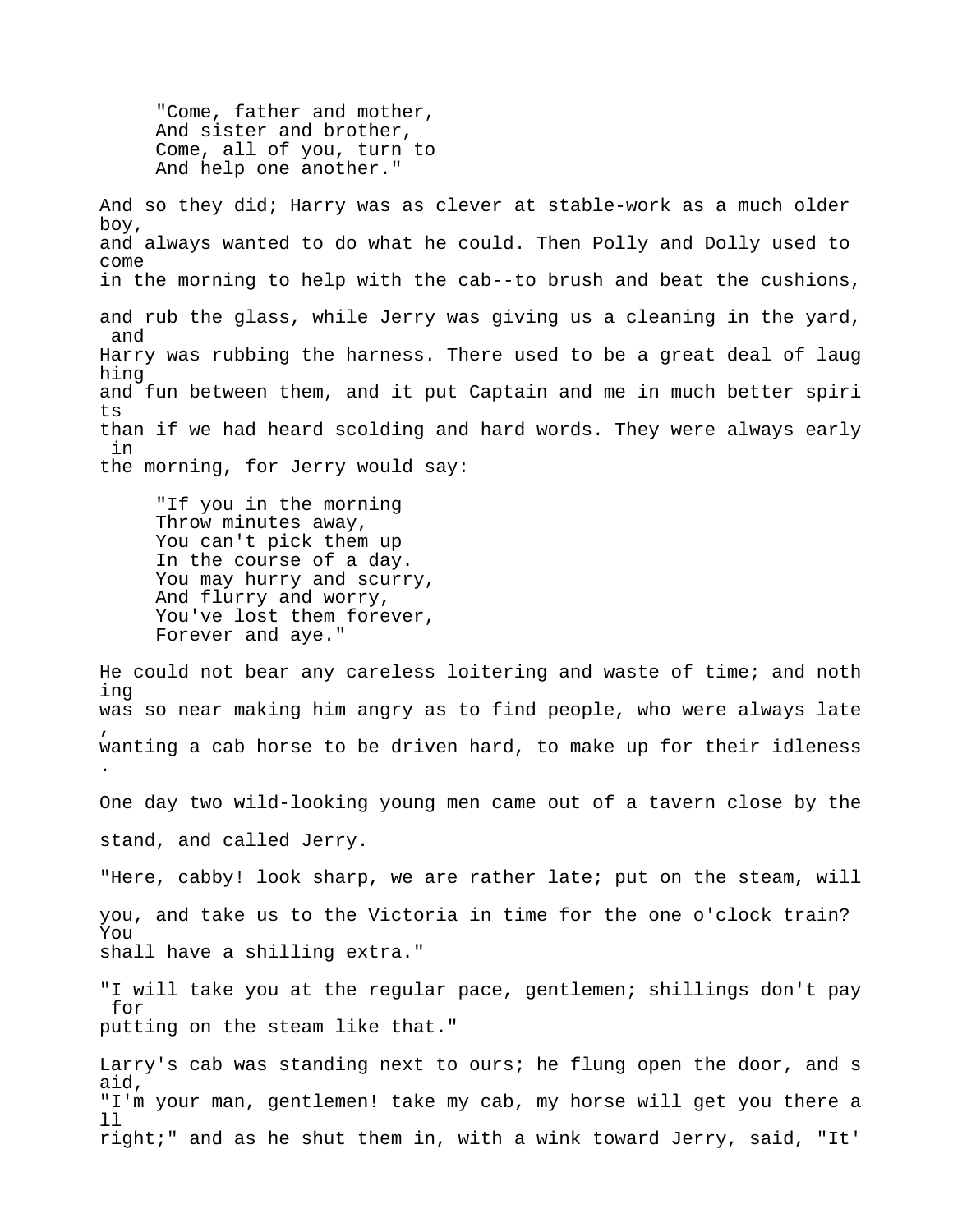"Come, father and mother, And sister and brother, Come, all of you, turn to And help one another."

And so they did; Harry was as clever at stable-work as a much older boy, and always wanted to do what he could. Then Polly and Dolly used to come in the morning to help with the cab--to brush and beat the cushions, and rub the glass, while Jerry was giving us a cleaning in the yard, and Harry was rubbing the harness. There used to be a great deal of laug hing and fun between them, and it put Captain and me in much better spiri ts than if we had heard scolding and hard words. They were always early in the morning, for Jerry would say:

 "If you in the morning Throw minutes away, You can't pick them up In the course of a day. You may hurry and scurry, And flurry and worry, You've lost them forever, Forever and aye."

He could not bear any careless loitering and waste of time; and noth ing was so near making him angry as to find people, who were always late , wanting a cab horse to be driven hard, to make up for their idleness .

One day two wild-looking young men came out of a tavern close by the stand, and called Jerry.

"Here, cabby! look sharp, we are rather late; put on the steam, will you, and take us to the Victoria in time for the one o'clock train? You shall have a shilling extra."

"I will take you at the regular pace, gentlemen; shillings don't pay for putting on the steam like that."

Larry's cab was standing next to ours; he flung open the door, and s aid, "I'm your man, gentlemen! take my cab, my horse will get you there a ll right;" and as he shut them in, with a wink toward Jerry, said, "It'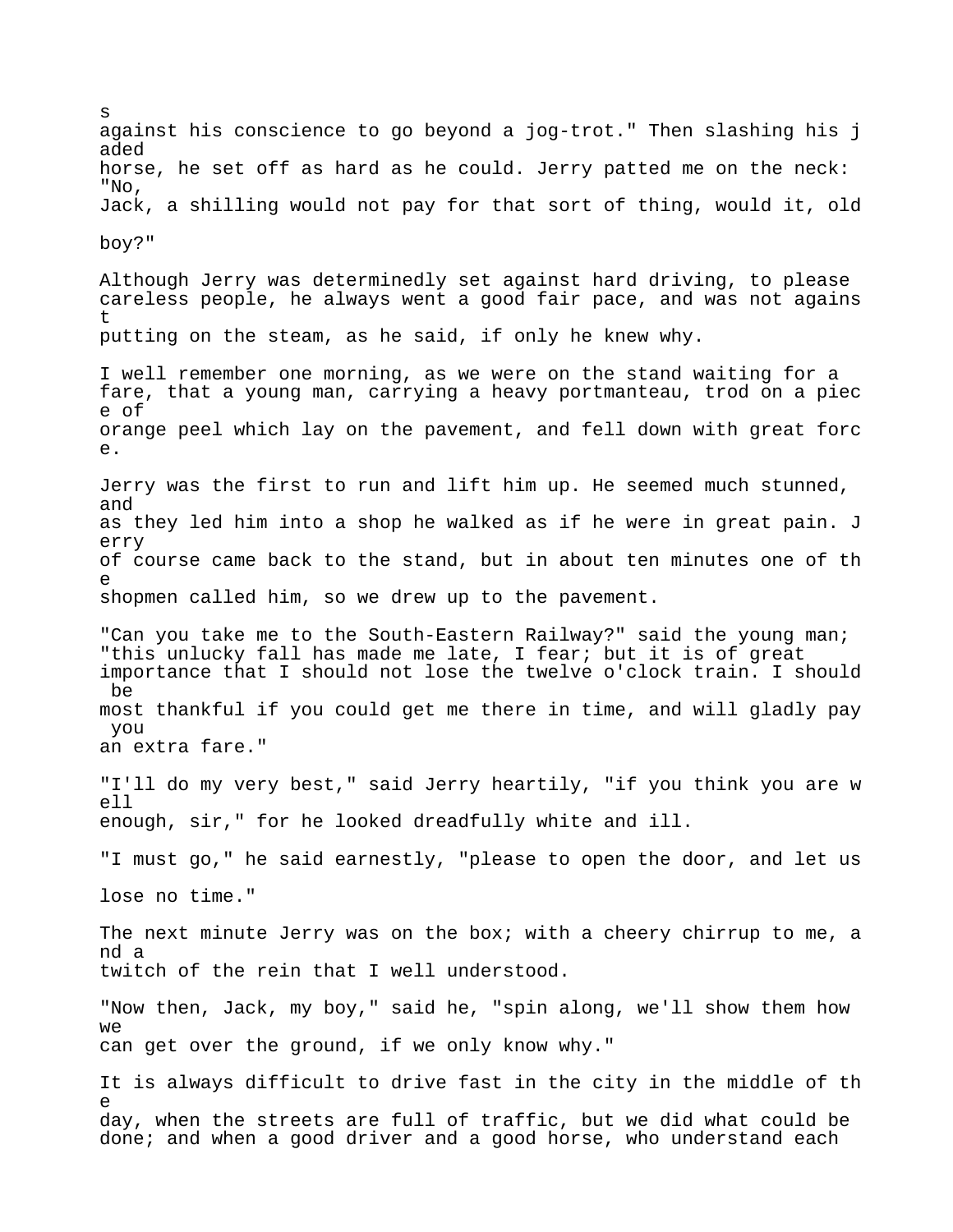against his conscience to go beyond a jog-trot." Then slashing his j aded horse, he set off as hard as he could. Jerry patted me on the neck: "No, Jack, a shilling would not pay for that sort of thing, would it, old boy?" Although Jerry was determinedly set against hard driving, to please careless people, he always went a good fair pace, and was not agains t putting on the steam, as he said, if only he knew why. I well remember one morning, as we were on the stand waiting for a fare, that a young man, carrying a heavy portmanteau, trod on a piec e of orange peel which lay on the pavement, and fell down with great forc e. Jerry was the first to run and lift him up. He seemed much stunned, and as they led him into a shop he walked as if he were in great pain. J erry of course came back to the stand, but in about ten minutes one of th e shopmen called him, so we drew up to the pavement. "Can you take me to the South-Eastern Railway?" said the young man; "this unlucky fall has made me late, I fear; but it is of great importance that I should not lose the twelve o'clock train. I should be most thankful if you could get me there in time, and will gladly pay you an extra fare." "I'll do my very best," said Jerry heartily, "if you think you are w ell enough, sir," for he looked dreadfully white and ill. "I must go," he said earnestly, "please to open the door, and let us lose no time." The next minute Jerry was on the box; with a cheery chirrup to me, a nd a twitch of the rein that I well understood. "Now then, Jack, my boy," said he, "spin along, we'll show them how  $W \ominus$ can get over the ground, if we only know why." It is always difficult to drive fast in the city in the middle of th e day, when the streets are full of traffic, but we did what could be done; and when a good driver and a good horse, who understand each

s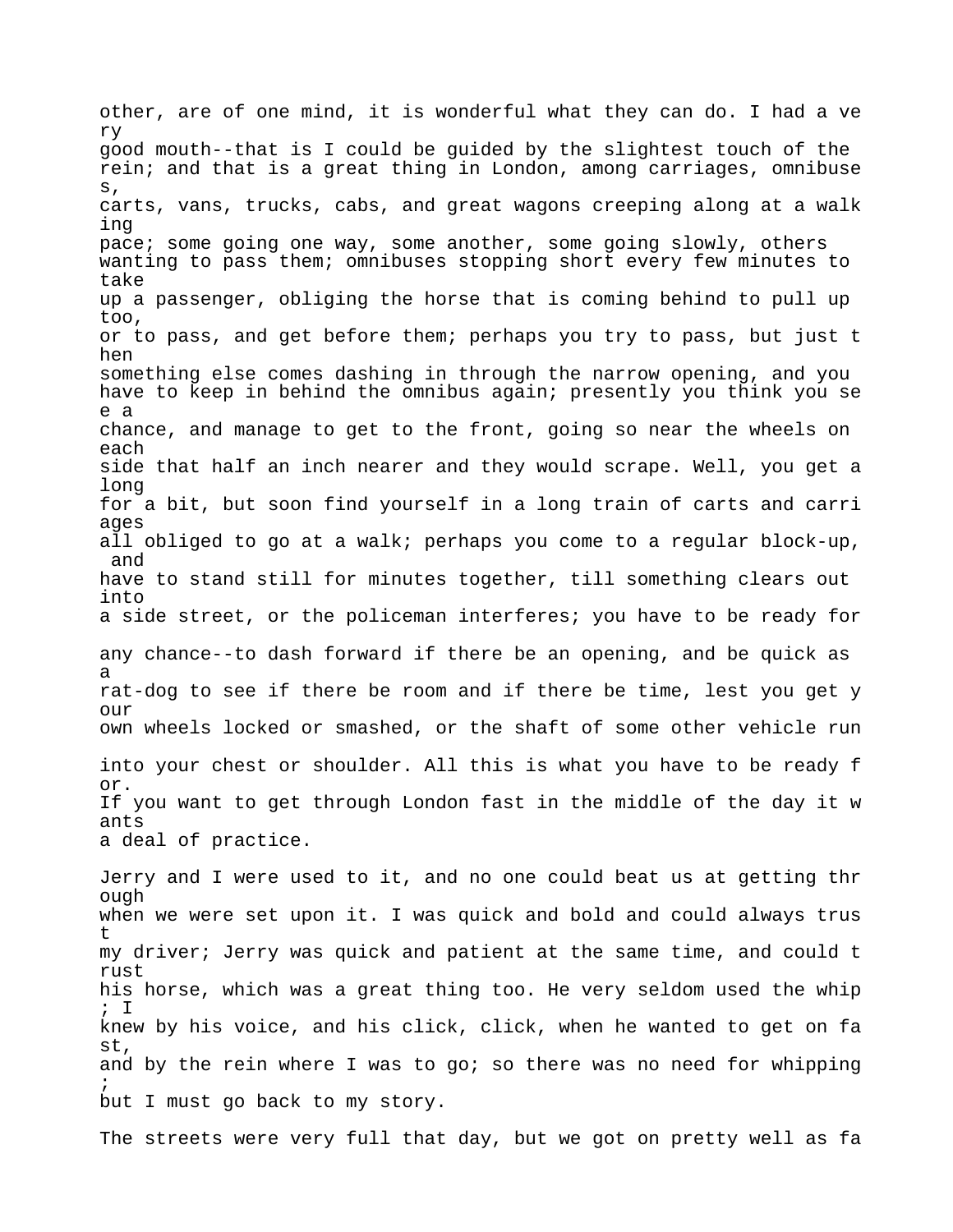other, are of one mind, it is wonderful what they can do. I had a ve ry good mouth--that is I could be guided by the slightest touch of the rein; and that is a great thing in London, among carriages, omnibuse s, carts, vans, trucks, cabs, and great wagons creeping along at a walk ing pace; some going one way, some another, some going slowly, others wanting to pass them; omnibuses stopping short every few minutes to take up a passenger, obliging the horse that is coming behind to pull up too, or to pass, and get before them; perhaps you try to pass, but just t hen something else comes dashing in through the narrow opening, and you have to keep in behind the omnibus again; presently you think you se e a chance, and manage to get to the front, going so near the wheels on each side that half an inch nearer and they would scrape. Well, you get a long for a bit, but soon find yourself in a long train of carts and carri ages all obliged to go at a walk; perhaps you come to a regular block-up, and have to stand still for minutes together, till something clears out into a side street, or the policeman interferes; you have to be ready for any chance--to dash forward if there be an opening, and be quick as a rat-dog to see if there be room and if there be time, lest you get y  $OIII$ own wheels locked or smashed, or the shaft of some other vehicle run into your chest or shoulder. All this is what you have to be ready f or. If you want to get through London fast in the middle of the day it w ants a deal of practice. Jerry and I were used to it, and no one could beat us at getting thr ough when we were set upon it. I was quick and bold and could always trus t my driver; Jerry was quick and patient at the same time, and could t rust his horse, which was a great thing too. He very seldom used the whip

; I knew by his voice, and his click, click, when he wanted to get on fa st, and by the rein where I was to go; so there was no need for whipping ; but I must go back to my story.

The streets were very full that day, but we got on pretty well as fa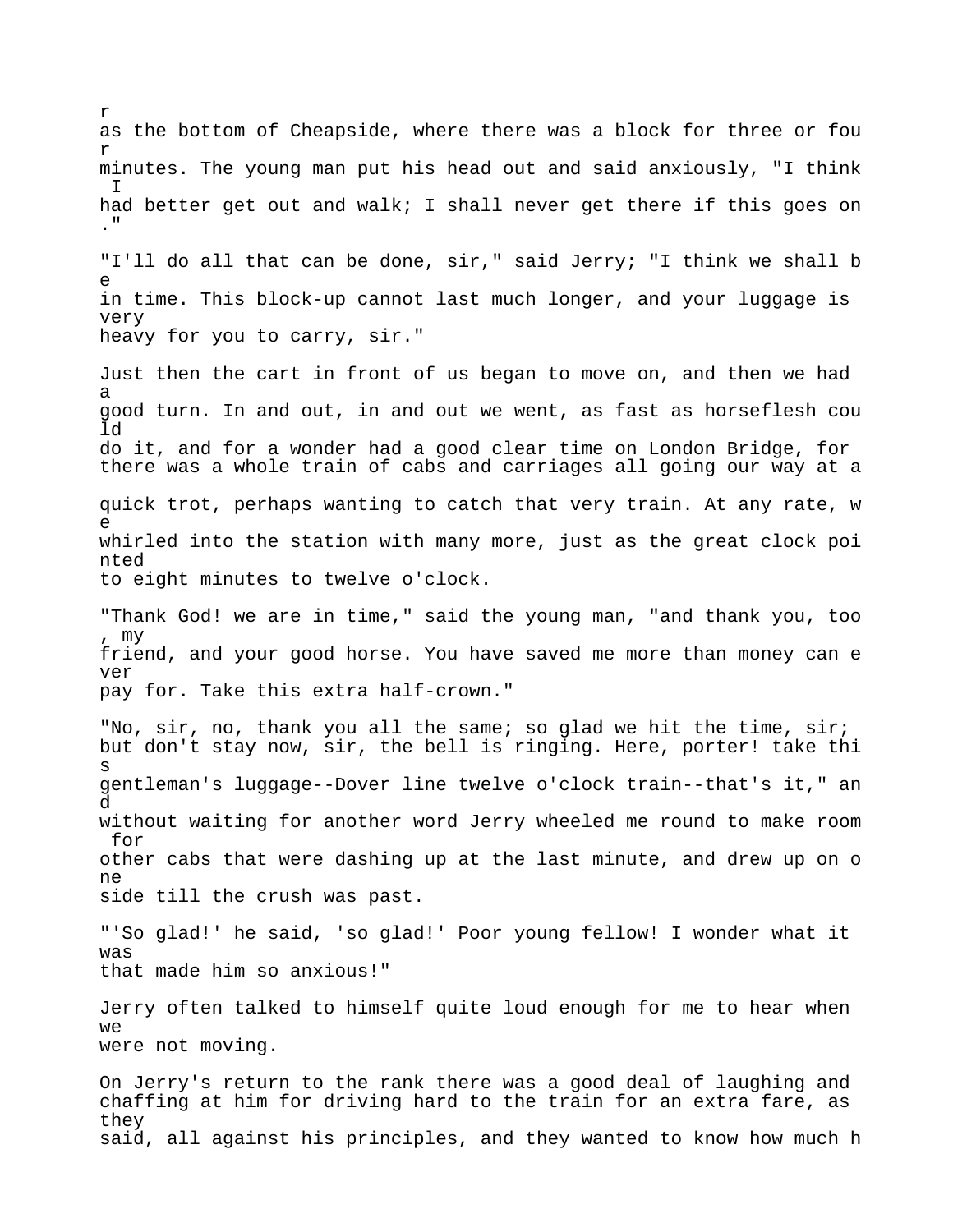as the bottom of Cheapside, where there was a block for three or fou r minutes. The young man put his head out and said anxiously, "I think I had better get out and walk; I shall never get there if this goes on ." "I'll do all that can be done, sir," said Jerry; "I think we shall b e in time. This block-up cannot last much longer, and your luggage is very heavy for you to carry, sir." Just then the cart in front of us began to move on, and then we had a good turn. In and out, in and out we went, as fast as horseflesh cou ld do it, and for a wonder had a good clear time on London Bridge, for there was a whole train of cabs and carriages all going our way at a quick trot, perhaps wanting to catch that very train. At any rate, w e whirled into the station with many more, just as the great clock poi nted to eight minutes to twelve o'clock. "Thank God! we are in time," said the young man, "and thank you, too , my friend, and your good horse. You have saved me more than money can e ver pay for. Take this extra half-crown." "No, sir, no, thank you all the same; so glad we hit the time, sir; but don't stay now, sir, the bell is ringing. Here, porter! take thi s gentleman's luggage--Dover line twelve o'clock train--that's it," an d without waiting for another word Jerry wheeled me round to make room for other cabs that were dashing up at the last minute, and drew up on o ne side till the crush was past. "'So glad!' he said, 'so glad!' Poor young fellow! I wonder what it was that made him so anxious!" Jerry often talked to himself quite loud enough for me to hear when  $W \ominus$ were not moving. On Jerry's return to the rank there was a good deal of laughing and chaffing at him for driving hard to the train for an extra fare, as they said, all against his principles, and they wanted to know how much h

r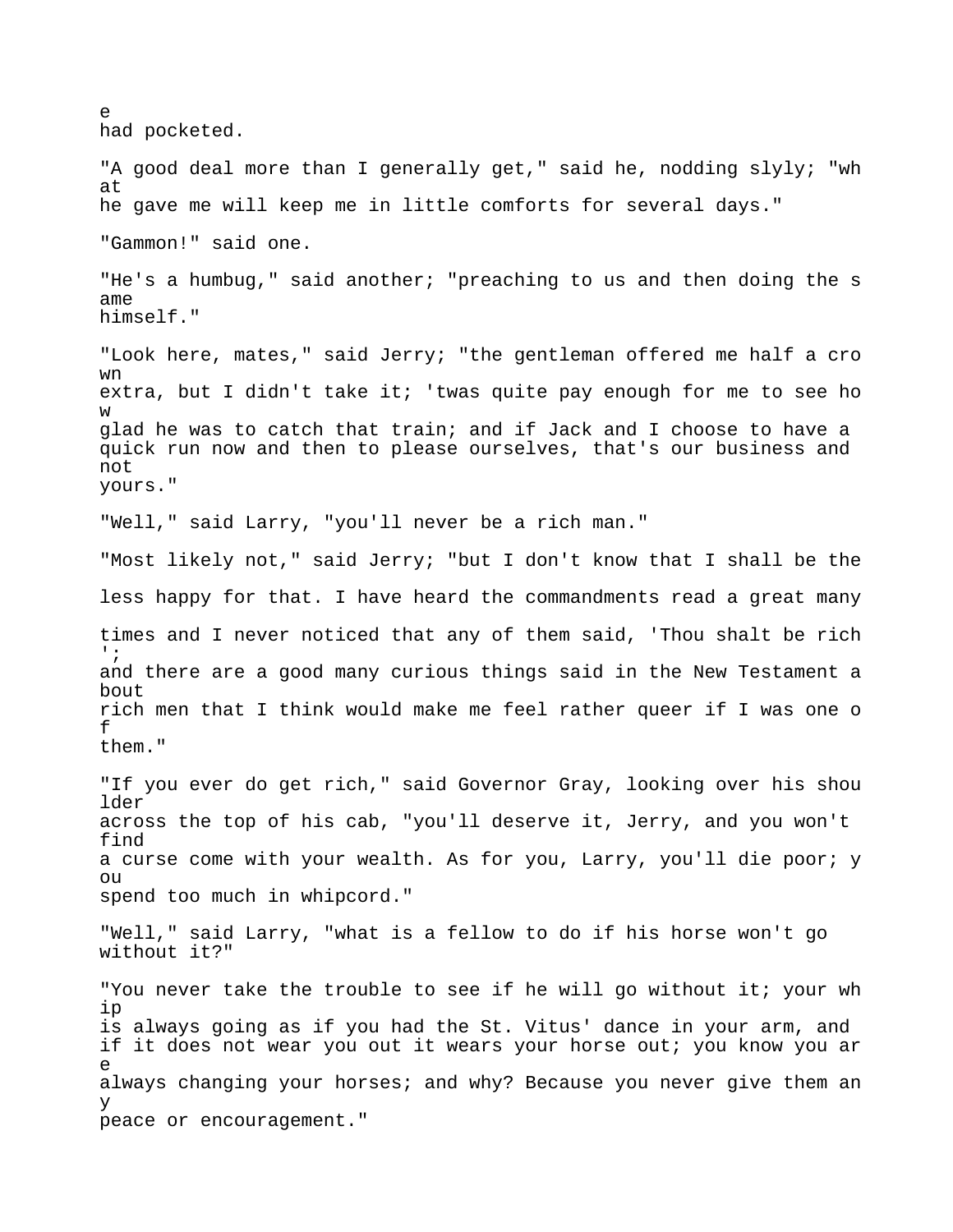$\sim$ had pocketed. "A good deal more than I generally get," said he, nodding slyly; "wh at he gave me will keep me in little comforts for several days." "Gammon!" said one. "He's a humbug," said another; "preaching to us and then doing the s ame himself." "Look here, mates," said Jerry; "the gentleman offered me half a cro wn extra, but I didn't take it; 'twas quite pay enough for me to see ho w glad he was to catch that train; and if Jack and I choose to have a quick run now and then to please ourselves, that's our business and not yours." "Well," said Larry, "you'll never be a rich man." "Most likely not," said Jerry; "but I don't know that I shall be the less happy for that. I have heard the commandments read a great many times and I never noticed that any of them said, 'Thou shalt be rich  $^{\prime}$  ; and there are a good many curious things said in the New Testament a bout rich men that I think would make me feel rather queer if I was one o f them." "If you ever do get rich," said Governor Gray, looking over his shou lder across the top of his cab, "you'll deserve it, Jerry, and you won't find a curse come with your wealth. As for you, Larry, you'll die poor; y  $O11$ spend too much in whipcord." "Well," said Larry, "what is a fellow to do if his horse won't go without it?" "You never take the trouble to see if he will go without it; your wh ip is always going as if you had the St. Vitus' dance in your arm, and if it does not wear you out it wears your horse out; you know you ar e always changing your horses; and why? Because you never give them an y peace or encouragement."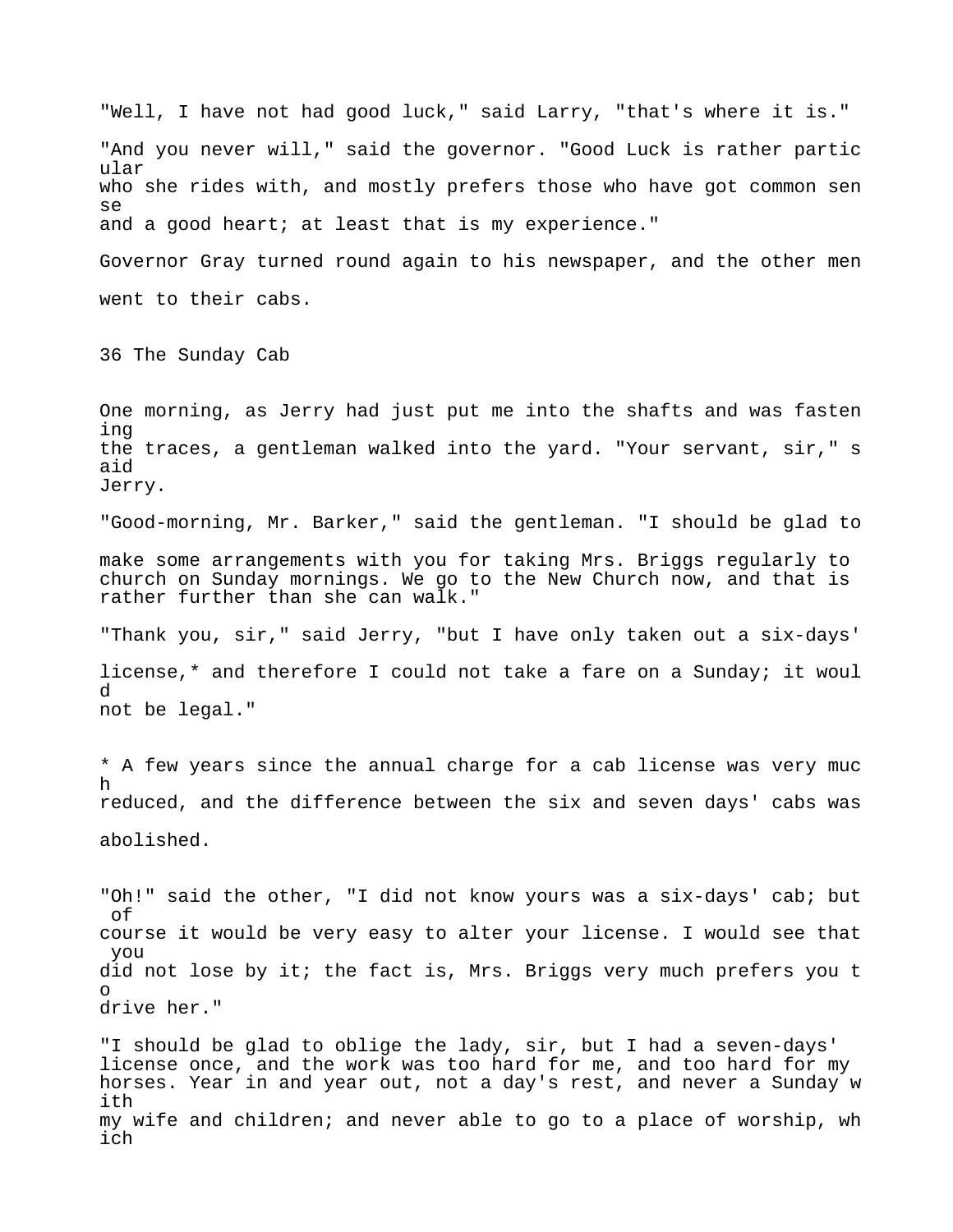"Well, I have not had good luck," said Larry, "that's where it is." "And you never will," said the governor. "Good Luck is rather partic ular who she rides with, and mostly prefers those who have got common sen se and a good heart; at least that is my experience." Governor Gray turned round again to his newspaper, and the other men went to their cabs. 36 The Sunday Cab One morning, as Jerry had just put me into the shafts and was fasten ing the traces, a gentleman walked into the yard. "Your servant, sir," s aid Jerry. "Good-morning, Mr. Barker," said the gentleman. "I should be glad to make some arrangements with you for taking Mrs. Briggs regularly to church on Sunday mornings. We go to the New Church now, and that is rather further than she can walk." "Thank you, sir," said Jerry, "but I have only taken out a six-days' license,\* and therefore I could not take a fare on a Sunday; it woul d not be legal." \* A few years since the annual charge for a cab license was very muc h reduced, and the difference between the six and seven days' cabs was abolished. "Oh!" said the other, "I did not know yours was a six-days' cab; but of course it would be very easy to alter your license. I would see that you did not lose by it; the fact is, Mrs. Briggs very much prefers you t o drive her." "I should be glad to oblige the lady, sir, but I had a seven-days' license once, and the work was too hard for me, and too hard for my horses. Year in and year out, not a day's rest, and never a Sunday w ith my wife and children; and never able to go to a place of worship, wh ich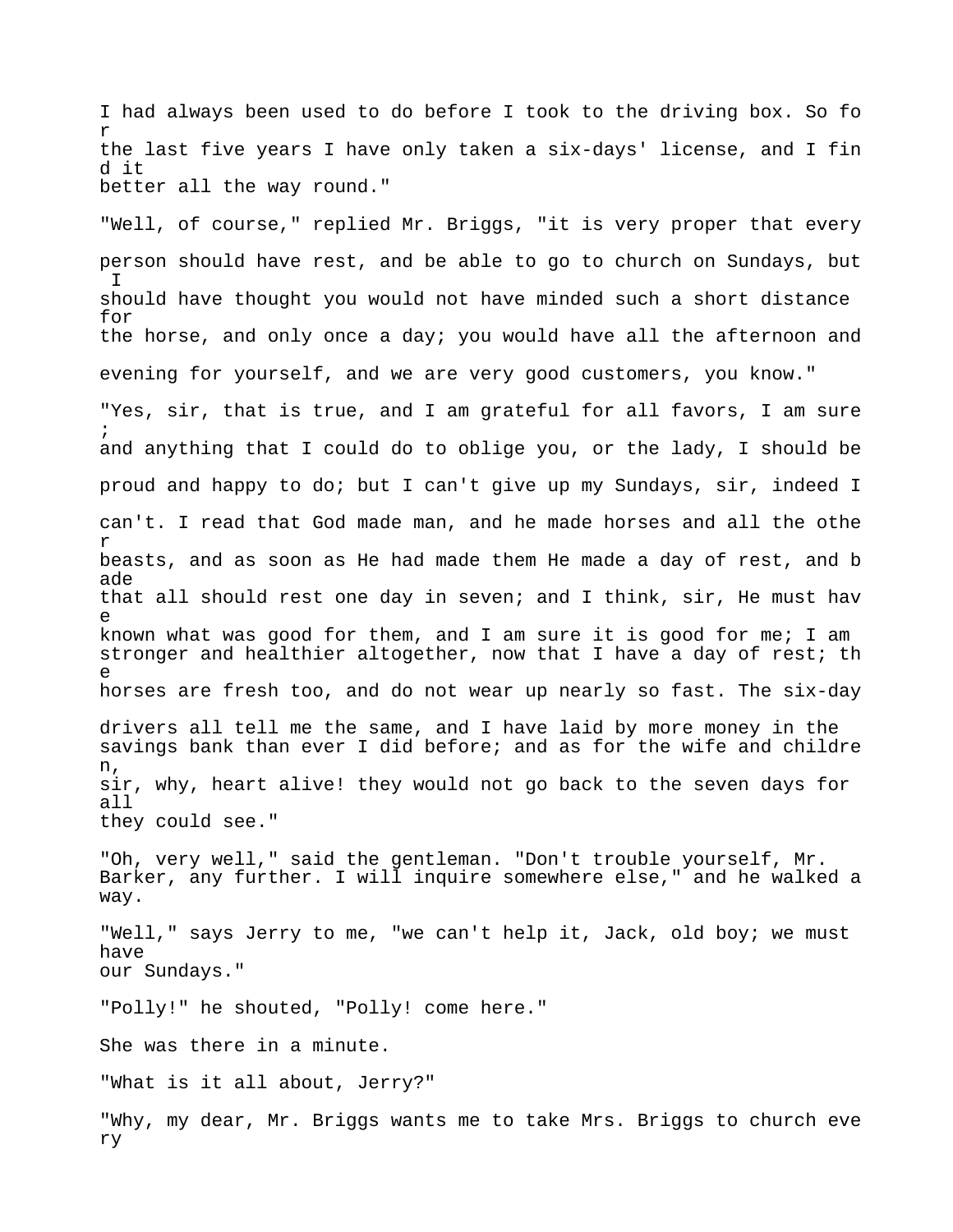I had always been used to do before I took to the driving box. So fo r the last five years I have only taken a six-days' license, and I fin d it better all the way round."

"Well, of course," replied Mr. Briggs, "it is very proper that every person should have rest, and be able to go to church on Sundays, but  $\mathsf{T}$ should have thought you would not have minded such a short distance for the horse, and only once a day; you would have all the afternoon and evening for yourself, and we are very good customers, you know."

"Yes, sir, that is true, and I am grateful for all favors, I am sure ; and anything that I could do to oblige you, or the lady, I should be proud and happy to do; but I can't give up my Sundays, sir, indeed I can't. I read that God made man, and he made horses and all the othe r beasts, and as soon as He had made them He made a day of rest, and b ade that all should rest one day in seven; and I think, sir, He must hav e known what was good for them, and I am sure it is good for me; I am stronger and healthier altogether, now that I have a day of rest; th e horses are fresh too, and do not wear up nearly so fast. The six-day drivers all tell me the same, and I have laid by more money in the savings bank than ever I did before; and as for the wife and childre

n, sir, why, heart alive! they would not go back to the seven days for all they could see."

"Oh, very well," said the gentleman. "Don't trouble yourself, Mr. Barker, any further. I will inquire somewhere else," and he walked a way.

"Well," says Jerry to me, "we can't help it, Jack, old boy; we must have our Sundays."

"Polly!" he shouted, "Polly! come here."

She was there in a minute.

"What is it all about, Jerry?"

"Why, my dear, Mr. Briggs wants me to take Mrs. Briggs to church eve ry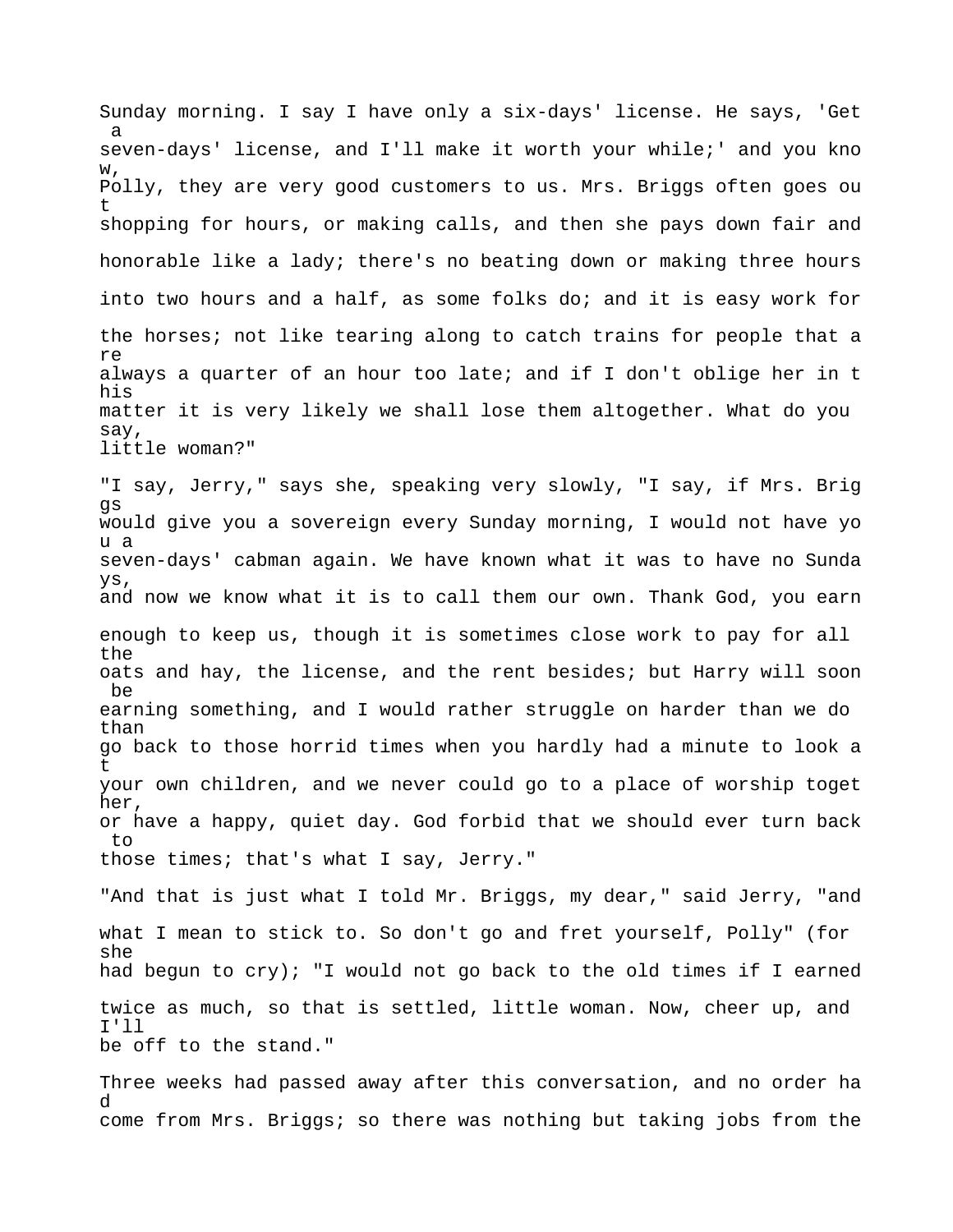Sunday morning. I say I have only a six-days' license. He says, 'Get a seven-days' license, and I'll make it worth your while;' and you kno w, Polly, they are very good customers to us. Mrs. Briggs often goes ou t shopping for hours, or making calls, and then she pays down fair and honorable like a lady; there's no beating down or making three hours into two hours and a half, as some folks do; and it is easy work for the horses; not like tearing along to catch trains for people that a re always a quarter of an hour too late; and if I don't oblige her in t his matter it is very likely we shall lose them altogether. What do you say, little woman?" "I say, Jerry," says she, speaking very slowly, "I say, if Mrs. Brig gs would give you a sovereign every Sunday morning, I would not have yo u a seven-days' cabman again. We have known what it was to have no Sunda ys, and now we know what it is to call them our own. Thank God, you earn enough to keep us, though it is sometimes close work to pay for all the oats and hay, the license, and the rent besides; but Harry will soon be earning something, and I would rather struggle on harder than we do than go back to those horrid times when you hardly had a minute to look a t your own children, and we never could go to a place of worship toget her, or have a happy, quiet day. God forbid that we should ever turn back to those times; that's what I say, Jerry." "And that is just what I told Mr. Briggs, my dear," said Jerry, "and what I mean to stick to. So don't go and fret yourself, Polly" (for she had begun to cry); "I would not go back to the old times if I earned twice as much, so that is settled, little woman. Now, cheer up, and I'll

be off to the stand."

Three weeks had passed away after this conversation, and no order ha d come from Mrs. Briggs; so there was nothing but taking jobs from the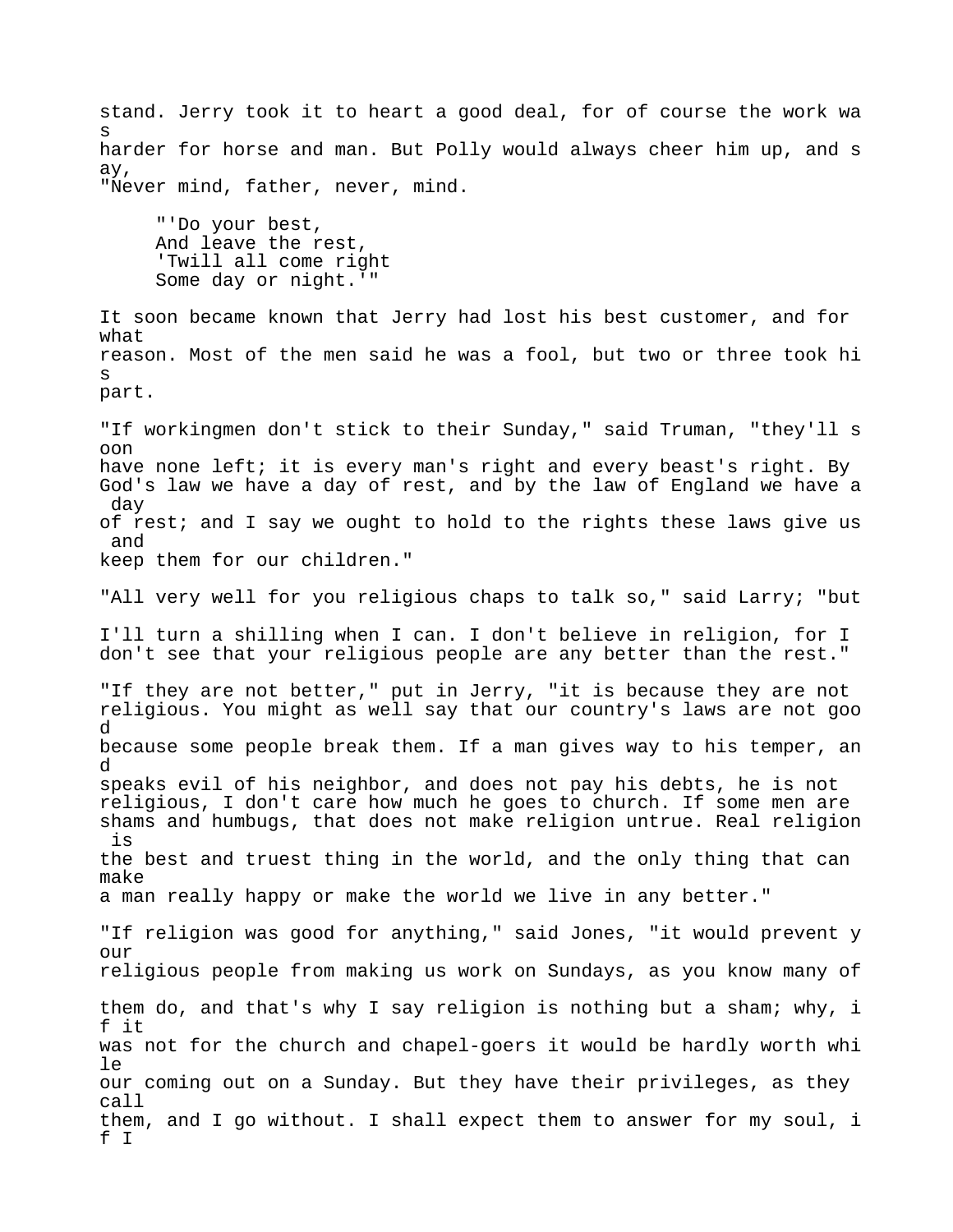stand. Jerry took it to heart a good deal, for of course the work wa s harder for horse and man. But Polly would always cheer him up, and s ay, "Never mind, father, never, mind. "'Do your best, And leave the rest, 'Twill all come right Some day or night.'" It soon became known that Jerry had lost his best customer, and for what reason. Most of the men said he was a fool, but two or three took hi s part. "If workingmen don't stick to their Sunday," said Truman, "they'll s oon have none left; it is every man's right and every beast's right. By God's law we have a day of rest, and by the law of England we have a day of rest; and I say we ought to hold to the rights these laws give us and keep them for our children." "All very well for you religious chaps to talk so," said Larry; "but I'll turn a shilling when I can. I don't believe in religion, for I don't see that your religious people are any better than the rest." "If they are not better," put in Jerry, "it is because they are not religious. You might as well say that our country's laws are not goo d because some people break them. If a man gives way to his temper, an d speaks evil of his neighbor, and does not pay his debts, he is not religious, I don't care how much he goes to church. If some men are shams and humbugs, that does not make religion untrue. Real religion is the best and truest thing in the world, and the only thing that can make a man really happy or make the world we live in any better." "If religion was good for anything," said Jones, "it would prevent y our religious people from making us work on Sundays, as you know many of them do, and that's why I say religion is nothing but a sham; why, i f it was not for the church and chapel-goers it would be hardly worth whi le our coming out on a Sunday. But they have their privileges, as they call them, and I go without. I shall expect them to answer for my soul, i f I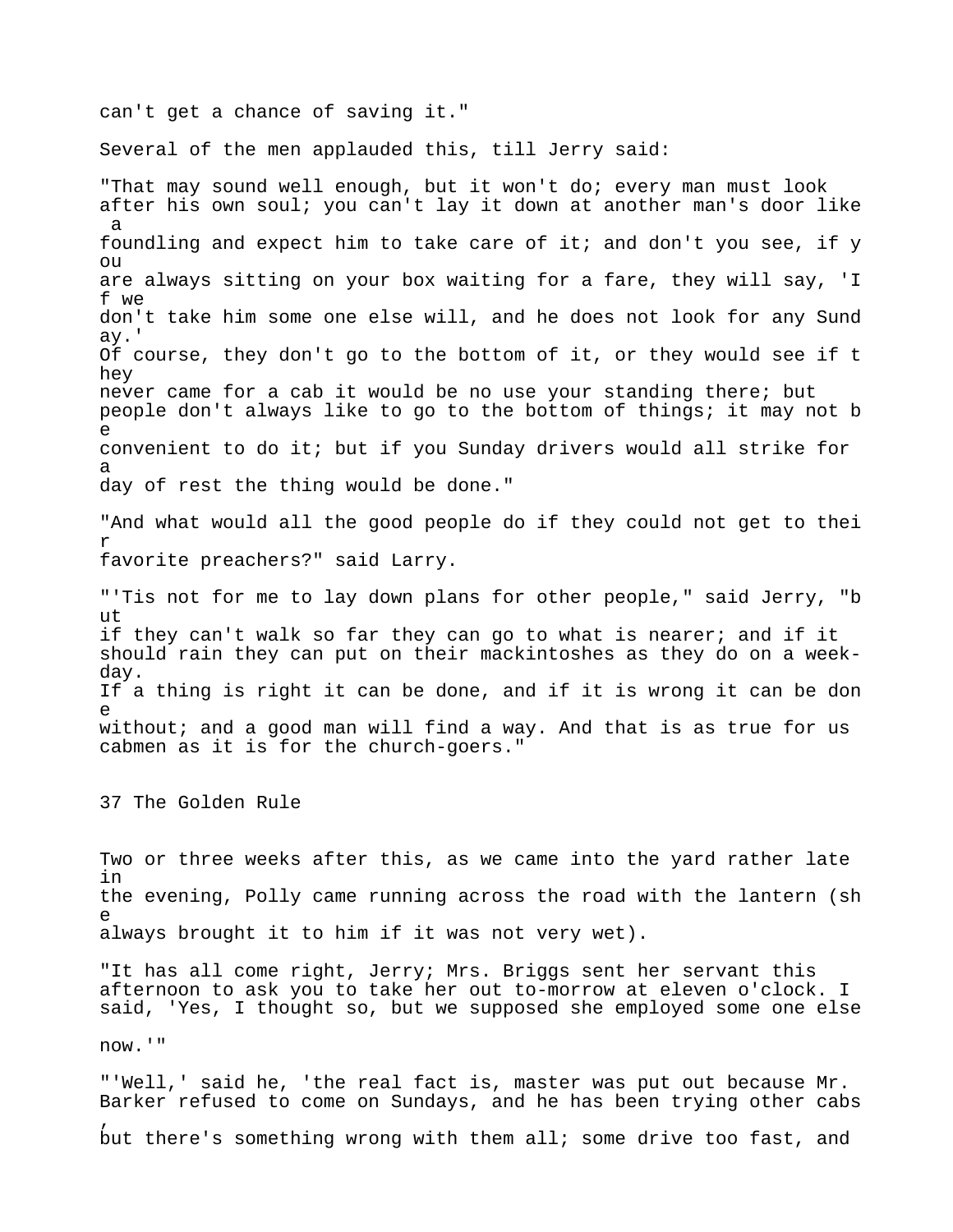can't get a chance of saving it."

Several of the men applauded this, till Jerry said:

"That may sound well enough, but it won't do; every man must look after his own soul; you can't lay it down at another man's door like a foundling and expect him to take care of it; and don't you see, if y ou are always sitting on your box waiting for a fare, they will say, 'I f we don't take him some one else will, and he does not look for any Sund ay.' Of course, they don't go to the bottom of it, or they would see if t hey never came for a cab it would be no use your standing there; but people don't always like to go to the bottom of things; it may not b e convenient to do it; but if you Sunday drivers would all strike for a day of rest the thing would be done." "And what would all the good people do if they could not get to thei r favorite preachers?" said Larry. "'Tis not for me to lay down plans for other people," said Jerry, "b ut if they can't walk so far they can go to what is nearer; and if it should rain they can put on their mackintoshes as they do on a weekday. If a thing is right it can be done, and if it is wrong it can be don e without; and a good man will find a way. And that is as true for us cabmen as it is for the church-goers." 37 The Golden Rule Two or three weeks after this, as we came into the yard rather late in the evening, Polly came running across the road with the lantern (sh e always brought it to him if it was not very wet).

"It has all come right, Jerry; Mrs. Briggs sent her servant this afternoon to ask you to take her out to-morrow at eleven o'clock. I said, 'Yes, I thought so, but we supposed she employed some one else

now.'"

,

"'Well,' said he, 'the real fact is, master was put out because Mr. Barker refused to come on Sundays, and he has been trying other cabs

but there's something wrong with them all; some drive too fast, and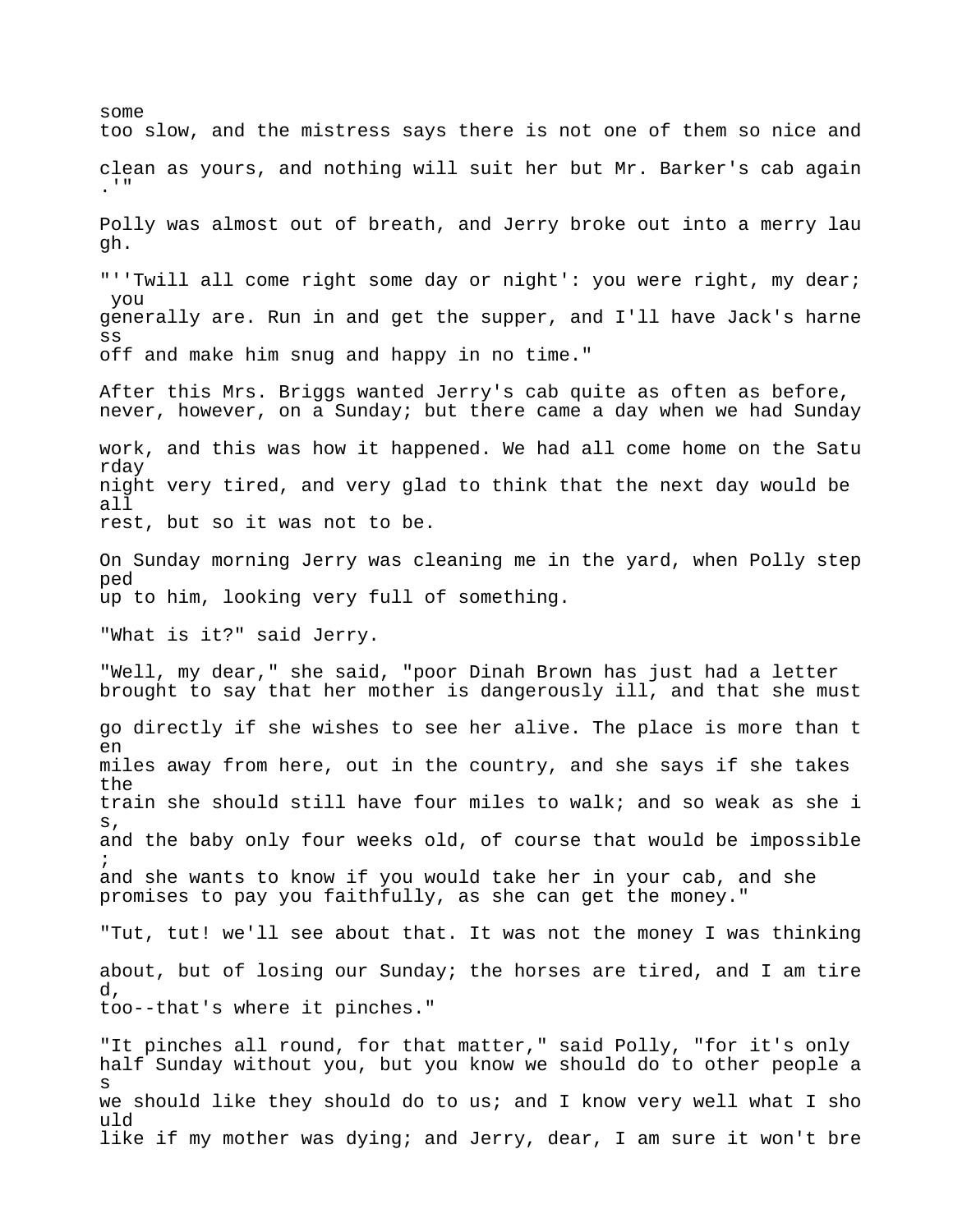some too slow, and the mistress says there is not one of them so nice and clean as yours, and nothing will suit her but Mr. Barker's cab again .'" Polly was almost out of breath, and Jerry broke out into a merry lau gh. "''Twill all come right some day or night': you were right, my dear; you generally are. Run in and get the supper, and I'll have Jack's harne ss off and make him snug and happy in no time." After this Mrs. Briggs wanted Jerry's cab quite as often as before, never, however, on a Sunday; but there came a day when we had Sunday work, and this was how it happened. We had all come home on the Satu rday night very tired, and very glad to think that the next day would be all rest, but so it was not to be. On Sunday morning Jerry was cleaning me in the yard, when Polly step ped up to him, looking very full of something. "What is it?" said Jerry. "Well, my dear," she said, "poor Dinah Brown has just had a letter brought to say that her mother is dangerously ill, and that she must go directly if she wishes to see her alive. The place is more than t en miles away from here, out in the country, and she says if she takes the train she should still have four miles to walk; and so weak as she i s, and the baby only four weeks old, of course that would be impossible ; and she wants to know if you would take her in your cab, and she promises to pay you faithfully, as she can get the money." "Tut, tut! we'll see about that. It was not the money I was thinking about, but of losing our Sunday; the horses are tired, and I am tire d, too--that's where it pinches." "It pinches all round, for that matter," said Polly, "for it's only half Sunday without you, but you know we should do to other people a s we should like they should do to us; and I know very well what I sho uld like if my mother was dying; and Jerry, dear, I am sure it won't bre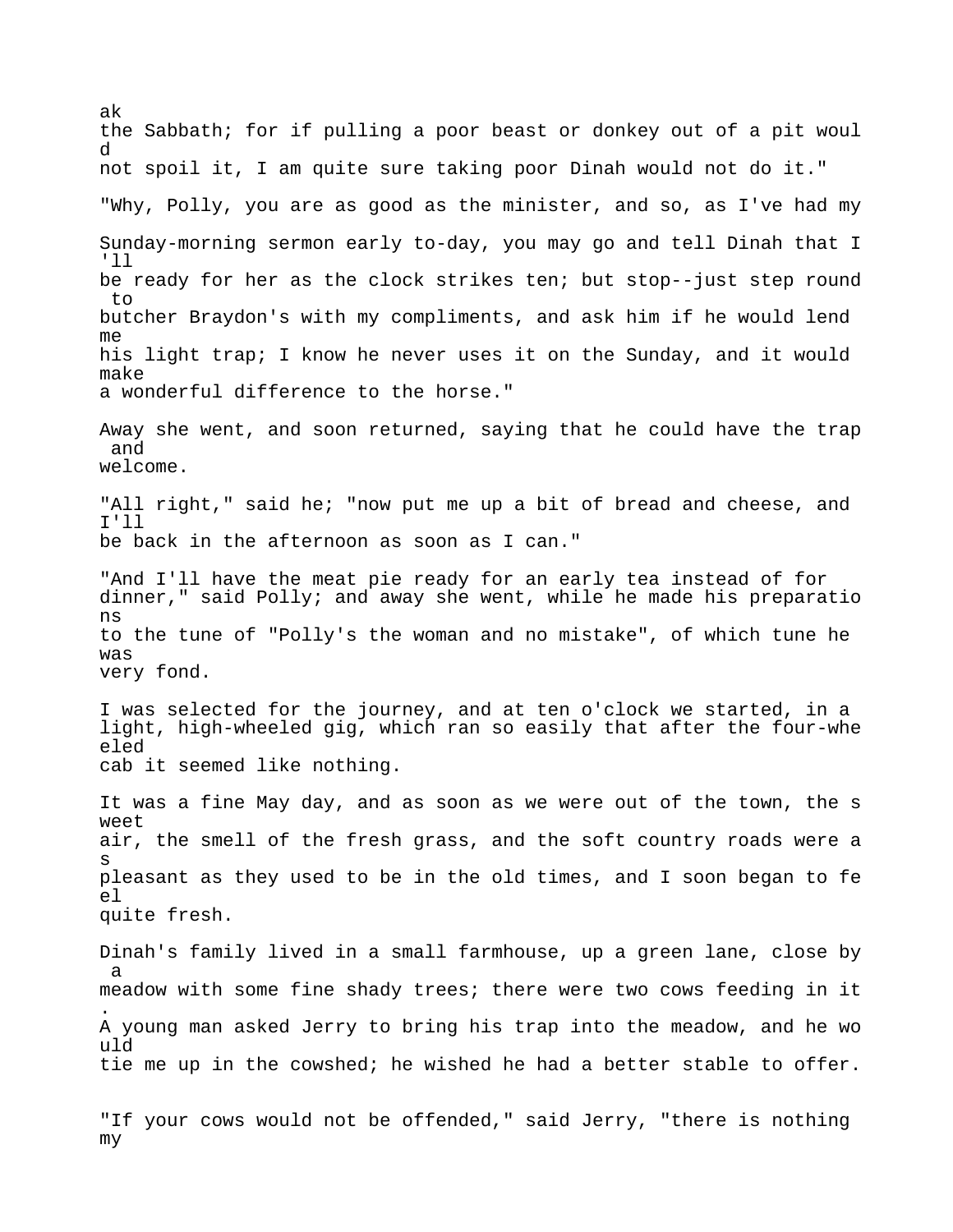ak the Sabbath; for if pulling a poor beast or donkey out of a pit woul d not spoil it, I am quite sure taking poor Dinah would not do it." "Why, Polly, you are as good as the minister, and so, as I've had my Sunday-morning sermon early to-day, you may go and tell Dinah that I 'll be ready for her as the clock strikes ten; but stop--just step round to butcher Braydon's with my compliments, and ask him if he would lend me his light trap; I know he never uses it on the Sunday, and it would make a wonderful difference to the horse." Away she went, and soon returned, saying that he could have the trap and welcome. "All right," said he; "now put me up a bit of bread and cheese, and I'll be back in the afternoon as soon as I can." "And I'll have the meat pie ready for an early tea instead of for dinner," said Polly; and away she went, while he made his preparatio ns to the tune of "Polly's the woman and no mistake", of which tune he was very fond. I was selected for the journey, and at ten o'clock we started, in a light, high-wheeled gig, which ran so easily that after the four-whe eled cab it seemed like nothing. It was a fine May day, and as soon as we were out of the town, the s weet air, the smell of the fresh grass, and the soft country roads were a s pleasant as they used to be in the old times, and I soon began to fe el quite fresh. Dinah's family lived in a small farmhouse, up a green lane, close by a meadow with some fine shady trees; there were two cows feeding in it . A young man asked Jerry to bring his trap into the meadow, and he wo uld tie me up in the cowshed; he wished he had a better stable to offer. "If your cows would not be offended," said Jerry, "there is nothing

my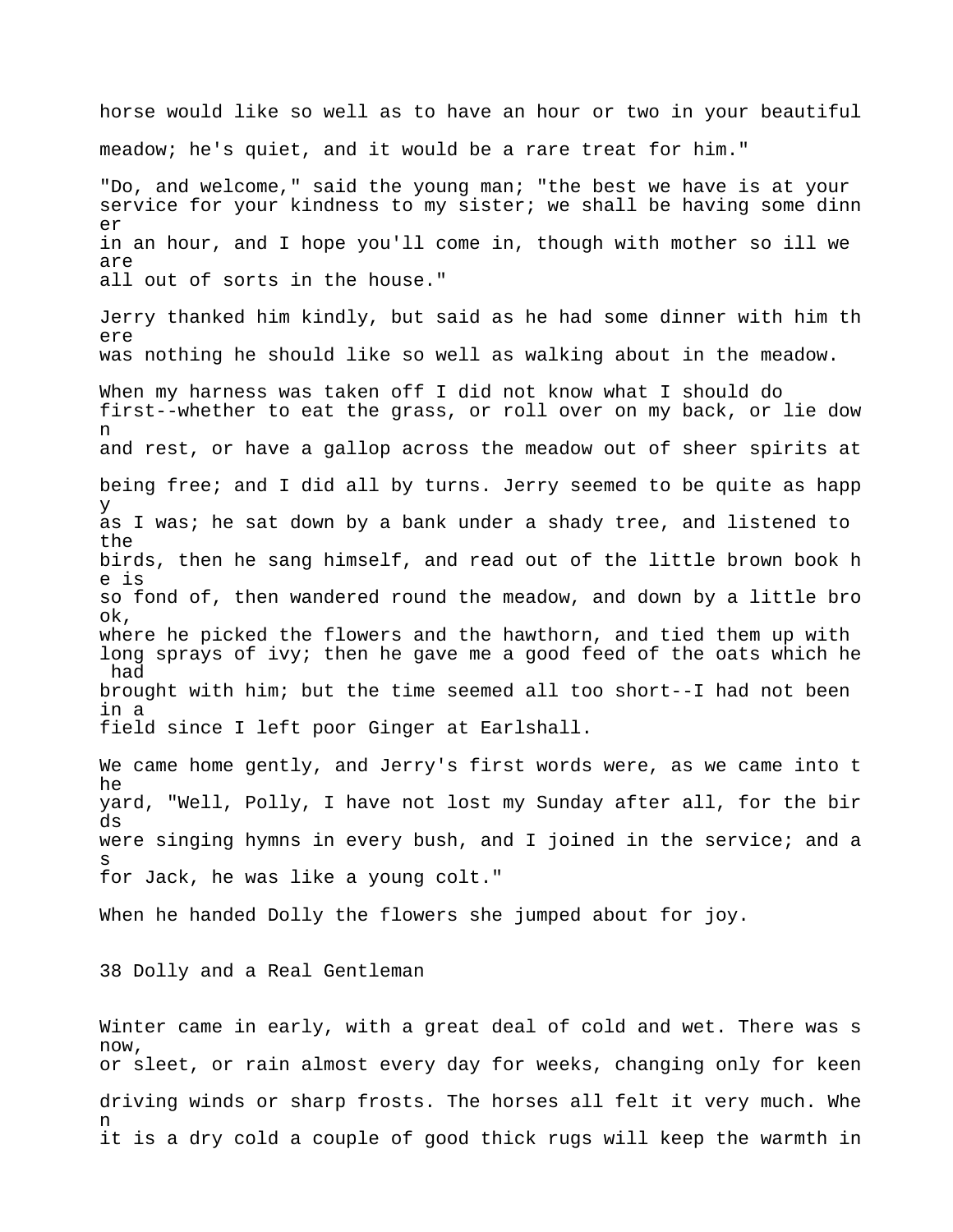horse would like so well as to have an hour or two in your beautiful meadow; he's quiet, and it would be a rare treat for him." "Do, and welcome," said the young man; "the best we have is at your service for your kindness to my sister; we shall be having some dinn er in an hour, and I hope you'll come in, though with mother so ill we are all out of sorts in the house." Jerry thanked him kindly, but said as he had some dinner with him th ere was nothing he should like so well as walking about in the meadow. When my harness was taken off I did not know what I should do first--whether to eat the grass, or roll over on my back, or lie dow n and rest, or have a gallop across the meadow out of sheer spirits at being free; and I did all by turns. Jerry seemed to be quite as happ y as I was; he sat down by a bank under a shady tree, and listened to the birds, then he sang himself, and read out of the little brown book h e is so fond of, then wandered round the meadow, and down by a little bro ok, where he picked the flowers and the hawthorn, and tied them up with long sprays of ivy; then he gave me a good feed of the oats which he had brought with him; but the time seemed all too short--I had not been in a field since I left poor Ginger at Earlshall. We came home gently, and Jerry's first words were, as we came into t he yard, "Well, Polly, I have not lost my Sunday after all, for the bir ds were singing hymns in every bush, and I joined in the service; and a s for Jack, he was like a young colt." When he handed Dolly the flowers she jumped about for joy. 38 Dolly and a Real Gentleman

Winter came in early, with a great deal of cold and wet. There was s now, or sleet, or rain almost every day for weeks, changing only for keen driving winds or sharp frosts. The horses all felt it very much. Whe n it is a dry cold a couple of good thick rugs will keep the warmth in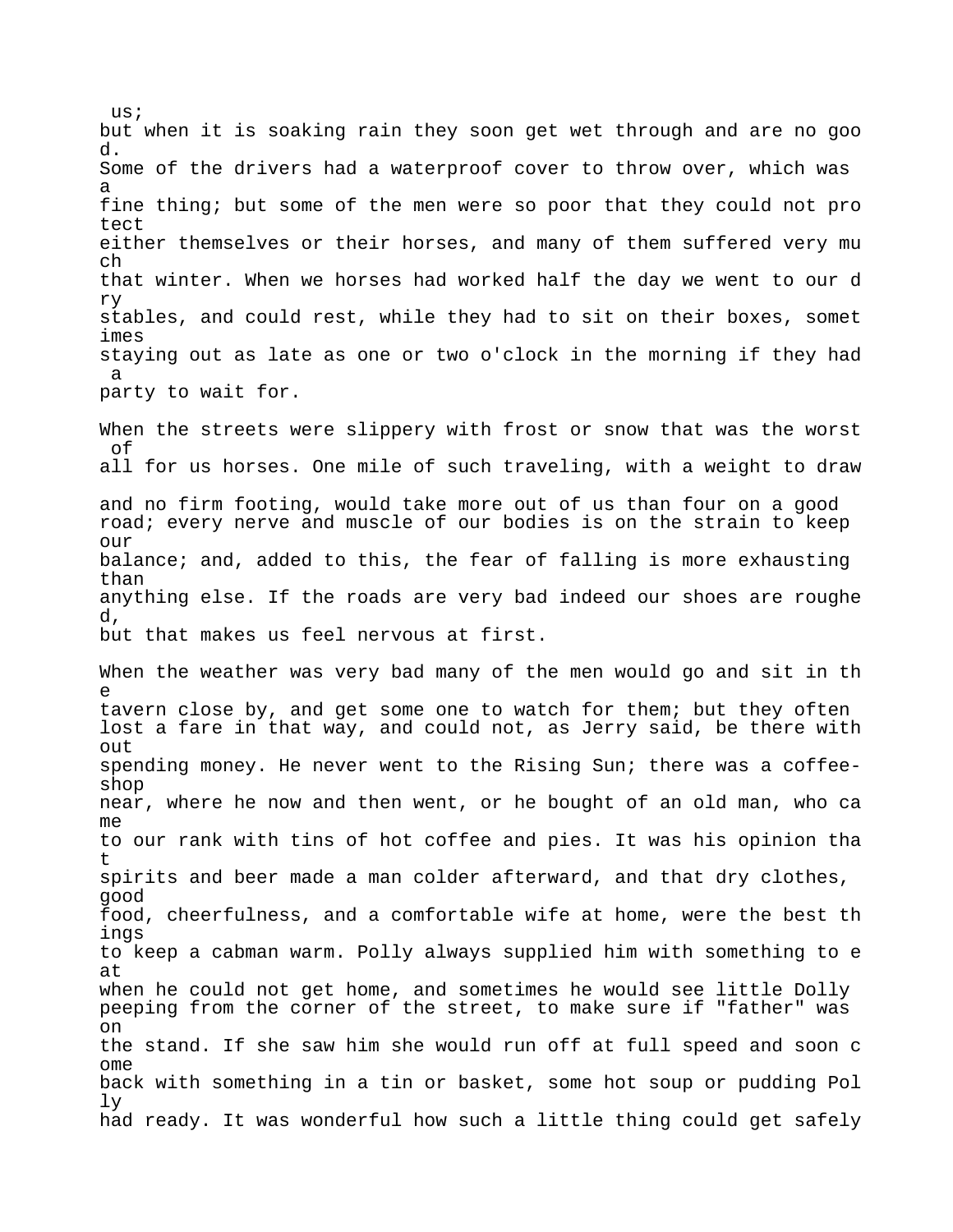but when it is soaking rain they soon get wet through and are no goo d. Some of the drivers had a waterproof cover to throw over, which was a fine thing; but some of the men were so poor that they could not pro tect either themselves or their horses, and many of them suffered very mu ch that winter. When we horses had worked half the day we went to our d ry stables, and could rest, while they had to sit on their boxes, somet imes staying out as late as one or two o'clock in the morning if they had a party to wait for. When the streets were slippery with frost or snow that was the worst of all for us horses. One mile of such traveling, with a weight to draw and no firm footing, would take more out of us than four on a good road; every nerve and muscle of our bodies is on the strain to keep our balance; and, added to this, the fear of falling is more exhausting than anything else. If the roads are very bad indeed our shoes are roughe d, but that makes us feel nervous at first. When the weather was very bad many of the men would go and sit in th e tavern close by, and get some one to watch for them; but they often lost a fare in that way, and could not, as Jerry said, be there with out spending money. He never went to the Rising Sun; there was a coffeeshop near, where he now and then went, or he bought of an old man, who ca me to our rank with tins of hot coffee and pies. It was his opinion tha t spirits and beer made a man colder afterward, and that dry clothes, good food, cheerfulness, and a comfortable wife at home, were the best th ings to keep a cabman warm. Polly always supplied him with something to e at when he could not get home, and sometimes he would see little Dolly peeping from the corner of the street, to make sure if "father" was on the stand. If she saw him she would run off at full speed and soon c ome back with something in a tin or basket, some hot soup or pudding Pol ly had ready. It was wonderful how such a little thing could get safely

 $11S;$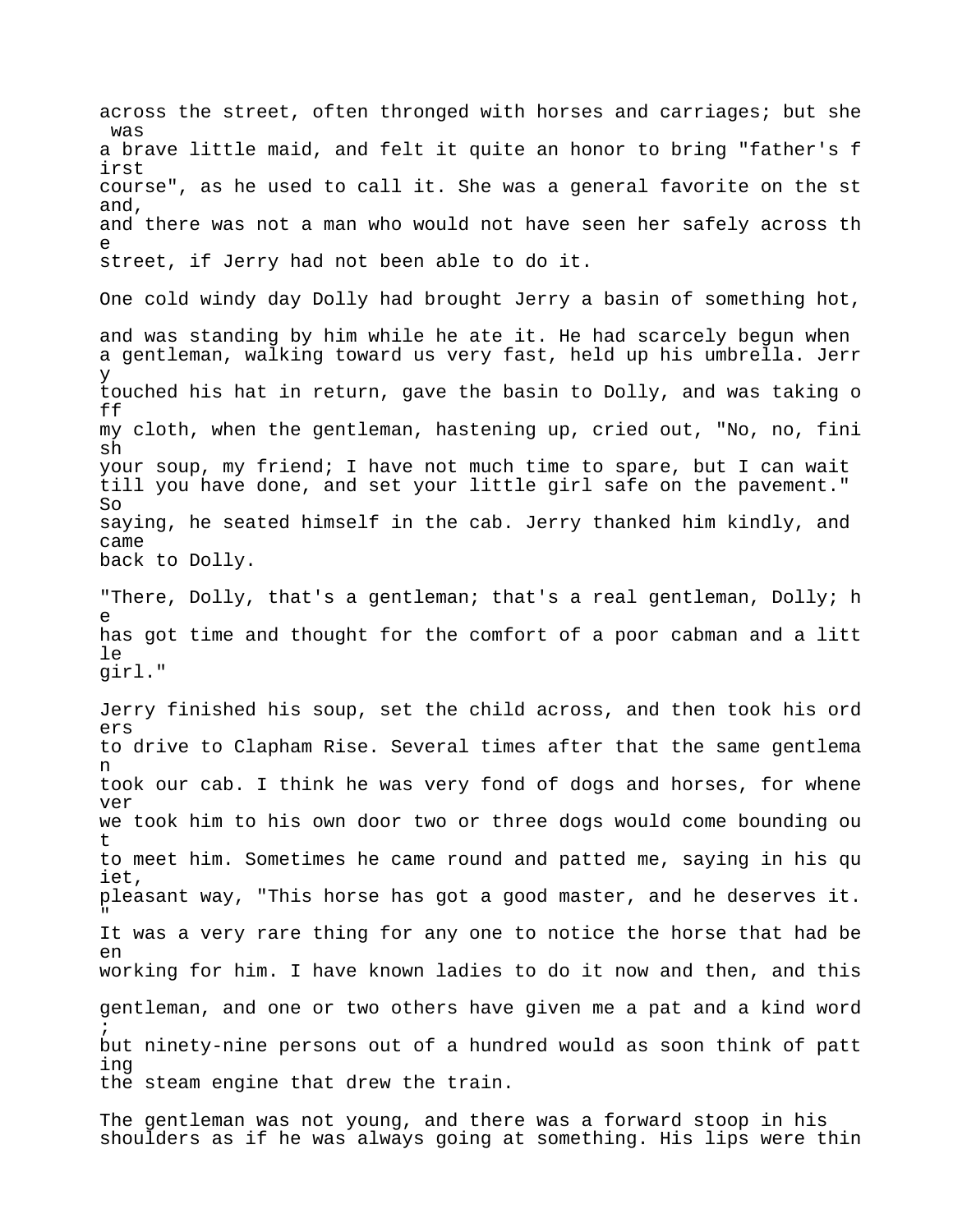across the street, often thronged with horses and carriages; but she was a brave little maid, and felt it quite an honor to bring "father's f irst course", as he used to call it. She was a general favorite on the st and, and there was not a man who would not have seen her safely across th e street, if Jerry had not been able to do it. One cold windy day Dolly had brought Jerry a basin of something hot, and was standing by him while he ate it. He had scarcely begun when a gentleman, walking toward us very fast, held up his umbrella. Jerr y touched his hat in return, gave the basin to Dolly, and was taking o ff my cloth, when the gentleman, hastening up, cried out, "No, no, fini sh your soup, my friend; I have not much time to spare, but I can wait till you have done, and set your little girl safe on the pavement."  $S<sub>O</sub>$ saying, he seated himself in the cab. Jerry thanked him kindly, and came back to Dolly. "There, Dolly, that's a gentleman; that's a real gentleman, Dolly; h e has got time and thought for the comfort of a poor cabman and a litt  $\overline{e}$ girl." Jerry finished his soup, set the child across, and then took his ord ers to drive to Clapham Rise. Several times after that the same gentlema n took our cab. I think he was very fond of dogs and horses, for whene ver we took him to his own door two or three dogs would come bounding ou t to meet him. Sometimes he came round and patted me, saying in his qu iet, pleasant way, "This horse has got a good master, and he deserves it. " It was a very rare thing for any one to notice the horse that had be en working for him. I have known ladies to do it now and then, and this gentleman, and one or two others have given me a pat and a kind word ; but ninety-nine persons out of a hundred would as soon think of patt ing the steam engine that drew the train.

The gentleman was not young, and there was a forward stoop in his shoulders as if he was always going at something. His lips were thin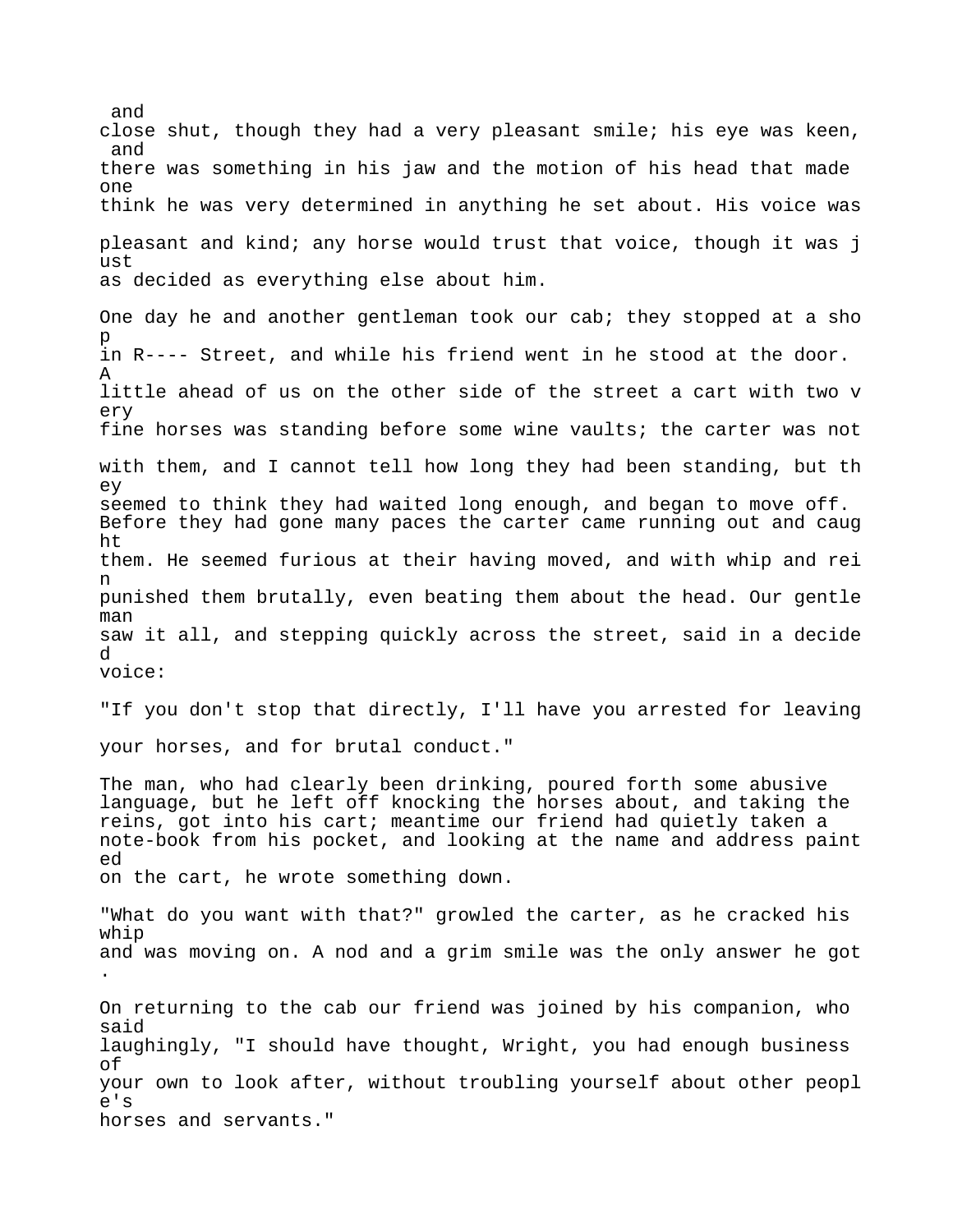and close shut, though they had a very pleasant smile; his eye was keen, and there was something in his jaw and the motion of his head that made one think he was very determined in anything he set about. His voice was pleasant and kind; any horse would trust that voice, though it was j ust as decided as everything else about him. One day he and another gentleman took our cab; they stopped at a sho p in R---- Street, and while his friend went in he stood at the door. A little ahead of us on the other side of the street a cart with two v ery fine horses was standing before some wine vaults; the carter was not with them, and I cannot tell how long they had been standing, but th ey seemed to think they had waited long enough, and began to move off. Before they had gone many paces the carter came running out and caug ht them. He seemed furious at their having moved, and with whip and rei n punished them brutally, even beating them about the head. Our gentle man saw it all, and stepping quickly across the street, said in a decide d voice: "If you don't stop that directly, I'll have you arrested for leaving your horses, and for brutal conduct." The man, who had clearly been drinking, poured forth some abusive language, but he left off knocking the horses about, and taking the reins, got into his cart; meantime our friend had quietly taken a note-book from his pocket, and looking at the name and address paint ed on the cart, he wrote something down. "What do you want with that?" growled the carter, as he cracked his whip and was moving on. A nod and a grim smile was the only answer he got . On returning to the cab our friend was joined by his companion, who said laughingly, "I should have thought, Wright, you had enough business of your own to look after, without troubling yourself about other peopl e's horses and servants."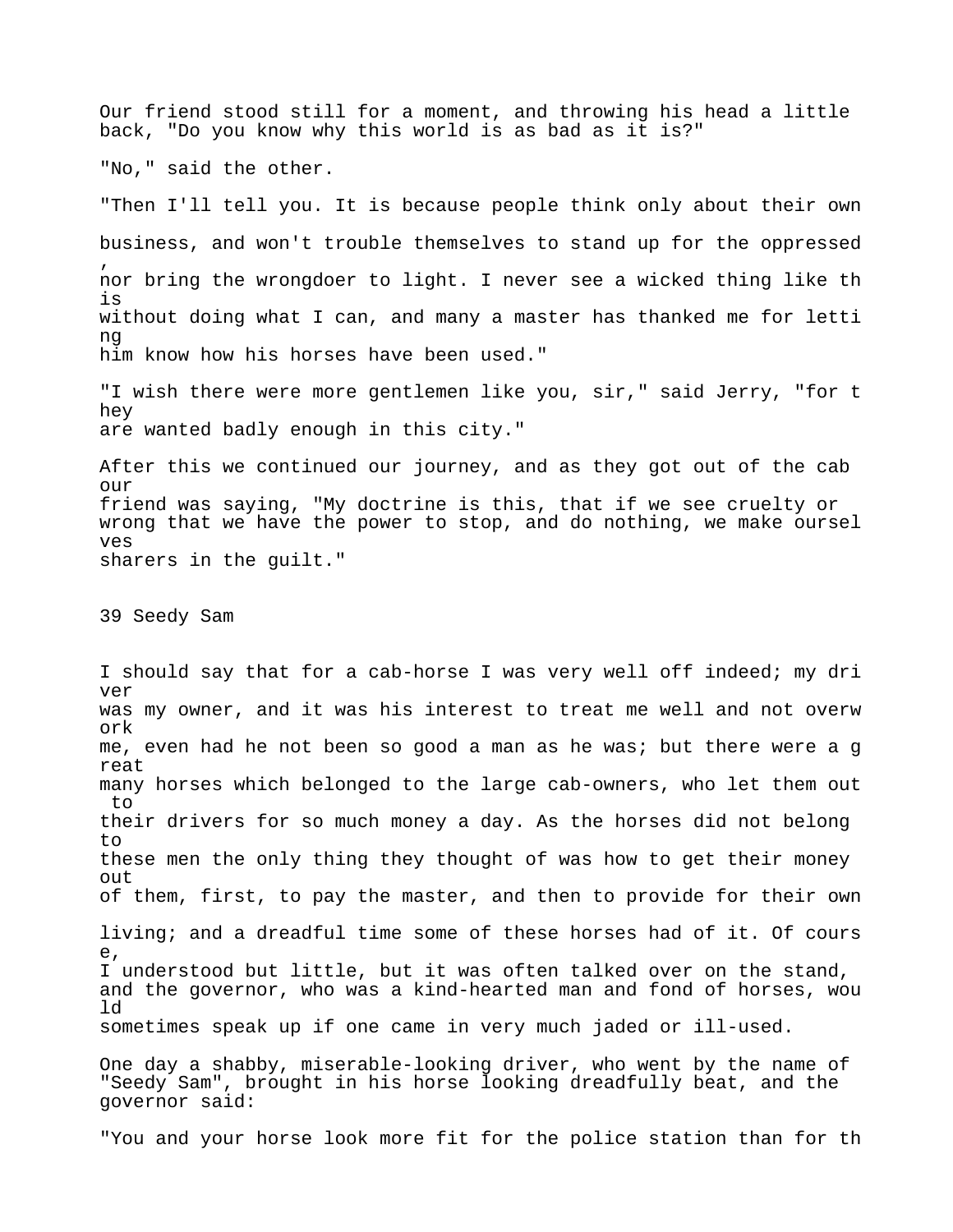Our friend stood still for a moment, and throwing his head a little back, "Do you know why this world is as bad as it is?"

"No," said the other.

"Then I'll tell you. It is because people think only about their own business, and won't trouble themselves to stand up for the oppressed , nor bring the wrongdoer to light. I never see a wicked thing like th is without doing what I can, and many a master has thanked me for letti ng him know how his horses have been used."

"I wish there were more gentlemen like you, sir," said Jerry, "for t hey are wanted badly enough in this city."

After this we continued our journey, and as they got out of the cab our friend was saying, "My doctrine is this, that if we see cruelty or wrong that we have the power to stop, and do nothing, we make oursel ves sharers in the guilt."

39 Seedy Sam

I should say that for a cab-horse I was very well off indeed; my dri ver was my owner, and it was his interest to treat me well and not overw ork me, even had he not been so good a man as he was; but there were a g reat many horses which belonged to the large cab-owners, who let them out to their drivers for so much money a day. As the horses did not belong to these men the only thing they thought of was how to get their money out of them, first, to pay the master, and then to provide for their own living; and a dreadful time some of these horses had of it. Of cours e, I understood but little, but it was often talked over on the stand, and the governor, who was a kind-hearted man and fond of horses, wou ld sometimes speak up if one came in very much jaded or ill-used. One day a shabby, miserable-looking driver, who went by the name of "Seedy Sam", brought in his horse looking dreadfully beat, and the governor said:

"You and your horse look more fit for the police station than for th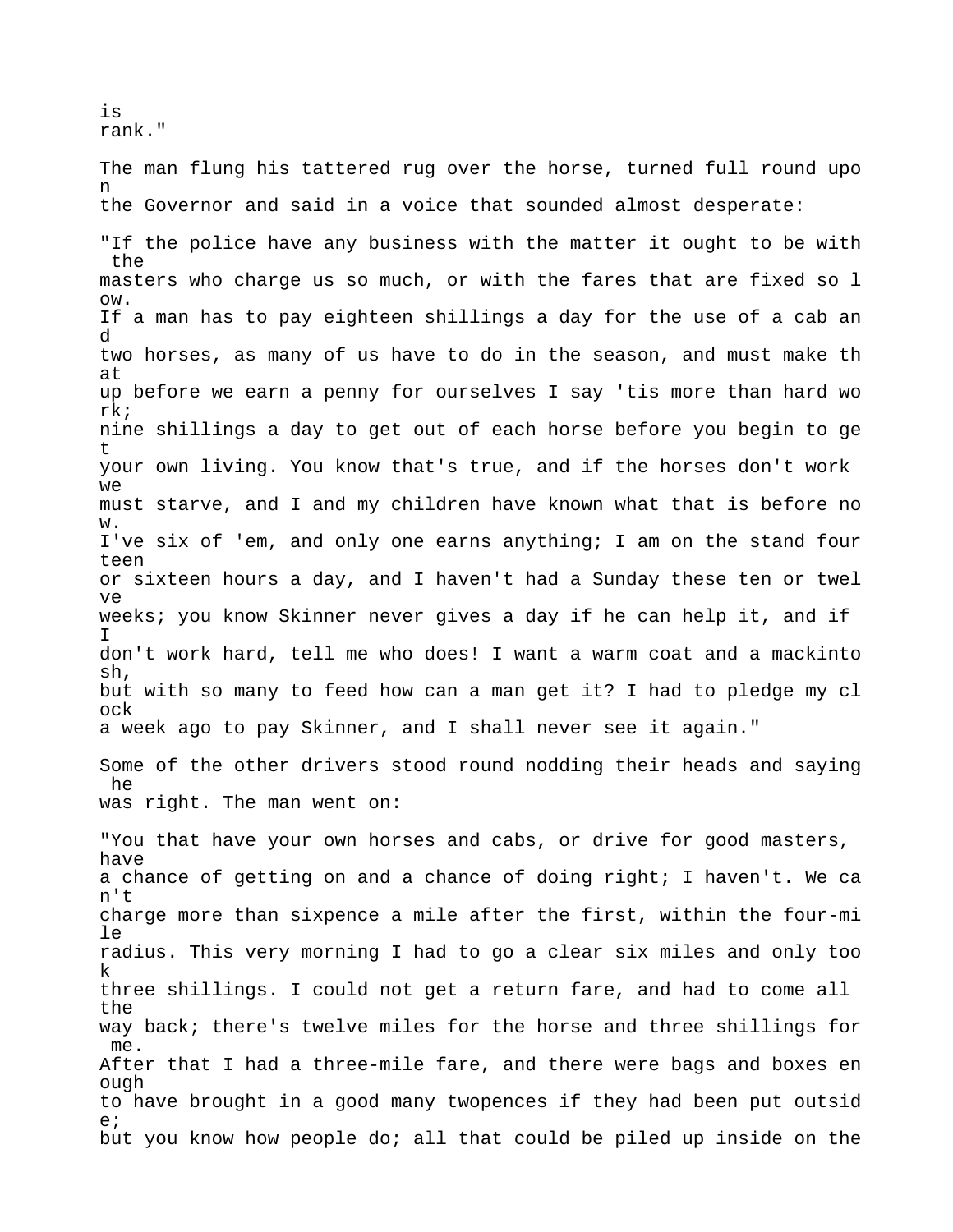is rank."

The man flung his tattered rug over the horse, turned full round upo n the Governor and said in a voice that sounded almost desperate: "If the police have any business with the matter it ought to be with the masters who charge us so much, or with the fares that are fixed so l ow. If a man has to pay eighteen shillings a day for the use of a cab an d two horses, as many of us have to do in the season, and must make th at up before we earn a penny for ourselves I say 'tis more than hard wo rk; nine shillings a day to get out of each horse before you begin to ge t your own living. You know that's true, and if the horses don't work we must starve, and I and my children have known what that is before no w. I've six of 'em, and only one earns anything; I am on the stand four teen or sixteen hours a day, and I haven't had a Sunday these ten or twel ve weeks; you know Skinner never gives a day if he can help it, and if I don't work hard, tell me who does! I want a warm coat and a mackinto sh, but with so many to feed how can a man get it? I had to pledge my cl ock a week ago to pay Skinner, and I shall never see it again." Some of the other drivers stood round nodding their heads and saying he was right. The man went on: "You that have your own horses and cabs, or drive for good masters, have a chance of getting on and a chance of doing right; I haven't. We ca n't charge more than sixpence a mile after the first, within the four-mi le radius. This very morning I had to go a clear six miles and only too k three shillings. I could not get a return fare, and had to come all the way back; there's twelve miles for the horse and three shillings for me.

After that I had a three-mile fare, and there were bags and boxes en ough to have brought in a good many twopences if they had been put outsid e; but you know how people do; all that could be piled up inside on the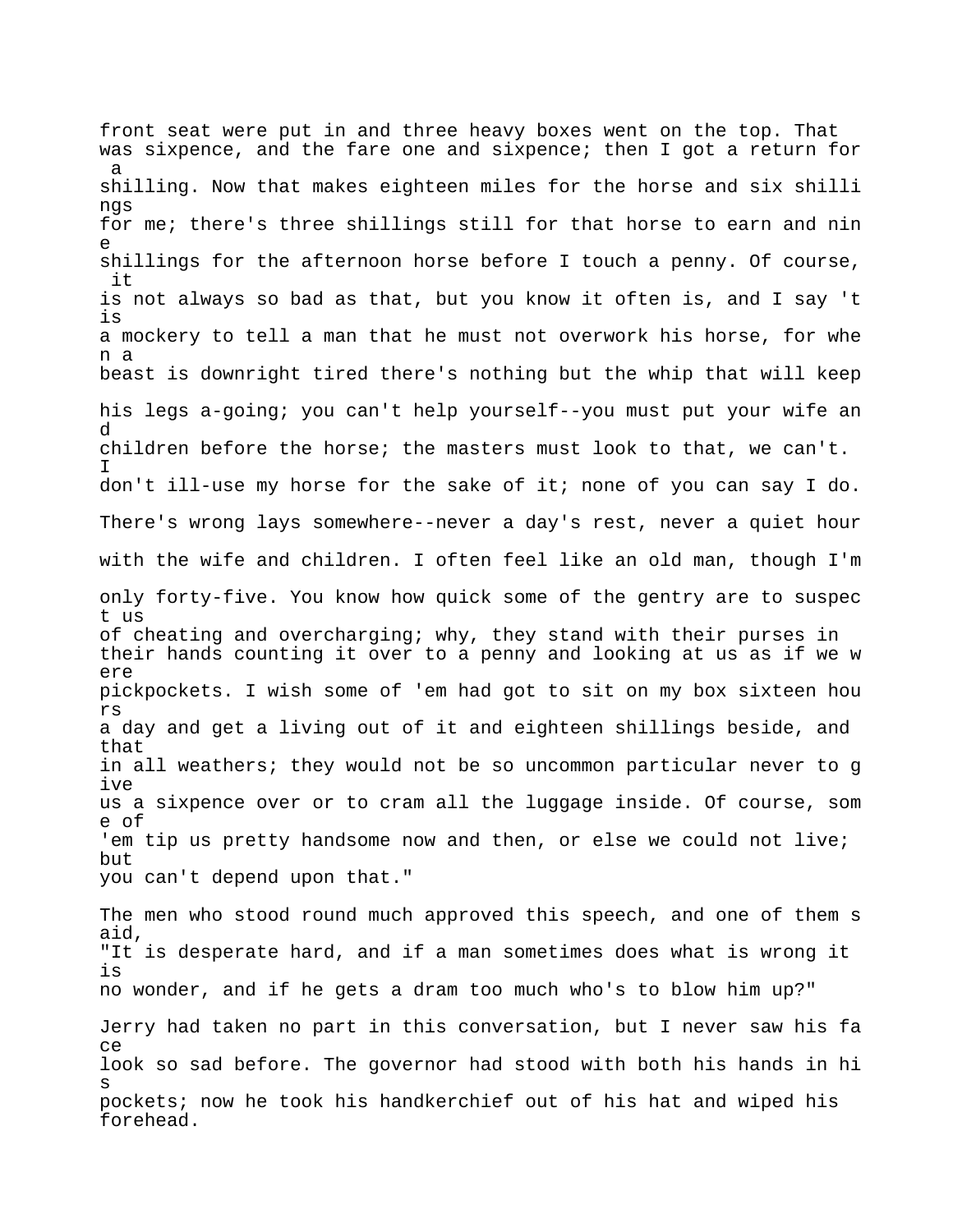front seat were put in and three heavy boxes went on the top. That was sixpence, and the fare one and sixpence; then I got a return for a shilling. Now that makes eighteen miles for the horse and six shilli ngs for me; there's three shillings still for that horse to earn and nin e shillings for the afternoon horse before I touch a penny. Of course, it is not always so bad as that, but you know it often is, and I say 't is a mockery to tell a man that he must not overwork his horse, for whe n a beast is downright tired there's nothing but the whip that will keep his legs a-going; you can't help yourself--you must put your wife an d children before the horse; the masters must look to that, we can't. I don't ill-use my horse for the sake of it; none of you can say I do. There's wrong lays somewhere--never a day's rest, never a quiet hour with the wife and children. I often feel like an old man, though I'm only forty-five. You know how quick some of the gentry are to suspec t us of cheating and overcharging; why, they stand with their purses in their hands counting it over to a penny and looking at us as if we w ere pickpockets. I wish some of 'em had got to sit on my box sixteen hou rs a day and get a living out of it and eighteen shillings beside, and that in all weathers; they would not be so uncommon particular never to g ive us a sixpence over or to cram all the luggage inside. Of course, som e of 'em tip us pretty handsome now and then, or else we could not live; but you can't depend upon that." The men who stood round much approved this speech, and one of them s aid, "It is desperate hard, and if a man sometimes does what is wrong it is no wonder, and if he gets a dram too much who's to blow him up?" Jerry had taken no part in this conversation, but I never saw his fa ce look so sad before. The governor had stood with both his hands in hi s pockets; now he took his handkerchief out of his hat and wiped his forehead.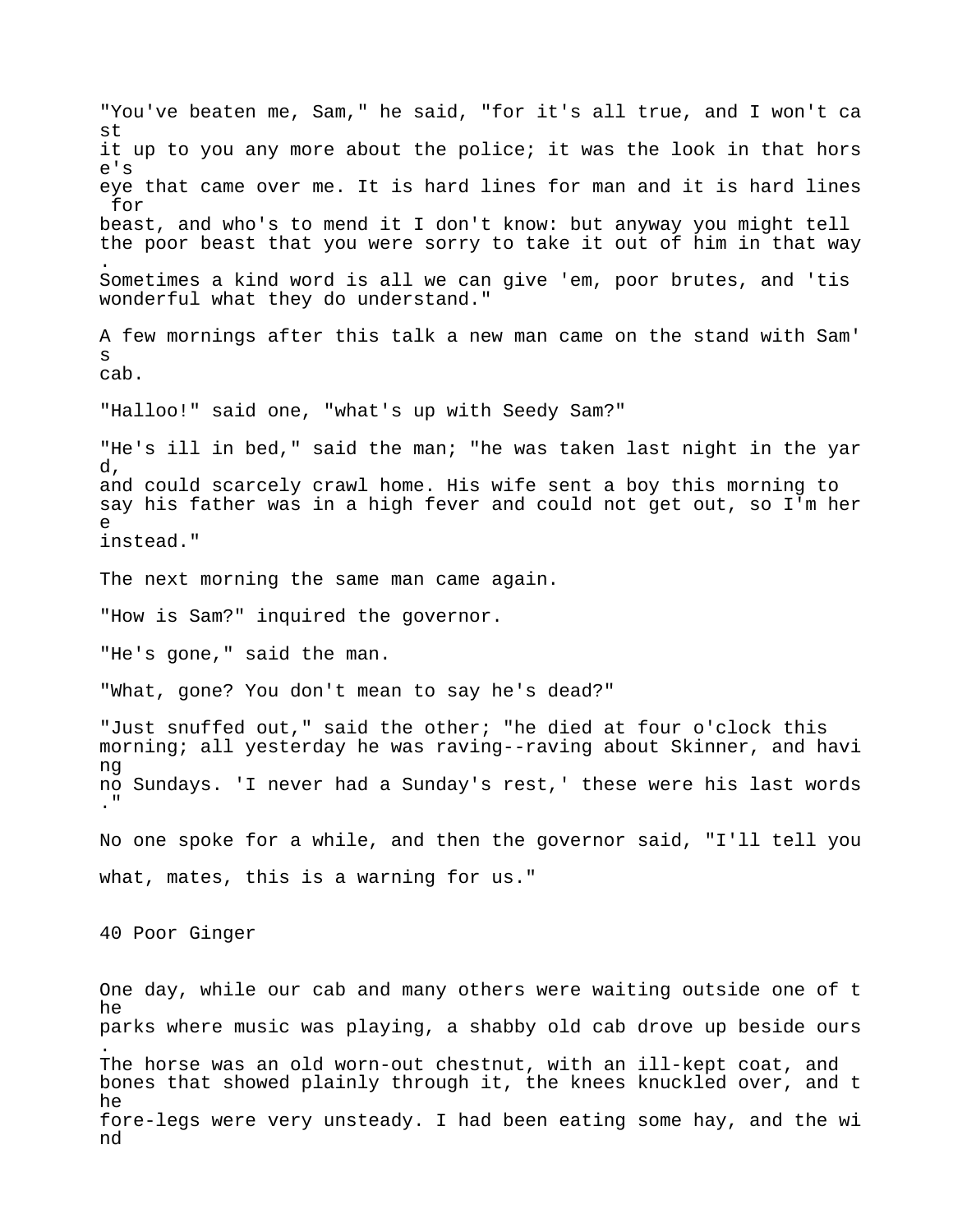"You've beaten me, Sam," he said, "for it's all true, and I won't ca st it up to you any more about the police; it was the look in that hors e's eye that came over me. It is hard lines for man and it is hard lines for beast, and who's to mend it I don't know: but anyway you might tell the poor beast that you were sorry to take it out of him in that way . Sometimes a kind word is all we can give 'em, poor brutes, and 'tis wonderful what they do understand." A few mornings after this talk a new man came on the stand with Sam' s cab. "Halloo!" said one, "what's up with Seedy Sam?" "He's ill in bed," said the man; "he was taken last night in the yar d, and could scarcely crawl home. His wife sent a boy this morning to say his father was in a high fever and could not get out, so I'm her  $\sim$ instead." The next morning the same man came again. "How is Sam?" inquired the governor. "He's gone," said the man. "What, gone? You don't mean to say he's dead?" "Just snuffed out," said the other; "he died at four o'clock this morning; all yesterday he was raving--raving about Skinner, and havi ng no Sundays. 'I never had a Sunday's rest,' these were his last words ." No one spoke for a while, and then the governor said, "I'll tell you what, mates, this is a warning for us." 40 Poor Ginger One day, while our cab and many others were waiting outside one of t he parks where music was playing, a shabby old cab drove up beside ours . The horse was an old worn-out chestnut, with an ill-kept coat, and bones that showed plainly through it, the knees knuckled over, and t he fore-legs were very unsteady. I had been eating some hay, and the wi nd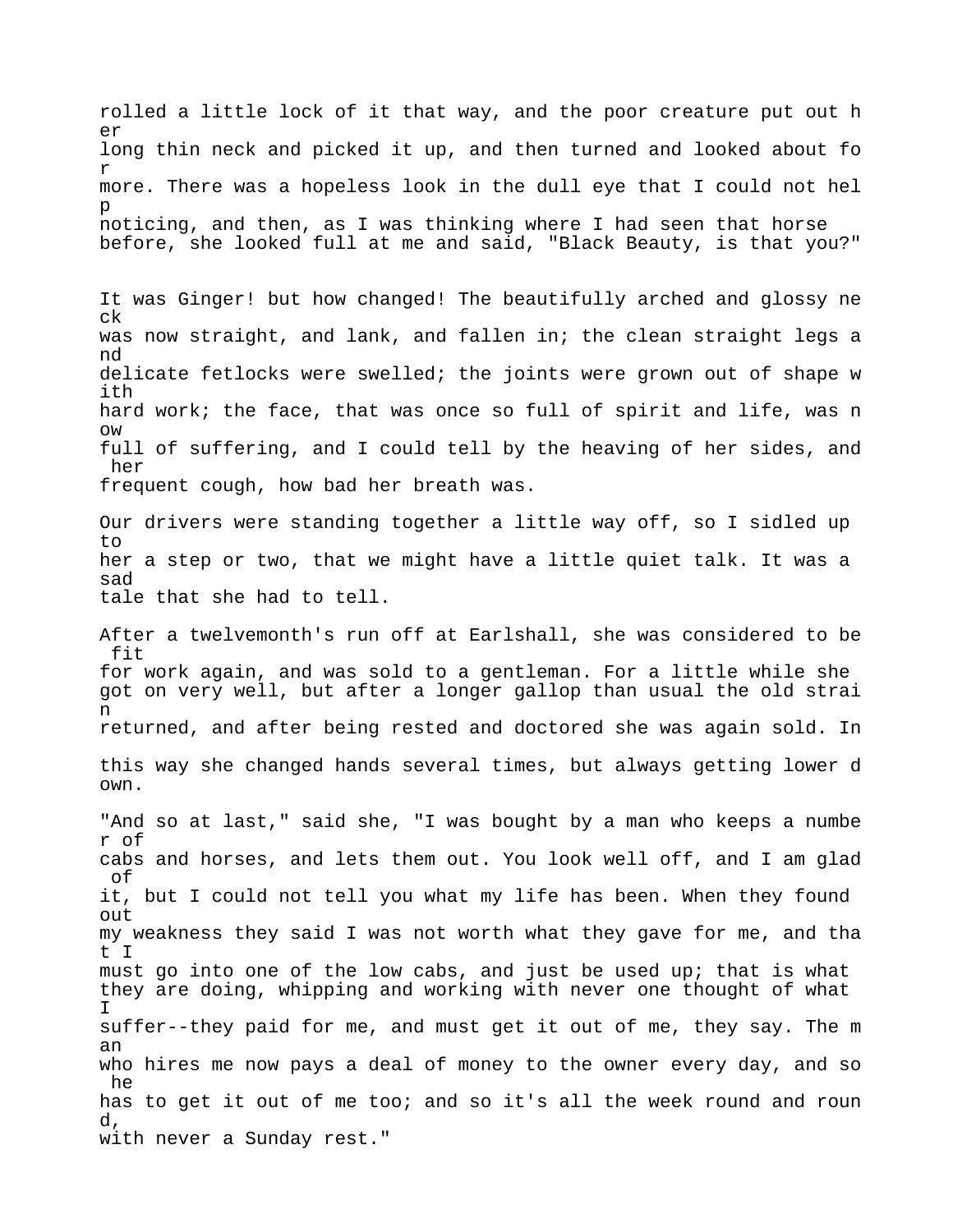rolled a little lock of it that way, and the poor creature put out h er long thin neck and picked it up, and then turned and looked about fo r more. There was a hopeless look in the dull eye that I could not hel p noticing, and then, as I was thinking where I had seen that horse before, she looked full at me and said, "Black Beauty, is that you?" It was Ginger! but how changed! The beautifully arched and glossy ne ck was now straight, and lank, and fallen in; the clean straight legs a nd delicate fetlocks were swelled; the joints were grown out of shape w ith hard work; the face, that was once so full of spirit and life, was n ow full of suffering, and I could tell by the heaving of her sides, and her frequent cough, how bad her breath was. Our drivers were standing together a little way off, so I sidled up to her a step or two, that we might have a little quiet talk. It was a sad tale that she had to tell. After a twelvemonth's run off at Earlshall, she was considered to be fit for work again, and was sold to a gentleman. For a little while she got on very well, but after a longer gallop than usual the old strai n returned, and after being rested and doctored she was again sold. In this way she changed hands several times, but always getting lower d own. "And so at last," said she, "I was bought by a man who keeps a numbe r of cabs and horses, and lets them out. You look well off, and I am glad of it, but I could not tell you what my life has been. When they found out my weakness they said I was not worth what they gave for me, and tha t I must go into one of the low cabs, and just be used up; that is what they are doing, whipping and working with never one thought of what I suffer--they paid for me, and must get it out of me, they say. The m an who hires me now pays a deal of money to the owner every day, and so he has to get it out of me too; and so it's all the week round and roun d, with never a Sunday rest."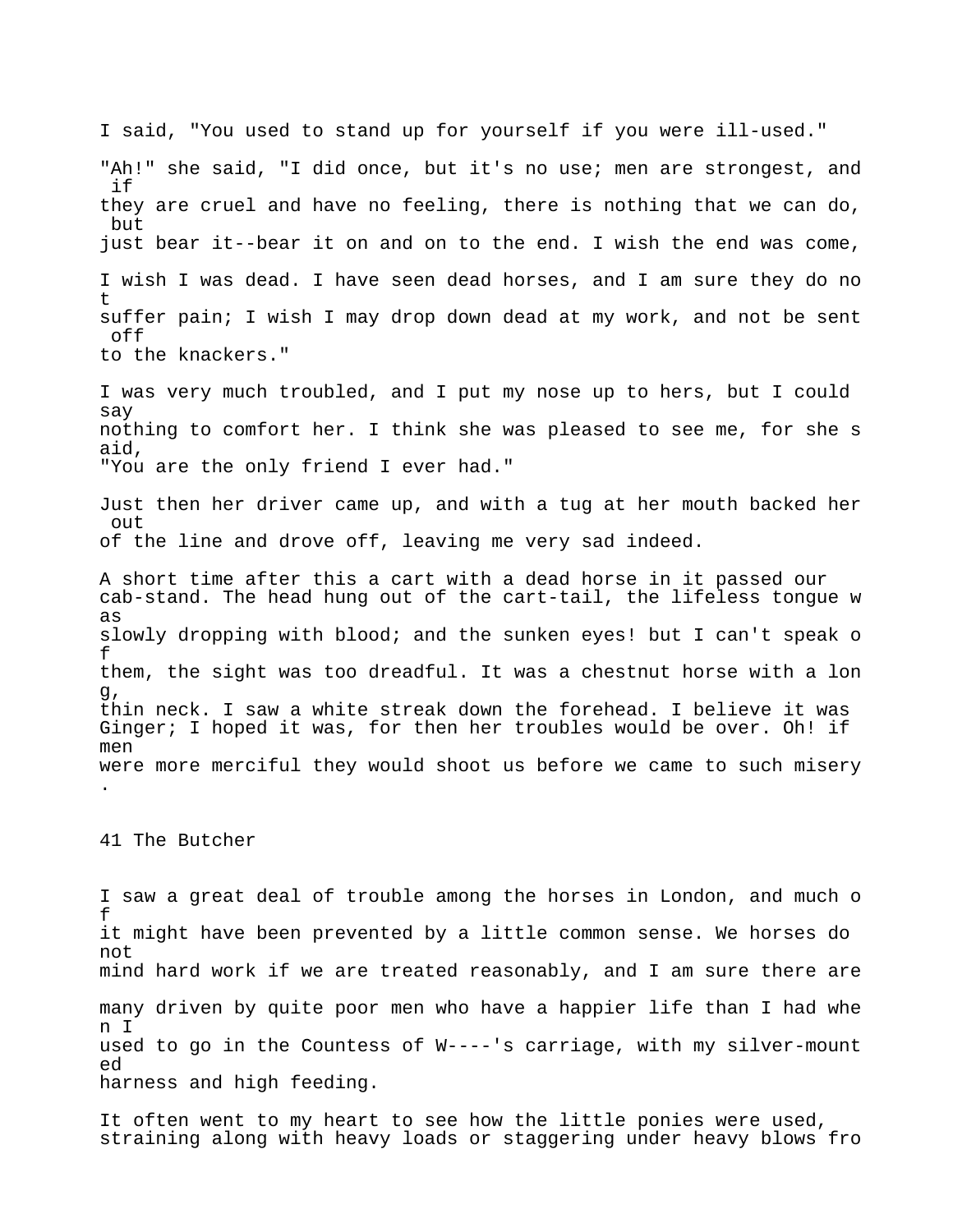I said, "You used to stand up for yourself if you were ill-used." "Ah!" she said, "I did once, but it's no use; men are strongest, and if they are cruel and have no feeling, there is nothing that we can do, but just bear it--bear it on and on to the end. I wish the end was come, I wish I was dead. I have seen dead horses, and I am sure they do no t suffer pain; I wish I may drop down dead at my work, and not be sent off to the knackers." I was very much troubled, and I put my nose up to hers, but I could say nothing to comfort her. I think she was pleased to see me, for she s aid, "You are the only friend I ever had." Just then her driver came up, and with a tug at her mouth backed her out of the line and drove off, leaving me very sad indeed. A short time after this a cart with a dead horse in it passed our cab-stand. The head hung out of the cart-tail, the lifeless tongue w as slowly dropping with blood; and the sunken eyes! but I can't speak o f them, the sight was too dreadful. It was a chestnut horse with a lon g, thin neck. I saw a white streak down the forehead. I believe it was Ginger; I hoped it was, for then her troubles would be over. Oh! if men were more merciful they would shoot us before we came to such misery .

41 The Butcher

I saw a great deal of trouble among the horses in London, and much o f it might have been prevented by a little common sense. We horses do not mind hard work if we are treated reasonably, and I am sure there are many driven by quite poor men who have a happier life than I had whe n I used to go in the Countess of W----'s carriage, with my silver-mount ed harness and high feeding.

It often went to my heart to see how the little ponies were used, straining along with heavy loads or staggering under heavy blows fro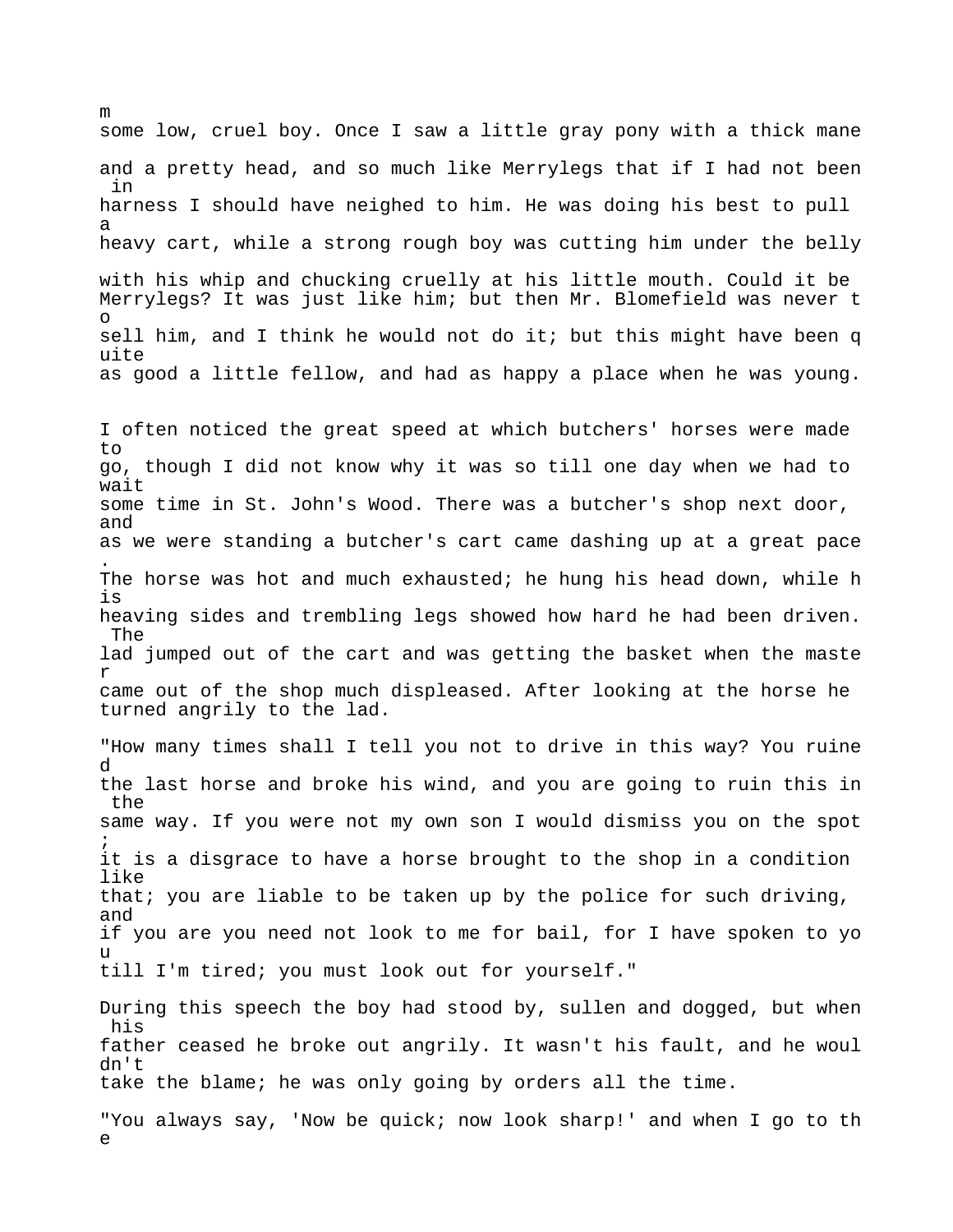some low, cruel boy. Once I saw a little gray pony with a thick mane and a pretty head, and so much like Merrylegs that if I had not been in harness I should have neighed to him. He was doing his best to pull a heavy cart, while a strong rough boy was cutting him under the belly with his whip and chucking cruelly at his little mouth. Could it be Merrylegs? It was just like him; but then Mr. Blomefield was never t o sell him, and I think he would not do it; but this might have been q uite as good a little fellow, and had as happy a place when he was young.

m

I often noticed the great speed at which butchers' horses were made to go, though I did not know why it was so till one day when we had to wait some time in St. John's Wood. There was a butcher's shop next door, and as we were standing a butcher's cart came dashing up at a great pace . The horse was hot and much exhausted; he hung his head down, while h is heaving sides and trembling legs showed how hard he had been driven. The lad jumped out of the cart and was getting the basket when the maste r came out of the shop much displeased. After looking at the horse he turned angrily to the lad.

"How many times shall I tell you not to drive in this way? You ruine d the last horse and broke his wind, and you are going to ruin this in the same way. If you were not my own son I would dismiss you on the spot ; it is a disgrace to have a horse brought to the shop in a condition like that; you are liable to be taken up by the police for such driving, and if you are you need not look to me for bail, for I have spoken to yo u till I'm tired; you must look out for yourself."

During this speech the boy had stood by, sullen and dogged, but when his father ceased he broke out angrily. It wasn't his fault, and he woul dn't take the blame; he was only going by orders all the time.

"You always say, 'Now be quick; now look sharp!' and when I go to th e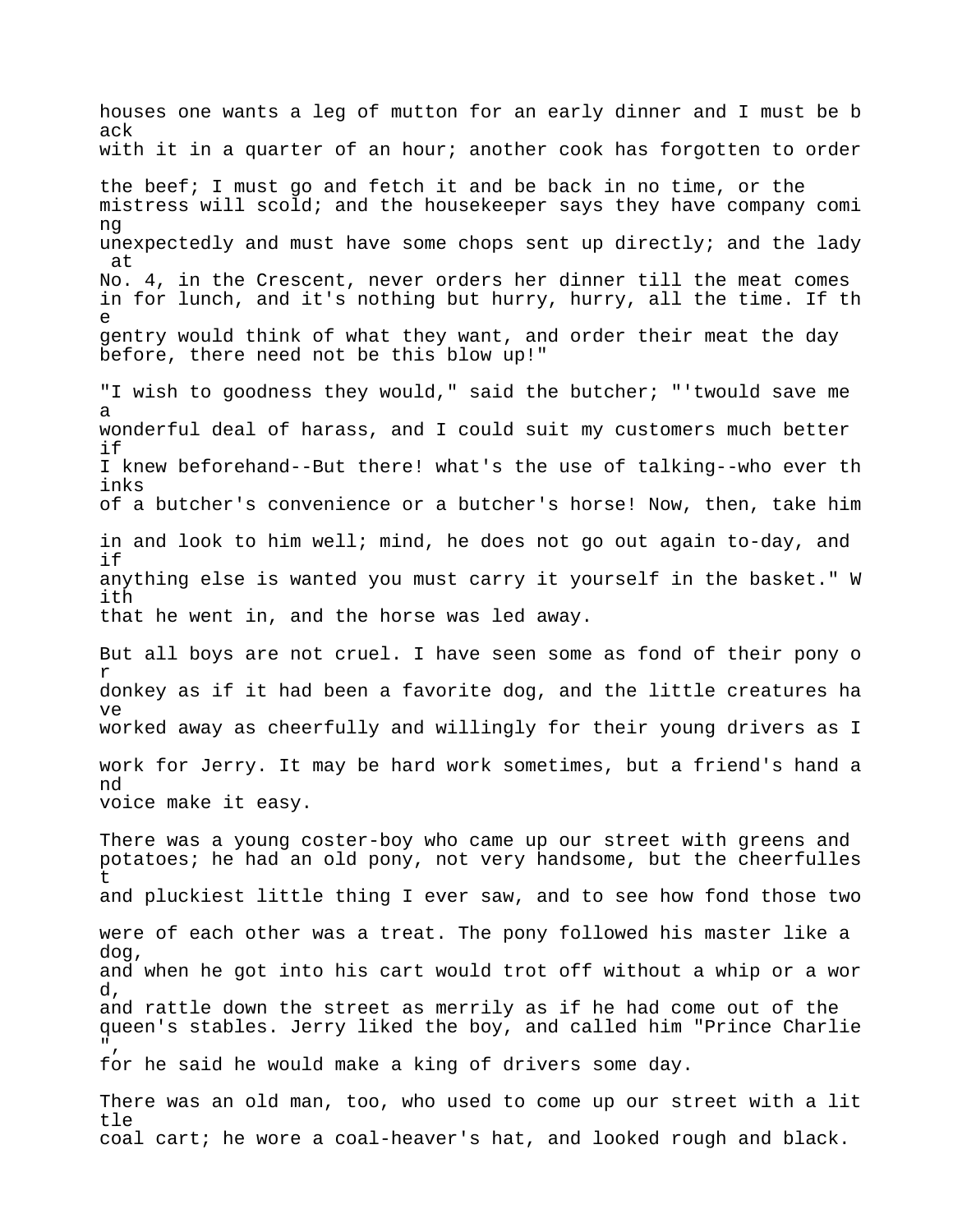houses one wants a leg of mutton for an early dinner and I must be b ack with it in a quarter of an hour; another cook has forgotten to order the beef; I must go and fetch it and be back in no time, or the mistress will scold; and the housekeeper says they have company comi ng unexpectedly and must have some chops sent up directly; and the lady at No. 4, in the Crescent, never orders her dinner till the meat comes in for lunch, and it's nothing but hurry, hurry, all the time. If th e gentry would think of what they want, and order their meat the day before, there need not be this blow up!" "I wish to goodness they would," said the butcher; "'twould save me a wonderful deal of harass, and I could suit my customers much better if I knew beforehand--But there! what's the use of talking--who ever th inks of a butcher's convenience or a butcher's horse! Now, then, take him in and look to him well; mind, he does not go out again to-day, and if anything else is wanted you must carry it yourself in the basket." W ith that he went in, and the horse was led away. But all boys are not cruel. I have seen some as fond of their pony o r donkey as if it had been a favorite dog, and the little creatures ha ve worked away as cheerfully and willingly for their young drivers as I work for Jerry. It may be hard work sometimes, but a friend's hand a nd voice make it easy. There was a young coster-boy who came up our street with greens and potatoes; he had an old pony, not very handsome, but the cheerfulles t and pluckiest little thing I ever saw, and to see how fond those two were of each other was a treat. The pony followed his master like a dog, and when he got into his cart would trot off without a whip or a wor d, and rattle down the street as merrily as if he had come out of the queen's stables. Jerry liked the boy, and called him "Prince Charlie  $"$ , for he said he would make a king of drivers some day. There was an old man, too, who used to come up our street with a lit tle coal cart; he wore a coal-heaver's hat, and looked rough and black.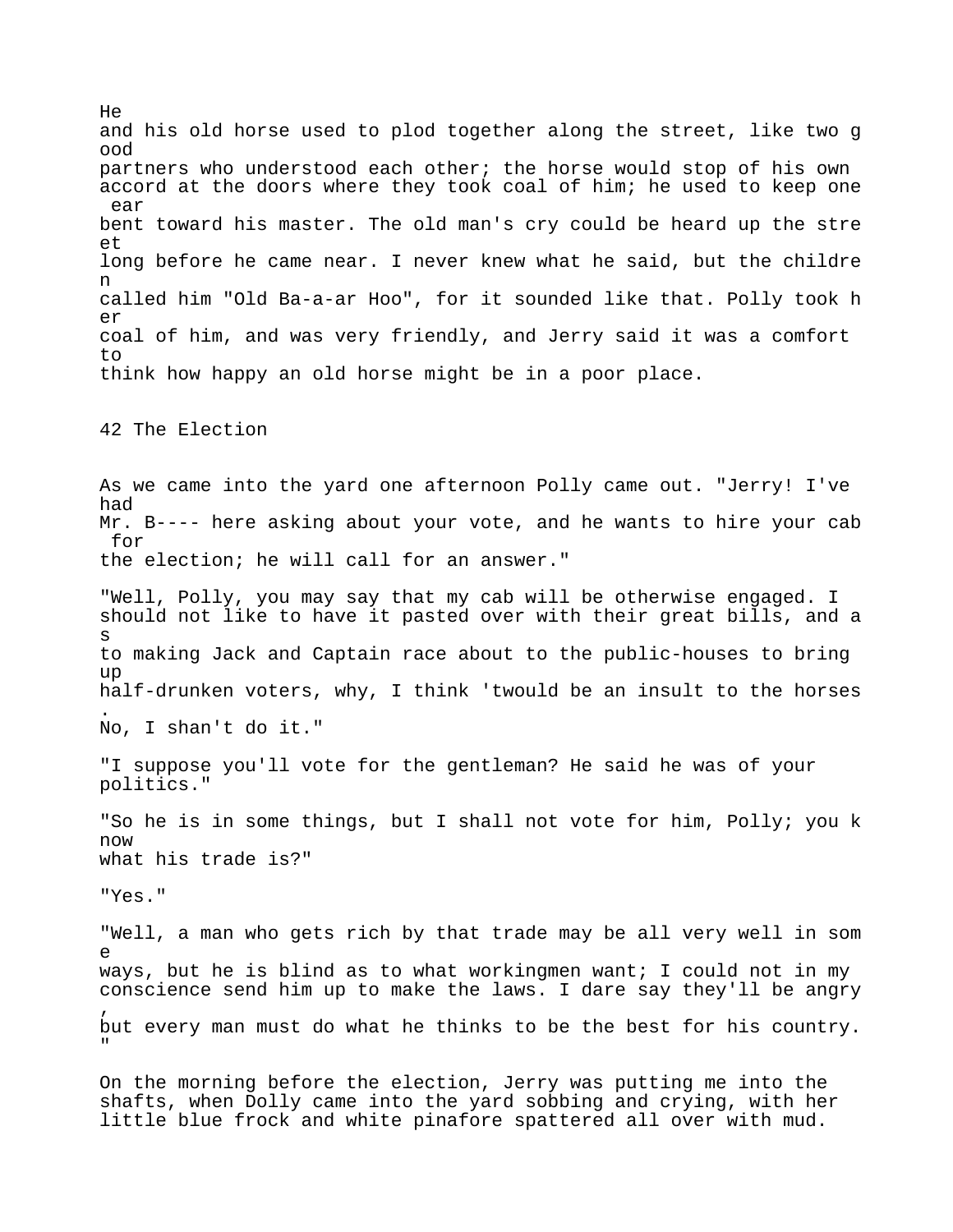He and his old horse used to plod together along the street, like two g ood partners who understood each other; the horse would stop of his own accord at the doors where they took coal of him; he used to keep one ear bent toward his master. The old man's cry could be heard up the stre et long before he came near. I never knew what he said, but the childre n called him "Old Ba-a-ar Hoo", for it sounded like that. Polly took h  $\rho r$ coal of him, and was very friendly, and Jerry said it was a comfort  $t \circ$ think how happy an old horse might be in a poor place. 42 The Election As we came into the yard one afternoon Polly came out. "Jerry! I've had Mr. B---- here asking about your vote, and he wants to hire your cab for the election; he will call for an answer." "Well, Polly, you may say that my cab will be otherwise engaged. I should not like to have it pasted over with their great bills, and a s to making Jack and Captain race about to the public-houses to bring  $\overline{11}D$ half-drunken voters, why, I think 'twould be an insult to the horses . No, I shan't do it." "I suppose you'll vote for the gentleman? He said he was of your politics." "So he is in some things, but I shall not vote for him, Polly; you k now what his trade is?" "Yes." "Well, a man who gets rich by that trade may be all very well in som e ways, but he is blind as to what workingmen want; I could not in my conscience send him up to make the laws. I dare say they'll be angry , but every man must do what he thinks to be the best for his country. " On the morning before the election, Jerry was putting me into the

shafts, when Dolly came into the yard sobbing and crying, with her little blue frock and white pinafore spattered all over with mud.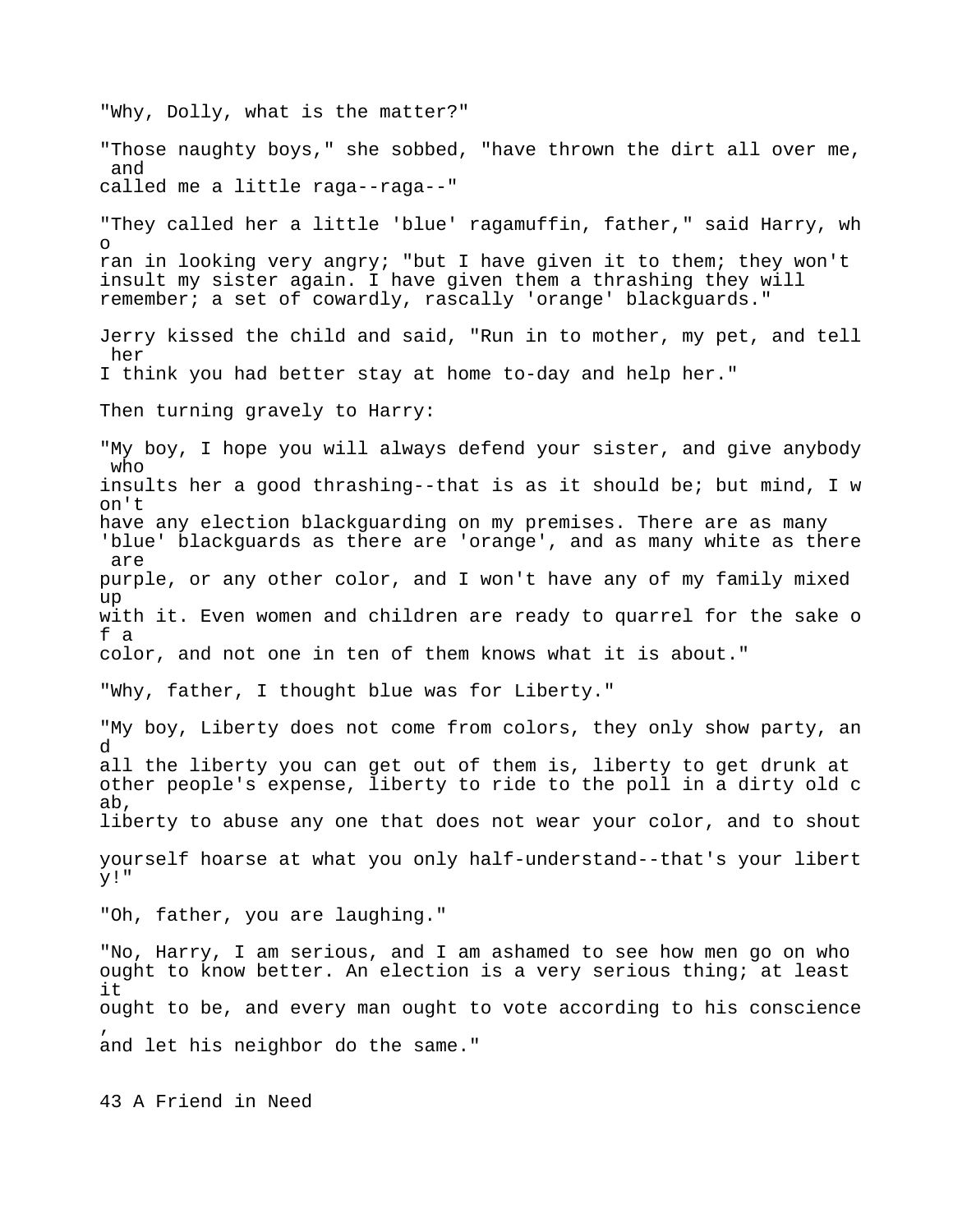"Why, Dolly, what is the matter?" "Those naughty boys," she sobbed, "have thrown the dirt all over me, and called me a little raga--raga--" "They called her a little 'blue' ragamuffin, father," said Harry, wh o ran in looking very angry; "but I have given it to them; they won't insult my sister again. I have given them a thrashing they will remember; a set of cowardly, rascally 'orange' blackguards." Jerry kissed the child and said, "Run in to mother, my pet, and tell her I think you had better stay at home to-day and help her." Then turning gravely to Harry: "My boy, I hope you will always defend your sister, and give anybody who insults her a good thrashing--that is as it should be; but mind, I w on't have any election blackguarding on my premises. There are as many 'blue' blackguards as there are 'orange', and as many white as there are purple, or any other color, and I won't have any of my family mixed up with it. Even women and children are ready to quarrel for the sake o f a color, and not one in ten of them knows what it is about." "Why, father, I thought blue was for Liberty." "My boy, Liberty does not come from colors, they only show party, an d all the liberty you can get out of them is, liberty to get drunk at other people's expense, liberty to ride to the poll in a dirty old c ab, liberty to abuse any one that does not wear your color, and to shout yourself hoarse at what you only half-understand--that's your libert y!" "Oh, father, you are laughing." "No, Harry, I am serious, and I am ashamed to see how men go on who ought to know better. An election is a very serious thing; at least it ought to be, and every man ought to vote according to his conscience , and let his neighbor do the same."

43 A Friend in Need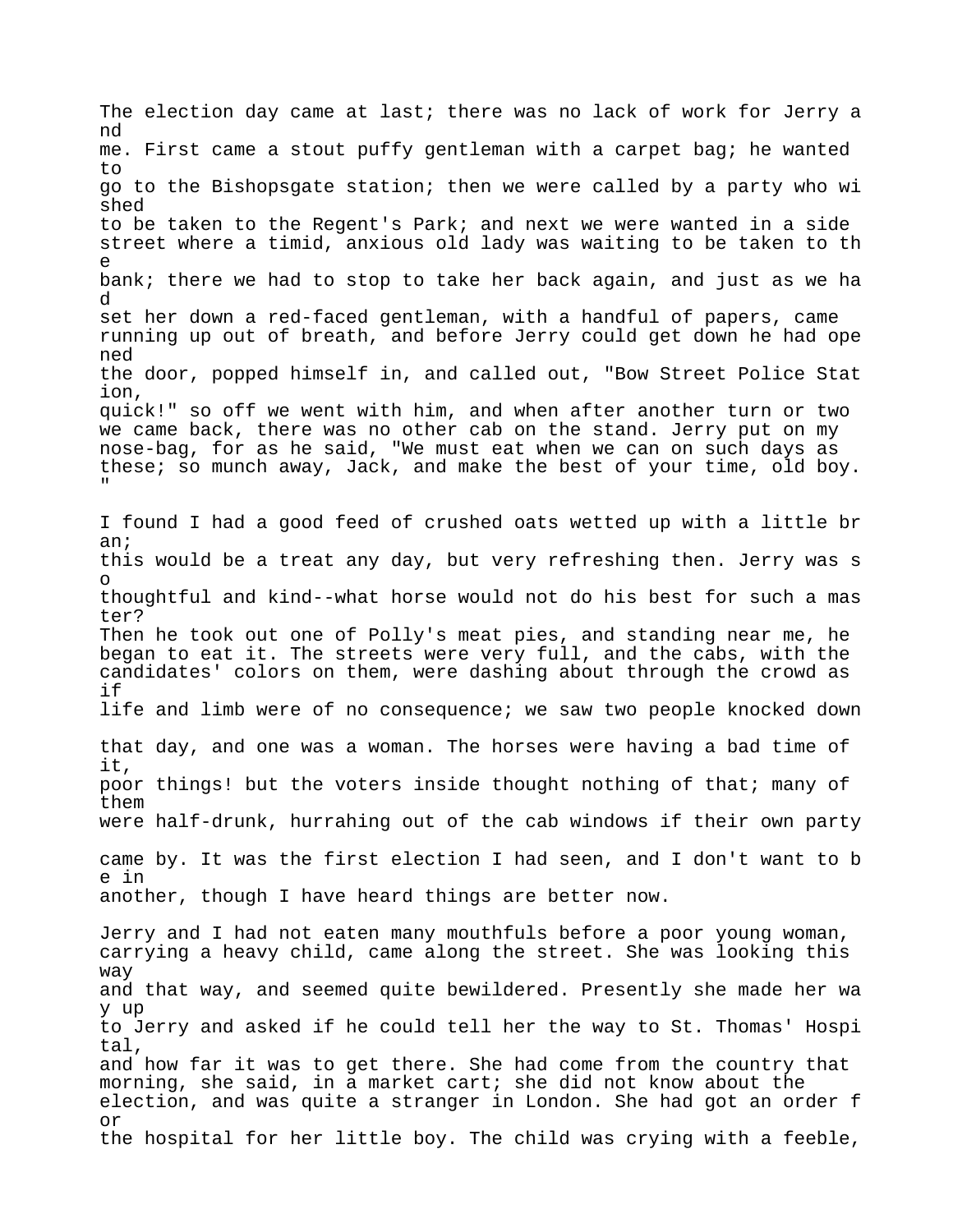The election day came at last; there was no lack of work for Jerry a nd me. First came a stout puffy gentleman with a carpet bag; he wanted to go to the Bishopsgate station; then we were called by a party who wi shed to be taken to the Regent's Park; and next we were wanted in a side street where a timid, anxious old lady was waiting to be taken to th e bank; there we had to stop to take her back again, and just as we ha d set her down a red-faced gentleman, with a handful of papers, came running up out of breath, and before Jerry could get down he had ope ned the door, popped himself in, and called out, "Bow Street Police Stat ion, quick!" so off we went with him, and when after another turn or two we came back, there was no other cab on the stand. Jerry put on my nose-bag, for as he said, "We must eat when we can on such days as these; so munch away, Jack, and make the best of your time, old boy. " I found I had a good feed of crushed oats wetted up with a little br an; this would be a treat any day, but very refreshing then. Jerry was s o thoughtful and kind--what horse would not do his best for such a mas ter? Then he took out one of Polly's meat pies, and standing near me, he began to eat it. The streets were very full, and the cabs, with the candidates' colors on them, were dashing about through the crowd as if life and limb were of no consequence; we saw two people knocked down that day, and one was a woman. The horses were having a bad time of it, poor things! but the voters inside thought nothing of that; many of them were half-drunk, hurrahing out of the cab windows if their own party came by. It was the first election I had seen, and I don't want to b e in another, though I have heard things are better now. Jerry and I had not eaten many mouthfuls before a poor young woman, carrying a heavy child, came along the street. She was looking this way and that way, and seemed quite bewildered. Presently she made her wa y up to Jerry and asked if he could tell her the way to St. Thomas' Hospi tal, and how far it was to get there. She had come from the country that morning, she said, in a market cart; she did not know about the election, and was quite a stranger in London. She had got an order f or the hospital for her little boy. The child was crying with a feeble,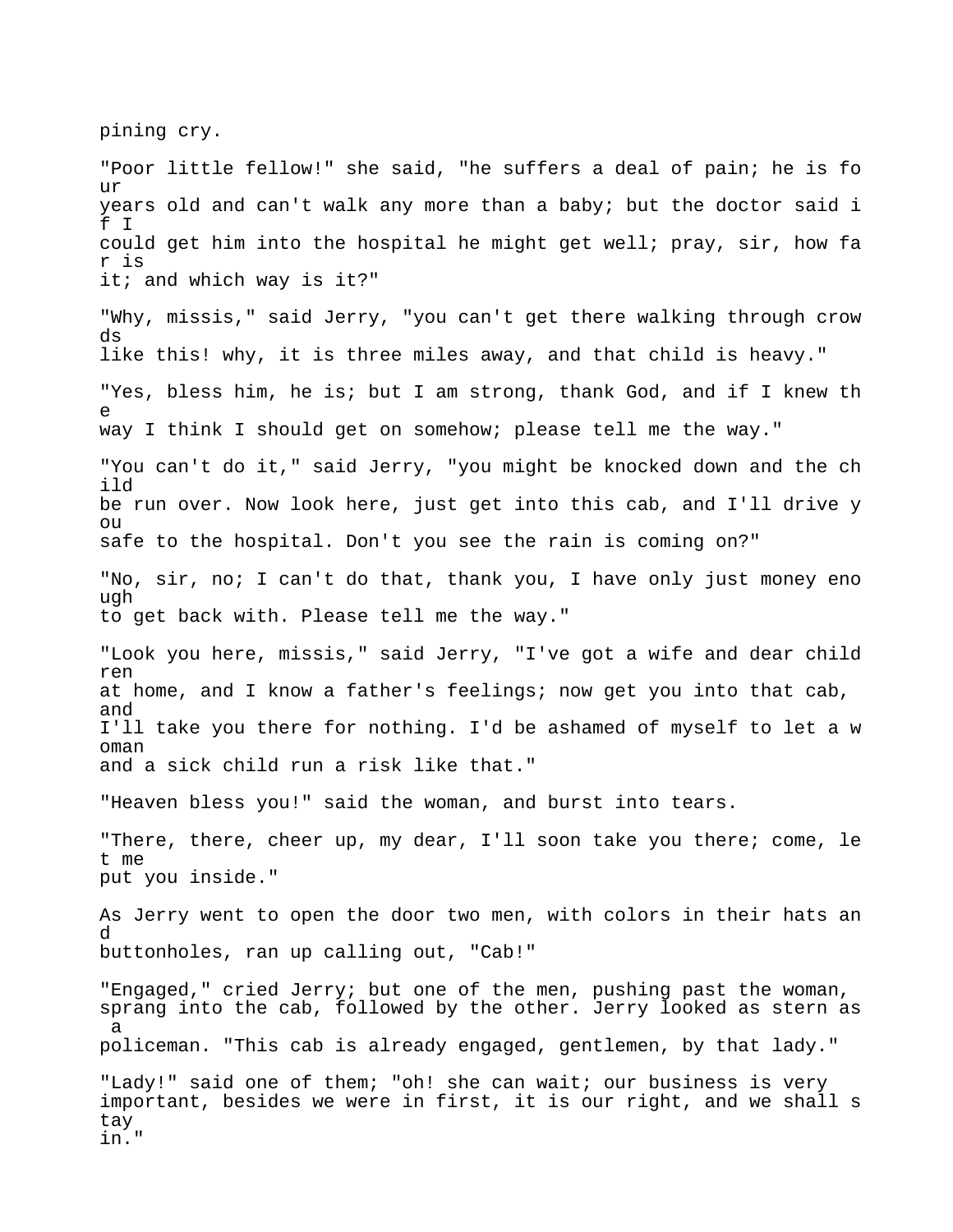pining cry.

"Poor little fellow!" she said, "he suffers a deal of pain; he is fo  $11r$ years old and can't walk any more than a baby; but the doctor said i f I could get him into the hospital he might get well; pray, sir, how fa r is it; and which way is it?" "Why, missis," said Jerry, "you can't get there walking through crow ds like this! why, it is three miles away, and that child is heavy." "Yes, bless him, he is; but I am strong, thank God, and if I knew th e way I think I should get on somehow; please tell me the way." "You can't do it," said Jerry, "you might be knocked down and the ch ild be run over. Now look here, just get into this cab, and I'll drive y  $\bigcap$ safe to the hospital. Don't you see the rain is coming on?" "No, sir, no; I can't do that, thank you, I have only just money eno ugh to get back with. Please tell me the way." "Look you here, missis," said Jerry, "I've got a wife and dear child ren at home, and I know a father's feelings; now get you into that cab, and I'll take you there for nothing. I'd be ashamed of myself to let a w oman and a sick child run a risk like that." "Heaven bless you!" said the woman, and burst into tears. "There, there, cheer up, my dear, I'll soon take you there; come, le t me put you inside." As Jerry went to open the door two men, with colors in their hats an d buttonholes, ran up calling out, "Cab!" "Engaged," cried Jerry; but one of the men, pushing past the woman, sprang into the cab, followed by the other. Jerry looked as stern as a policeman. "This cab is already engaged, gentlemen, by that lady." "Lady!" said one of them; "oh! she can wait; our business is very important, besides we were in first, it is our right, and we shall s tay in."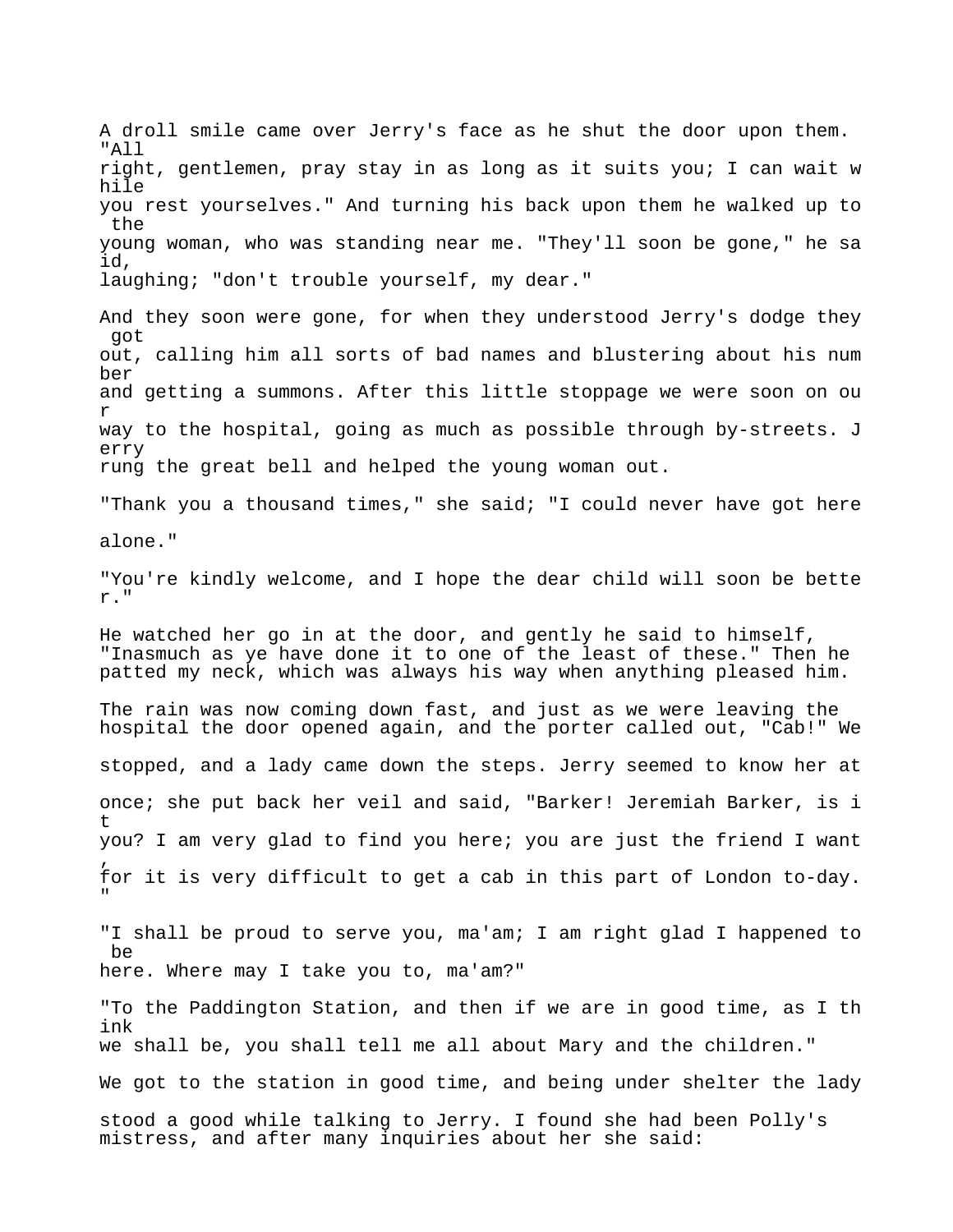A droll smile came over Jerry's face as he shut the door upon them. "All right, gentlemen, pray stay in as long as it suits you; I can wait w hile you rest yourselves." And turning his back upon them he walked up to the young woman, who was standing near me. "They'll soon be gone," he sa id, laughing; "don't trouble yourself, my dear." And they soon were gone, for when they understood Jerry's dodge they got out, calling him all sorts of bad names and blustering about his num ber and getting a summons. After this little stoppage we were soon on ou r way to the hospital, going as much as possible through by-streets. J erry rung the great bell and helped the young woman out. "Thank you a thousand times," she said; "I could never have got here alone." "You're kindly welcome, and I hope the dear child will soon be bette r." He watched her go in at the door, and gently he said to himself, "Inasmuch as ye have done it to one of the least of these." Then he patted my neck, which was always his way when anything pleased him. The rain was now coming down fast, and just as we were leaving the hospital the door opened again, and the porter called out, "Cab!" We stopped, and a lady came down the steps. Jerry seemed to know her at once; she put back her veil and said, "Barker! Jeremiah Barker, is i t you? I am very glad to find you here; you are just the friend I want , for it is very difficult to get a cab in this part of London to-day. "

"I shall be proud to serve you, ma'am; I am right glad I happened to be here. Where may I take you to, ma'am?"

"To the Paddington Station, and then if we are in good time, as I th ink we shall be, you shall tell me all about Mary and the children."

We got to the station in good time, and being under shelter the lady

stood a good while talking to Jerry. I found she had been Polly's mistress, and after many inquiries about her she said: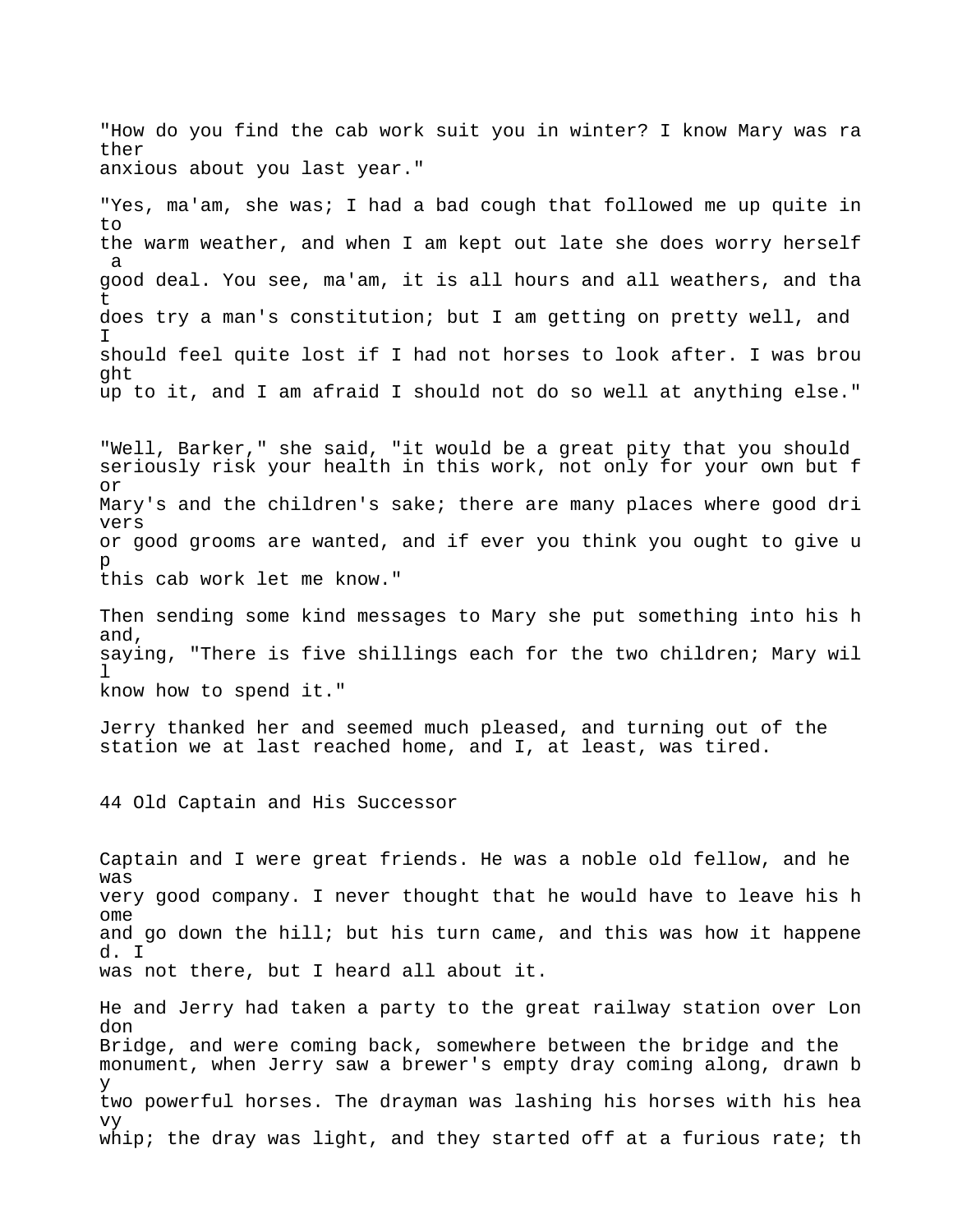"How do you find the cab work suit you in winter? I know Mary was ra ther anxious about you last year."

"Yes, ma'am, she was; I had a bad cough that followed me up quite in to the warm weather, and when I am kept out late she does worry herself a good deal. You see, ma'am, it is all hours and all weathers, and tha t does try a man's constitution; but I am getting on pretty well, and I should feel quite lost if I had not horses to look after. I was brou ght up to it, and I am afraid I should not do so well at anything else."

"Well, Barker," she said, "it would be a great pity that you should seriously risk your health in this work, not only for your own but f or Mary's and the children's sake; there are many places where good dri vers or good grooms are wanted, and if ever you think you ought to give u p this cab work let me know."

Then sending some kind messages to Mary she put something into his h and, saying, "There is five shillings each for the two children; Mary wil l know how to spend it."

Jerry thanked her and seemed much pleased, and turning out of the station we at last reached home, and I, at least, was tired.

44 Old Captain and His Successor

Captain and I were great friends. He was a noble old fellow, and he was very good company. I never thought that he would have to leave his h ome and go down the hill; but his turn came, and this was how it happene d. I was not there, but I heard all about it.

He and Jerry had taken a party to the great railway station over Lon don Bridge, and were coming back, somewhere between the bridge and the monument, when Jerry saw a brewer's empty dray coming along, drawn b y two powerful horses. The drayman was lashing his horses with his hea vy whip; the dray was light, and they started off at a furious rate; th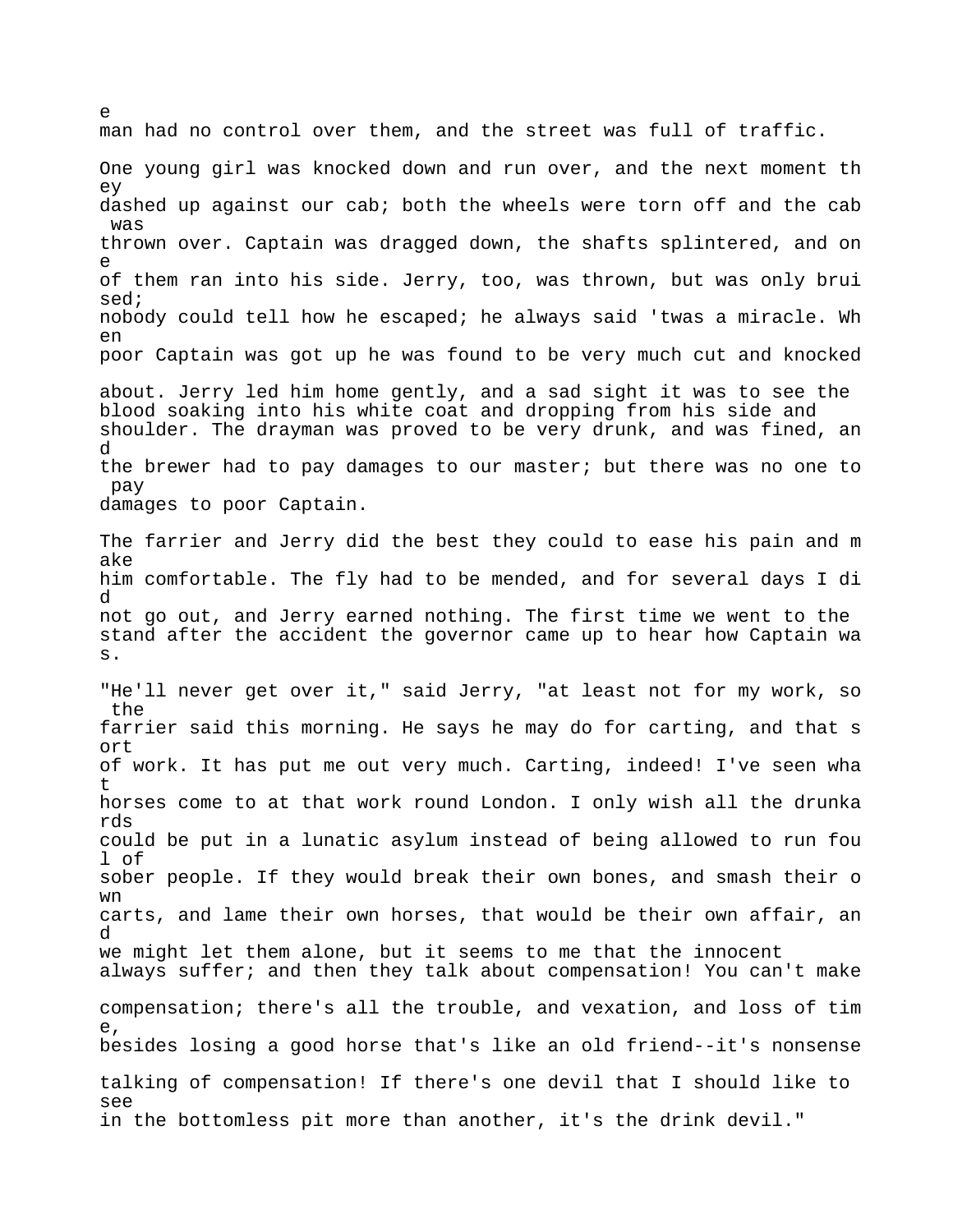man had no control over them, and the street was full of traffic. One young girl was knocked down and run over, and the next moment th ey dashed up against our cab; both the wheels were torn off and the cab was thrown over. Captain was dragged down, the shafts splintered, and on e of them ran into his side. Jerry, too, was thrown, but was only brui sed; nobody could tell how he escaped; he always said 'twas a miracle. Wh en poor Captain was got up he was found to be very much cut and knocked about. Jerry led him home gently, and a sad sight it was to see the blood soaking into his white coat and dropping from his side and shoulder. The drayman was proved to be very drunk, and was fined, an d the brewer had to pay damages to our master; but there was no one to pay damages to poor Captain. The farrier and Jerry did the best they could to ease his pain and m ake him comfortable. The fly had to be mended, and for several days I di d not go out, and Jerry earned nothing. The first time we went to the stand after the accident the governor came up to hear how Captain wa s. "He'll never get over it," said Jerry, "at least not for my work, so the farrier said this morning. He says he may do for carting, and that s ort of work. It has put me out very much. Carting, indeed! I've seen wha t horses come to at that work round London. I only wish all the drunka rds could be put in a lunatic asylum instead of being allowed to run fou l of sober people. If they would break their own bones, and smash their o wn carts, and lame their own horses, that would be their own affair, an d we might let them alone, but it seems to me that the innocent always suffer; and then they talk about compensation! You can't make compensation; there's all the trouble, and vexation, and loss of tim e, besides losing a good horse that's like an old friend--it's nonsense talking of compensation! If there's one devil that I should like to see in the bottomless pit more than another, it's the drink devil."

 $\sim$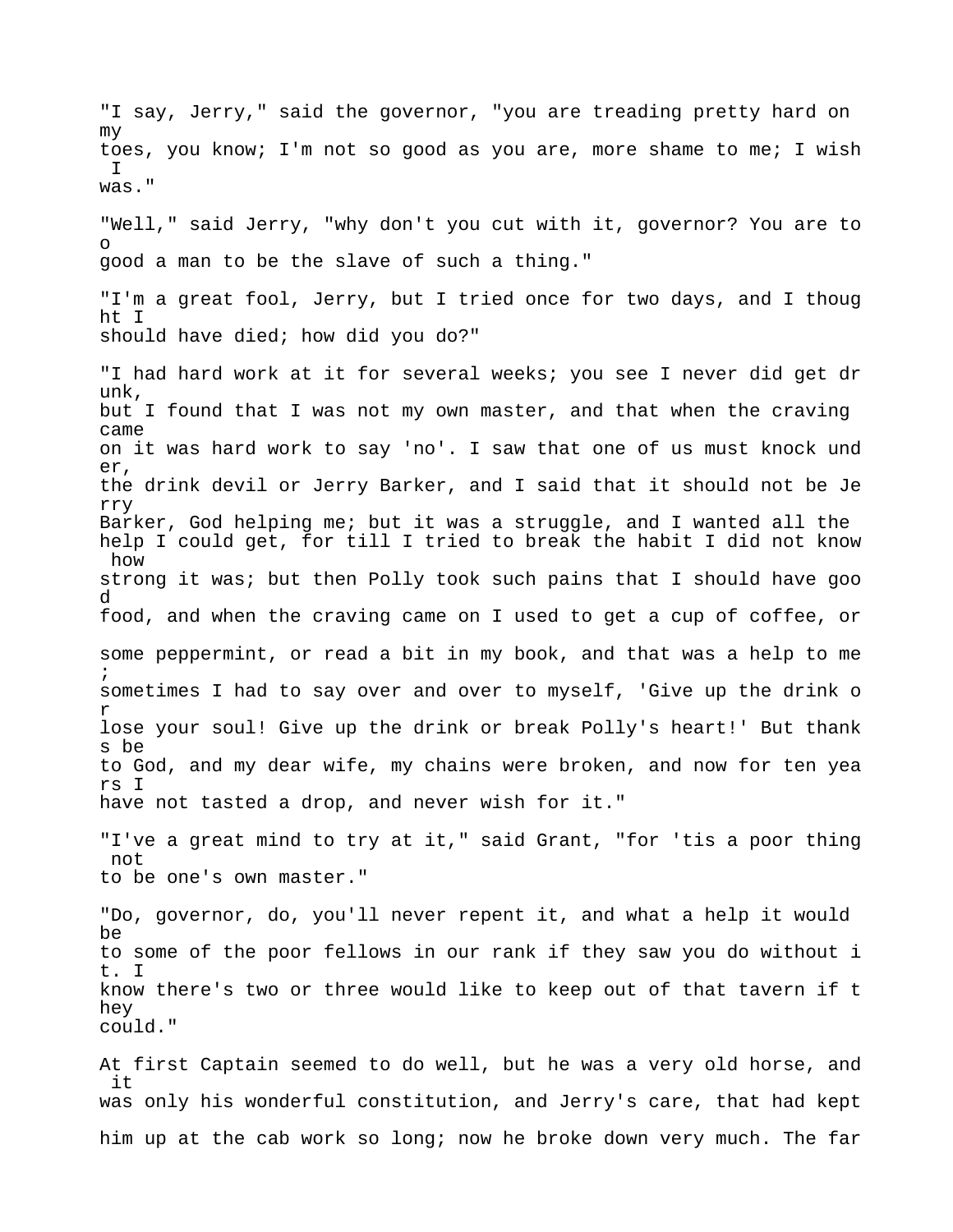"I say, Jerry," said the governor, "you are treading pretty hard on my toes, you know; I'm not so good as you are, more shame to me; I wish I was." "Well," said Jerry, "why don't you cut with it, governor? You are to o good a man to be the slave of such a thing." "I'm a great fool, Jerry, but I tried once for two days, and I thoug ht I should have died; how did you do?" "I had hard work at it for several weeks; you see I never did get dr unk, but I found that I was not my own master, and that when the craving came on it was hard work to say 'no'. I saw that one of us must knock und er, the drink devil or Jerry Barker, and I said that it should not be Je rry Barker, God helping me; but it was a struggle, and I wanted all the help I could get, for till I tried to break the habit I did not know how strong it was; but then Polly took such pains that I should have goo d food, and when the craving came on I used to get a cup of coffee, or some peppermint, or read a bit in my book, and that was a help to me ; sometimes I had to say over and over to myself, 'Give up the drink o r lose your soul! Give up the drink or break Polly's heart!' But thank s be to God, and my dear wife, my chains were broken, and now for ten yea rs I have not tasted a drop, and never wish for it." "I've a great mind to try at it," said Grant, "for 'tis a poor thing not to be one's own master." "Do, governor, do, you'll never repent it, and what a help it would be to some of the poor fellows in our rank if they saw you do without i t. I know there's two or three would like to keep out of that tavern if t hey could." At first Captain seemed to do well, but he was a very old horse, and it was only his wonderful constitution, and Jerry's care, that had kept

him up at the cab work so long; now he broke down very much. The far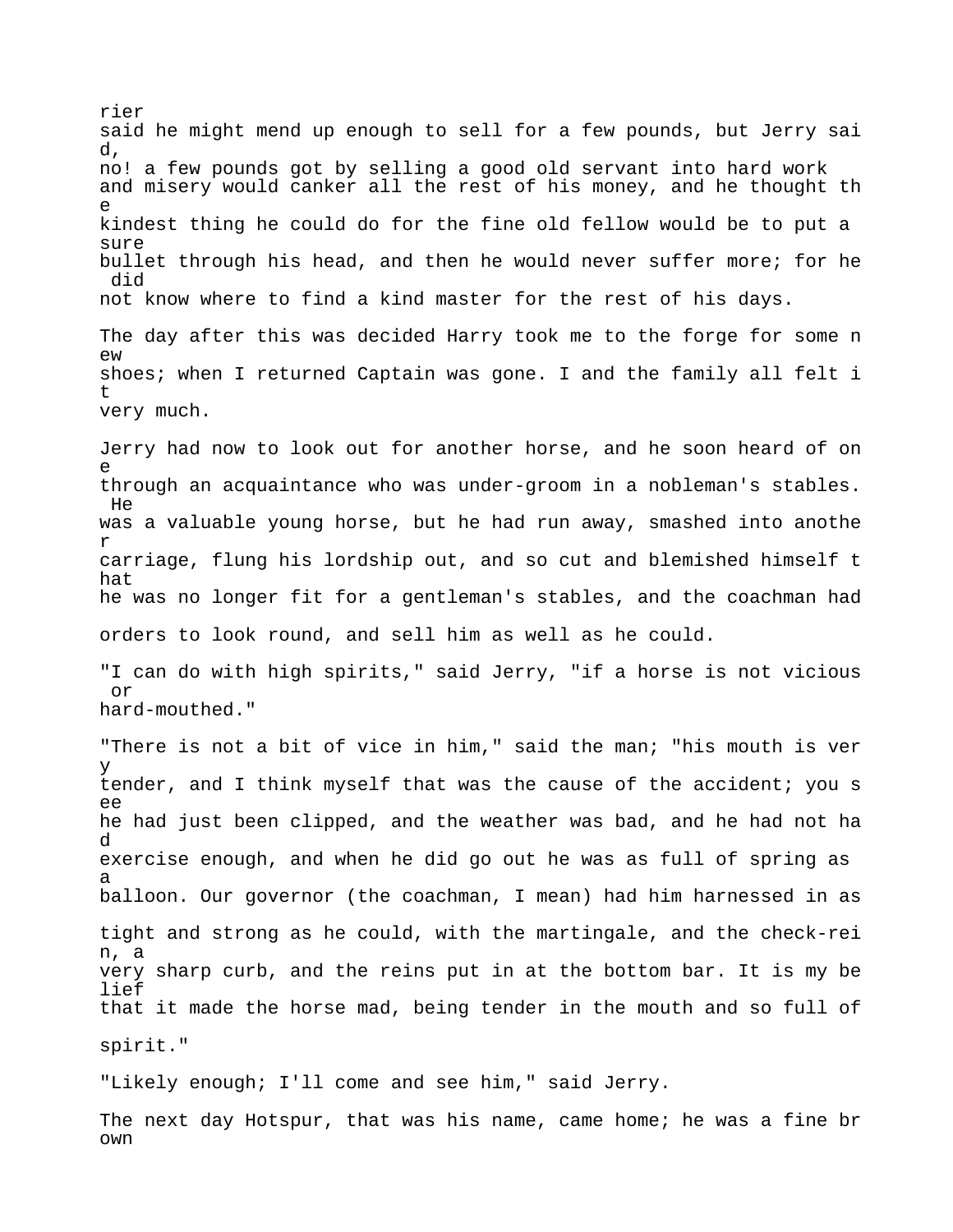rier said he might mend up enough to sell for a few pounds, but Jerry sai d, no! a few pounds got by selling a good old servant into hard work and misery would canker all the rest of his money, and he thought th e kindest thing he could do for the fine old fellow would be to put a sure bullet through his head, and then he would never suffer more; for he did not know where to find a kind master for the rest of his days. The day after this was decided Harry took me to the forge for some n ew shoes; when I returned Captain was gone. I and the family all felt i t very much. Jerry had now to look out for another horse, and he soon heard of on e through an acquaintance who was under-groom in a nobleman's stables. He was a valuable young horse, but he had run away, smashed into anothe r carriage, flung his lordship out, and so cut and blemished himself t hat he was no longer fit for a gentleman's stables, and the coachman had orders to look round, and sell him as well as he could. "I can do with high spirits," said Jerry, "if a horse is not vicious or hard-mouthed." "There is not a bit of vice in him," said the man; "his mouth is ver y tender, and I think myself that was the cause of the accident; you s ee he had just been clipped, and the weather was bad, and he had not ha d exercise enough, and when he did go out he was as full of spring as a balloon. Our governor (the coachman, I mean) had him harnessed in as tight and strong as he could, with the martingale, and the check-rei n, a very sharp curb, and the reins put in at the bottom bar. It is my be lief that it made the horse mad, being tender in the mouth and so full of spirit." "Likely enough; I'll come and see him," said Jerry. The next day Hotspur, that was his name, came home; he was a fine br

own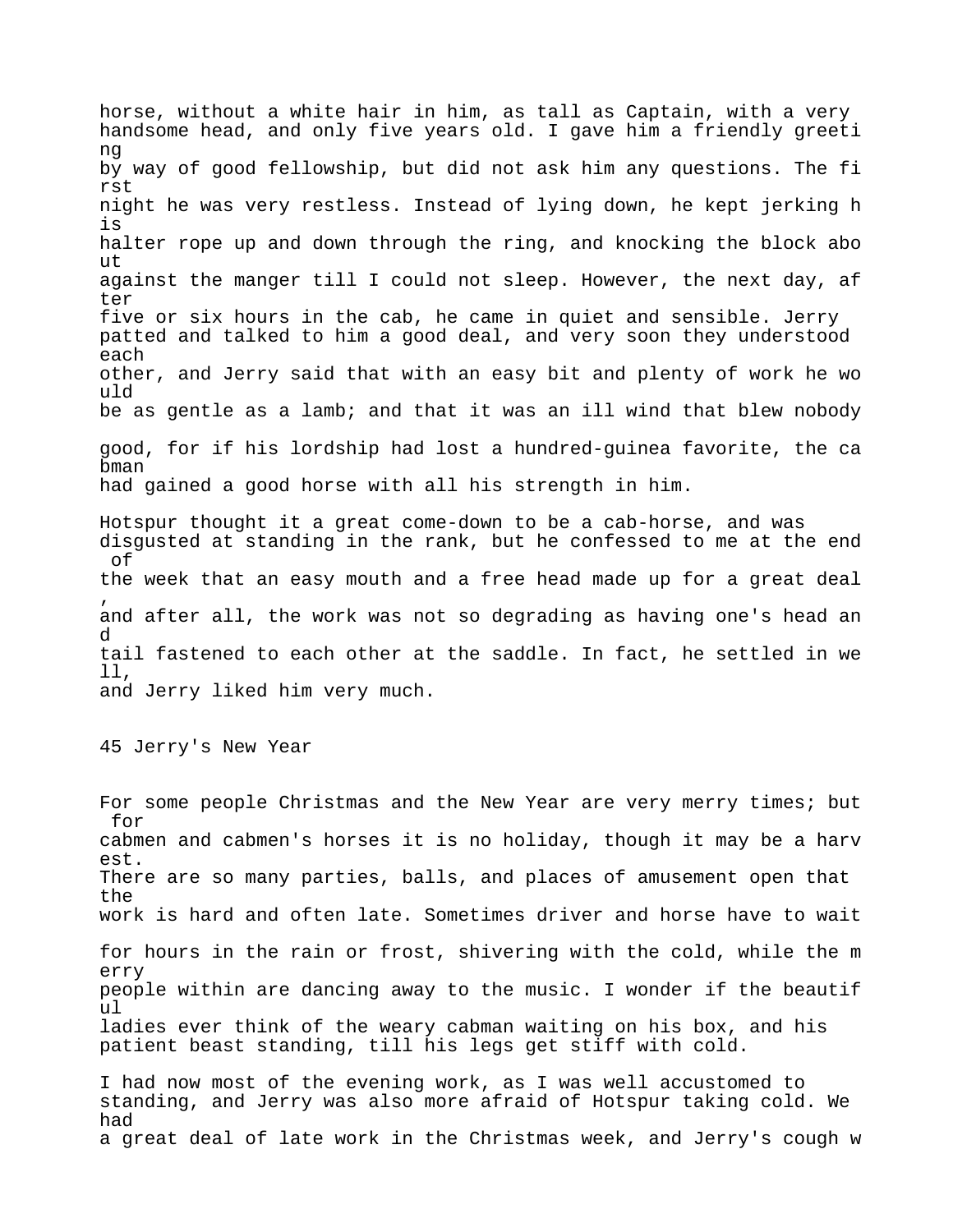horse, without a white hair in him, as tall as Captain, with a very handsome head, and only five years old. I gave him a friendly greeti ng by way of good fellowship, but did not ask him any questions. The fi rst night he was very restless. Instead of lying down, he kept jerking h is halter rope up and down through the ring, and knocking the block abo ut against the manger till I could not sleep. However, the next day, af ter five or six hours in the cab, he came in quiet and sensible. Jerry patted and talked to him a good deal, and very soon they understood each other, and Jerry said that with an easy bit and plenty of work he wo uld be as gentle as a lamb; and that it was an ill wind that blew nobody good, for if his lordship had lost a hundred-guinea favorite, the ca bman had gained a good horse with all his strength in him. Hotspur thought it a great come-down to be a cab-horse, and was disgusted at standing in the rank, but he confessed to me at the end of the week that an easy mouth and a free head made up for a great deal , and after all, the work was not so degrading as having one's head an d tail fastened to each other at the saddle. In fact, he settled in we ll, and Jerry liked him very much. 45 Jerry's New Year For some people Christmas and the New Year are very merry times; but for cabmen and cabmen's horses it is no holiday, though it may be a harv est. There are so many parties, balls, and places of amusement open that the work is hard and often late. Sometimes driver and horse have to wait for hours in the rain or frost, shivering with the cold, while the m erry people within are dancing away to the music. I wonder if the beautif ul ladies ever think of the weary cabman waiting on his box, and his patient beast standing, till his legs get stiff with cold. I had now most of the evening work, as I was well accustomed to

standing, and Jerry was also more afraid of Hotspur taking cold. We had a great deal of late work in the Christmas week, and Jerry's cough w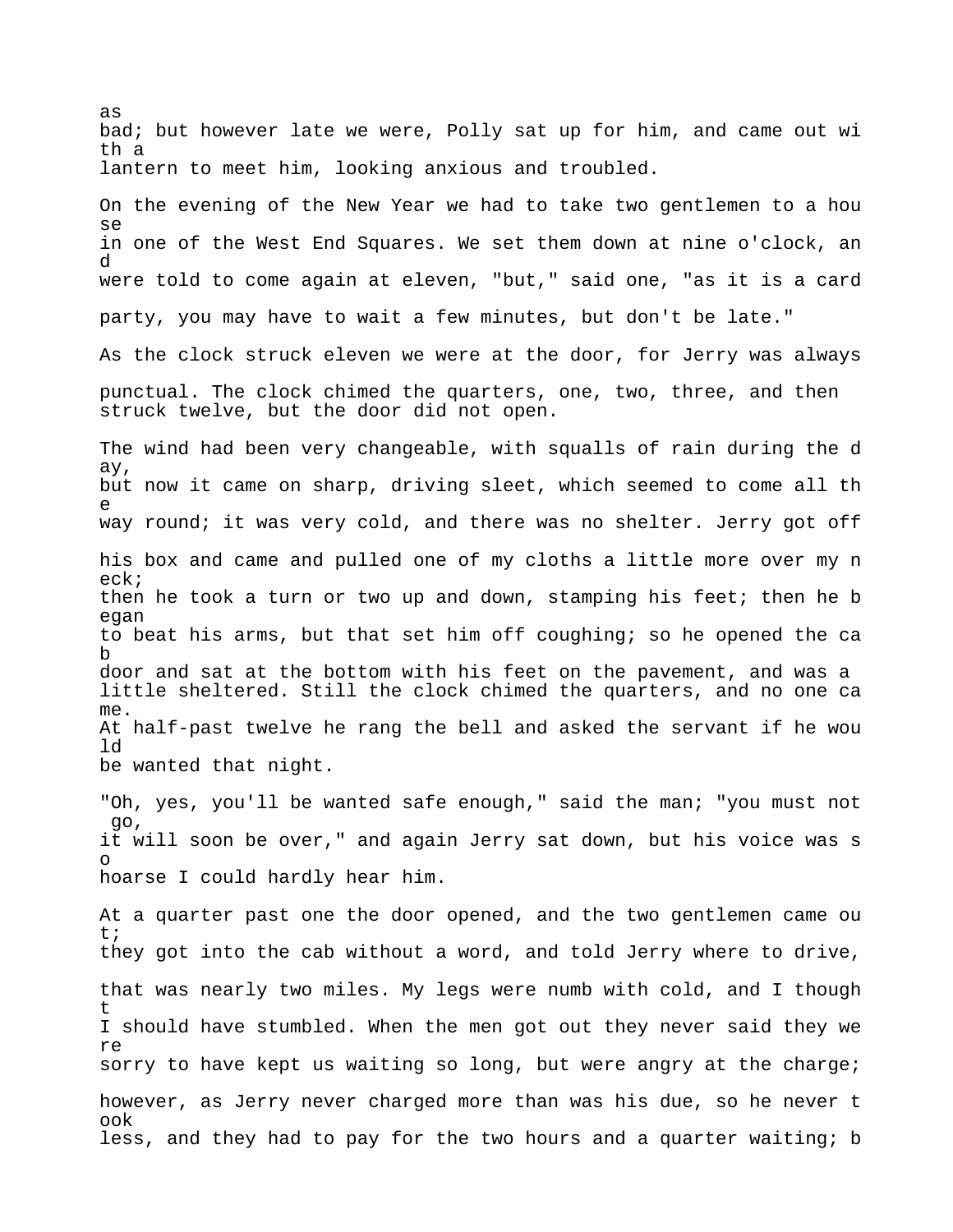as bad; but however late we were, Polly sat up for him, and came out wi th a lantern to meet him, looking anxious and troubled. On the evening of the New Year we had to take two gentlemen to a hou se in one of the West End Squares. We set them down at nine o'clock, an d were told to come again at eleven, "but," said one, "as it is a card party, you may have to wait a few minutes, but don't be late." As the clock struck eleven we were at the door, for Jerry was always punctual. The clock chimed the quarters, one, two, three, and then struck twelve, but the door did not open. The wind had been very changeable, with squalls of rain during the d ay, but now it came on sharp, driving sleet, which seemed to come all th e way round; it was very cold, and there was no shelter. Jerry got off his box and came and pulled one of my cloths a little more over my n eck; then he took a turn or two up and down, stamping his feet; then he b egan to beat his arms, but that set him off coughing; so he opened the ca b door and sat at the bottom with his feet on the pavement, and was a little sheltered. Still the clock chimed the quarters, and no one ca me. At half-past twelve he rang the bell and asked the servant if he wou ld be wanted that night. "Oh, yes, you'll be wanted safe enough," said the man; "you must not go, it will soon be over," and again Jerry sat down, but his voice was s o hoarse I could hardly hear him. At a quarter past one the door opened, and the two gentlemen came ou t; they got into the cab without a word, and told Jerry where to drive, that was nearly two miles. My legs were numb with cold, and I though t I should have stumbled. When the men got out they never said they we re sorry to have kept us waiting so long, but were angry at the charge; however, as Jerry never charged more than was his due, so he never t ook

less, and they had to pay for the two hours and a quarter waiting; b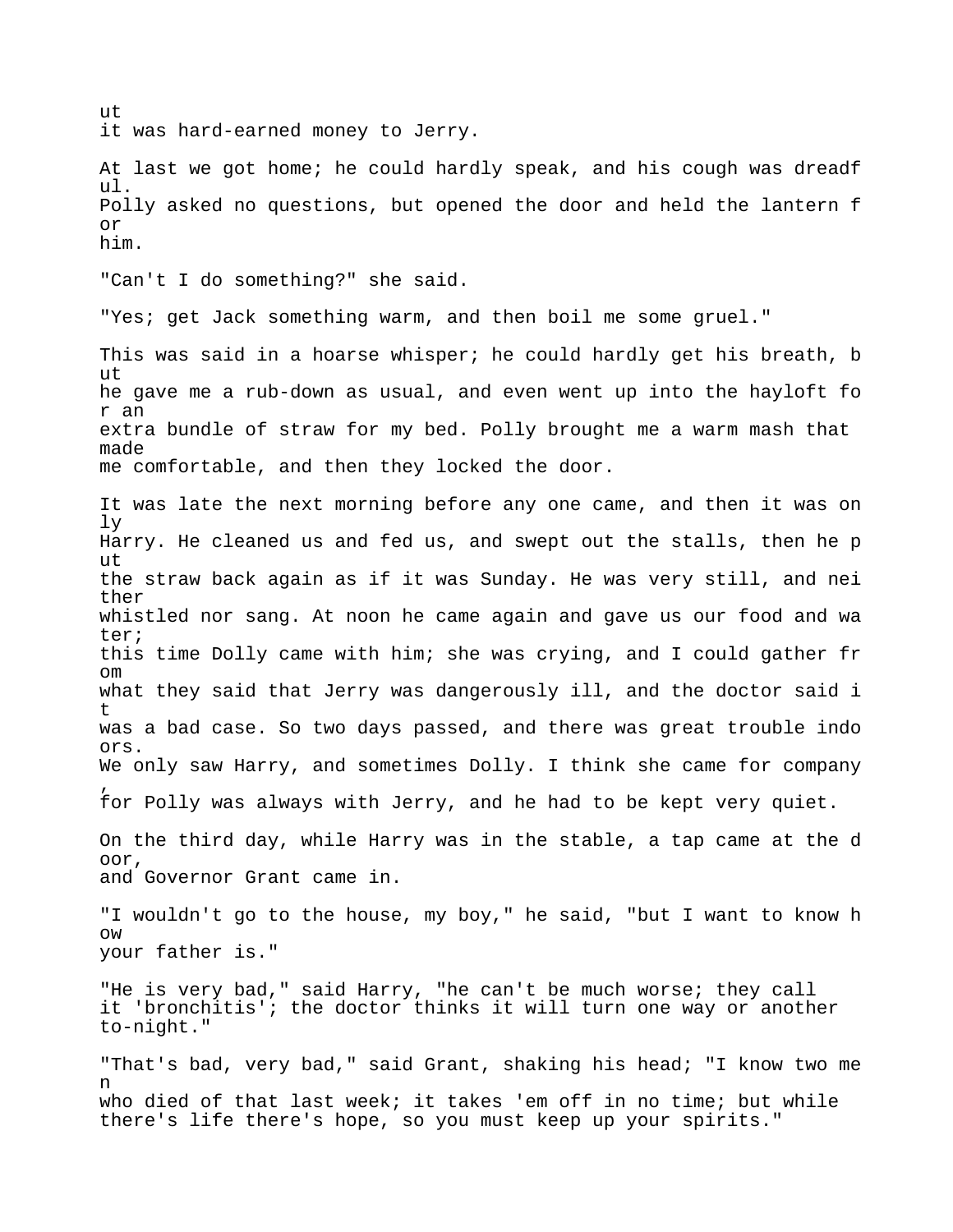ut it was hard-earned money to Jerry. At last we got home; he could hardly speak, and his cough was dreadf ul. Polly asked no questions, but opened the door and held the lantern f or him. "Can't I do something?" she said. "Yes; get Jack something warm, and then boil me some gruel." This was said in a hoarse whisper; he could hardly get his breath, b ut he gave me a rub-down as usual, and even went up into the hayloft fo r an extra bundle of straw for my bed. Polly brought me a warm mash that made me comfortable, and then they locked the door. It was late the next morning before any one came, and then it was on ly Harry. He cleaned us and fed us, and swept out the stalls, then he p ut the straw back again as if it was Sunday. He was very still, and nei ther whistled nor sang. At noon he came again and gave us our food and wa ter; this time Dolly came with him; she was crying, and I could gather fr om what they said that Jerry was dangerously ill, and the doctor said i t was a bad case. So two days passed, and there was great trouble indo ors. We only saw Harry, and sometimes Dolly. I think she came for company , for Polly was always with Jerry, and he had to be kept very quiet. On the third day, while Harry was in the stable, a tap came at the d oor, and Governor Grant came in. "I wouldn't go to the house, my boy," he said, "but I want to know h ow your father is." "He is very bad," said Harry, "he can't be much worse; they call it 'bronchitis'; the doctor thinks it will turn one way or another to-night." "That's bad, very bad," said Grant, shaking his head; "I know two me n who died of that last week; it takes 'em off in no time; but while there's life there's hope, so you must keep up your spirits."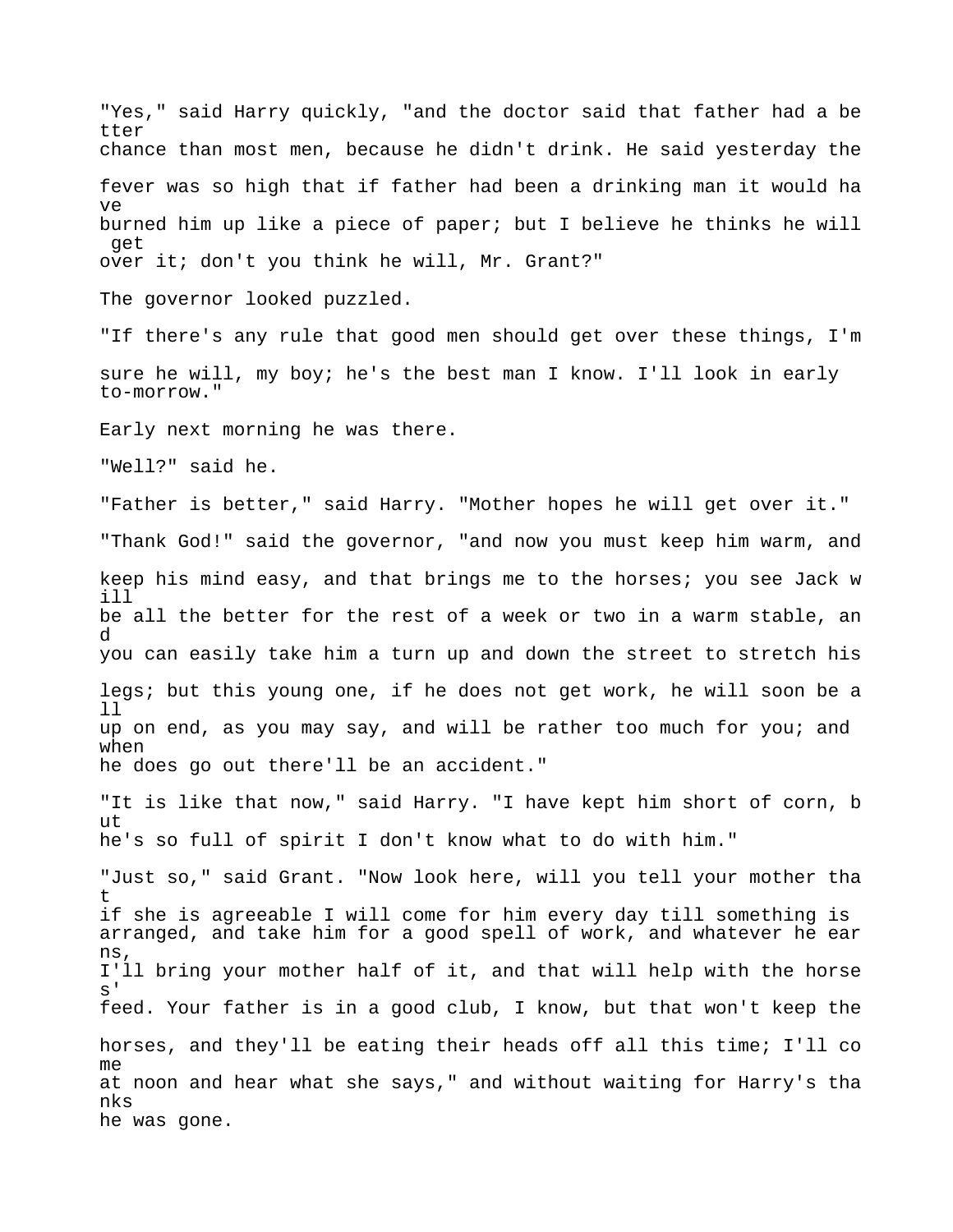"Yes," said Harry quickly, "and the doctor said that father had a be tter chance than most men, because he didn't drink. He said yesterday the fever was so high that if father had been a drinking man it would ha ve burned him up like a piece of paper; but I believe he thinks he will get over it; don't you think he will, Mr. Grant?" The governor looked puzzled. "If there's any rule that good men should get over these things, I'm sure he will, my boy; he's the best man I know. I'll look in early to-morrow." Early next morning he was there. "Well?" said he. "Father is better," said Harry. "Mother hopes he will get over it." "Thank God!" said the governor, "and now you must keep him warm, and keep his mind easy, and that brings me to the horses; you see Jack w ill be all the better for the rest of a week or two in a warm stable, an d you can easily take him a turn up and down the street to stretch his legs; but this young one, if he does not get work, he will soon be a ll up on end, as you may say, and will be rather too much for you; and when he does go out there'll be an accident." "It is like that now," said Harry. "I have kept him short of corn, b ut he's so full of spirit I don't know what to do with him." "Just so," said Grant. "Now look here, will you tell your mother tha t if she is agreeable I will come for him every day till something is arranged, and take him for a good spell of work, and whatever he ear ns, I'll bring your mother half of it, and that will help with the horse  $\alpha$ ' feed. Your father is in a good club, I know, but that won't keep the horses, and they'll be eating their heads off all this time; I'll co me at noon and hear what she says," and without waiting for Harry's tha nks he was gone.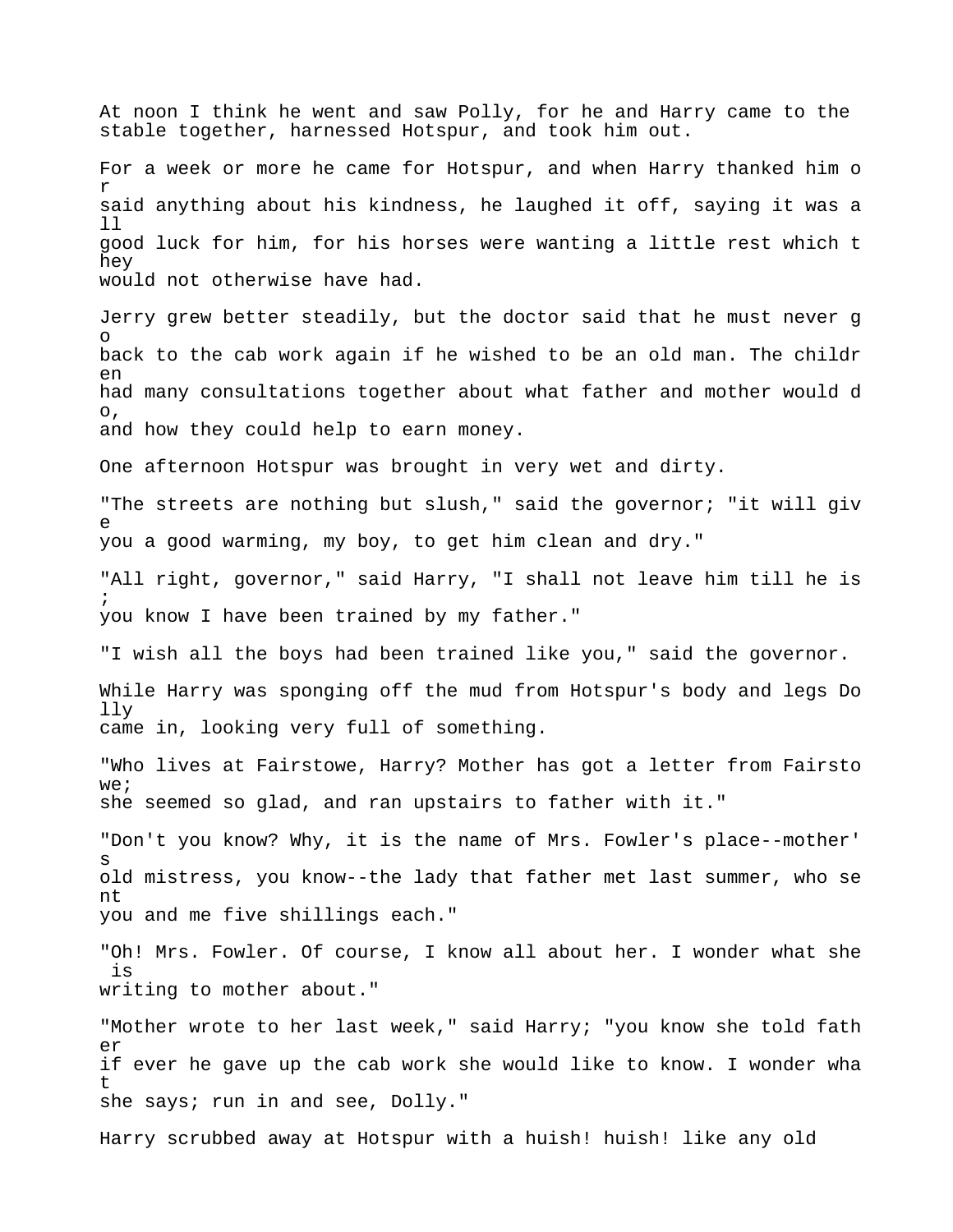At noon I think he went and saw Polly, for he and Harry came to the stable together, harnessed Hotspur, and took him out. For a week or more he came for Hotspur, and when Harry thanked him o r said anything about his kindness, he laughed it off, saying it was a ll good luck for him, for his horses were wanting a little rest which t hey would not otherwise have had. Jerry grew better steadily, but the doctor said that he must never g o back to the cab work again if he wished to be an old man. The childr  $\rho$ n had many consultations together about what father and mother would d o, and how they could help to earn money. One afternoon Hotspur was brought in very wet and dirty. "The streets are nothing but slush," said the governor; "it will giv e you a good warming, my boy, to get him clean and dry." "All right, governor," said Harry, "I shall not leave him till he is ; you know I have been trained by my father." "I wish all the boys had been trained like you," said the governor. While Harry was sponging off the mud from Hotspur's body and legs Do lly came in, looking very full of something. "Who lives at Fairstowe, Harry? Mother has got a letter from Fairsto  $W \ominus$ ; she seemed so glad, and ran upstairs to father with it." "Don't you know? Why, it is the name of Mrs. Fowler's place--mother' s old mistress, you know--the lady that father met last summer, who se nt you and me five shillings each." "Oh! Mrs. Fowler. Of course, I know all about her. I wonder what she is writing to mother about." "Mother wrote to her last week," said Harry; "you know she told fath er if ever he gave up the cab work she would like to know. I wonder wha t she says; run in and see, Dolly." Harry scrubbed away at Hotspur with a huish! huish! like any old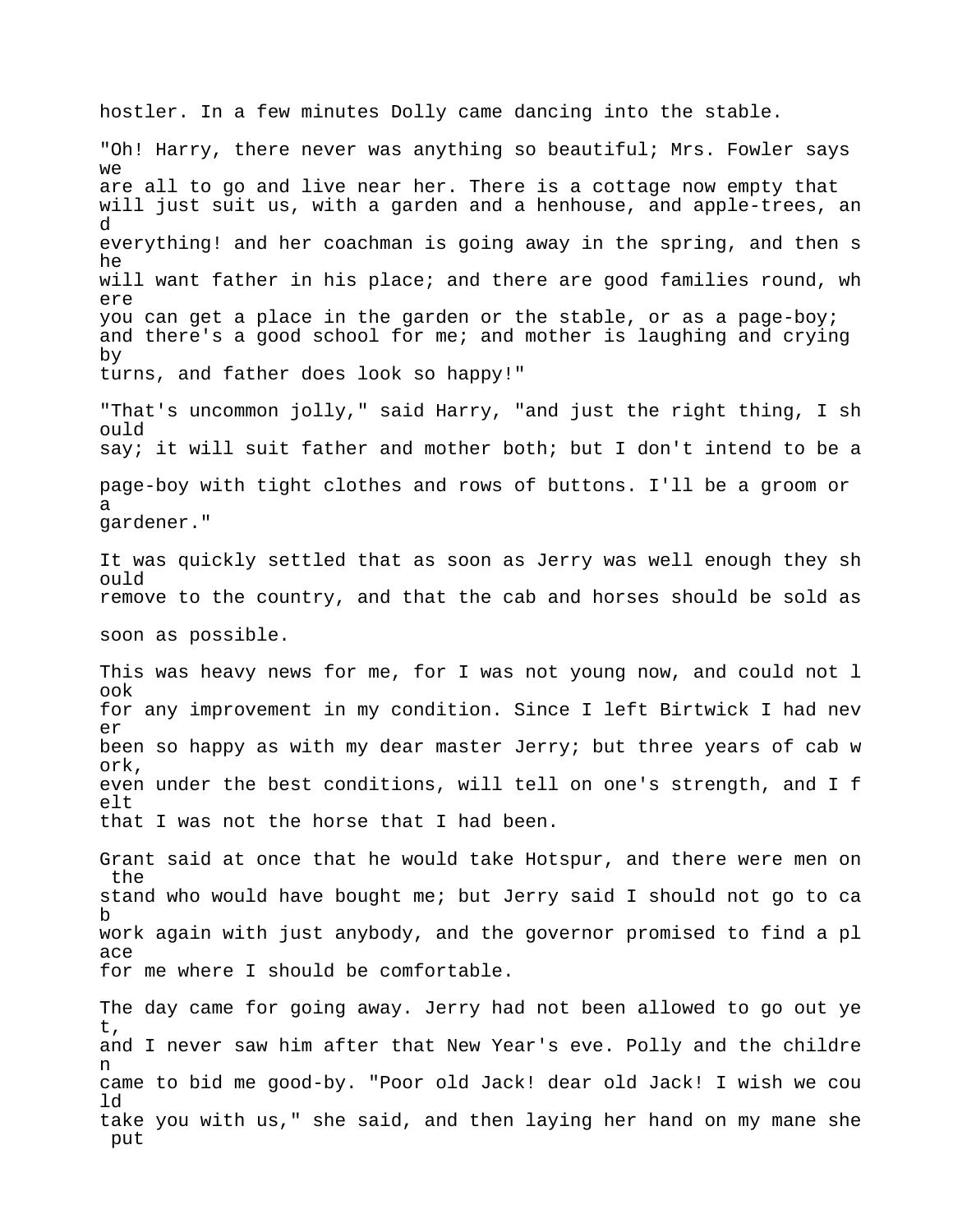hostler. In a few minutes Dolly came dancing into the stable.

"Oh! Harry, there never was anything so beautiful; Mrs. Fowler says  $W \ominus$ are all to go and live near her. There is a cottage now empty that will just suit us, with a garden and a henhouse, and apple-trees, an d everything! and her coachman is going away in the spring, and then s he will want father in his place; and there are good families round, wh ere you can get a place in the garden or the stable, or as a page-boy; and there's a good school for me; and mother is laughing and crying by turns, and father does look so happy!"

"That's uncommon jolly," said Harry, "and just the right thing, I sh ould say; it will suit father and mother both; but I don't intend to be a page-boy with tight clothes and rows of buttons. I'll be a groom or a gardener."

It was quickly settled that as soon as Jerry was well enough they sh ould remove to the country, and that the cab and horses should be sold as

soon as possible.

This was heavy news for me, for I was not young now, and could not l ook for any improvement in my condition. Since I left Birtwick I had nev er been so happy as with my dear master Jerry; but three years of cab w ork, even under the best conditions, will tell on one's strength, and I f elt that I was not the horse that I had been.

Grant said at once that he would take Hotspur, and there were men on the stand who would have bought me; but Jerry said I should not go to ca b work again with just anybody, and the governor promised to find a pl ace for me where I should be comfortable.

The day came for going away. Jerry had not been allowed to go out ye t, and I never saw him after that New Year's eve. Polly and the childre n came to bid me good-by. "Poor old Jack! dear old Jack! I wish we cou ld take you with us," she said, and then laying her hand on my mane she put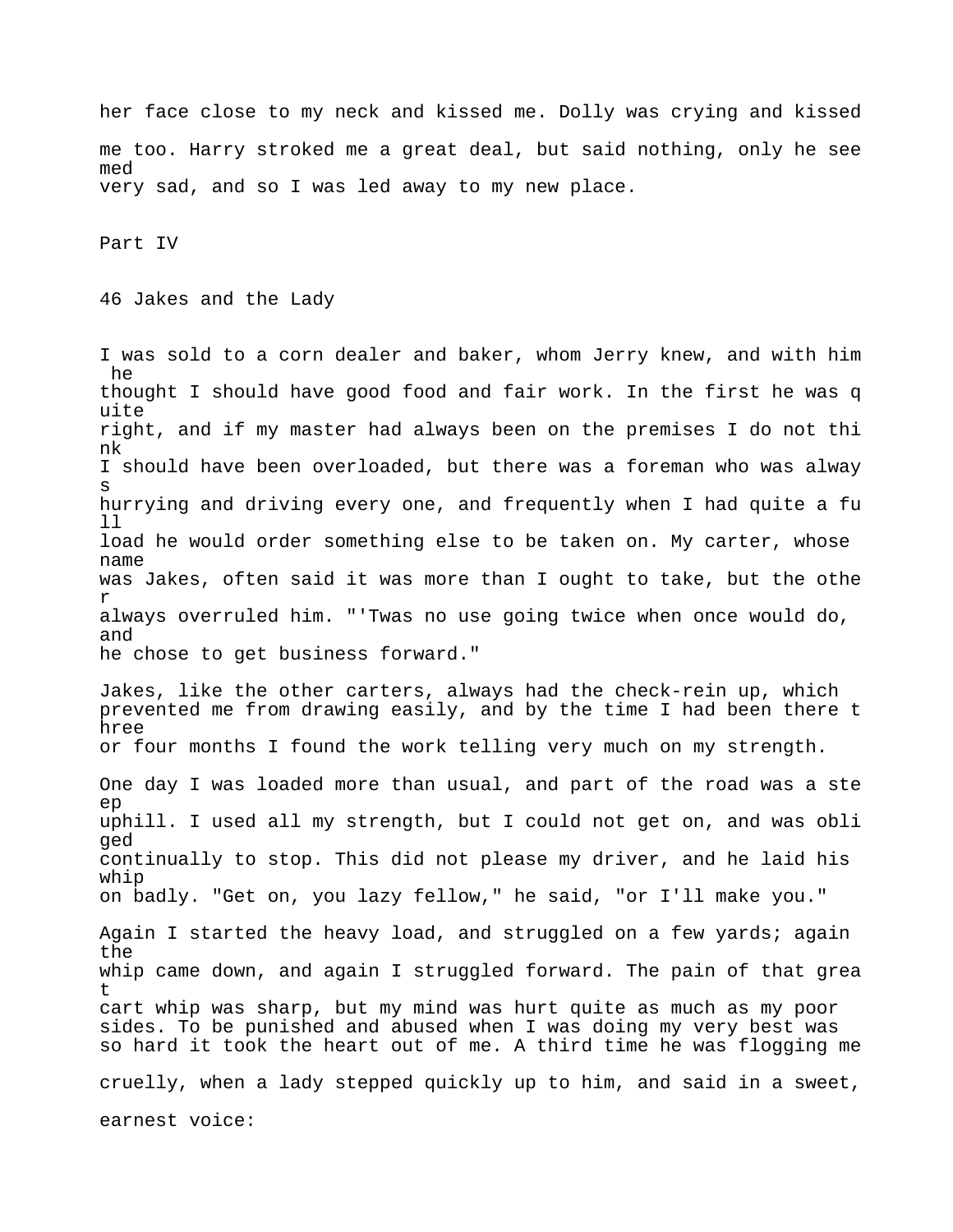her face close to my neck and kissed me. Dolly was crying and kissed me too. Harry stroked me a great deal, but said nothing, only he see med very sad, and so I was led away to my new place.

Part IV

46 Jakes and the Lady

I was sold to a corn dealer and baker, whom Jerry knew, and with him he thought I should have good food and fair work. In the first he was q uite right, and if my master had always been on the premises I do not thi nk I should have been overloaded, but there was a foreman who was alway s hurrying and driving every one, and frequently when I had quite a fu ll load he would order something else to be taken on. My carter, whose name was Jakes, often said it was more than I ought to take, but the othe r always overruled him. "'Twas no use going twice when once would do, and he chose to get business forward."

Jakes, like the other carters, always had the check-rein up, which prevented me from drawing easily, and by the time I had been there t hree or four months I found the work telling very much on my strength.

One day I was loaded more than usual, and part of the road was a ste ep uphill. I used all my strength, but I could not get on, and was obli ged continually to stop. This did not please my driver, and he laid his whip on badly. "Get on, you lazy fellow," he said, "or I'll make you."

Again I started the heavy load, and struggled on a few yards; again the whip came down, and again I struggled forward. The pain of that grea t cart whip was sharp, but my mind was hurt quite as much as my poor sides. To be punished and abused when I was doing my very best was so hard it took the heart out of me. A third time he was flogging me

cruelly, when a lady stepped quickly up to him, and said in a sweet,

earnest voice: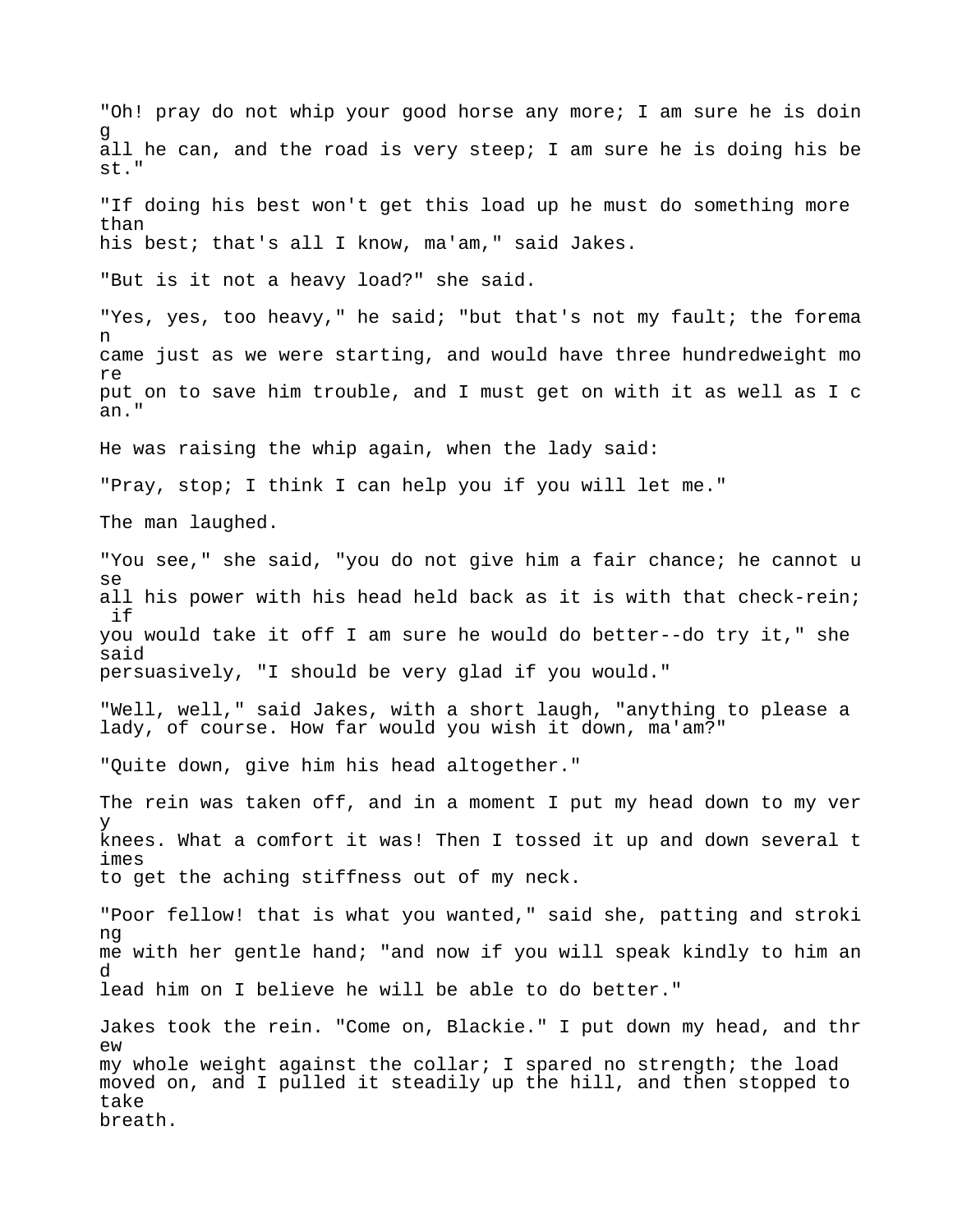"Oh! pray do not whip your good horse any more; I am sure he is doin g all he can, and the road is very steep; I am sure he is doing his be st." "If doing his best won't get this load up he must do something more than his best; that's all I know, ma'am," said Jakes. "But is it not a heavy load?" she said. "Yes, yes, too heavy," he said; "but that's not my fault; the forema n came just as we were starting, and would have three hundredweight mo re put on to save him trouble, and I must get on with it as well as I c an." He was raising the whip again, when the lady said: "Pray, stop; I think I can help you if you will let me." The man laughed. "You see," she said, "you do not give him a fair chance; he cannot u se all his power with his head held back as it is with that check-rein; if you would take it off I am sure he would do better--do try it," she said persuasively, "I should be very glad if you would." "Well, well," said Jakes, with a short laugh, "anything to please a lady, of course. How far would you wish it down, ma'am?" "Quite down, give him his head altogether." The rein was taken off, and in a moment I put my head down to my ver y knees. What a comfort it was! Then I tossed it up and down several t imes to get the aching stiffness out of my neck. "Poor fellow! that is what you wanted," said she, patting and stroki ng me with her gentle hand; "and now if you will speak kindly to him an d lead him on I believe he will be able to do better." Jakes took the rein. "Come on, Blackie." I put down my head, and thr ew my whole weight against the collar; I spared no strength; the load moved on, and I pulled it steadily up the hill, and then stopped to take breath.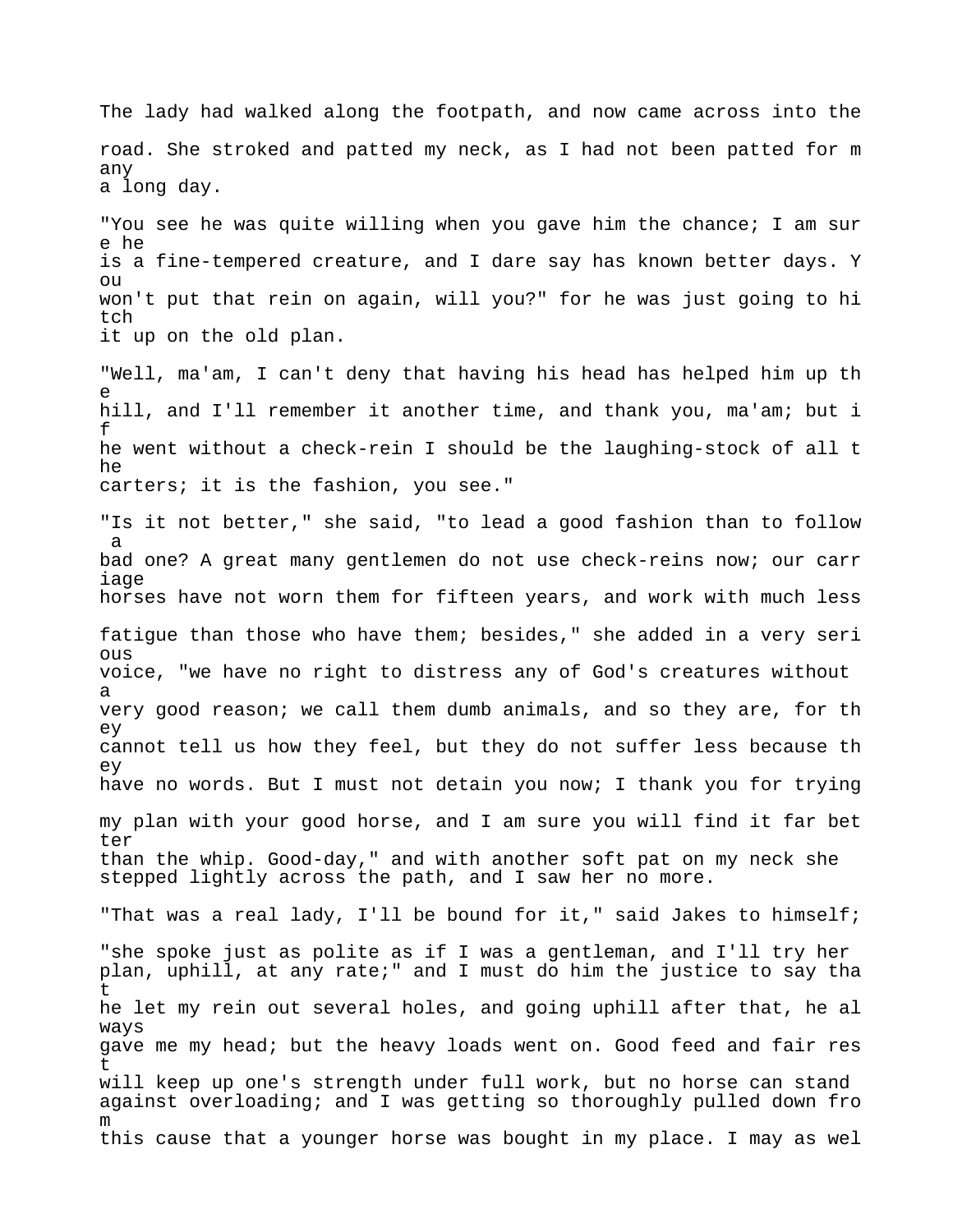The lady had walked along the footpath, and now came across into the road. She stroked and patted my neck, as I had not been patted for m any a long day.

"You see he was quite willing when you gave him the chance; I am sur e he is a fine-tempered creature, and I dare say has known better days. Y ou won't put that rein on again, will you?" for he was just going to hi tch it up on the old plan.

"Well, ma'am, I can't deny that having his head has helped him up th e hill, and I'll remember it another time, and thank you, ma'am; but i f he went without a check-rein I should be the laughing-stock of all t he carters; it is the fashion, you see."

"Is it not better," she said, "to lead a good fashion than to follow a bad one? A great many gentlemen do not use check-reins now; our carr iage horses have not worn them for fifteen years, and work with much less fatigue than those who have them; besides," she added in a very seri ous voice, "we have no right to distress any of God's creatures without a

very good reason; we call them dumb animals, and so they are, for th ey cannot tell us how they feel, but they do not suffer less because th ey have no words. But I must not detain you now; I thank you for trying my plan with your good horse, and I am sure you will find it far bet ter

than the whip. Good-day," and with another soft pat on my neck she stepped lightly across the path, and I saw her no more.

"That was a real lady, I'll be bound for it," said Jakes to himself;

"she spoke just as polite as if I was a gentleman, and I'll try her plan, uphill, at any rate;" and I must do him the justice to say tha  $\ddot{}$ he let my rein out several holes, and going uphill after that, he al ways gave me my head; but the heavy loads went on. Good feed and fair res t will keep up one's strength under full work, but no horse can stand against overloading; and I was getting so thoroughly pulled down fro m this cause that a younger horse was bought in my place. I may as wel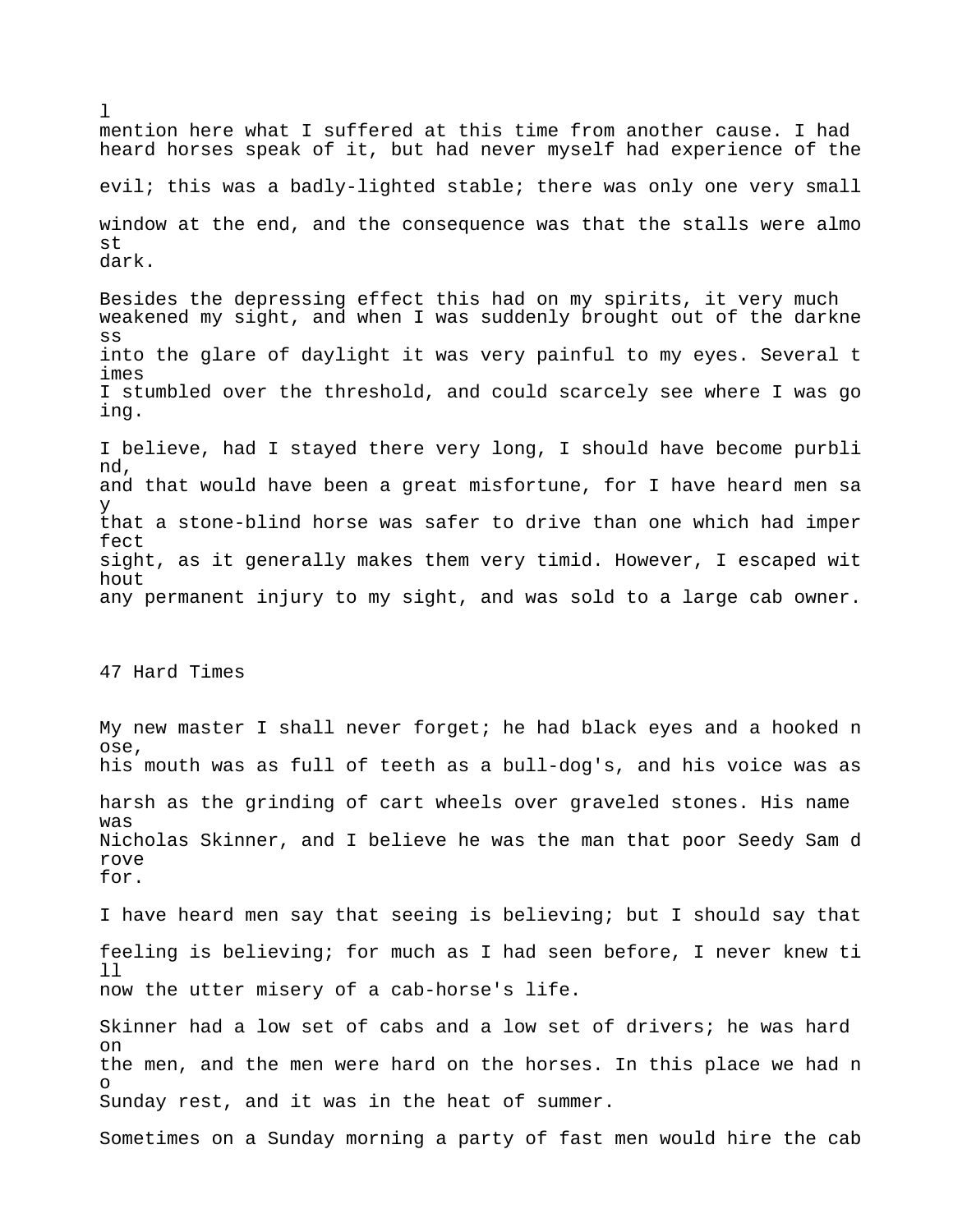mention here what I suffered at this time from another cause. I had heard horses speak of it, but had never myself had experience of the evil; this was a badly-lighted stable; there was only one very small window at the end, and the consequence was that the stalls were almo st dark. Besides the depressing effect this had on my spirits, it very much weakened my sight, and when I was suddenly brought out of the darkne ss into the glare of daylight it was very painful to my eyes. Several t imes I stumbled over the threshold, and could scarcely see where I was go ing. I believe, had I stayed there very long, I should have become purbli nd, and that would have been a great misfortune, for I have heard men sa y that a stone-blind horse was safer to drive than one which had imper fect sight, as it generally makes them very timid. However, I escaped wit hout any permanent injury to my sight, and was sold to a large cab owner. 47 Hard Times My new master I shall never forget; he had black eyes and a hooked n ose, his mouth was as full of teeth as a bull-dog's, and his voice was as harsh as the grinding of cart wheels over graveled stones. His name was Nicholas Skinner, and I believe he was the man that poor Seedy Sam d rove for. I have heard men say that seeing is believing; but I should say that feeling is believing; for much as I had seen before, I never knew ti ll now the utter misery of a cab-horse's life. Skinner had a low set of cabs and a low set of drivers; he was hard on the men, and the men were hard on the horses. In this place we had n o

Sunday rest, and it was in the heat of summer.

 $\mathbf{1}$ 

Sometimes on a Sunday morning a party of fast men would hire the cab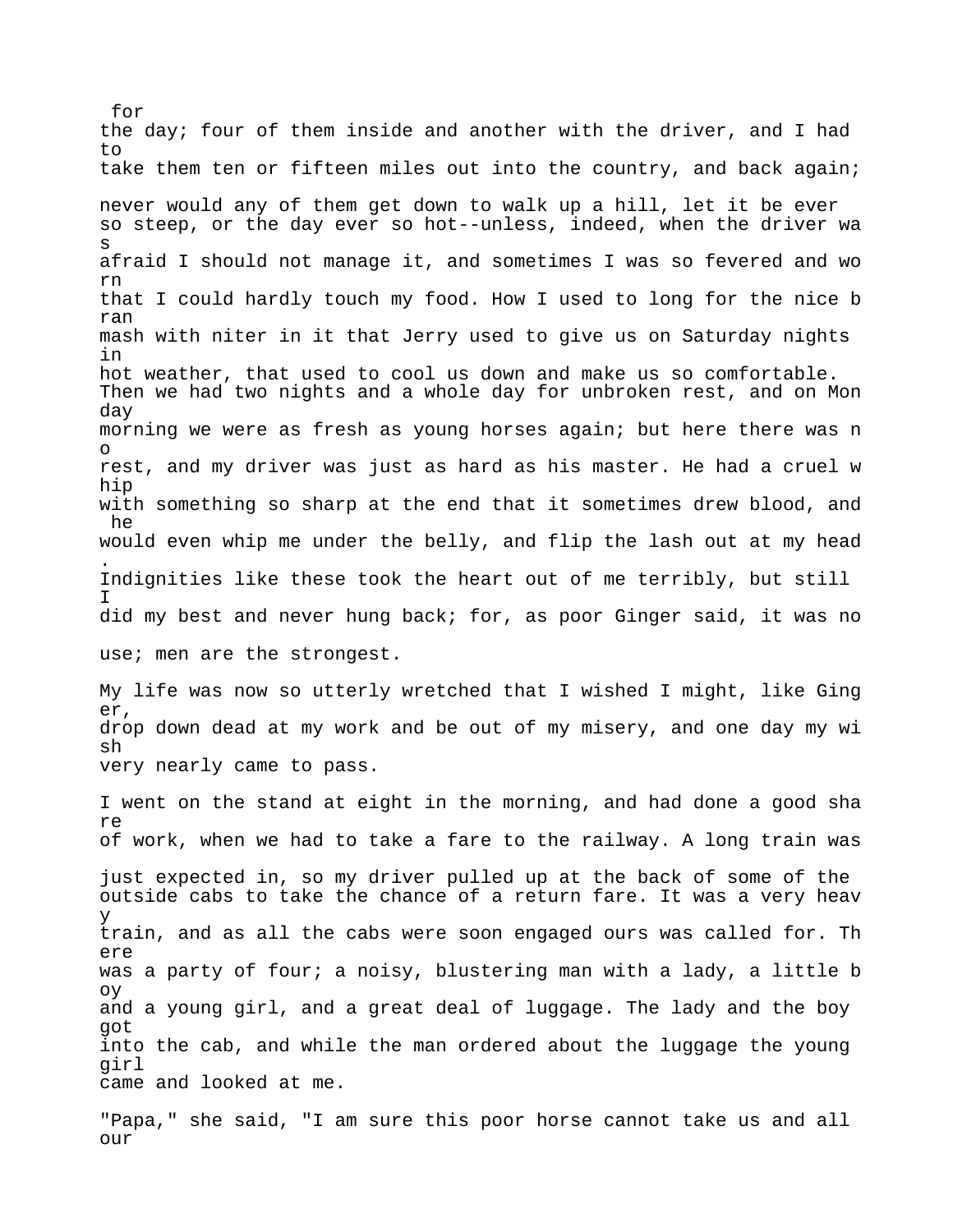for the day; four of them inside and another with the driver, and I had  $t \circ$ take them ten or fifteen miles out into the country, and back again; never would any of them get down to walk up a hill, let it be ever so steep, or the day ever so hot--unless, indeed, when the driver wa s afraid I should not manage it, and sometimes I was so fevered and wo rn that I could hardly touch my food. How I used to long for the nice b ran mash with niter in it that Jerry used to give us on Saturday nights in hot weather, that used to cool us down and make us so comfortable. Then we had two nights and a whole day for unbroken rest, and on Mon day morning we were as fresh as young horses again; but here there was n o rest, and my driver was just as hard as his master. He had a cruel w hip with something so sharp at the end that it sometimes drew blood, and he would even whip me under the belly, and flip the lash out at my head . Indignities like these took the heart out of me terribly, but still I did my best and never hung back; for, as poor Ginger said, it was no use; men are the strongest. My life was now so utterly wretched that I wished I might, like Ging er, drop down dead at my work and be out of my misery, and one day my wi sh very nearly came to pass. I went on the stand at eight in the morning, and had done a good sha re of work, when we had to take a fare to the railway. A long train was just expected in, so my driver pulled up at the back of some of the outside cabs to take the chance of a return fare. It was a very heav y train, and as all the cabs were soon engaged ours was called for. Th ere was a party of four; a noisy, blustering man with a lady, a little b oy and a young girl, and a great deal of luggage. The lady and the boy got into the cab, and while the man ordered about the luggage the young girl came and looked at me.

"Papa," she said, "I am sure this poor horse cannot take us and all our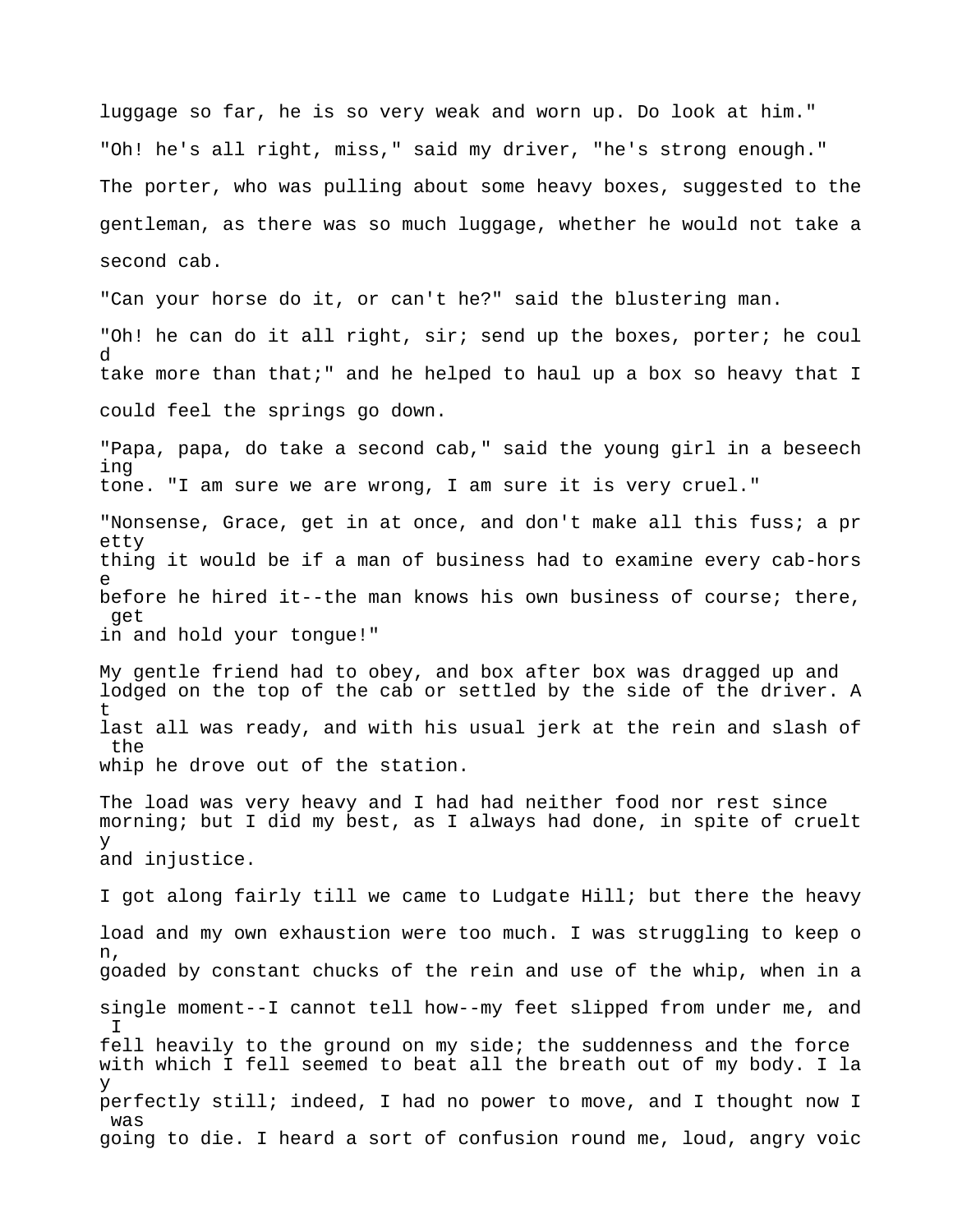luggage so far, he is so very weak and worn up. Do look at him." "Oh! he's all right, miss," said my driver, "he's strong enough." The porter, who was pulling about some heavy boxes, suggested to the gentleman, as there was so much luggage, whether he would not take a second cab.

"Can your horse do it, or can't he?" said the blustering man.

"Oh! he can do it all right, sir; send up the boxes, porter; he coul d take more than that;" and he helped to haul up a box so heavy that I could feel the springs go down.

"Papa, papa, do take a second cab," said the young girl in a beseech ing tone. "I am sure we are wrong, I am sure it is very cruel."

"Nonsense, Grace, get in at once, and don't make all this fuss; a pr etty thing it would be if a man of business had to examine every cab-hors e before he hired it--the man knows his own business of course; there, get in and hold your tongue!"

My gentle friend had to obey, and box after box was dragged up and lodged on the top of the cab or settled by the side of the driver. A t last all was ready, and with his usual jerk at the rein and slash of the whip he drove out of the station.

The load was very heavy and I had had neither food nor rest since morning; but I did my best, as I always had done, in spite of cruelt y and injustice.

I got along fairly till we came to Ludgate Hill; but there the heavy load and my own exhaustion were too much. I was struggling to keep o n, goaded by constant chucks of the rein and use of the whip, when in a single moment--I cannot tell how--my feet slipped from under me, and  $\mathsf{T}$ fell heavily to the ground on my side; the suddenness and the force with which I fell seemed to beat all the breath out of my body. I la y perfectly still; indeed, I had no power to move, and I thought now I was going to die. I heard a sort of confusion round me, loud, angry voic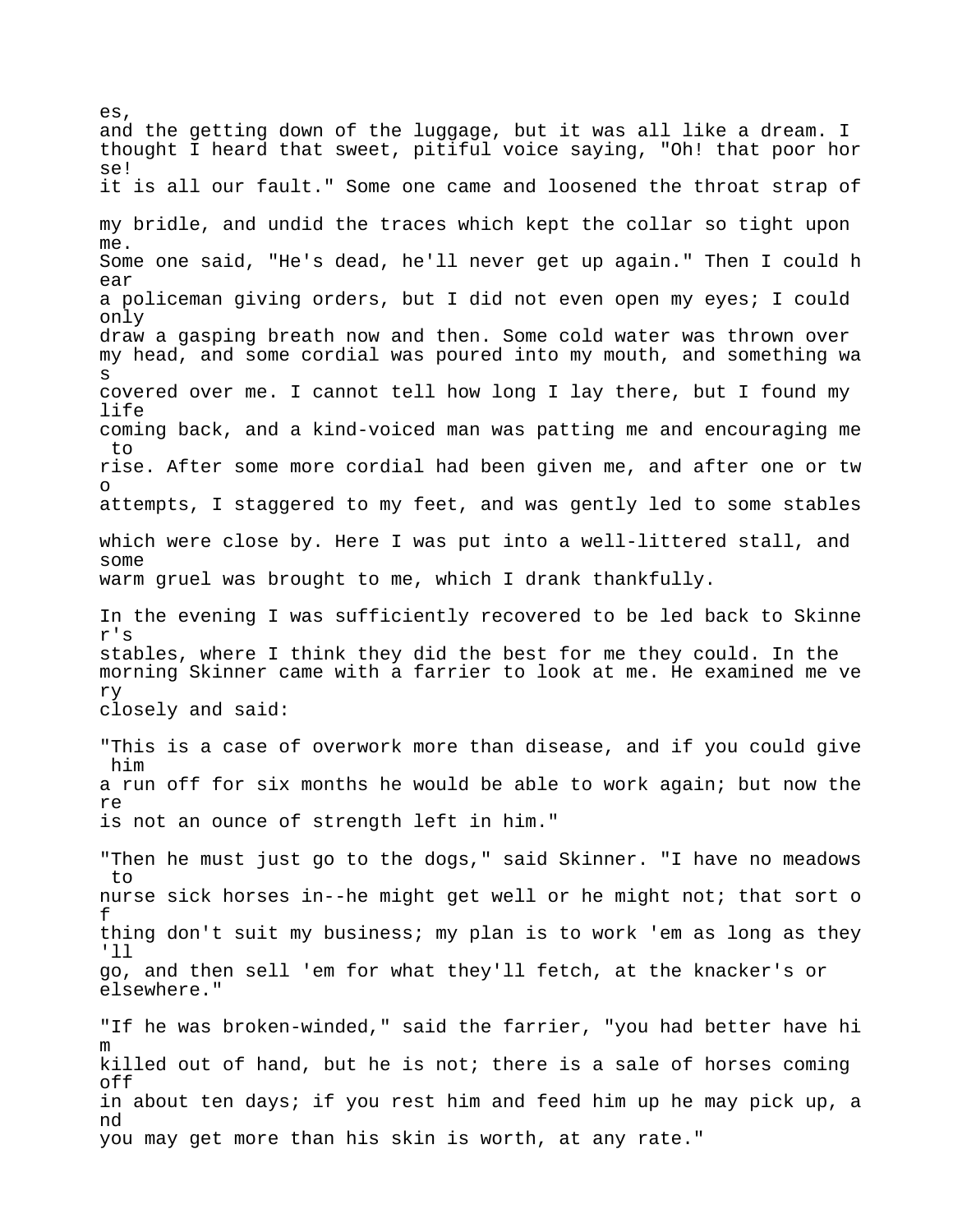and the getting down of the luggage, but it was all like a dream. I thought I heard that sweet, pitiful voice saying, "Oh! that poor hor se! it is all our fault." Some one came and loosened the throat strap of my bridle, and undid the traces which kept the collar so tight upon me. Some one said, "He's dead, he'll never get up again." Then I could h ear a policeman giving orders, but I did not even open my eyes; I could only draw a gasping breath now and then. Some cold water was thrown over my head, and some cordial was poured into my mouth, and something wa s covered over me. I cannot tell how long I lay there, but I found my life coming back, and a kind-voiced man was patting me and encouraging me to rise. After some more cordial had been given me, and after one or tw o attempts, I staggered to my feet, and was gently led to some stables which were close by. Here I was put into a well-littered stall, and some warm gruel was brought to me, which I drank thankfully. In the evening I was sufficiently recovered to be led back to Skinne r's stables, where I think they did the best for me they could. In the morning Skinner came with a farrier to look at me. He examined me ve ry closely and said: "This is a case of overwork more than disease, and if you could give him a run off for six months he would be able to work again; but now the re is not an ounce of strength left in him." "Then he must just go to the dogs," said Skinner. "I have no meadows to nurse sick horses in--he might get well or he might not; that sort o f thing don't suit my business; my plan is to work 'em as long as they 'll go, and then sell 'em for what they'll fetch, at the knacker's or elsewhere." "If he was broken-winded," said the farrier, "you had better have hi m killed out of hand, but he is not; there is a sale of horses coming off in about ten days; if you rest him and feed him up he may pick up, a nd you may get more than his skin is worth, at any rate."

es,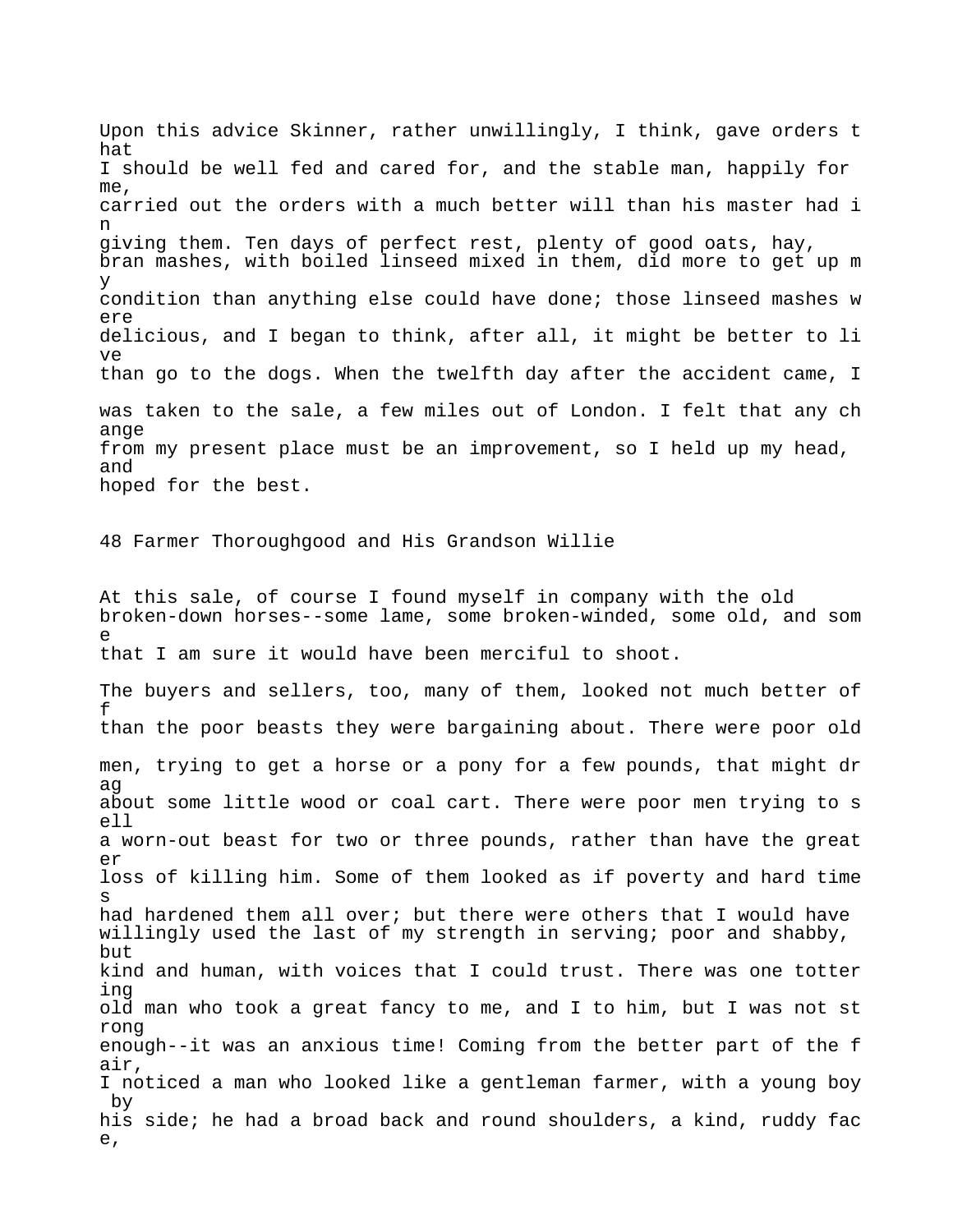Upon this advice Skinner, rather unwillingly, I think, gave orders t hat I should be well fed and cared for, and the stable man, happily for me, carried out the orders with a much better will than his master had i n giving them. Ten days of perfect rest, plenty of good oats, hay, bran mashes, with boiled linseed mixed in them, did more to get up m y condition than anything else could have done; those linseed mashes w ere delicious, and I began to think, after all, it might be better to li ve than go to the dogs. When the twelfth day after the accident came, I was taken to the sale, a few miles out of London. I felt that any ch ange from my present place must be an improvement, so I held up my head, and hoped for the best. 48 Farmer Thoroughgood and His Grandson Willie At this sale, of course I found myself in company with the old broken-down horses--some lame, some broken-winded, some old, and som e that I am sure it would have been merciful to shoot. The buyers and sellers, too, many of them, looked not much better of f than the poor beasts they were bargaining about. There were poor old men, trying to get a horse or a pony for a few pounds, that might dr ag about some little wood or coal cart. There were poor men trying to s ell a worn-out beast for two or three pounds, rather than have the great er loss of killing him. Some of them looked as if poverty and hard time s had hardened them all over; but there were others that I would have willingly used the last of my strength in serving; poor and shabby, but kind and human, with voices that I could trust. There was one totter ing old man who took a great fancy to me, and I to him, but I was not st rong enough--it was an anxious time! Coming from the better part of the f air, I noticed a man who looked like a gentleman farmer, with a young boy by his side; he had a broad back and round shoulders, a kind, ruddy fac e,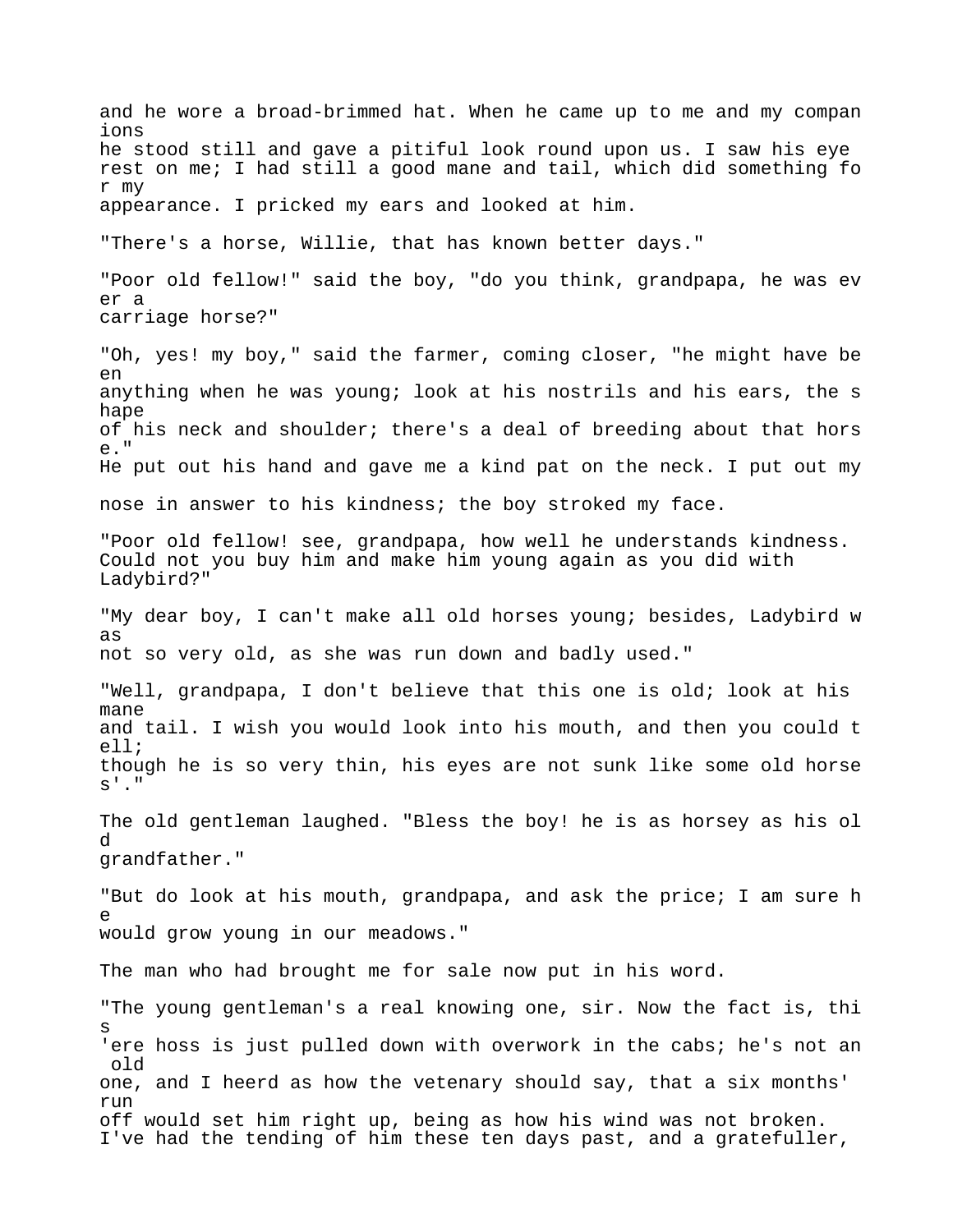and he wore a broad-brimmed hat. When he came up to me and my compan ions he stood still and gave a pitiful look round upon us. I saw his eye rest on me; I had still a good mane and tail, which did something fo r my appearance. I pricked my ears and looked at him. "There's a horse, Willie, that has known better days." "Poor old fellow!" said the boy, "do you think, grandpapa, he was ev er a carriage horse?" "Oh, yes! my boy," said the farmer, coming closer, "he might have be en anything when he was young; look at his nostrils and his ears, the s hape of his neck and shoulder; there's a deal of breeding about that hors e." He put out his hand and gave me a kind pat on the neck. I put out my nose in answer to his kindness; the boy stroked my face. "Poor old fellow! see, grandpapa, how well he understands kindness. Could not you buy him and make him young again as you did with Ladybird?" "My dear boy, I can't make all old horses young; besides, Ladybird w as not so very old, as she was run down and badly used." "Well, grandpapa, I don't believe that this one is old; look at his mane and tail. I wish you would look into his mouth, and then you could t ell; though he is so very thin, his eyes are not sunk like some old horse  $S^{\perp}$ ." The old gentleman laughed. "Bless the boy! he is as horsey as his ol d grandfather." "But do look at his mouth, grandpapa, and ask the price; I am sure h e would grow young in our meadows." The man who had brought me for sale now put in his word. "The young gentleman's a real knowing one, sir. Now the fact is, thi s 'ere hoss is just pulled down with overwork in the cabs; he's not an old one, and I heerd as how the vetenary should say, that a six months' run off would set him right up, being as how his wind was not broken. I've had the tending of him these ten days past, and a gratefuller,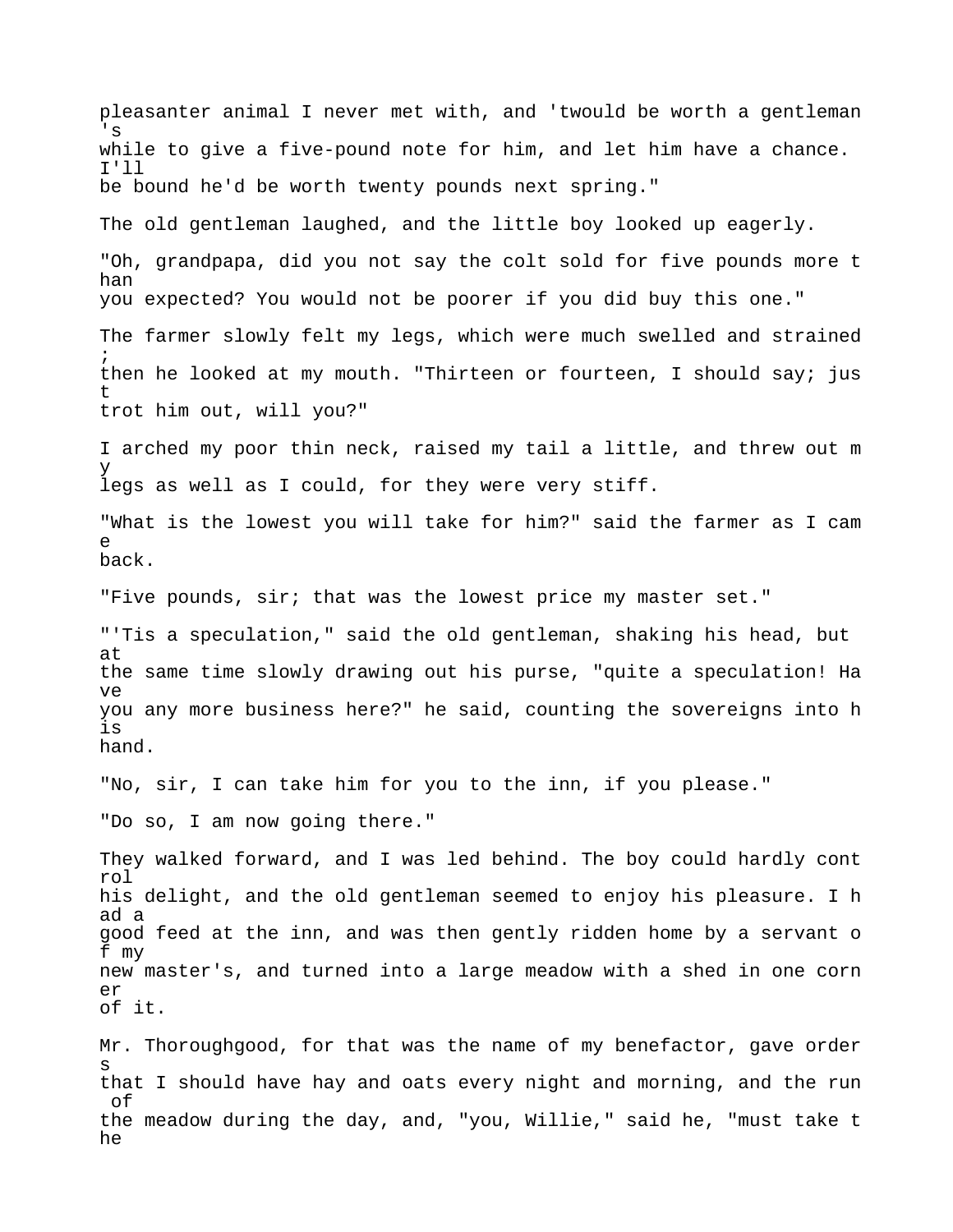pleasanter animal I never met with, and 'twould be worth a gentleman 's while to give a five-pound note for him, and let him have a chance. I'll be bound he'd be worth twenty pounds next spring." The old gentleman laughed, and the little boy looked up eagerly. "Oh, grandpapa, did you not say the colt sold for five pounds more t han you expected? You would not be poorer if you did buy this one." The farmer slowly felt my legs, which were much swelled and strained ; then he looked at my mouth. "Thirteen or fourteen, I should say; jus t trot him out, will you?" I arched my poor thin neck, raised my tail a little, and threw out m y legs as well as I could, for they were very stiff. "What is the lowest you will take for him?" said the farmer as I cam e back. "Five pounds, sir; that was the lowest price my master set." "'Tis a speculation," said the old gentleman, shaking his head, but at the same time slowly drawing out his purse, "quite a speculation! Ha ve you any more business here?" he said, counting the sovereigns into h is hand. "No, sir, I can take him for you to the inn, if you please." "Do so, I am now going there." They walked forward, and I was led behind. The boy could hardly cont rol his delight, and the old gentleman seemed to enjoy his pleasure. I h ad a good feed at the inn, and was then gently ridden home by a servant o f my new master's, and turned into a large meadow with a shed in one corn er of it. Mr. Thoroughgood, for that was the name of my benefactor, gave order s that I should have hay and oats every night and morning, and the run of the meadow during the day, and, "you, Willie," said he, "must take t he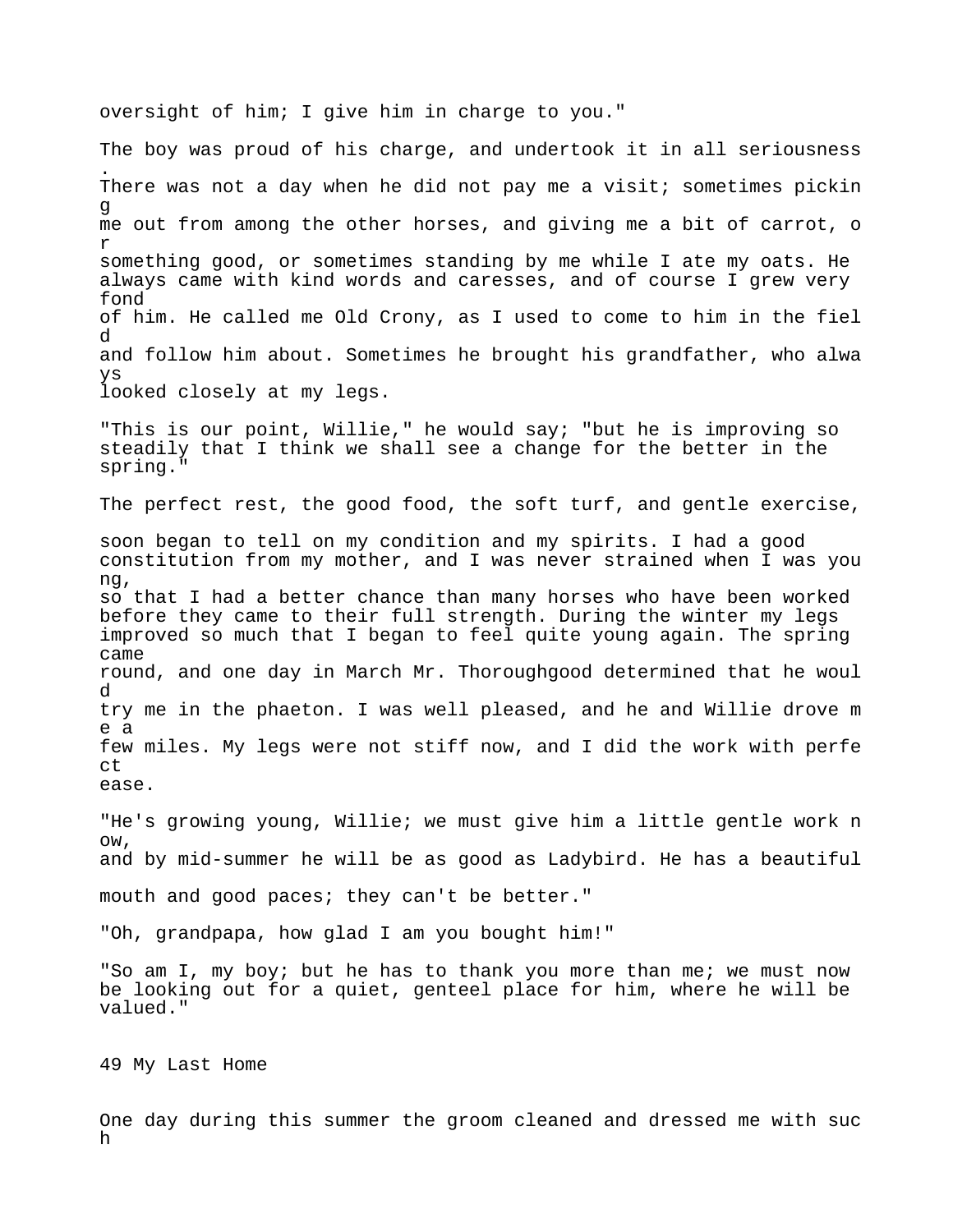oversight of him; I give him in charge to you."

The boy was proud of his charge, and undertook it in all seriousness . There was not a day when he did not pay me a visit; sometimes pickin g me out from among the other horses, and giving me a bit of carrot, o r something good, or sometimes standing by me while I ate my oats. He always came with kind words and caresses, and of course I grew very fond of him. He called me Old Crony, as I used to come to him in the fiel d and follow him about. Sometimes he brought his grandfather, who alwa ys looked closely at my legs. "This is our point, Willie," he would say; "but he is improving so steadily that I think we shall see a change for the better in the spring." The perfect rest, the good food, the soft turf, and gentle exercise, soon began to tell on my condition and my spirits. I had a good constitution from my mother, and I was never strained when I was you ng, so that I had a better chance than many horses who have been worked before they came to their full strength. During the winter my legs improved so much that I began to feel quite young again. The spring came round, and one day in March Mr. Thoroughgood determined that he woul d try me in the phaeton. I was well pleased, and he and Willie drove m e a few miles. My legs were not stiff now, and I did the work with perfe ct ease. "He's growing young, Willie; we must give him a little gentle work n ow, and by mid-summer he will be as good as Ladybird. He has a beautiful mouth and good paces; they can't be better." "Oh, grandpapa, how glad I am you bought him!" "So am I, my boy; but he has to thank you more than me; we must now be looking out for a quiet, genteel place for him, where he will be valued."

49 My Last Home

One day during this summer the groom cleaned and dressed me with suc h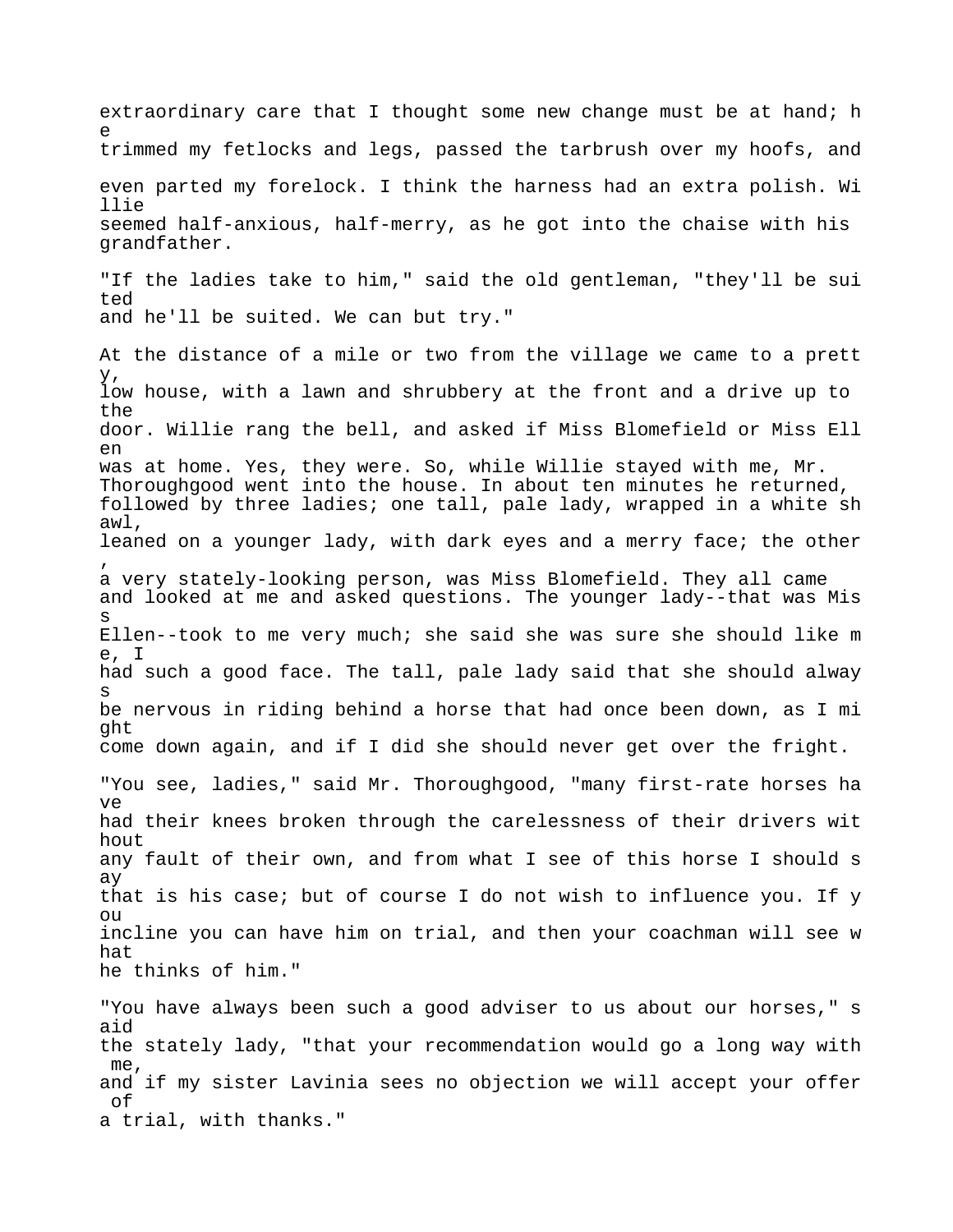extraordinary care that I thought some new change must be at hand; h e trimmed my fetlocks and legs, passed the tarbrush over my hoofs, and even parted my forelock. I think the harness had an extra polish. Wi llie seemed half-anxious, half-merry, as he got into the chaise with his grandfather. "If the ladies take to him," said the old gentleman, "they'll be sui ted and he'll be suited. We can but try." At the distance of a mile or two from the village we came to a prett y, low house, with a lawn and shrubbery at the front and a drive up to the door. Willie rang the bell, and asked if Miss Blomefield or Miss Ell en was at home. Yes, they were. So, while Willie stayed with me, Mr. Thoroughgood went into the house. In about ten minutes he returned, followed by three ladies; one tall, pale lady, wrapped in a white sh awl, leaned on a younger lady, with dark eyes and a merry face; the other , a very stately-looking person, was Miss Blomefield. They all came and looked at me and asked questions. The younger lady--that was Mis s Ellen--took to me very much; she said she was sure she should like m e, I had such a good face. The tall, pale lady said that she should alway s be nervous in riding behind a horse that had once been down, as I mi ght come down again, and if I did she should never get over the fright. "You see, ladies," said Mr. Thoroughgood, "many first-rate horses ha ve had their knees broken through the carelessness of their drivers wit hout any fault of their own, and from what I see of this horse I should s ay that is his case; but of course I do not wish to influence you. If y  $\bigcap$ incline you can have him on trial, and then your coachman will see w hat he thinks of him." "You have always been such a good adviser to us about our horses," s aid the stately lady, "that your recommendation would go a long way with me, and if my sister Lavinia sees no objection we will accept your offer

of

a trial, with thanks."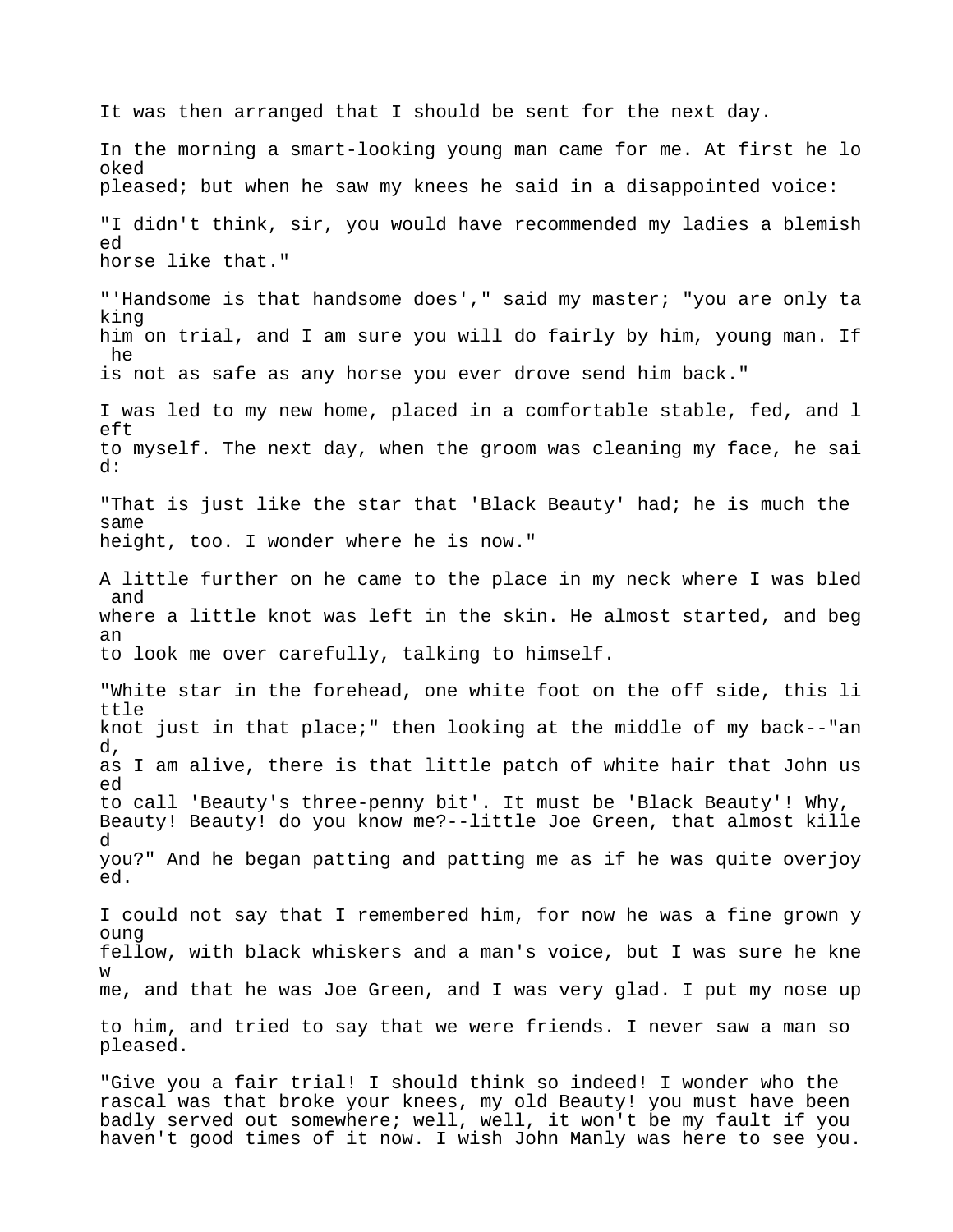It was then arranged that I should be sent for the next day. In the morning a smart-looking young man came for me. At first he lo oked pleased; but when he saw my knees he said in a disappointed voice: "I didn't think, sir, you would have recommended my ladies a blemish ed horse like that." "'Handsome is that handsome does'," said my master; "you are only ta king him on trial, and I am sure you will do fairly by him, young man. If he is not as safe as any horse you ever drove send him back." I was led to my new home, placed in a comfortable stable, fed, and l eft to myself. The next day, when the groom was cleaning my face, he sai d: "That is just like the star that 'Black Beauty' had; he is much the same height, too. I wonder where he is now." A little further on he came to the place in my neck where I was bled and where a little knot was left in the skin. He almost started, and beg an to look me over carefully, talking to himself. "White star in the forehead, one white foot on the off side, this li ttle knot just in that place;" then looking at the middle of my back--"an d, as I am alive, there is that little patch of white hair that John us ed to call 'Beauty's three-penny bit'. It must be 'Black Beauty'! Why, Beauty! Beauty! do you know me?--little Joe Green, that almost kille d you?" And he began patting and patting me as if he was quite overjoy ed. I could not say that I remembered him, for now he was a fine grown y oung fellow, with black whiskers and a man's voice, but I was sure he kne w me, and that he was Joe Green, and I was very glad. I put my nose up to him, and tried to say that we were friends. I never saw a man so pleased. "Give you a fair trial! I should think so indeed! I wonder who the

rascal was that broke your knees, my old Beauty! you must have been badly served out somewhere; well, well, it won't be my fault if you haven't good times of it now. I wish John Manly was here to see you.